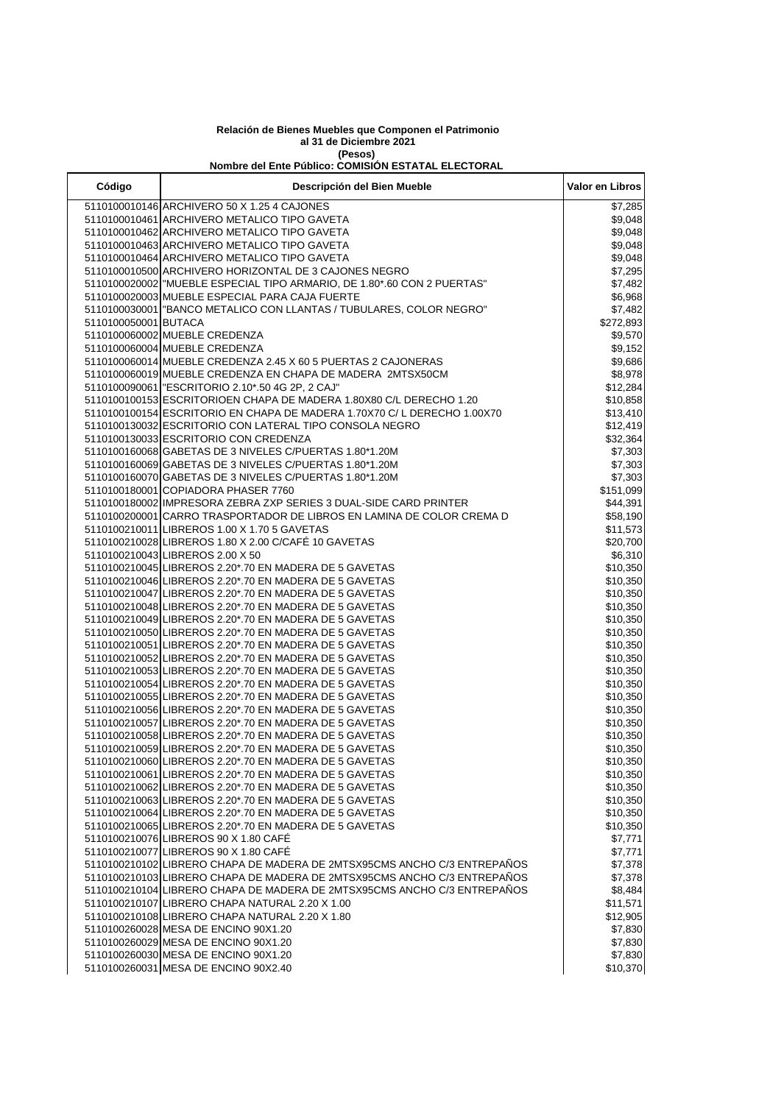## **Relación de Bienes Muebles que Componen el Patrimonio al 31 de Diciembre 2021 (Pesos)**

## **Nombre del Ente Público: COMISIÓN ESTATAL ELECTORAL**

| Código               | Descripción del Bien Mueble                                                                                      | Valor en Libros      |
|----------------------|------------------------------------------------------------------------------------------------------------------|----------------------|
|                      | 5110100010146 ARCHIVERO 50 X 1.25 4 CAJONES                                                                      | \$7,285              |
|                      | 5110100010461 ARCHIVERO METALICO TIPO GAVETA                                                                     | \$9,048              |
|                      | 5110100010462 ARCHIVERO METALICO TIPO GAVETA                                                                     | \$9,048              |
|                      | 5110100010463 ARCHIVERO METALICO TIPO GAVETA                                                                     | \$9,048              |
|                      | 5110100010464 ARCHIVERO METALICO TIPO GAVETA                                                                     | \$9,048              |
|                      | 5110100010500 ARCHIVERO HORIZONTAL DE 3 CAJONES NEGRO                                                            | \$7,295              |
|                      | 5110100020002 MUEBLE ESPECIAL TIPO ARMARIO, DE 1.80*.60 CON 2 PUERTAS"                                           | \$7,482              |
|                      | 5110100020003 MUEBLE ESPECIAL PARA CAJA FUERTE                                                                   | \$6,968              |
|                      | 5110100030001  "BANCO METALICO CON LLANTAS / TUBULARES, COLOR NEGRO"                                             | \$7,482              |
| 5110100050001 BUTACA |                                                                                                                  | \$272,893            |
|                      | 5110100060002 MUEBLE CREDENZA                                                                                    | \$9,570              |
|                      | 5110100060004 MUEBLE CREDENZA                                                                                    | \$9,152              |
|                      | 5110100060014 MUEBLE CREDENZA 2.45 X 60 5 PUERTAS 2 CAJONERAS                                                    | \$9,686              |
|                      | 5110100060019 MUEBLE CREDENZA EN CHAPA DE MADERA 2MTSX50CM                                                       | \$8,978              |
|                      | 5110100090061   "ESCRITORIO 2.10*.50 4G 2P, 2 CAJ"                                                               | \$12,284             |
|                      | 5110100100153 ESCRITORIOEN CHAPA DE MADERA 1.80X80 C/L DERECHO 1.20                                              | \$10,858             |
|                      | 5110100100154 ESCRITORIO EN CHAPA DE MADERA 1.70X70 C/L DERECHO 1.00X70                                          | \$13,410             |
|                      | 5110100130032 ESCRITORIO CON LATERAL TIPO CONSOLA NEGRO                                                          | \$12,419             |
|                      | 5110100130033 ESCRITORIO CON CREDENZA                                                                            | \$32,364             |
|                      | 5110100160068 GABETAS DE 3 NIVELES C/PUERTAS 1.80*1.20M                                                          | \$7,303              |
|                      | 5110100160069 GABETAS DE 3 NIVELES C/PUERTAS 1.80*1.20M                                                          | \$7,303              |
|                      | 5110100160070 GABETAS DE 3 NIVELES C/PUERTAS 1.80*1.20M                                                          | \$7,303              |
|                      | 5110100180001 COPIADORA PHASER 7760                                                                              | \$151,099            |
|                      | 5110100180002 IMPRESORA ZEBRA ZXP SERIES 3 DUAL-SIDE CARD PRINTER                                                | \$44,391             |
|                      | 5110100200001 CARRO TRASPORTADOR DE LIBROS EN LAMINA DE COLOR CREMA D                                            | \$58,190             |
|                      | 5110100210011 LIBREROS 1.00 X 1.70 5 GAVETAS                                                                     | \$11,573             |
|                      | 5110100210028 LIBREROS 1.80 X 2.00 C/CAFÉ 10 GAVETAS                                                             | \$20,700             |
|                      | 5110100210043 LIBREROS 2.00 X 50                                                                                 | \$6,310              |
|                      | 5110100210045 LIBREROS 2.20*.70 EN MADERA DE 5 GAVETAS                                                           | \$10,350             |
|                      | 5110100210046 LIBREROS 2.20*.70 EN MADERA DE 5 GAVETAS                                                           | \$10,350             |
|                      | 5110100210047 LIBREROS 2.20*.70 EN MADERA DE 5 GAVETAS                                                           | \$10,350             |
|                      | 5110100210048 LIBREROS 2.20*.70 EN MADERA DE 5 GAVETAS                                                           | \$10,350             |
|                      | 5110100210049 LIBREROS 2.20*.70 EN MADERA DE 5 GAVETAS                                                           | \$10,350             |
|                      | 5110100210050 LIBREROS 2.20*.70 EN MADERA DE 5 GAVETAS                                                           | \$10,350             |
|                      | 5110100210051 LIBREROS 2.20*.70 EN MADERA DE 5 GAVETAS                                                           | \$10,350             |
|                      | 5110100210052 LIBREROS 2.20*.70 EN MADERA DE 5 GAVETAS                                                           | \$10,350             |
|                      | 5110100210053 LIBREROS 2.20*.70 EN MADERA DE 5 GAVETAS                                                           | \$10,350             |
|                      | 5110100210054 LIBREROS 2.20*.70 EN MADERA DE 5 GAVETAS                                                           | \$10,350             |
|                      | 5110100210055 LIBREROS 2.20*.70 EN MADERA DE 5 GAVETAS                                                           | \$10,350             |
|                      | 5110100210056 LIBREROS 2.20*.70 EN MADERA DE 5 GAVETAS                                                           | \$10,350             |
|                      | 5110100210057 LIBREROS 2.20*.70 EN MADERA DE 5 GAVETAS                                                           | \$10,350             |
|                      | 5110100210058 LIBREROS 2.20*.70 EN MADERA DE 5 GAVETAS<br>5110100210059 LIBREROS 2.20*.70 EN MADERA DE 5 GAVETAS | \$10,350             |
|                      | 5110100210060 LIBREROS 2.20*.70 EN MADERA DE 5 GAVETAS                                                           | \$10,350             |
|                      | 5110100210061 LIBREROS 2.20*.70 EN MADERA DE 5 GAVETAS                                                           | \$10,350<br>\$10,350 |
|                      | 5110100210062 LIBREROS 2.20*.70 EN MADERA DE 5 GAVETAS                                                           | \$10,350             |
|                      | 5110100210063 LIBREROS 2.20*.70 EN MADERA DE 5 GAVETAS                                                           | \$10,350             |
|                      | 5110100210064 LIBREROS 2.20*.70 EN MADERA DE 5 GAVETAS                                                           | \$10,350             |
|                      | 5110100210065 LIBREROS 2.20*.70 EN MADERA DE 5 GAVETAS                                                           | \$10,350             |
|                      | 5110100210076 LIBREROS 90 X 1.80 CAFÉ                                                                            | \$7,771              |
|                      | 5110100210077 LIBREROS 90 X 1.80 CAFÉ                                                                            | \$7,771              |
|                      | 5110100210102 LIBRERO CHAPA DE MADERA DE 2MTSX95CMS ANCHO C/3 ENTREPAÑOS                                         | \$7,378              |
|                      | 5110100210103 LIBRERO CHAPA DE MADERA DE 2MTSX95CMS ANCHO C/3 ENTREPAÑOS                                         | \$7,378              |
|                      | 5110100210104 LIBRERO CHAPA DE MADERA DE 2MTSX95CMS ANCHO C/3 ENTREPAÑOS                                         | \$8,484              |
|                      | 5110100210107 LIBRERO CHAPA NATURAL 2.20 X 1.00                                                                  | \$11,571             |
|                      | 5110100210108 LIBRERO CHAPA NATURAL 2.20 X 1.80                                                                  | \$12,905             |
|                      | 5110100260028 MESA DE ENCINO 90X1.20                                                                             | \$7,830              |
|                      | 5110100260029 MESA DE ENCINO 90X1.20                                                                             | \$7,830              |
|                      | 5110100260030 MESA DE ENCINO 90X1.20                                                                             | \$7,830              |
|                      | 5110100260031 MESA DE ENCINO 90X2.40                                                                             | \$10,370             |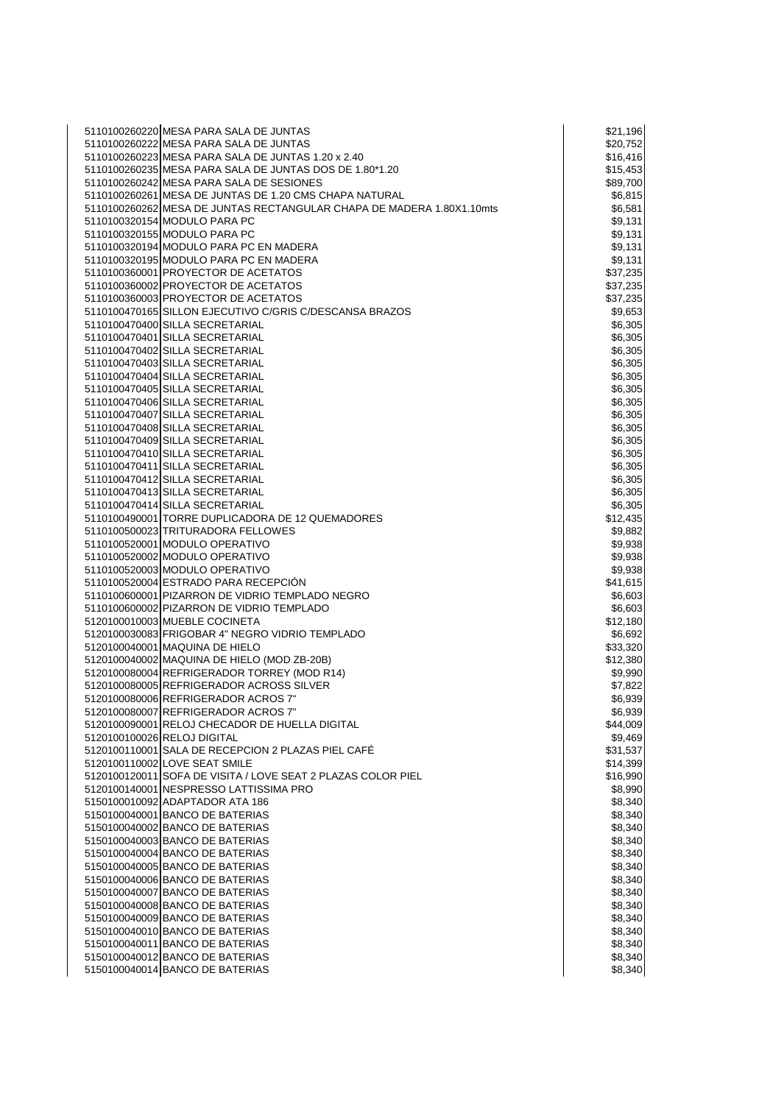| 5110100260220 MESA PARA SALA DE JUNTAS                                | \$21,196 |
|-----------------------------------------------------------------------|----------|
| 5110100260222 MESA PARA SALA DE JUNTAS                                | \$20,752 |
| 5110100260223 MESA PARA SALA DE JUNTAS 1.20 x 2.40                    | \$16,416 |
| 5110100260235 MESA PARA SALA DE JUNTAS DOS DE 1.80*1.20               |          |
|                                                                       | \$15,453 |
| 5110100260242 MESA PARA SALA DE SESIONES                              | \$89,700 |
| 5110100260261 MESA DE JUNTAS DE 1.20 CMS CHAPA NATURAL                | \$6,815  |
| 5110100260262 MESA DE JUNTAS RECTANGULAR CHAPA DE MADERA 1.80X1.10mts | \$6,581  |
| 5110100320154 MODULO PARA PC                                          | \$9,131  |
| 5110100320155 MODULO PARA PC                                          | \$9,131  |
| 5110100320194 MODULO PARA PC EN MADERA                                | \$9,131  |
| 5110100320195 MODULO PARA PC EN MADERA                                | \$9,131  |
| 5110100360001 PROYECTOR DE ACETATOS                                   | \$37,235 |
| 5110100360002 PROYECTOR DE ACETATOS                                   | \$37,235 |
| 5110100360003 PROYECTOR DE ACETATOS                                   | \$37,235 |
| 5110100470165 SILLON EJECUTIVO C/GRIS C/DESCANSA BRAZOS               | \$9,653  |
| 5110100470400 SILLA SECRETARIAL                                       | \$6,305  |
|                                                                       |          |
| 5110100470401 SILLA SECRETARIAL                                       | \$6,305  |
| 5110100470402 SILLA SECRETARIAL                                       | \$6,305  |
| 5110100470403 SILLA SECRETARIAL                                       | \$6,305  |
| 5110100470404 SILLA SECRETARIAL                                       | \$6,305  |
| 5110100470405 SILLA SECRETARIAL                                       | \$6,305  |
| 5110100470406 SILLA SECRETARIAL                                       | \$6,305  |
| 5110100470407 SILLA SECRETARIAL                                       | \$6,305  |
| 5110100470408 SILLA SECRETARIAL                                       | \$6,305  |
| 5110100470409 SILLA SECRETARIAL                                       | \$6,305  |
| 5110100470410 SILLA SECRETARIAL                                       | \$6,305  |
| 5110100470411 SILLA SECRETARIAL                                       | \$6,305  |
|                                                                       |          |
| 5110100470412 SILLA SECRETARIAL                                       | \$6,305  |
| 5110100470413 SILLA SECRETARIAL                                       | \$6,305  |
| 5110100470414 SILLA SECRETARIAL                                       | \$6,305  |
| 5110100490001 TORRE DUPLICADORA DE 12 QUEMADORES                      | \$12,435 |
| 5110100500023 TRITURADORA FELLOWES                                    | \$9,882  |
| 5110100520001 MODULO OPERATIVO                                        | \$9,938  |
| 5110100520002 MODULO OPERATIVO                                        | \$9,938  |
| 5110100520003 MODULO OPERATIVO                                        | \$9,938  |
| 5110100520004 ESTRADO PARA RECEPCIÓN                                  | \$41,615 |
| 5110100600001 PIZARRON DE VIDRIO TEMPLADO NEGRO                       | \$6,603  |
| 5110100600002 PIZARRON DE VIDRIO TEMPLADO                             | \$6,603  |
| 5120100010003 MUEBLE COCINETA                                         | \$12,180 |
| 5120100030083 FRIGOBAR 4" NEGRO VIDRIO TEMPLADO                       |          |
|                                                                       | \$6,692  |
| 5120100040001 MAQUINA DE HIELO                                        | \$33,320 |
| 5120100040002 MAQUINA DE HIELO (MOD ZB-20B)                           | \$12,380 |
| 5120100080004 REFRIGERADOR TORREY (MOD R14)                           | \$9,990  |
| 5120100080005 REFRIGERADOR ACROSS SILVER                              | \$7,822  |
| 5120100080006 REFRIGERADOR ACROS 7"                                   | \$6,939  |
| 5120100080007 REFRIGERADOR ACROS 7"                                   | \$6,939  |
| 5120100090001 RELOJ CHECADOR DE HUELLA DIGITAL                        | \$44,009 |
| 5120100100026 RELOJ DIGITAL                                           | \$9,469  |
| 5120100110001 SALA DE RECEPCION 2 PLAZAS PIEL CAFÉ                    | \$31,537 |
| 5120100110002 LOVE SEAT SMILE                                         | \$14,399 |
| 5120100120011 SOFA DE VISITA / LOVE SEAT 2 PLAZAS COLOR PIEL          | \$16,990 |
| 5120100140001 INESPRESSO LATTISSIMA PRO                               | \$8,990  |
|                                                                       | \$8,340  |
| 5150100010092 ADAPTADOR ATA 186                                       |          |
| 5150100040001 BANCO DE BATERIAS                                       | \$8,340  |
| 5150100040002 BANCO DE BATERIAS                                       | \$8,340  |
| 5150100040003 BANCO DE BATERIAS                                       | \$8,340  |
| 5150100040004 BANCO DE BATERIAS                                       | \$8,340  |
| 5150100040005 BANCO DE BATERIAS                                       | \$8,340  |
| 5150100040006 BANCO DE BATERIAS                                       | \$8,340  |
| 5150100040007 BANCO DE BATERIAS                                       | \$8,340  |
| 5150100040008 BANCO DE BATERIAS                                       | \$8,340  |
| 5150100040009 BANCO DE BATERIAS                                       | \$8,340  |
| 5150100040010 BANCO DE BATERIAS                                       | \$8,340  |
| 5150100040011 BANCO DE BATERIAS                                       | \$8,340  |
| 5150100040012 BANCO DE BATERIAS                                       | \$8,340  |
|                                                                       |          |
| 5150100040014 BANCO DE BATERIAS                                       | \$8,340  |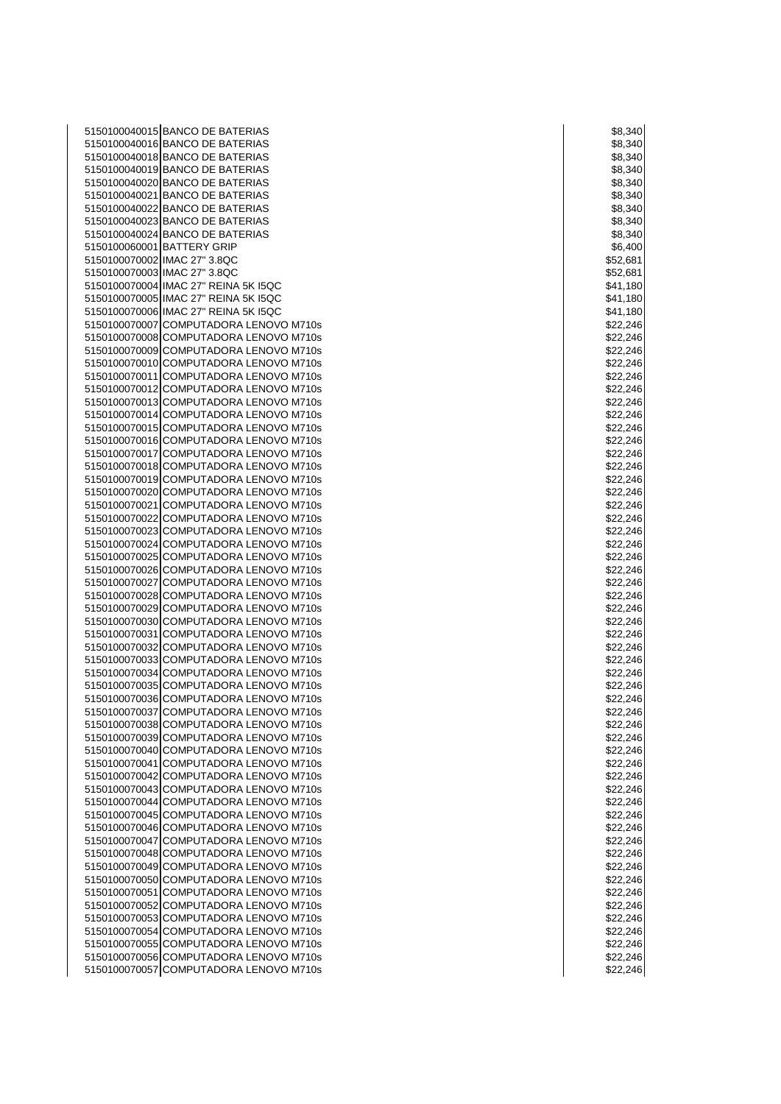BANCO DE BATERIAS \$8,340 BANCO DE BATERIAS \$8,340 BANCO DE BATERIAS \$8,340 BANCO DE BATERIAS \$8,340 5150100040020 BANCO DE BATERIAS \$8,340 \$8,340 \$8,340 \$8,340 \$8,340 \$8,340 \$8,340 \$ 5150100040021 BANCO DE BATERIAS \$8,340 \$8,340 5150100040022 BANCO DE BATERIAS \$8,340 \$8,340 \$8,340 \$8,340 \$8,340 \$8,340 \$8,340 \$ BANCO DE BATERIAS \$8,340 BANCO DE BATERIAS \$8,340 BATTERY GRIP \$6,400 IMAC 27" 3.8QC \$52,681 IMAC 27" 3.8QC \$52,681 IMAC 27" REINA 5K I5QC \$41,180 IMAC 27" REINA 5K I5QC \$41,180 IMAC 27" REINA 5K I5QC \$41,180 COMPUTADORA LENOVO M710s \$22,246 COMPUTADORA LENOVO M710s \$22,246 COMPUTADORA LENOVO M710s \$22,246 COMPUTADORA LENOVO M710s \$22,246 COMPUTADORA LENOVO M710s \$22,246 COMPUTADORA LENOVO M710s \$22,246 COMPUTADORA LENOVO M710s \$22,246 COMPUTADORA LENOVO M710s \$22,246 5150100070015 COMPUTADORA LENOVO M710s \$22,246 COMPUTADORA LENOVO M710s \$22,246 COMPUTADORA LENOVO M710s \$22,246 COMPUTADORA LENOVO M710s \$22,246 COMPUTADORA LENOVO M710s \$22,246 5150100070020 COMPUTADORA LENOVO M710s 622,246 COMPUTADORA LENOVO M710s \$22,246 COMPUTADORA LENOVO M710s \$22,246 5150100070023 COMPUTADORA LENOVO M710s \$22.246 COMPUTADORA LENOVO M710s \$22,246 COMPUTADORA LENOVO M710s \$22,246 5150100070026 COMPUTADORA LENOVO M710s<br>5150100070027 COMPUTADORA LENOVO M710s \$22,246 \$22,246 COMPUTADORA LENOVO M710s \$22,246 COMPUTADORA LENOVO M710s \$22,246 COMPUTADORA LENOVO M710s \$22,246 COMPUTADORA LENOVO M710s \$22,246 5150100070031 COMPUTADORA LENOVO M710s 622,246 5150100070032 COMPUTADORA LENOVO M710s<br>5150100070033 COMPUTADORA LENOVO M710s \$22,246 \$22,246 COMPUTADORA LENOVO M710s \$22,246 COMPUTADORA LENOVO M710s \$22,246 COMPUTADORA LENOVO M710s \$22,246 COMPUTADORA LENOVO M710s \$22,246 COMPUTADORA LENOVO M710s \$22,246 5150100070038 COMPUTADORA LENOVO M710s \$22,246  $\sim$  \$22,246 5150100070039 COMPUTADORA LENOVO M710s \$22,246  $\vert$  \$22,246 COMPUTADORA LENOVO M710s \$22,246 COMPUTADORA LENOVO M710s \$22,246 COMPUTADORA LENOVO M710s \$22,246 COMPUTADORA LENOVO M710s \$22,246 COMPUTADORA LENOVO M710s \$22,246 COMPUTADORA LENOVO M710s \$22,246 COMPUTADORA LENOVO M710s \$22,246 5150100070047 COMPUTADORA LENOVO M710s<br>5150100070048 COMPUTADORA LENOVO M710s \$22,246 \$22,246 COMPUTADORA LENOVO M710s \$22,246 COMPUTADORA LENOVO M710s \$22,246 COMPUTADORA LENOVO M710s \$22,246 5150100070051 COMPUTADORA LENOVO M710s \$22,246  $\sim$  \$22,246 COMPUTADORA LENOVO M710s \$22,246 5150100070053 COMPUTADORA LENOVO M710s \$22,246  $\sim$  \$22,246 COMPUTADORA LENOVO M710s \$22,246 COMPUTADORA LENOVO M710s \$22,246 COMPUTADORA LENOVO M710s \$22,246 5150100070057 COMPUTADORA LENOVO M710s 622,246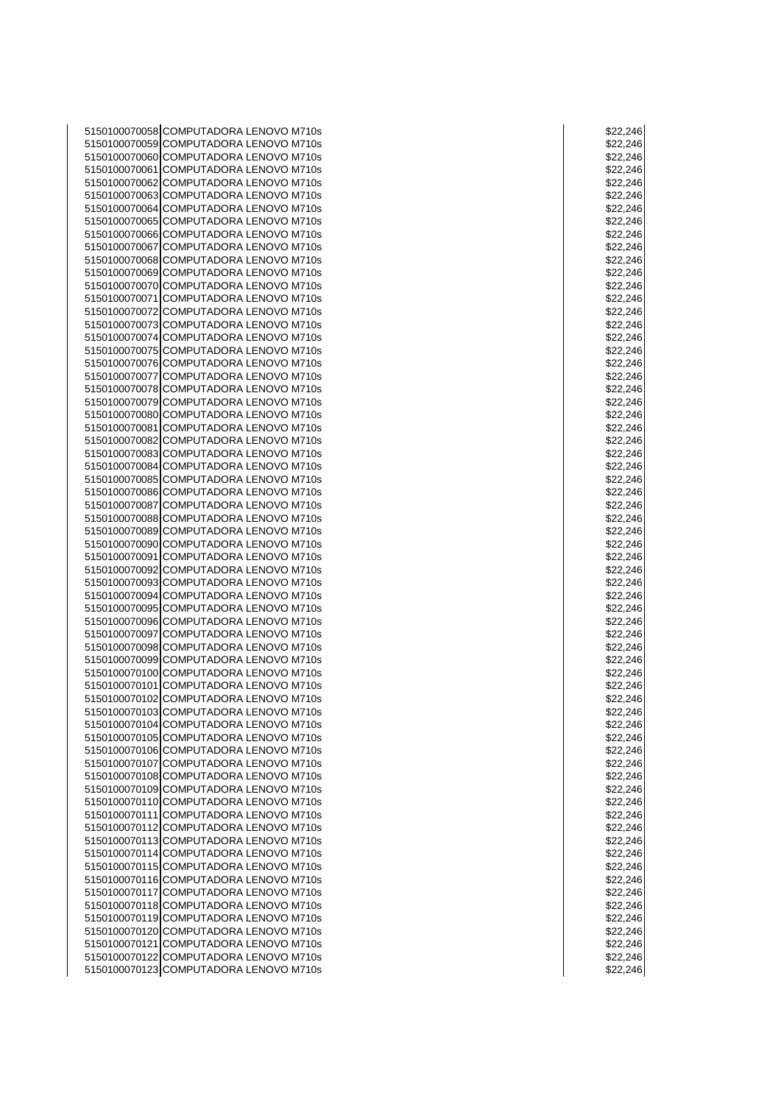COMPUTADORA LENOVO M710s \$22,246 5150100070059 COMPUTADORA LENOVO M710s \$22,246  $\sim$  \$22,246 COMPUTADORA LENOVO M710s \$22,246 COMPUTADORA LENOVO M710s \$22,246 COMPUTADORA LENOVO M710s \$22,246 COMPUTADORA LENOVO M710s \$22,246 5150100070064 COMPUTADORA LENOVO M710s \$22,246  $\sim$  \$22,246 COMPUTADORA LENOVO M710s \$22,246 COMPUTADORA LENOVO M710s \$22,246 COMPUTADORA LENOVO M710s \$22,246 5150100070068 COMPUTADORA LENOVO M710s \$22.246 COMPUTADORA LENOVO M710s \$22,246 COMPUTADORA LENOVO M710s \$22,246 COMPUTADORA LENOVO M710s \$22,246 COMPUTADORA LENOVO M710s \$22,246 5150100070073 COMPUTADORA LENOVO M710s \$22,246  $\sim$  \$22,246 5150100070074 COMPUTADORA LENOVO M710s<br>5150100070075 COMPUTADORA LENOVO M710s \$22,246 \$22,246 COMPUTADORA LENOVO M710s \$22,246 COMPUTADORA LENOVO M710s \$22,246 COMPUTADORA LENOVO M710s \$22,246 COMPUTADORA LENOVO M710s \$22,246 COMPUTADORA LENOVO M710s \$22,246 COMPUTADORA LENOVO M710s \$22,246 5150100070081 COMPUTADORA LENOVO M710s \$22.246 COMPUTADORA LENOVO M710s \$22,246 COMPUTADORA LENOVO M710s \$22,246 5150100070084 COMPUTADORA LENOVO M710s<br>5150100070085 COMPUTADORA LENOVO M710s \$22,246 \$22,246 COMPUTADORA LENOVO M710s \$22,246 COMPUTADORA LENOVO M710s \$22,246 COMPUTADORA LENOVO M710s \$22,246 COMPUTADORA LENOVO M710s \$22,246 5150100070089 COMPUTADORA LENOVO M710s \$22.246 COMPUTADORA LENOVO M710s \$22,246 COMPUTADORA LENOVO M710s \$22,246 5150100070092 COMPUTADORA LENOVO M710s<br>5150100070093 COMPUTADORA LENOVO M710s \$22,246 \$22,246 COMPUTADORA LENOVO M710s \$22,246 COMPUTADORA LENOVO M710s \$22,246 COMPUTADORA LENOVO M710s \$22,246 COMPUTADORA LENOVO M710s \$22,246 5150100070097 COMPUTADORA LENOVO M710s \$22,246 5150100070098 COMPUTADORA LENOVO M710s<br>5150100070099 COMPUTADORA LENOVO M710s \$22,246 \$22,246 5150100070099 COMPUTADORA LENOVO M710s COMPUTADORA LENOVO M710s \$22,246 COMPUTADORA LENOVO M710s \$22,246 5150100070102 COMPUTADORA LENOVO M710s 622,246 COMPUTADORA LENOVO M710s \$22,246 COMPUTADORA LENOVO M710s \$22,246 5150100070105 COMPUTADORA LENOVO M710s 622.246 COMPUTADORA LENOVO M710s \$22,246 COMPUTADORA LENOVO M710s \$22,246 COMPUTADORA LENOVO M710s \$22,246 COMPUTADORA LENOVO M710s \$22,246 COMPUTADORA LENOVO M710s \$22,246 COMPUTADORA LENOVO M710s \$22,246 COMPUTADORA LENOVO M710s \$22,246 5150100070113 COMPUTADORA LENOVO M710s<br>5150100070114 COMPUTADORA LENOVO M710s \$22,246 \$22,246 COMPUTADORA LENOVO M710s \$22,246 COMPUTADORA LENOVO M710s \$22,246 COMPUTADORA LENOVO M710s \$22,246 5150100070117 COMPUTADORA LENOVO M710s 622,246 COMPUTADORA LENOVO M710s \$22,246 COMPUTADORA LENOVO M710s \$22,246 COMPUTADORA LENOVO M710s \$22,246 5150100070121 COMPUTADORA LENOVO M710s \$22,246  $\sim$  \$22,246 COMPUTADORA LENOVO M710s \$22,246 5150100070123 COMPUTADORA LENOVO M710s \$22,246  $\sim$  \$22,246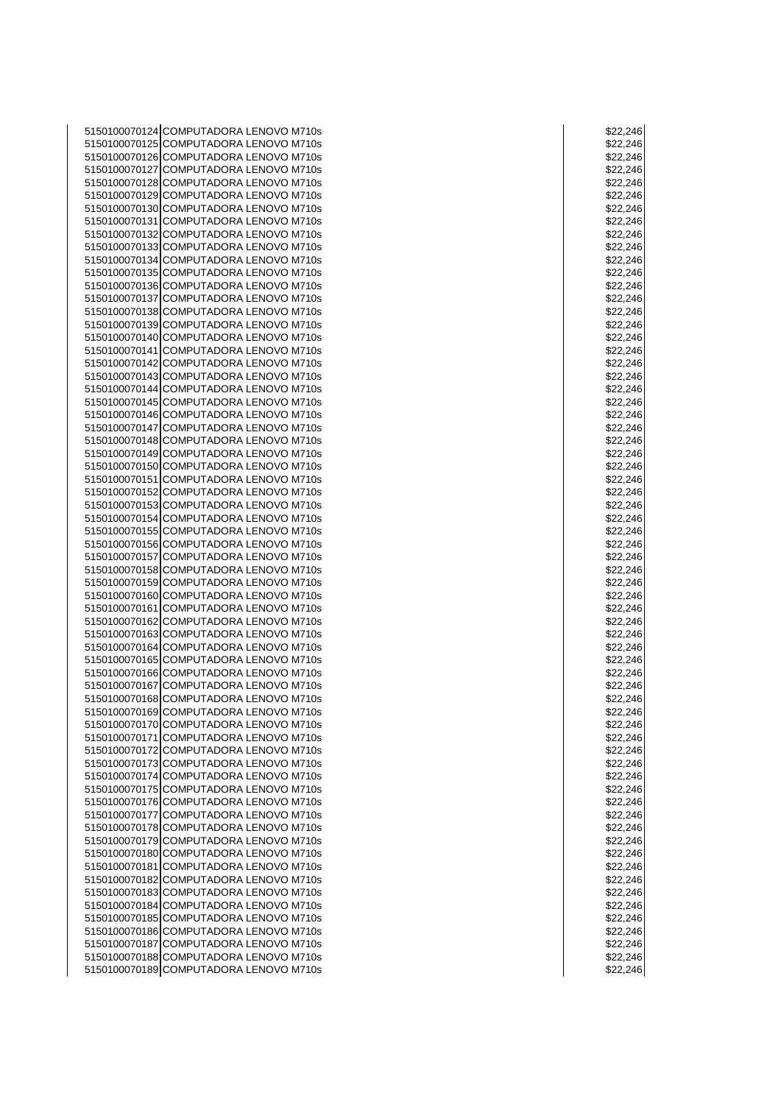COMPUTADORA LENOVO M710s \$22,246 COMPUTADORA LENOVO M710s \$22,246 COMPUTADORA LENOVO M710s \$22,246 COMPUTADORA LENOVO M710s \$22,246 5150100070128 COMPUTADORA LENOVO M710s **1980 1991 1992 1994 1996 1991 1992** 1994 1994 1994 1994 1995 1996 1997 1 COMPUTADORA LENOVO M710s \$22,246 5150100070130 COMPUTADORA LENOVO M710s \$22,246  $\sim$  \$22,246 COMPUTADORA LENOVO M710s \$22,246 COMPUTADORA LENOVO M710s \$22,246 COMPUTADORA LENOVO M710s \$22,246 5150100070134 COMPUTADORA LENOVO M710s \$22,246  $\sim$  \$22,246 COMPUTADORA LENOVO M710s \$22,246 COMPUTADORA LENOVO M710s \$22,246 COMPUTADORA LENOVO M710s \$22,246 COMPUTADORA LENOVO M710s \$22,246 5150100070139 COMPUTADORA LENOVO M710s \$22,246  $\sim$  \$22,246 COMPUTADORA LENOVO M710s \$22,246 COMPUTADORA LENOVO M710s \$22,246 COMPUTADORA LENOVO M710s \$22,246 COMPUTADORA LENOVO M710s \$22,246 COMPUTADORA LENOVO M710s \$22,246 COMPUTADORA LENOVO M710s \$22,246 COMPUTADORA LENOVO M710s \$22,246 5150100070147 COMPUTADORA LENOVO M710s \$22,246 COMPUTADORA LENOVO M710s \$22,246 COMPUTADORA LENOVO M710s \$22,246 COMPUTADORA LENOVO M710s \$22,246 COMPUTADORA LENOVO M710s \$22,246 5150100070152 COMPUTADORA LENOVO M710s **\$22,246**  $\sim$  \$22,246 COMPUTADORA LENOVO M710s \$22,246 COMPUTADORA LENOVO M710s \$22,246 5150100070155 COMPUTADORA LENOVO M710s \$22.246 COMPUTADORA LENOVO M710s \$22,246 COMPUTADORA LENOVO M710s \$22,246 5150100070158 COMPUTADORA LENOVO M710s<br>5150100070159 COMPUTADORA LENOVO M710s \$22,246 \$22,246 COMPUTADORA LENOVO M710s \$22,246 COMPUTADORA LENOVO M710s \$22,246 COMPUTADORA LENOVO M710s \$22,246 COMPUTADORA LENOVO M710s \$22,246 5150100070163 COMPUTADORA LENOVO M710s 622,246 5150100070164 COMPUTADORA LENOVO M710s<br>5150100070165 COMPUTADORA LENOVO M710s \$22,246 \$22,246 COMPUTADORA LENOVO M710s \$22,246 COMPUTADORA LENOVO M710s \$22,246 COMPUTADORA LENOVO M710s \$22,246 COMPUTADORA LENOVO M710s \$22,246 COMPUTADORA LENOVO M710s \$22,246 5150100070170 COMPUTADORA LENOVO M710s \$22,246  $\sim$  \$22,246 5150100070171 COMPUTADORA LENOVO M710s 622.246 COMPUTADORA LENOVO M710s \$22,246 COMPUTADORA LENOVO M710s \$22,246 COMPUTADORA LENOVO M710s \$22,246 COMPUTADORA LENOVO M710s \$22,246 COMPUTADORA LENOVO M710s \$22,246 COMPUTADORA LENOVO M710s \$22,246 COMPUTADORA LENOVO M710s \$22,246 5150100070179 COMPUTADORA LENOVO M710s<br>5150100070180 COMPUTADORA LENOVO M710s \$22,246 \$22,246 COMPUTADORA LENOVO M710s \$22,246 COMPUTADORA LENOVO M710s \$22,246 COMPUTADORA LENOVO M710s \$22,246 COMPUTADORA LENOVO M710s \$22,246 COMPUTADORA LENOVO M710s \$22,246 5150100070185 COMPUTADORA LENOVO M710s \$22,246  $\sim$  \$22,246 COMPUTADORA LENOVO M710s \$22,246 5150100070187 COMPUTADORA LENOVO M710s **1989 1999 1999 1999 1999 1999 1999 10:** \$22,246 5150100070188 COMPUTADORA LENOVO M710s **1989 1999 1999 1999 1999 1999 1999 10:** \$22,246 COMPUTADORA LENOVO M710s \$22,246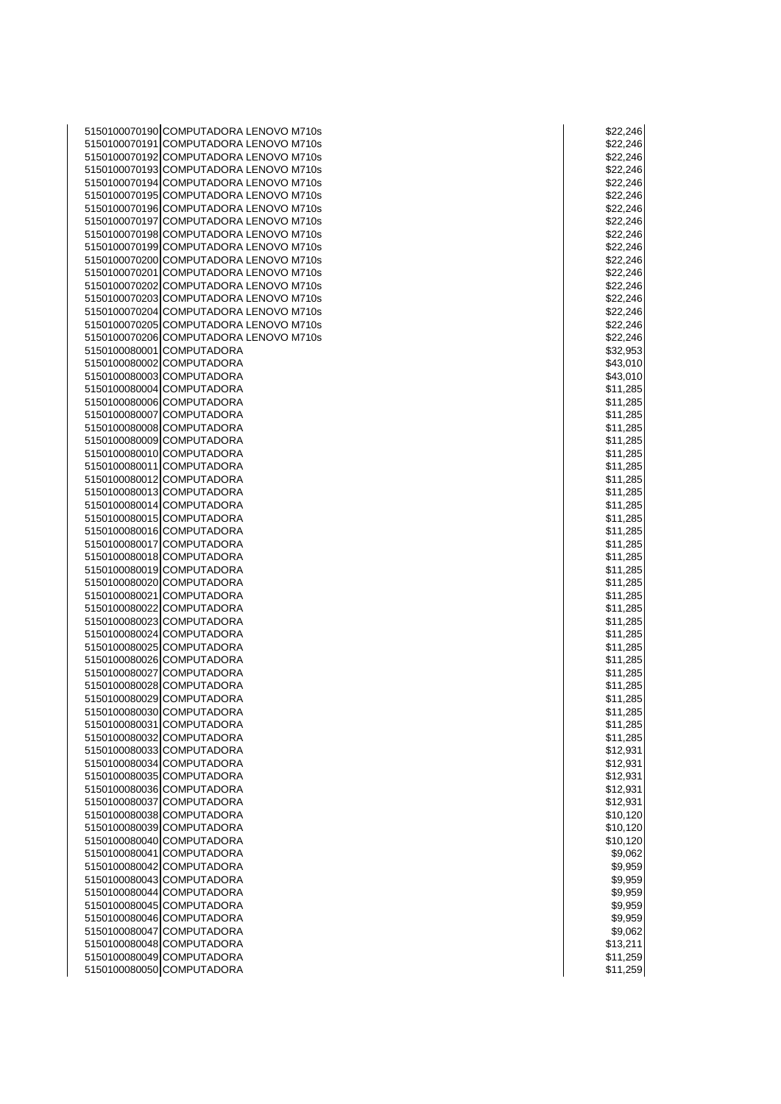| 5150100070190 COMPUTADORA LENOVO M710s | \$22,246 |
|----------------------------------------|----------|
| 5150100070191 COMPUTADORA LENOVO M710s | \$22,246 |
| 5150100070192 COMPUTADORA LENOVO M710s | \$22,246 |
| 5150100070193 COMPUTADORA LENOVO M710s | \$22,246 |
|                                        |          |
| 5150100070194 COMPUTADORA LENOVO M710s | \$22,246 |
| 5150100070195 COMPUTADORA LENOVO M710s | \$22,246 |
| 5150100070196 COMPUTADORA LENOVO M710s | \$22,246 |
| 5150100070197 COMPUTADORA LENOVO M710s | \$22,246 |
| 5150100070198 COMPUTADORA LENOVO M710s | \$22,246 |
| 5150100070199 COMPUTADORA LENOVO M710s | \$22,246 |
| 5150100070200 COMPUTADORA LENOVO M710s | \$22,246 |
|                                        |          |
| 5150100070201 COMPUTADORA LENOVO M710s | \$22,246 |
| 5150100070202 COMPUTADORA LENOVO M710s | \$22,246 |
| 5150100070203 COMPUTADORA LENOVO M710s | \$22,246 |
| 5150100070204 COMPUTADORA LENOVO M710s | \$22,246 |
| 5150100070205 COMPUTADORA LENOVO M710s | \$22,246 |
| 5150100070206 COMPUTADORA LENOVO M710s | \$22,246 |
| 5150100080001 COMPUTADORA              | \$32,953 |
|                                        |          |
| 5150100080002 COMPUTADORA              | \$43,010 |
| 5150100080003 COMPUTADORA              | \$43,010 |
| 5150100080004 COMPUTADORA              | \$11,285 |
| 5150100080006 COMPUTADORA              | \$11,285 |
| 5150100080007 COMPUTADORA              | \$11,285 |
| 5150100080008 COMPUTADORA              | \$11,285 |
| 5150100080009 COMPUTADORA              | \$11,285 |
| 5150100080010 COMPUTADORA              | \$11,285 |
|                                        |          |
| 5150100080011 COMPUTADORA              | \$11,285 |
| 5150100080012 COMPUTADORA              | \$11,285 |
| 5150100080013 COMPUTADORA              | \$11,285 |
| 5150100080014 COMPUTADORA              | \$11,285 |
| 5150100080015 COMPUTADORA              | \$11,285 |
| 5150100080016 COMPUTADORA              | \$11,285 |
| 5150100080017 COMPUTADORA              | \$11,285 |
| 5150100080018 COMPUTADORA              | \$11,285 |
|                                        |          |
| 5150100080019 COMPUTADORA              | \$11,285 |
| 5150100080020 COMPUTADORA              | \$11,285 |
| 5150100080021 COMPUTADORA              | \$11,285 |
| 5150100080022 COMPUTADORA              | \$11,285 |
| 5150100080023 COMPUTADORA              | \$11,285 |
| 5150100080024 COMPUTADORA              | \$11,285 |
| 5150100080025 COMPUTADORA              | \$11,285 |
|                                        |          |
| 5150100080026 COMPUTADORA              | \$11,285 |
| 5150100080027 COMPUTADORA              | \$11,285 |
| 5150100080028 COMPUTADORA              | \$11,285 |
| 5150100080029 COMPUTADORA              | \$11,285 |
| 5150100080030 COMPUTADORA              | \$11,285 |
| 5150100080031 COMPUTADORA              | \$11,285 |
| 5150100080032 COMPUTADORA              | \$11,285 |
| 5150100080033 COMPUTADORA              | \$12,931 |
| 5150100080034 COMPUTADORA              | \$12,931 |
|                                        |          |
| 5150100080035 COMPUTADORA              | \$12,931 |
| 5150100080036 COMPUTADORA              | \$12,931 |
| 5150100080037 COMPUTADORA              | \$12,931 |
| 5150100080038 COMPUTADORA              | \$10,120 |
| 5150100080039 COMPUTADORA              | \$10,120 |
| 5150100080040 COMPUTADORA              | \$10,120 |
| 5150100080041 COMPUTADORA              | \$9,062  |
|                                        |          |
| 5150100080042 COMPUTADORA              | \$9,959  |
| 5150100080043 COMPUTADORA              | \$9,959  |
| 5150100080044 COMPUTADORA              | \$9,959  |
| 5150100080045 COMPUTADORA              | \$9,959  |
| 5150100080046 COMPUTADORA              | \$9,959  |
| 5150100080047 COMPUTADORA              | \$9,062  |
| 5150100080048 COMPUTADORA              | \$13,211 |
| 5150100080049 COMPUTADORA              | \$11,259 |
|                                        |          |
| 5150100080050 COMPUTADORA              | \$11,259 |

|          | \$22,246             |
|----------|----------------------|
|          | \$22,246             |
|          | \$22,246             |
|          | \$22,246             |
| \$2      | 2,246                |
|          | \$22,246             |
|          | \$22,246<br>\$22,246 |
|          | \$22,246             |
|          | \$22,246             |
| \$.      | 22,246               |
|          | \$22,246             |
|          | \$22,246             |
|          | \$22,246             |
|          | \$22,246             |
|          | \$22,246             |
|          | \$22,246             |
|          | \$32,953             |
|          | \$43,010             |
|          | \$43,010             |
|          |                      |
|          | \$11,285<br>\$11,285 |
|          | \$11,285             |
|          | \$11,285             |
|          | \$11,285             |
|          | \$11,285             |
|          | \$11,285             |
|          | \$11,285             |
|          | \$11,285             |
|          | \$11,285             |
|          | \$11,285             |
|          | \$11,285             |
|          | \$11,285             |
|          | \$11,285             |
|          | \$11,285             |
|          | \$11,285             |
|          | \$11,285             |
|          | \$11,285             |
|          | \$11,285             |
|          | \$11,285             |
|          | \$11,285             |
|          | \$11,285             |
|          | \$11,285             |
|          | \$11,285             |
|          | \$11,285             |
| \$1<br>1 | ,285                 |
|          | \$11,285             |
|          | \$11,285             |
|          | \$12,931<br>\$12,931 |
|          | \$12,931             |
|          | \$12,931             |
|          | \$12,931             |
|          | \$10,120             |
|          | \$10,120             |
|          | \$10,120             |
|          | \$9,062              |
|          | \$9,959              |
|          | \$9,959              |
|          | \$9,959              |
|          | \$9,959              |
|          | \$9,959              |
|          | \$9,062              |
|          | \$13,211             |
|          | \$11,259             |
|          | \$11,259             |
|          |                      |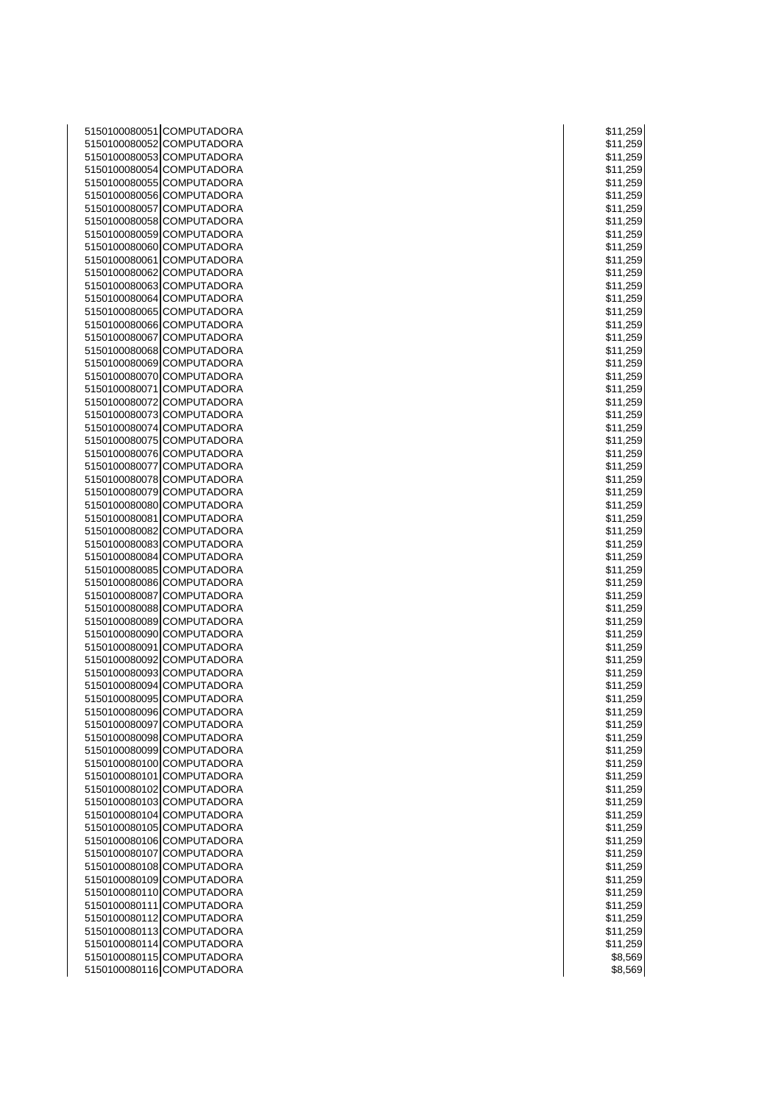| 5150100080051 COMPUTADORA<br>5150100080052 COMPUTADORA<br>5150100080053 COMPUTADORA<br>5150100080054 COMPUTADORA<br>5150100080055 COMPUTADORA<br>5150100080056 COMPUTADORA<br>5150100080057 COMPUTADORA<br>5150100080058 COMPUTADORA<br>5150100080059 COMPUTADORA<br>5150100080060 COMPUTADORA<br>5150100080061 COMPUTADORA<br>5150100080062 COMPUTADORA<br>5150100080063 COMPUTADORA<br>5150100080064 COMPUTADORA<br>5150100080065 COMPUTADORA<br>5150100080066 COMPUTADORA<br>5150100080067 COMPUTADORA<br>5150100080068 COMPUTADORA<br>5150100080069 COMPUTADORA<br>5150100080070 COMPUTADORA<br>5150100080071 COMPUTADORA<br>5150100080072 COMPUTADORA<br>5150100080073 COMPUTADORA<br>5150100080074 COMPUTADORA<br>5150100080075 COMPUTADORA<br>5150100080076 COMPUTADORA<br>5150100080077 COMPUTADORA<br>5150100080078 COMPUTADORA<br>5150100080079 COMPUTADORA<br>5150100080080 COMPUTADORA<br>\$11,259<br>5150100080081 COMPUTADORA<br>5150100080082 COMPUTADORA<br>5150100080083 COMPUTADORA<br>5150100080084 COMPUTADORA<br>5150100080085 COMPUTADORA<br>5150100080086 COMPUTADORA<br>\$11,259<br>5150100080087 COMPUTADORA<br>\$11,259<br>5150100080088 COMPUTADORA<br>\$11,259<br>5150100080089 COMPUTADORA<br>\$11,259<br>5150100080090 COMPUTADORA<br>\$11,259<br>5150100080091 COMPUTADORA<br>\$11,259<br>5150100080092 COMPUTADORA<br>\$11,259<br>5150100080093 COMPUTADORA<br>\$11,259<br>5150100080094 COMPUTADORA<br>\$11,259<br>5150100080095 COMPUTADORA<br>\$11,259<br>5150100080096 COMPUTADORA<br>\$11,259<br>5150100080097 COMPUTADORA<br>\$11,259<br>5150100080098 COMPUTADORA<br>\$11,259<br>5150100080099 COMPUTADORA<br>\$11,259<br>5150100080100 COMPUTADORA<br>\$11,259<br>5150100080101 COMPUTADORA<br>\$11,259<br>5150100080102 COMPUTADORA<br>\$11,259<br>5150100080103 COMPUTADORA<br>\$11,259<br>5150100080104 COMPUTADORA<br>\$11,259<br>5150100080105 COMPUTADORA<br>\$11,259<br>5150100080106 COMPUTADORA<br>\$11,259<br>5150100080107 COMPUTADORA<br>\$11,259<br>5150100080108 COMPUTADORA<br>\$11,259<br>5150100080109 COMPUTADORA<br>\$11,259<br>5150100080110 COMPUTADORA<br>\$11,259<br>5150100080111 COMPUTADORA<br>\$11,259<br>5150100080112 COMPUTADORA<br>\$11,259<br>5150100080113 COMPUTADORA<br>\$11,259<br>5150100080114 COMPUTADORA<br>\$11,259<br>5150100080115 COMPUTADORA<br>5150100080116 COMPUTADORA |  |          |
|----------------------------------------------------------------------------------------------------------------------------------------------------------------------------------------------------------------------------------------------------------------------------------------------------------------------------------------------------------------------------------------------------------------------------------------------------------------------------------------------------------------------------------------------------------------------------------------------------------------------------------------------------------------------------------------------------------------------------------------------------------------------------------------------------------------------------------------------------------------------------------------------------------------------------------------------------------------------------------------------------------------------------------------------------------------------------------------------------------------------------------------------------------------------------------------------------------------------------------------------------------------------------------------------------------------------------------------------------------------------------------------------------------------------------------------------------------------------------------------------------------------------------------------------------------------------------------------------------------------------------------------------------------------------------------------------------------------------------------------------------------------------------------------------------------------------------------------------------------------------------------------------------------------------------------------------------------------------------------------------------------------------------------------------------------------------------------------------------------------------------------------------------------------------------------------------------------------------------------------------------------------------------------------------------------------------------------------------------------------|--|----------|
|                                                                                                                                                                                                                                                                                                                                                                                                                                                                                                                                                                                                                                                                                                                                                                                                                                                                                                                                                                                                                                                                                                                                                                                                                                                                                                                                                                                                                                                                                                                                                                                                                                                                                                                                                                                                                                                                                                                                                                                                                                                                                                                                                                                                                                                                                                                                                                |  | \$11,259 |
|                                                                                                                                                                                                                                                                                                                                                                                                                                                                                                                                                                                                                                                                                                                                                                                                                                                                                                                                                                                                                                                                                                                                                                                                                                                                                                                                                                                                                                                                                                                                                                                                                                                                                                                                                                                                                                                                                                                                                                                                                                                                                                                                                                                                                                                                                                                                                                |  | \$11,259 |
|                                                                                                                                                                                                                                                                                                                                                                                                                                                                                                                                                                                                                                                                                                                                                                                                                                                                                                                                                                                                                                                                                                                                                                                                                                                                                                                                                                                                                                                                                                                                                                                                                                                                                                                                                                                                                                                                                                                                                                                                                                                                                                                                                                                                                                                                                                                                                                |  | \$11,259 |
|                                                                                                                                                                                                                                                                                                                                                                                                                                                                                                                                                                                                                                                                                                                                                                                                                                                                                                                                                                                                                                                                                                                                                                                                                                                                                                                                                                                                                                                                                                                                                                                                                                                                                                                                                                                                                                                                                                                                                                                                                                                                                                                                                                                                                                                                                                                                                                |  | \$11,259 |
|                                                                                                                                                                                                                                                                                                                                                                                                                                                                                                                                                                                                                                                                                                                                                                                                                                                                                                                                                                                                                                                                                                                                                                                                                                                                                                                                                                                                                                                                                                                                                                                                                                                                                                                                                                                                                                                                                                                                                                                                                                                                                                                                                                                                                                                                                                                                                                |  | \$11,259 |
|                                                                                                                                                                                                                                                                                                                                                                                                                                                                                                                                                                                                                                                                                                                                                                                                                                                                                                                                                                                                                                                                                                                                                                                                                                                                                                                                                                                                                                                                                                                                                                                                                                                                                                                                                                                                                                                                                                                                                                                                                                                                                                                                                                                                                                                                                                                                                                |  | \$11,259 |
|                                                                                                                                                                                                                                                                                                                                                                                                                                                                                                                                                                                                                                                                                                                                                                                                                                                                                                                                                                                                                                                                                                                                                                                                                                                                                                                                                                                                                                                                                                                                                                                                                                                                                                                                                                                                                                                                                                                                                                                                                                                                                                                                                                                                                                                                                                                                                                |  | \$11,259 |
|                                                                                                                                                                                                                                                                                                                                                                                                                                                                                                                                                                                                                                                                                                                                                                                                                                                                                                                                                                                                                                                                                                                                                                                                                                                                                                                                                                                                                                                                                                                                                                                                                                                                                                                                                                                                                                                                                                                                                                                                                                                                                                                                                                                                                                                                                                                                                                |  | \$11,259 |
|                                                                                                                                                                                                                                                                                                                                                                                                                                                                                                                                                                                                                                                                                                                                                                                                                                                                                                                                                                                                                                                                                                                                                                                                                                                                                                                                                                                                                                                                                                                                                                                                                                                                                                                                                                                                                                                                                                                                                                                                                                                                                                                                                                                                                                                                                                                                                                |  | \$11,259 |
|                                                                                                                                                                                                                                                                                                                                                                                                                                                                                                                                                                                                                                                                                                                                                                                                                                                                                                                                                                                                                                                                                                                                                                                                                                                                                                                                                                                                                                                                                                                                                                                                                                                                                                                                                                                                                                                                                                                                                                                                                                                                                                                                                                                                                                                                                                                                                                |  | \$11,259 |
|                                                                                                                                                                                                                                                                                                                                                                                                                                                                                                                                                                                                                                                                                                                                                                                                                                                                                                                                                                                                                                                                                                                                                                                                                                                                                                                                                                                                                                                                                                                                                                                                                                                                                                                                                                                                                                                                                                                                                                                                                                                                                                                                                                                                                                                                                                                                                                |  | \$11,259 |
|                                                                                                                                                                                                                                                                                                                                                                                                                                                                                                                                                                                                                                                                                                                                                                                                                                                                                                                                                                                                                                                                                                                                                                                                                                                                                                                                                                                                                                                                                                                                                                                                                                                                                                                                                                                                                                                                                                                                                                                                                                                                                                                                                                                                                                                                                                                                                                |  | \$11,259 |
|                                                                                                                                                                                                                                                                                                                                                                                                                                                                                                                                                                                                                                                                                                                                                                                                                                                                                                                                                                                                                                                                                                                                                                                                                                                                                                                                                                                                                                                                                                                                                                                                                                                                                                                                                                                                                                                                                                                                                                                                                                                                                                                                                                                                                                                                                                                                                                |  | \$11,259 |
|                                                                                                                                                                                                                                                                                                                                                                                                                                                                                                                                                                                                                                                                                                                                                                                                                                                                                                                                                                                                                                                                                                                                                                                                                                                                                                                                                                                                                                                                                                                                                                                                                                                                                                                                                                                                                                                                                                                                                                                                                                                                                                                                                                                                                                                                                                                                                                |  | \$11,259 |
|                                                                                                                                                                                                                                                                                                                                                                                                                                                                                                                                                                                                                                                                                                                                                                                                                                                                                                                                                                                                                                                                                                                                                                                                                                                                                                                                                                                                                                                                                                                                                                                                                                                                                                                                                                                                                                                                                                                                                                                                                                                                                                                                                                                                                                                                                                                                                                |  | \$11,259 |
|                                                                                                                                                                                                                                                                                                                                                                                                                                                                                                                                                                                                                                                                                                                                                                                                                                                                                                                                                                                                                                                                                                                                                                                                                                                                                                                                                                                                                                                                                                                                                                                                                                                                                                                                                                                                                                                                                                                                                                                                                                                                                                                                                                                                                                                                                                                                                                |  | \$11,259 |
|                                                                                                                                                                                                                                                                                                                                                                                                                                                                                                                                                                                                                                                                                                                                                                                                                                                                                                                                                                                                                                                                                                                                                                                                                                                                                                                                                                                                                                                                                                                                                                                                                                                                                                                                                                                                                                                                                                                                                                                                                                                                                                                                                                                                                                                                                                                                                                |  | \$11,259 |
|                                                                                                                                                                                                                                                                                                                                                                                                                                                                                                                                                                                                                                                                                                                                                                                                                                                                                                                                                                                                                                                                                                                                                                                                                                                                                                                                                                                                                                                                                                                                                                                                                                                                                                                                                                                                                                                                                                                                                                                                                                                                                                                                                                                                                                                                                                                                                                |  | \$11,259 |
|                                                                                                                                                                                                                                                                                                                                                                                                                                                                                                                                                                                                                                                                                                                                                                                                                                                                                                                                                                                                                                                                                                                                                                                                                                                                                                                                                                                                                                                                                                                                                                                                                                                                                                                                                                                                                                                                                                                                                                                                                                                                                                                                                                                                                                                                                                                                                                |  | \$11,259 |
|                                                                                                                                                                                                                                                                                                                                                                                                                                                                                                                                                                                                                                                                                                                                                                                                                                                                                                                                                                                                                                                                                                                                                                                                                                                                                                                                                                                                                                                                                                                                                                                                                                                                                                                                                                                                                                                                                                                                                                                                                                                                                                                                                                                                                                                                                                                                                                |  | \$11,259 |
|                                                                                                                                                                                                                                                                                                                                                                                                                                                                                                                                                                                                                                                                                                                                                                                                                                                                                                                                                                                                                                                                                                                                                                                                                                                                                                                                                                                                                                                                                                                                                                                                                                                                                                                                                                                                                                                                                                                                                                                                                                                                                                                                                                                                                                                                                                                                                                |  | \$11,259 |
|                                                                                                                                                                                                                                                                                                                                                                                                                                                                                                                                                                                                                                                                                                                                                                                                                                                                                                                                                                                                                                                                                                                                                                                                                                                                                                                                                                                                                                                                                                                                                                                                                                                                                                                                                                                                                                                                                                                                                                                                                                                                                                                                                                                                                                                                                                                                                                |  | \$11,259 |
|                                                                                                                                                                                                                                                                                                                                                                                                                                                                                                                                                                                                                                                                                                                                                                                                                                                                                                                                                                                                                                                                                                                                                                                                                                                                                                                                                                                                                                                                                                                                                                                                                                                                                                                                                                                                                                                                                                                                                                                                                                                                                                                                                                                                                                                                                                                                                                |  | \$11,259 |
|                                                                                                                                                                                                                                                                                                                                                                                                                                                                                                                                                                                                                                                                                                                                                                                                                                                                                                                                                                                                                                                                                                                                                                                                                                                                                                                                                                                                                                                                                                                                                                                                                                                                                                                                                                                                                                                                                                                                                                                                                                                                                                                                                                                                                                                                                                                                                                |  | \$11,259 |
|                                                                                                                                                                                                                                                                                                                                                                                                                                                                                                                                                                                                                                                                                                                                                                                                                                                                                                                                                                                                                                                                                                                                                                                                                                                                                                                                                                                                                                                                                                                                                                                                                                                                                                                                                                                                                                                                                                                                                                                                                                                                                                                                                                                                                                                                                                                                                                |  | \$11,259 |
|                                                                                                                                                                                                                                                                                                                                                                                                                                                                                                                                                                                                                                                                                                                                                                                                                                                                                                                                                                                                                                                                                                                                                                                                                                                                                                                                                                                                                                                                                                                                                                                                                                                                                                                                                                                                                                                                                                                                                                                                                                                                                                                                                                                                                                                                                                                                                                |  | \$11,259 |
|                                                                                                                                                                                                                                                                                                                                                                                                                                                                                                                                                                                                                                                                                                                                                                                                                                                                                                                                                                                                                                                                                                                                                                                                                                                                                                                                                                                                                                                                                                                                                                                                                                                                                                                                                                                                                                                                                                                                                                                                                                                                                                                                                                                                                                                                                                                                                                |  | \$11,259 |
|                                                                                                                                                                                                                                                                                                                                                                                                                                                                                                                                                                                                                                                                                                                                                                                                                                                                                                                                                                                                                                                                                                                                                                                                                                                                                                                                                                                                                                                                                                                                                                                                                                                                                                                                                                                                                                                                                                                                                                                                                                                                                                                                                                                                                                                                                                                                                                |  | \$11,259 |
|                                                                                                                                                                                                                                                                                                                                                                                                                                                                                                                                                                                                                                                                                                                                                                                                                                                                                                                                                                                                                                                                                                                                                                                                                                                                                                                                                                                                                                                                                                                                                                                                                                                                                                                                                                                                                                                                                                                                                                                                                                                                                                                                                                                                                                                                                                                                                                |  | \$11,259 |
|                                                                                                                                                                                                                                                                                                                                                                                                                                                                                                                                                                                                                                                                                                                                                                                                                                                                                                                                                                                                                                                                                                                                                                                                                                                                                                                                                                                                                                                                                                                                                                                                                                                                                                                                                                                                                                                                                                                                                                                                                                                                                                                                                                                                                                                                                                                                                                |  |          |
|                                                                                                                                                                                                                                                                                                                                                                                                                                                                                                                                                                                                                                                                                                                                                                                                                                                                                                                                                                                                                                                                                                                                                                                                                                                                                                                                                                                                                                                                                                                                                                                                                                                                                                                                                                                                                                                                                                                                                                                                                                                                                                                                                                                                                                                                                                                                                                |  | \$11,259 |
|                                                                                                                                                                                                                                                                                                                                                                                                                                                                                                                                                                                                                                                                                                                                                                                                                                                                                                                                                                                                                                                                                                                                                                                                                                                                                                                                                                                                                                                                                                                                                                                                                                                                                                                                                                                                                                                                                                                                                                                                                                                                                                                                                                                                                                                                                                                                                                |  | \$11,259 |
|                                                                                                                                                                                                                                                                                                                                                                                                                                                                                                                                                                                                                                                                                                                                                                                                                                                                                                                                                                                                                                                                                                                                                                                                                                                                                                                                                                                                                                                                                                                                                                                                                                                                                                                                                                                                                                                                                                                                                                                                                                                                                                                                                                                                                                                                                                                                                                |  | \$11,259 |
|                                                                                                                                                                                                                                                                                                                                                                                                                                                                                                                                                                                                                                                                                                                                                                                                                                                                                                                                                                                                                                                                                                                                                                                                                                                                                                                                                                                                                                                                                                                                                                                                                                                                                                                                                                                                                                                                                                                                                                                                                                                                                                                                                                                                                                                                                                                                                                |  | \$11,259 |
|                                                                                                                                                                                                                                                                                                                                                                                                                                                                                                                                                                                                                                                                                                                                                                                                                                                                                                                                                                                                                                                                                                                                                                                                                                                                                                                                                                                                                                                                                                                                                                                                                                                                                                                                                                                                                                                                                                                                                                                                                                                                                                                                                                                                                                                                                                                                                                |  | \$11,259 |
|                                                                                                                                                                                                                                                                                                                                                                                                                                                                                                                                                                                                                                                                                                                                                                                                                                                                                                                                                                                                                                                                                                                                                                                                                                                                                                                                                                                                                                                                                                                                                                                                                                                                                                                                                                                                                                                                                                                                                                                                                                                                                                                                                                                                                                                                                                                                                                |  |          |
|                                                                                                                                                                                                                                                                                                                                                                                                                                                                                                                                                                                                                                                                                                                                                                                                                                                                                                                                                                                                                                                                                                                                                                                                                                                                                                                                                                                                                                                                                                                                                                                                                                                                                                                                                                                                                                                                                                                                                                                                                                                                                                                                                                                                                                                                                                                                                                |  |          |
|                                                                                                                                                                                                                                                                                                                                                                                                                                                                                                                                                                                                                                                                                                                                                                                                                                                                                                                                                                                                                                                                                                                                                                                                                                                                                                                                                                                                                                                                                                                                                                                                                                                                                                                                                                                                                                                                                                                                                                                                                                                                                                                                                                                                                                                                                                                                                                |  |          |
|                                                                                                                                                                                                                                                                                                                                                                                                                                                                                                                                                                                                                                                                                                                                                                                                                                                                                                                                                                                                                                                                                                                                                                                                                                                                                                                                                                                                                                                                                                                                                                                                                                                                                                                                                                                                                                                                                                                                                                                                                                                                                                                                                                                                                                                                                                                                                                |  |          |
|                                                                                                                                                                                                                                                                                                                                                                                                                                                                                                                                                                                                                                                                                                                                                                                                                                                                                                                                                                                                                                                                                                                                                                                                                                                                                                                                                                                                                                                                                                                                                                                                                                                                                                                                                                                                                                                                                                                                                                                                                                                                                                                                                                                                                                                                                                                                                                |  |          |
|                                                                                                                                                                                                                                                                                                                                                                                                                                                                                                                                                                                                                                                                                                                                                                                                                                                                                                                                                                                                                                                                                                                                                                                                                                                                                                                                                                                                                                                                                                                                                                                                                                                                                                                                                                                                                                                                                                                                                                                                                                                                                                                                                                                                                                                                                                                                                                |  |          |
|                                                                                                                                                                                                                                                                                                                                                                                                                                                                                                                                                                                                                                                                                                                                                                                                                                                                                                                                                                                                                                                                                                                                                                                                                                                                                                                                                                                                                                                                                                                                                                                                                                                                                                                                                                                                                                                                                                                                                                                                                                                                                                                                                                                                                                                                                                                                                                |  |          |
|                                                                                                                                                                                                                                                                                                                                                                                                                                                                                                                                                                                                                                                                                                                                                                                                                                                                                                                                                                                                                                                                                                                                                                                                                                                                                                                                                                                                                                                                                                                                                                                                                                                                                                                                                                                                                                                                                                                                                                                                                                                                                                                                                                                                                                                                                                                                                                |  |          |
|                                                                                                                                                                                                                                                                                                                                                                                                                                                                                                                                                                                                                                                                                                                                                                                                                                                                                                                                                                                                                                                                                                                                                                                                                                                                                                                                                                                                                                                                                                                                                                                                                                                                                                                                                                                                                                                                                                                                                                                                                                                                                                                                                                                                                                                                                                                                                                |  |          |
|                                                                                                                                                                                                                                                                                                                                                                                                                                                                                                                                                                                                                                                                                                                                                                                                                                                                                                                                                                                                                                                                                                                                                                                                                                                                                                                                                                                                                                                                                                                                                                                                                                                                                                                                                                                                                                                                                                                                                                                                                                                                                                                                                                                                                                                                                                                                                                |  |          |
|                                                                                                                                                                                                                                                                                                                                                                                                                                                                                                                                                                                                                                                                                                                                                                                                                                                                                                                                                                                                                                                                                                                                                                                                                                                                                                                                                                                                                                                                                                                                                                                                                                                                                                                                                                                                                                                                                                                                                                                                                                                                                                                                                                                                                                                                                                                                                                |  |          |
|                                                                                                                                                                                                                                                                                                                                                                                                                                                                                                                                                                                                                                                                                                                                                                                                                                                                                                                                                                                                                                                                                                                                                                                                                                                                                                                                                                                                                                                                                                                                                                                                                                                                                                                                                                                                                                                                                                                                                                                                                                                                                                                                                                                                                                                                                                                                                                |  |          |
|                                                                                                                                                                                                                                                                                                                                                                                                                                                                                                                                                                                                                                                                                                                                                                                                                                                                                                                                                                                                                                                                                                                                                                                                                                                                                                                                                                                                                                                                                                                                                                                                                                                                                                                                                                                                                                                                                                                                                                                                                                                                                                                                                                                                                                                                                                                                                                |  |          |
|                                                                                                                                                                                                                                                                                                                                                                                                                                                                                                                                                                                                                                                                                                                                                                                                                                                                                                                                                                                                                                                                                                                                                                                                                                                                                                                                                                                                                                                                                                                                                                                                                                                                                                                                                                                                                                                                                                                                                                                                                                                                                                                                                                                                                                                                                                                                                                |  |          |
|                                                                                                                                                                                                                                                                                                                                                                                                                                                                                                                                                                                                                                                                                                                                                                                                                                                                                                                                                                                                                                                                                                                                                                                                                                                                                                                                                                                                                                                                                                                                                                                                                                                                                                                                                                                                                                                                                                                                                                                                                                                                                                                                                                                                                                                                                                                                                                |  |          |
|                                                                                                                                                                                                                                                                                                                                                                                                                                                                                                                                                                                                                                                                                                                                                                                                                                                                                                                                                                                                                                                                                                                                                                                                                                                                                                                                                                                                                                                                                                                                                                                                                                                                                                                                                                                                                                                                                                                                                                                                                                                                                                                                                                                                                                                                                                                                                                |  |          |
|                                                                                                                                                                                                                                                                                                                                                                                                                                                                                                                                                                                                                                                                                                                                                                                                                                                                                                                                                                                                                                                                                                                                                                                                                                                                                                                                                                                                                                                                                                                                                                                                                                                                                                                                                                                                                                                                                                                                                                                                                                                                                                                                                                                                                                                                                                                                                                |  |          |
|                                                                                                                                                                                                                                                                                                                                                                                                                                                                                                                                                                                                                                                                                                                                                                                                                                                                                                                                                                                                                                                                                                                                                                                                                                                                                                                                                                                                                                                                                                                                                                                                                                                                                                                                                                                                                                                                                                                                                                                                                                                                                                                                                                                                                                                                                                                                                                |  |          |
|                                                                                                                                                                                                                                                                                                                                                                                                                                                                                                                                                                                                                                                                                                                                                                                                                                                                                                                                                                                                                                                                                                                                                                                                                                                                                                                                                                                                                                                                                                                                                                                                                                                                                                                                                                                                                                                                                                                                                                                                                                                                                                                                                                                                                                                                                                                                                                |  |          |
|                                                                                                                                                                                                                                                                                                                                                                                                                                                                                                                                                                                                                                                                                                                                                                                                                                                                                                                                                                                                                                                                                                                                                                                                                                                                                                                                                                                                                                                                                                                                                                                                                                                                                                                                                                                                                                                                                                                                                                                                                                                                                                                                                                                                                                                                                                                                                                |  |          |
|                                                                                                                                                                                                                                                                                                                                                                                                                                                                                                                                                                                                                                                                                                                                                                                                                                                                                                                                                                                                                                                                                                                                                                                                                                                                                                                                                                                                                                                                                                                                                                                                                                                                                                                                                                                                                                                                                                                                                                                                                                                                                                                                                                                                                                                                                                                                                                |  |          |
|                                                                                                                                                                                                                                                                                                                                                                                                                                                                                                                                                                                                                                                                                                                                                                                                                                                                                                                                                                                                                                                                                                                                                                                                                                                                                                                                                                                                                                                                                                                                                                                                                                                                                                                                                                                                                                                                                                                                                                                                                                                                                                                                                                                                                                                                                                                                                                |  |          |
|                                                                                                                                                                                                                                                                                                                                                                                                                                                                                                                                                                                                                                                                                                                                                                                                                                                                                                                                                                                                                                                                                                                                                                                                                                                                                                                                                                                                                                                                                                                                                                                                                                                                                                                                                                                                                                                                                                                                                                                                                                                                                                                                                                                                                                                                                                                                                                |  |          |
|                                                                                                                                                                                                                                                                                                                                                                                                                                                                                                                                                                                                                                                                                                                                                                                                                                                                                                                                                                                                                                                                                                                                                                                                                                                                                                                                                                                                                                                                                                                                                                                                                                                                                                                                                                                                                                                                                                                                                                                                                                                                                                                                                                                                                                                                                                                                                                |  |          |
|                                                                                                                                                                                                                                                                                                                                                                                                                                                                                                                                                                                                                                                                                                                                                                                                                                                                                                                                                                                                                                                                                                                                                                                                                                                                                                                                                                                                                                                                                                                                                                                                                                                                                                                                                                                                                                                                                                                                                                                                                                                                                                                                                                                                                                                                                                                                                                |  |          |
|                                                                                                                                                                                                                                                                                                                                                                                                                                                                                                                                                                                                                                                                                                                                                                                                                                                                                                                                                                                                                                                                                                                                                                                                                                                                                                                                                                                                                                                                                                                                                                                                                                                                                                                                                                                                                                                                                                                                                                                                                                                                                                                                                                                                                                                                                                                                                                |  |          |
|                                                                                                                                                                                                                                                                                                                                                                                                                                                                                                                                                                                                                                                                                                                                                                                                                                                                                                                                                                                                                                                                                                                                                                                                                                                                                                                                                                                                                                                                                                                                                                                                                                                                                                                                                                                                                                                                                                                                                                                                                                                                                                                                                                                                                                                                                                                                                                |  |          |
|                                                                                                                                                                                                                                                                                                                                                                                                                                                                                                                                                                                                                                                                                                                                                                                                                                                                                                                                                                                                                                                                                                                                                                                                                                                                                                                                                                                                                                                                                                                                                                                                                                                                                                                                                                                                                                                                                                                                                                                                                                                                                                                                                                                                                                                                                                                                                                |  |          |
|                                                                                                                                                                                                                                                                                                                                                                                                                                                                                                                                                                                                                                                                                                                                                                                                                                                                                                                                                                                                                                                                                                                                                                                                                                                                                                                                                                                                                                                                                                                                                                                                                                                                                                                                                                                                                                                                                                                                                                                                                                                                                                                                                                                                                                                                                                                                                                |  | \$8,569  |
|                                                                                                                                                                                                                                                                                                                                                                                                                                                                                                                                                                                                                                                                                                                                                                                                                                                                                                                                                                                                                                                                                                                                                                                                                                                                                                                                                                                                                                                                                                                                                                                                                                                                                                                                                                                                                                                                                                                                                                                                                                                                                                                                                                                                                                                                                                                                                                |  | \$8,569  |

|     | \$11,259<br>\$11,259 |
|-----|----------------------|
|     |                      |
| \$1 | 1,259                |
|     | \$11,259             |
|     | \$11,259             |
| \$1 | 1,259                |
|     | \$11,259<br>\$11,259 |
|     |                      |
|     |                      |
| \$1 | 1,259                |
|     | \$11,259             |
|     | \$11,259             |
| \$1 | 1,259                |
|     | \$11,259             |
|     | \$11,259             |
|     | \$11,259             |
|     |                      |
|     | \$11,259             |
|     | \$11,259             |
|     | \$11,259             |
|     | \$11,259             |
|     | \$11,259             |
|     | \$11,259             |
|     |                      |
|     | \$11,259             |
| \$1 | 1,259                |
|     | \$11,259             |
|     | \$11,259             |
|     | \$11,259             |
|     | \$11,259             |
|     |                      |
|     | \$11,259             |
|     | \$11,259             |
|     | \$11,259             |
|     | \$11,259             |
|     | \$11,259             |
|     | \$11,259             |
|     |                      |
| \$1 | 1,259                |
| \$1 | 1,259                |
|     | \$11,259             |
| \$1 | 1,259                |
|     | \$11,259             |
| \$1 | 1,259                |
|     |                      |
| \$1 | 1,259                |
| \$1 | 1,259                |
| \$1 | 1,259                |
|     | \$11,259             |
|     | \$11,259             |
|     | \$11,259             |
|     |                      |
|     | \$11,259<br>\$11,259 |
|     |                      |
|     | \$11,259             |
|     | \$11,259             |
|     | \$11,259             |
|     | \$11,259             |
|     | \$11,259             |
|     |                      |
|     | \$11,259             |
|     | \$11,259             |
|     | \$11,259             |
|     | \$11,259             |
|     | \$11,259             |
|     | \$11,259             |
|     | \$11,259             |
|     |                      |
|     | \$11,259             |
|     | \$11,259             |
|     | \$11,259             |
|     | \$11,259             |
|     | \$11,259             |
|     | \$8,569              |
|     | \$8,569              |
|     |                      |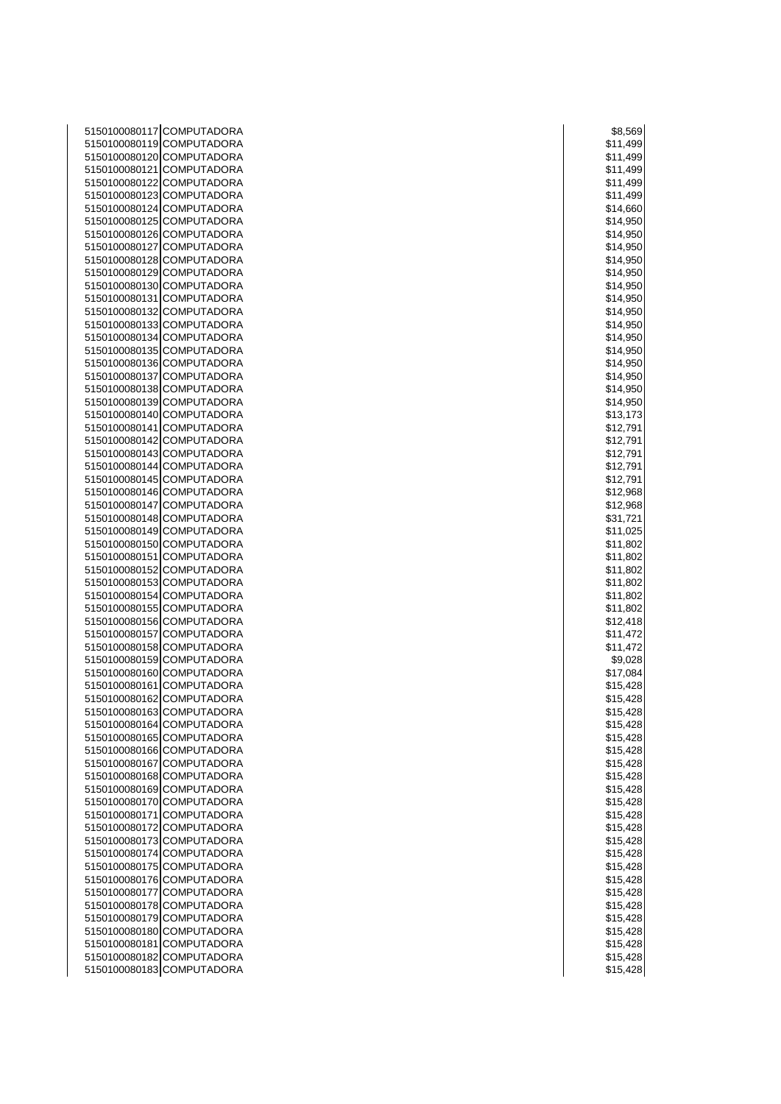| 5150100080117 COMPUTADORA | \$8,569  |
|---------------------------|----------|
| 5150100080119 COMPUTADORA | \$11,499 |
| 5150100080120 COMPUTADORA | \$11,499 |
| 5150100080121 COMPUTADORA | \$11,499 |
| 5150100080122 COMPUTADORA | \$11,499 |
| 5150100080123 COMPUTADORA | \$11,499 |
| 5150100080124 COMPUTADORA | \$14,660 |
| 5150100080125 COMPUTADORA | \$14,950 |
| 5150100080126 COMPUTADORA | \$14,950 |
| 5150100080127 COMPUTADORA | \$14,950 |
| 5150100080128 COMPUTADORA | \$14,950 |
| 5150100080129 COMPUTADORA | \$14,950 |
| 5150100080130 COMPUTADORA | \$14,950 |
| 5150100080131 COMPUTADORA | \$14,950 |
| 5150100080132 COMPUTADORA | \$14,950 |
| 5150100080133 COMPUTADORA | \$14,950 |
| 5150100080134 COMPUTADORA | \$14,950 |
| 5150100080135 COMPUTADORA | \$14,950 |
| 5150100080136 COMPUTADORA | \$14,950 |
| 5150100080137 COMPUTADORA | \$14,950 |
| 5150100080138 COMPUTADORA | \$14,950 |
| 5150100080139 COMPUTADORA | \$14,950 |
| 5150100080140 COMPUTADORA | \$13,173 |
| 5150100080141 COMPUTADORA | \$12,791 |
| 5150100080142 COMPUTADORA | \$12,791 |
| 5150100080143 COMPUTADORA | \$12,791 |
| 5150100080144 COMPUTADORA | \$12,791 |
| 5150100080145 COMPUTADORA | \$12,791 |
| 5150100080146 COMPUTADORA | \$12,968 |
| 5150100080147 COMPUTADORA | \$12,968 |
| 5150100080148 COMPUTADORA | \$31,721 |
| 5150100080149 COMPUTADORA | \$11,025 |
| 5150100080150 COMPUTADORA | \$11,802 |
| 5150100080151 COMPUTADORA | \$11,802 |
| 5150100080152 COMPUTADORA | \$11,802 |
| 5150100080153 COMPUTADORA | \$11,802 |
| 5150100080154 COMPUTADORA | \$11,802 |
| 5150100080155 COMPUTADORA | \$11,802 |
| 5150100080156 COMPUTADORA | \$12,418 |
| 5150100080157 COMPUTADORA | \$11,472 |
| 5150100080158 COMPUTADORA | \$11,472 |
| 5150100080159 COMPUTADORA | \$9,028  |
| 5150100080160 COMPUTADORA | \$17,084 |
| 5150100080161 COMPUTADORA | \$15,428 |
| 5150100080162 COMPUTADORA | \$15,428 |
| 5150100080163 COMPUTADORA | \$15,428 |
| 5150100080164 COMPUTADORA | \$15,428 |
| 5150100080165 COMPUTADORA | \$15,428 |
| 5150100080166 COMPUTADORA | \$15,428 |
| 5150100080167 COMPUTADORA | \$15,428 |
| 5150100080168 COMPUTADORA | \$15,428 |
| 5150100080169 COMPUTADORA | \$15,428 |
| 5150100080170 COMPUTADORA | \$15,428 |
| 5150100080171 COMPUTADORA | \$15,428 |
| 5150100080172 COMPUTADORA | \$15,428 |
| 5150100080173 COMPUTADORA | \$15,428 |
| 5150100080174 COMPUTADORA | \$15,428 |
| 5150100080175 COMPUTADORA | \$15,428 |
| 5150100080176 COMPUTADORA | \$15,428 |
| 5150100080177 COMPUTADORA | \$15,428 |
| 5150100080178 COMPUTADORA | \$15,428 |
| 5150100080179 COMPUTADORA | \$15,428 |
| 5150100080180 COMPUTADORA | \$15,428 |
| 5150100080181 COMPUTADORA | \$15,428 |
| 5150100080182 COMPUTADORA | \$15,428 |
| 5150100080183 COMPUTADORA | \$15,428 |

| \$8,569         |  |
|-----------------|--|
| \$11,499        |  |
| \$11,499        |  |
| \$11,499        |  |
| \$11,499        |  |
| \$11,499        |  |
|                 |  |
| \$14,660        |  |
| \$14,950        |  |
| \$14,950        |  |
| \$14,950        |  |
| \$14,950        |  |
| \$14,950        |  |
| \$14,950<br>)   |  |
| \$14,950        |  |
| \$14,950        |  |
| \$14,950<br>)   |  |
| \$14,950        |  |
| \$14,950        |  |
| \$14,950        |  |
| \$14,950        |  |
| \$14,950        |  |
| \$14,950        |  |
| \$13,173        |  |
| 2,791<br>\$1    |  |
| \$12,791        |  |
| \$12,791        |  |
| \$12,791        |  |
| \$12,791        |  |
| \$12,968        |  |
| \$12,968        |  |
| \$31,721        |  |
|                 |  |
| \$11,025        |  |
| \$11,802        |  |
| \$11,802        |  |
| \$11,802        |  |
| \$11,802        |  |
| \$11,802        |  |
| \$11,802        |  |
| \$12,418        |  |
| \$11,472        |  |
| \$11,47<br>2    |  |
| \$9,028         |  |
| \$17,084        |  |
| \$15,428        |  |
| \$15,428        |  |
| \$<br>15,4<br>5 |  |
| \$15,428        |  |
| \$15,428        |  |
| \$15,428        |  |
| \$15,428        |  |
| \$15,428        |  |
| \$15,428        |  |
| \$15,428        |  |
| \$15,428        |  |
| \$15,428        |  |
| \$15,428        |  |
| \$15,428        |  |
| \$15,428        |  |
| \$15,428        |  |
| \$15,428        |  |
| \$15,428        |  |
| \$15,428        |  |
| \$15,428        |  |
| \$15,428        |  |
| \$15,428        |  |
| \$15,428        |  |
|                 |  |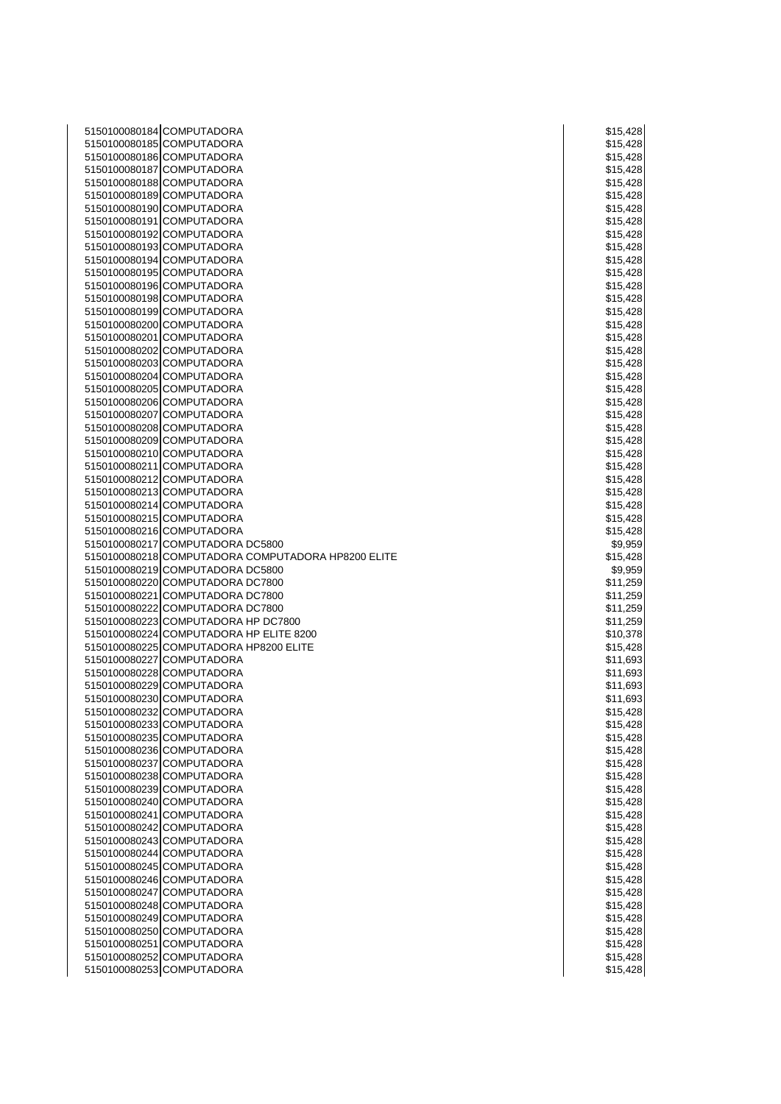| 5150100080184 COMPUTADORA                          | \$15,428 |
|----------------------------------------------------|----------|
| 5150100080185 COMPUTADORA                          | \$15,428 |
| 5150100080186 COMPUTADORA                          | \$15,428 |
| 5150100080187 COMPUTADORA                          | \$15,428 |
| 5150100080188 COMPUTADORA                          | \$15,428 |
| 5150100080189 COMPUTADORA                          | \$15,428 |
| 5150100080190 COMPUTADORA                          | \$15,428 |
| 5150100080191 COMPUTADORA                          | \$15,428 |
| 5150100080192 COMPUTADORA                          |          |
|                                                    | \$15,428 |
| 5150100080193 COMPUTADORA                          | \$15,428 |
| 5150100080194 COMPUTADORA                          | \$15,428 |
| 5150100080195 COMPUTADORA                          | \$15,428 |
| 5150100080196 COMPUTADORA                          | \$15,428 |
| 5150100080198 COMPUTADORA                          | \$15,428 |
| 5150100080199 COMPUTADORA                          | \$15,428 |
| 5150100080200 COMPUTADORA                          | \$15,428 |
| 5150100080201 COMPUTADORA                          | \$15,428 |
| 5150100080202 COMPUTADORA                          | \$15,428 |
| 5150100080203 COMPUTADORA                          | \$15,428 |
| 5150100080204 COMPUTADORA                          | \$15,428 |
| 5150100080205 COMPUTADORA                          | \$15,428 |
| 5150100080206 COMPUTADORA                          | \$15,428 |
| 5150100080207 COMPUTADORA                          | \$15,428 |
| 5150100080208 COMPUTADORA                          | \$15,428 |
| 5150100080209 COMPUTADORA                          | \$15,428 |
| 5150100080210 COMPUTADORA                          | \$15,428 |
| 5150100080211 COMPUTADORA                          | \$15,428 |
| 5150100080212 COMPUTADORA                          | \$15,428 |
| 5150100080213 COMPUTADORA                          | \$15,428 |
| 5150100080214 COMPUTADORA                          | \$15,428 |
| 5150100080215 COMPUTADORA                          | \$15,428 |
| 5150100080216 COMPUTADORA                          | \$15,428 |
| 5150100080217 COMPUTADORA DC5800                   | \$9,959  |
| 5150100080218 COMPUTADORA COMPUTADORA HP8200 ELITE | \$15,428 |
| 5150100080219 COMPUTADORA DC5800                   | \$9,959  |
| 5150100080220 COMPUTADORA DC7800                   | \$11,259 |
| 5150100080221 COMPUTADORA DC7800                   | \$11,259 |
| 5150100080222 COMPUTADORA DC7800                   | \$11,259 |
| 5150100080223 COMPUTADORA HP DC7800                | \$11,259 |
| 5150100080224 COMPUTADORA HP ELITE 8200            | \$10,378 |
| 5150100080225 COMPUTADORA HP8200 ELITE             | \$15,428 |
| 5150100080227 COMPUTADORA                          | \$11,693 |
| 5150100080228 COMPUTADORA                          |          |
| 5150100080229 COMPUTADORA                          | \$11,693 |
| 5150100080230 COMPUTADORA                          | \$11,693 |
|                                                    | \$11,693 |
| 5150100080232 COMPUTADORA                          | \$15,428 |
| 5150100080233 COMPUTADORA                          | \$15,428 |
| 5150100080235 COMPUTADORA                          | \$15,428 |
| 5150100080236 COMPUTADORA                          | \$15,428 |
| 5150100080237 COMPUTADORA                          | \$15,428 |
| 5150100080238 COMPUTADORA                          | \$15,428 |
| 5150100080239 COMPUTADORA                          | \$15,428 |
| 5150100080240 COMPUTADORA                          | \$15,428 |
| 5150100080241 COMPUTADORA                          | \$15,428 |
| 5150100080242 COMPUTADORA                          | \$15,428 |
| 5150100080243 COMPUTADORA                          | \$15,428 |
| 5150100080244 COMPUTADORA                          | \$15,428 |
| 5150100080245 COMPUTADORA                          | \$15,428 |
| 5150100080246 COMPUTADORA                          | \$15,428 |
| 5150100080247 COMPUTADORA                          | \$15,428 |
| 5150100080248 COMPUTADORA                          | \$15,428 |
| 5150100080249 COMPUTADORA                          | \$15,428 |
| 5150100080250 COMPUTADORA                          | \$15,428 |
| 5150100080251 COMPUTADORA                          | \$15,428 |
| 5150100080252 COMPUTADORA                          | \$15,428 |
| 5150100080253 COMPUTADORA                          | \$15,428 |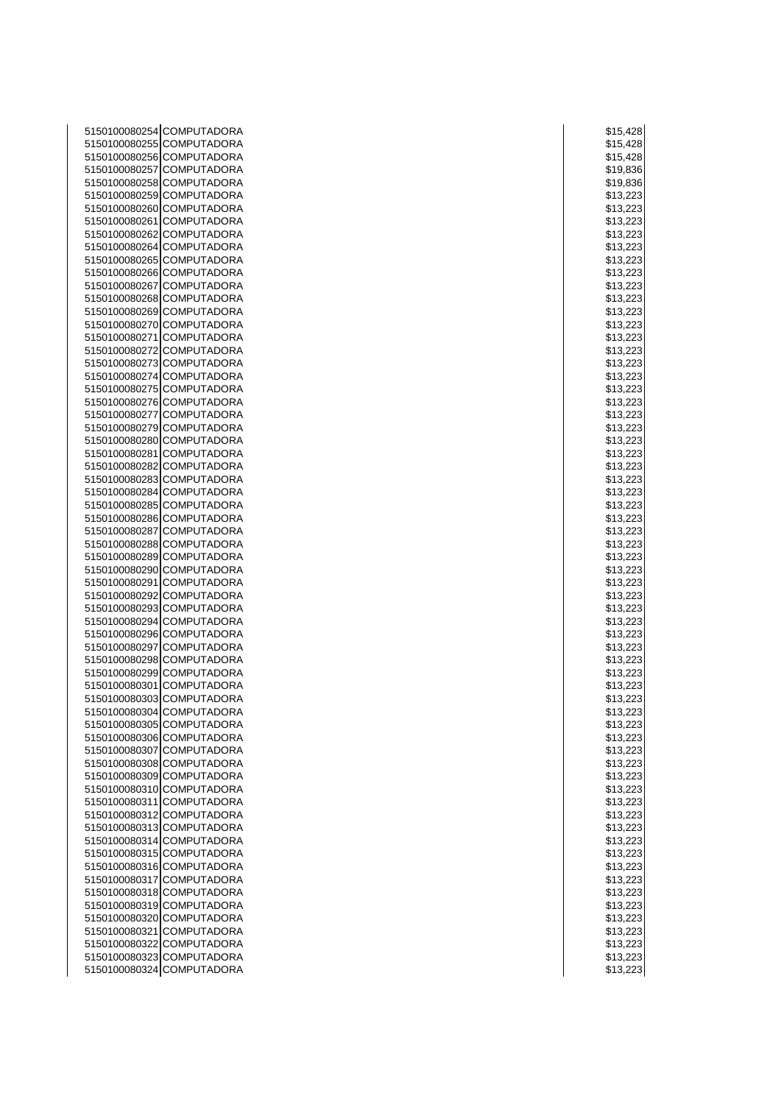| 5150100080254 COMPUTADORA                              | \$15,428             |
|--------------------------------------------------------|----------------------|
| 5150100080255 COMPUTADORA                              | \$15,428             |
| 5150100080256 COMPUTADORA                              | \$15,428             |
| 5150100080257 COMPUTADORA                              | \$19,836             |
| 5150100080258 COMPUTADORA                              | \$19,836             |
| 5150100080259 COMPUTADORA                              | \$13,223             |
| 5150100080260 COMPUTADORA                              | \$13,223             |
| 5150100080261 COMPUTADORA                              | \$13,223             |
| 5150100080262 COMPUTADORA                              | \$13,223             |
| 5150100080264 COMPUTADORA                              | \$13,223             |
| 5150100080265 COMPUTADORA                              | \$13,223             |
| 5150100080266 COMPUTADORA                              | \$13,223             |
| 5150100080267 COMPUTADORA                              | \$13,223             |
| 5150100080268 COMPUTADORA                              | \$13,223             |
| 5150100080269 COMPUTADORA                              | \$13,223             |
| 5150100080270 COMPUTADORA                              | \$13,223             |
| 5150100080271 COMPUTADORA                              | \$13,223             |
| 5150100080272 COMPUTADORA                              | \$13,223             |
| 5150100080273 COMPUTADORA                              | \$13,223             |
| 5150100080274 COMPUTADORA                              | \$13,223             |
| 5150100080275 COMPUTADORA                              | \$13,223             |
| 5150100080276 COMPUTADORA                              | \$13,223             |
| 5150100080277 COMPUTADORA<br>5150100080279 COMPUTADORA | \$13,223             |
| 5150100080280 COMPUTADORA                              | \$13,223<br>\$13,223 |
| 5150100080281 COMPUTADORA                              | \$13,223             |
| 5150100080282 COMPUTADORA                              | \$13,223             |
| 5150100080283 COMPUTADORA                              | \$13,223             |
| 5150100080284 COMPUTADORA                              | \$13,223             |
| 5150100080285 COMPUTADORA                              | \$13,223             |
| 5150100080286 COMPUTADORA                              | \$13,223             |
| 5150100080287 COMPUTADORA                              | \$13,223             |
| 5150100080288 COMPUTADORA                              | \$13,223             |
| 5150100080289 COMPUTADORA                              | \$13,223             |
| 5150100080290 COMPUTADORA                              | \$13,223             |
| 5150100080291 COMPUTADORA                              | \$13,223             |
| 5150100080292 COMPUTADORA                              | \$13,223             |
| 5150100080293 COMPUTADORA                              | \$13,223             |
| 5150100080294 COMPUTADORA                              | \$13,223             |
| 5150100080296 COMPUTADORA                              | \$13,223             |
| 5150100080297 COMPUTADORA                              | \$13,223             |
| 5150100080298 COMPUTADORA                              | \$13,223             |
| 5150100080299 COMPUTADORA                              | \$13,223             |
| 5150100080301 COMPUTADORA                              | \$13,223             |
| 5150100080303 COMPUTADORA                              | \$13,223             |
| 5150100080304 COMPUTADORA                              | \$13,223             |
| 5150100080305 COMPUTADORA                              | \$13,223             |
| 5150100080306 COMPUTADORA                              | \$13,223             |
| 5150100080307 COMPUTADORA                              | \$13,223             |
| 5150100080308 COMPUTADORA                              | \$13,223             |
| 5150100080309 COMPUTADORA                              | \$13,223             |
| 5150100080310 COMPUTADORA                              | \$13,223             |
| 5150100080311 COMPUTADORA                              | \$13,223             |
| 5150100080312 COMPUTADORA                              | \$13,223             |
| 5150100080313 COMPUTADORA                              | \$13,223             |
| 5150100080314 COMPUTADORA                              | \$13,223             |
| 5150100080315 COMPUTADORA                              | \$13,223             |
| 5150100080316 COMPUTADORA<br>5150100080317 COMPUTADORA | \$13,223             |
|                                                        | \$13,223             |
| 5150100080318 COMPUTADORA<br>5150100080319 COMPUTADORA | \$13,223             |
| 5150100080320 COMPUTADORA                              | \$13,223<br>\$13,223 |
| 5150100080321 COMPUTADORA                              | \$13,223             |
| 5150100080322 COMPUTADORA                              | \$13,223             |
| 5150100080323 COMPUTADORA                              | \$13,223             |
| 5150100080324 COMPUTADORA                              | \$13,223             |
|                                                        |                      |

| \$15,428<br>\$15,428<br>\$19,836<br>\$19,83<br>36<br>\$13,223<br>\$13,2<br>23<br>3,223<br>\$1<br>\$13,223<br>3,2<br>\$1<br>3<br>2<br>\$13,223<br>3,22<br>\$1<br>š<br>3,22<br>3<br>\$1<br>3,223<br>\$1<br>\$13,223<br>\$13,223<br>3,223<br>\$1<br>\$13,22<br>3<br>3,22<br>\$1<br>3<br>\$13,223<br>\$13,22<br>3<br>\$13,223<br>\$13,22<br>3<br>3,<br>$\overline{2}$<br>3<br>\$1<br>2<br>3,223<br>\$1<br>\$13,223<br>3,223<br>\$1<br>3,223<br>\$1<br>\$13,22<br>23<br>3,22<br>3<br>\$1<br>3,223<br>\$1<br>\$13,223<br>3,22<br>3<br>\$1<br>\$13,22<br>3<br>3,22<br>\$1<br>3<br>3,223<br>\$1<br>3,223<br>\$1<br>\$13,22<br>3<br>3,2<br>3<br>\$1<br>$3,2$<br>$3,2$<br>3<br>\$1<br>\$1<br>3<br>3,2<br>\$1<br>3<br>D.<br>\$13,2<br>3<br>$\overline{\mathbf{3}}$<br>22<br>3<br>\$<br>1<br>\$13,22<br>3<br>\$<br>1<br>3,,<br>5<br>\$13,223<br>\$13,223<br>\$13,22<br>3<br>\$13,223<br>\$13,223<br>\$13,223<br>\$13,223<br>\$13,223<br>3,22<br>\$1<br>3<br>\$13,223<br>\$13,223<br>3,223<br>\$1<br>\$13,223<br>\$13,22<br>3<br>\$13,223<br>\$13,223<br>$\overline{2}$<br>3,<br>$\overline{c}$<br>3<br>\$1<br>\$13,223<br>\$13,223<br>\$13,223 | \$15,428 |
|------------------------------------------------------------------------------------------------------------------------------------------------------------------------------------------------------------------------------------------------------------------------------------------------------------------------------------------------------------------------------------------------------------------------------------------------------------------------------------------------------------------------------------------------------------------------------------------------------------------------------------------------------------------------------------------------------------------------------------------------------------------------------------------------------------------------------------------------------------------------------------------------------------------------------------------------------------------------------------------------------------------------------------------------------------------------------------------------------------------------------------|----------|
|                                                                                                                                                                                                                                                                                                                                                                                                                                                                                                                                                                                                                                                                                                                                                                                                                                                                                                                                                                                                                                                                                                                                    |          |
|                                                                                                                                                                                                                                                                                                                                                                                                                                                                                                                                                                                                                                                                                                                                                                                                                                                                                                                                                                                                                                                                                                                                    |          |
|                                                                                                                                                                                                                                                                                                                                                                                                                                                                                                                                                                                                                                                                                                                                                                                                                                                                                                                                                                                                                                                                                                                                    |          |
|                                                                                                                                                                                                                                                                                                                                                                                                                                                                                                                                                                                                                                                                                                                                                                                                                                                                                                                                                                                                                                                                                                                                    |          |
|                                                                                                                                                                                                                                                                                                                                                                                                                                                                                                                                                                                                                                                                                                                                                                                                                                                                                                                                                                                                                                                                                                                                    |          |
|                                                                                                                                                                                                                                                                                                                                                                                                                                                                                                                                                                                                                                                                                                                                                                                                                                                                                                                                                                                                                                                                                                                                    |          |
|                                                                                                                                                                                                                                                                                                                                                                                                                                                                                                                                                                                                                                                                                                                                                                                                                                                                                                                                                                                                                                                                                                                                    |          |
|                                                                                                                                                                                                                                                                                                                                                                                                                                                                                                                                                                                                                                                                                                                                                                                                                                                                                                                                                                                                                                                                                                                                    |          |
|                                                                                                                                                                                                                                                                                                                                                                                                                                                                                                                                                                                                                                                                                                                                                                                                                                                                                                                                                                                                                                                                                                                                    |          |
|                                                                                                                                                                                                                                                                                                                                                                                                                                                                                                                                                                                                                                                                                                                                                                                                                                                                                                                                                                                                                                                                                                                                    |          |
|                                                                                                                                                                                                                                                                                                                                                                                                                                                                                                                                                                                                                                                                                                                                                                                                                                                                                                                                                                                                                                                                                                                                    |          |
|                                                                                                                                                                                                                                                                                                                                                                                                                                                                                                                                                                                                                                                                                                                                                                                                                                                                                                                                                                                                                                                                                                                                    |          |
|                                                                                                                                                                                                                                                                                                                                                                                                                                                                                                                                                                                                                                                                                                                                                                                                                                                                                                                                                                                                                                                                                                                                    |          |
|                                                                                                                                                                                                                                                                                                                                                                                                                                                                                                                                                                                                                                                                                                                                                                                                                                                                                                                                                                                                                                                                                                                                    |          |
|                                                                                                                                                                                                                                                                                                                                                                                                                                                                                                                                                                                                                                                                                                                                                                                                                                                                                                                                                                                                                                                                                                                                    |          |
|                                                                                                                                                                                                                                                                                                                                                                                                                                                                                                                                                                                                                                                                                                                                                                                                                                                                                                                                                                                                                                                                                                                                    |          |
|                                                                                                                                                                                                                                                                                                                                                                                                                                                                                                                                                                                                                                                                                                                                                                                                                                                                                                                                                                                                                                                                                                                                    |          |
|                                                                                                                                                                                                                                                                                                                                                                                                                                                                                                                                                                                                                                                                                                                                                                                                                                                                                                                                                                                                                                                                                                                                    |          |
|                                                                                                                                                                                                                                                                                                                                                                                                                                                                                                                                                                                                                                                                                                                                                                                                                                                                                                                                                                                                                                                                                                                                    |          |
|                                                                                                                                                                                                                                                                                                                                                                                                                                                                                                                                                                                                                                                                                                                                                                                                                                                                                                                                                                                                                                                                                                                                    |          |
|                                                                                                                                                                                                                                                                                                                                                                                                                                                                                                                                                                                                                                                                                                                                                                                                                                                                                                                                                                                                                                                                                                                                    |          |
|                                                                                                                                                                                                                                                                                                                                                                                                                                                                                                                                                                                                                                                                                                                                                                                                                                                                                                                                                                                                                                                                                                                                    |          |
|                                                                                                                                                                                                                                                                                                                                                                                                                                                                                                                                                                                                                                                                                                                                                                                                                                                                                                                                                                                                                                                                                                                                    |          |
|                                                                                                                                                                                                                                                                                                                                                                                                                                                                                                                                                                                                                                                                                                                                                                                                                                                                                                                                                                                                                                                                                                                                    |          |
|                                                                                                                                                                                                                                                                                                                                                                                                                                                                                                                                                                                                                                                                                                                                                                                                                                                                                                                                                                                                                                                                                                                                    |          |
|                                                                                                                                                                                                                                                                                                                                                                                                                                                                                                                                                                                                                                                                                                                                                                                                                                                                                                                                                                                                                                                                                                                                    |          |
|                                                                                                                                                                                                                                                                                                                                                                                                                                                                                                                                                                                                                                                                                                                                                                                                                                                                                                                                                                                                                                                                                                                                    |          |
|                                                                                                                                                                                                                                                                                                                                                                                                                                                                                                                                                                                                                                                                                                                                                                                                                                                                                                                                                                                                                                                                                                                                    |          |
|                                                                                                                                                                                                                                                                                                                                                                                                                                                                                                                                                                                                                                                                                                                                                                                                                                                                                                                                                                                                                                                                                                                                    |          |
|                                                                                                                                                                                                                                                                                                                                                                                                                                                                                                                                                                                                                                                                                                                                                                                                                                                                                                                                                                                                                                                                                                                                    |          |
|                                                                                                                                                                                                                                                                                                                                                                                                                                                                                                                                                                                                                                                                                                                                                                                                                                                                                                                                                                                                                                                                                                                                    |          |
|                                                                                                                                                                                                                                                                                                                                                                                                                                                                                                                                                                                                                                                                                                                                                                                                                                                                                                                                                                                                                                                                                                                                    |          |
|                                                                                                                                                                                                                                                                                                                                                                                                                                                                                                                                                                                                                                                                                                                                                                                                                                                                                                                                                                                                                                                                                                                                    |          |
|                                                                                                                                                                                                                                                                                                                                                                                                                                                                                                                                                                                                                                                                                                                                                                                                                                                                                                                                                                                                                                                                                                                                    |          |
|                                                                                                                                                                                                                                                                                                                                                                                                                                                                                                                                                                                                                                                                                                                                                                                                                                                                                                                                                                                                                                                                                                                                    |          |
|                                                                                                                                                                                                                                                                                                                                                                                                                                                                                                                                                                                                                                                                                                                                                                                                                                                                                                                                                                                                                                                                                                                                    |          |
|                                                                                                                                                                                                                                                                                                                                                                                                                                                                                                                                                                                                                                                                                                                                                                                                                                                                                                                                                                                                                                                                                                                                    |          |
|                                                                                                                                                                                                                                                                                                                                                                                                                                                                                                                                                                                                                                                                                                                                                                                                                                                                                                                                                                                                                                                                                                                                    |          |
|                                                                                                                                                                                                                                                                                                                                                                                                                                                                                                                                                                                                                                                                                                                                                                                                                                                                                                                                                                                                                                                                                                                                    |          |
|                                                                                                                                                                                                                                                                                                                                                                                                                                                                                                                                                                                                                                                                                                                                                                                                                                                                                                                                                                                                                                                                                                                                    |          |
|                                                                                                                                                                                                                                                                                                                                                                                                                                                                                                                                                                                                                                                                                                                                                                                                                                                                                                                                                                                                                                                                                                                                    |          |
|                                                                                                                                                                                                                                                                                                                                                                                                                                                                                                                                                                                                                                                                                                                                                                                                                                                                                                                                                                                                                                                                                                                                    |          |
|                                                                                                                                                                                                                                                                                                                                                                                                                                                                                                                                                                                                                                                                                                                                                                                                                                                                                                                                                                                                                                                                                                                                    |          |
|                                                                                                                                                                                                                                                                                                                                                                                                                                                                                                                                                                                                                                                                                                                                                                                                                                                                                                                                                                                                                                                                                                                                    |          |
|                                                                                                                                                                                                                                                                                                                                                                                                                                                                                                                                                                                                                                                                                                                                                                                                                                                                                                                                                                                                                                                                                                                                    |          |
|                                                                                                                                                                                                                                                                                                                                                                                                                                                                                                                                                                                                                                                                                                                                                                                                                                                                                                                                                                                                                                                                                                                                    |          |
|                                                                                                                                                                                                                                                                                                                                                                                                                                                                                                                                                                                                                                                                                                                                                                                                                                                                                                                                                                                                                                                                                                                                    |          |
|                                                                                                                                                                                                                                                                                                                                                                                                                                                                                                                                                                                                                                                                                                                                                                                                                                                                                                                                                                                                                                                                                                                                    |          |
|                                                                                                                                                                                                                                                                                                                                                                                                                                                                                                                                                                                                                                                                                                                                                                                                                                                                                                                                                                                                                                                                                                                                    |          |
|                                                                                                                                                                                                                                                                                                                                                                                                                                                                                                                                                                                                                                                                                                                                                                                                                                                                                                                                                                                                                                                                                                                                    |          |
|                                                                                                                                                                                                                                                                                                                                                                                                                                                                                                                                                                                                                                                                                                                                                                                                                                                                                                                                                                                                                                                                                                                                    |          |
|                                                                                                                                                                                                                                                                                                                                                                                                                                                                                                                                                                                                                                                                                                                                                                                                                                                                                                                                                                                                                                                                                                                                    |          |
|                                                                                                                                                                                                                                                                                                                                                                                                                                                                                                                                                                                                                                                                                                                                                                                                                                                                                                                                                                                                                                                                                                                                    |          |
|                                                                                                                                                                                                                                                                                                                                                                                                                                                                                                                                                                                                                                                                                                                                                                                                                                                                                                                                                                                                                                                                                                                                    |          |
|                                                                                                                                                                                                                                                                                                                                                                                                                                                                                                                                                                                                                                                                                                                                                                                                                                                                                                                                                                                                                                                                                                                                    |          |
|                                                                                                                                                                                                                                                                                                                                                                                                                                                                                                                                                                                                                                                                                                                                                                                                                                                                                                                                                                                                                                                                                                                                    |          |
|                                                                                                                                                                                                                                                                                                                                                                                                                                                                                                                                                                                                                                                                                                                                                                                                                                                                                                                                                                                                                                                                                                                                    |          |
|                                                                                                                                                                                                                                                                                                                                                                                                                                                                                                                                                                                                                                                                                                                                                                                                                                                                                                                                                                                                                                                                                                                                    |          |
|                                                                                                                                                                                                                                                                                                                                                                                                                                                                                                                                                                                                                                                                                                                                                                                                                                                                                                                                                                                                                                                                                                                                    |          |
|                                                                                                                                                                                                                                                                                                                                                                                                                                                                                                                                                                                                                                                                                                                                                                                                                                                                                                                                                                                                                                                                                                                                    |          |
|                                                                                                                                                                                                                                                                                                                                                                                                                                                                                                                                                                                                                                                                                                                                                                                                                                                                                                                                                                                                                                                                                                                                    |          |
|                                                                                                                                                                                                                                                                                                                                                                                                                                                                                                                                                                                                                                                                                                                                                                                                                                                                                                                                                                                                                                                                                                                                    |          |
|                                                                                                                                                                                                                                                                                                                                                                                                                                                                                                                                                                                                                                                                                                                                                                                                                                                                                                                                                                                                                                                                                                                                    |          |
|                                                                                                                                                                                                                                                                                                                                                                                                                                                                                                                                                                                                                                                                                                                                                                                                                                                                                                                                                                                                                                                                                                                                    |          |
|                                                                                                                                                                                                                                                                                                                                                                                                                                                                                                                                                                                                                                                                                                                                                                                                                                                                                                                                                                                                                                                                                                                                    |          |
|                                                                                                                                                                                                                                                                                                                                                                                                                                                                                                                                                                                                                                                                                                                                                                                                                                                                                                                                                                                                                                                                                                                                    |          |
|                                                                                                                                                                                                                                                                                                                                                                                                                                                                                                                                                                                                                                                                                                                                                                                                                                                                                                                                                                                                                                                                                                                                    |          |
|                                                                                                                                                                                                                                                                                                                                                                                                                                                                                                                                                                                                                                                                                                                                                                                                                                                                                                                                                                                                                                                                                                                                    |          |
|                                                                                                                                                                                                                                                                                                                                                                                                                                                                                                                                                                                                                                                                                                                                                                                                                                                                                                                                                                                                                                                                                                                                    |          |
|                                                                                                                                                                                                                                                                                                                                                                                                                                                                                                                                                                                                                                                                                                                                                                                                                                                                                                                                                                                                                                                                                                                                    |          |
|                                                                                                                                                                                                                                                                                                                                                                                                                                                                                                                                                                                                                                                                                                                                                                                                                                                                                                                                                                                                                                                                                                                                    |          |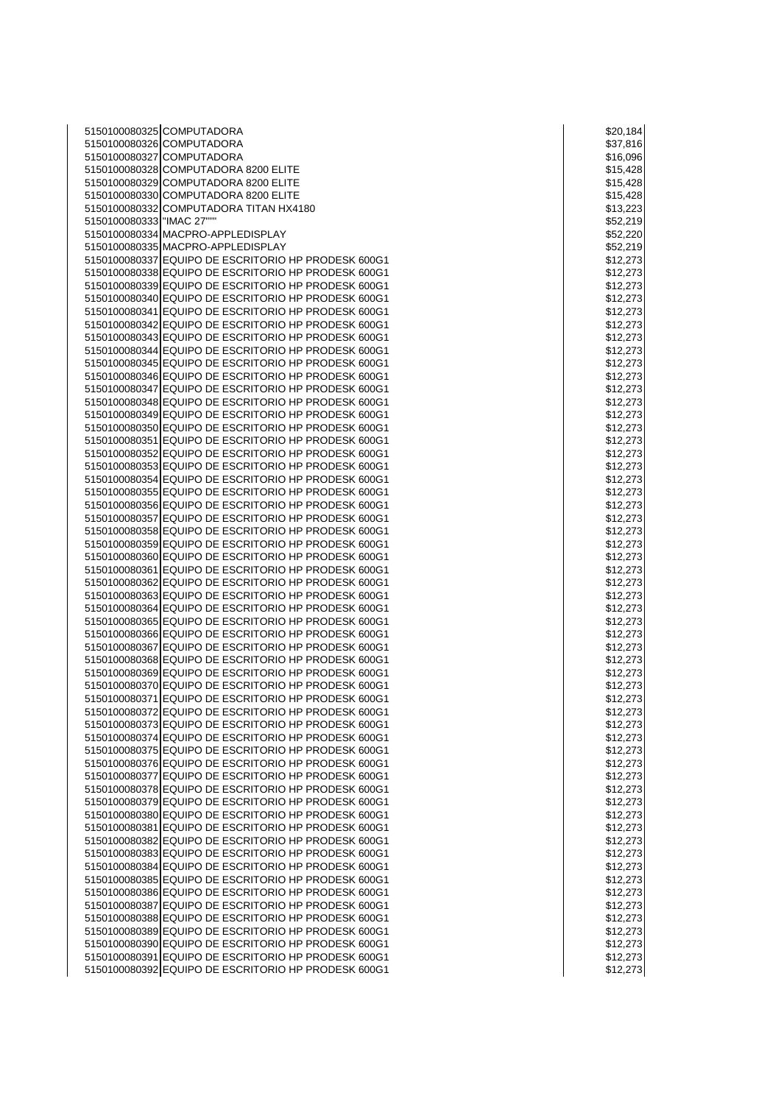5150100080325 COMPUTADORA \$20,184 5150100080326 COMPUTADORA 5150100080327 COMPUTADORA 5150100080328 COMPUTADORA 8200 ELITE \$15,428 5150100080329 COMPUTADORA 8200 ELITE 5150100080330 COMPUTADORA 8200 ELITE 5150100080332 COMPUTADORA TITAN HX4180 5150100080333 "IMAC 27"" 5150100080334 MACPRO-APPLEDISPLAY 5150100080335 MACPRO-APPLEDISPLAY \$52,219 5150100080337 EQUIPO DE ESCRITORIO HP PRODESK 600G1 5150100080338 EQUIPO DE ESCRITORIO HP PRODESK 600G1 \$12,273 5150100080339 EQUIPO DE ESCRITORIO HP PRODESK 600G1 \$12,273 5150100080340 EQUIPO DE ESCRITORIO HP PRODESK 600G1 \$12,273 5150100080341 EQUIPO DE ESCRITORIO HP PRODESK 600G1 \$12,273 5150100080342 EQUIPO DE ESCRITORIO HP PRODESK 600G1 \$12,273 5150100080343 EQUIPO DE ESCRITORIO HP PRODESK 600G1 \$12,273 5150100080344 EQUIPO DE ESCRITORIO HP PRODESK 600G1 5150100080345 EQUIPO DE ESCRITORIO HP PRODESK 600G1 5150100080346 EQUIPO DE ESCRITORIO HP PRODESK 600G1 \$12,273 5150100080347 EQUIPO DE ESCRITORIO HP PRODESK 600G1 \$12,273 5150100080348 EQUIPO DE ESCRITORIO HP PRODESK 600G1 \$12,273 5150100080349 EQUIPO DE ESCRITORIO HP PRODESK 600G1 \$12,273 5150100080350 EQUIPO DE ESCRITORIO HP PRODESK 600G1 5150100080351 EQUIPO DE ESCRITORIO HP PRODESK 600G1 \$12,273 5150100080352 EQUIPO DE ESCRITORIO HP PRODESK 600G1 5150100080353 EQUIPO DE ESCRITORIO HP PRODESK 600G1 5150100080354 EQUIPO DE ESCRITORIO HP PRODESK 600G1 \$12,273 5150100080355 EQUIPO DE ESCRITORIO HP PRODESK 600G1 5150100080356 EQUIPO DE ESCRITORIO HP PRODESK 600G1 \$12,273 5150100080357 EQUIPO DE ESCRITORIO HP PRODESK 600G1 5150100080358 EQUIPO DE ESCRITORIO HP PRODESK 600G1 5150100080359 EQUIPO DE ESCRITORIO HP PRODESK 600G1 \$12,273 5150100080360 EQUIPO DE ESCRITORIO HP PRODESK 600G1 \$12,273 5150100080361 EQUIPO DE ESCRITORIO HP PRODESK 600G1 \$12,273 5150100080362 EQUIPO DE ESCRITORIO HP PRODESK 600G1 \$12,273 5150100080363 EQUIPO DE ESCRITORIO HP PRODESK 600G1 5150100080364 EQUIPO DE ESCRITORIO HP PRODESK 600G1 5150100080365 EQUIPO DE ESCRITORIO HP PRODESK 600G1 \$12,273 5150100080366 EQUIPO DE ESCRITORIO HP PRODESK 600G1 5150100080367 EQUIPO DE ESCRITORIO HP PRODESK 600G1 \$12,273 5150100080368 EQUIPO DE ESCRITORIO HP PRODESK 600G1 \$12,273 5150100080369 EQUIPO DE ESCRITORIO HP PRODESK 600G1 \$12,273 5150100080370 EQUIPO DE ESCRITORIO HP PRODESK 600G1 5150100080371 EQUIPO DE ESCRITORIO HP PRODESK 600G1 5150100080372 EQUIPO DE ESCRITORIO HP PRODESK 600G1 5150100080373 EQUIPO DE ESCRITORIO HP PRODESK 600G1 5150100080374 EQUIPO DE ESCRITORIO HP PRODESK 600G1 5150100080375 EQUIPO DE ESCRITORIO HP PRODESK 600G1 \$12,273 5150100080376 EQUIPO DE ESCRITORIO HP PRODESK 600G1 \$12,273 5150100080377 EQUIPO DE ESCRITORIO HP PRODESK 600G1 \$12,273 5150100080378 EQUIPO DE ESCRITORIO HP PRODESK 600G1 \$12,273 5150100080379 EQUIPO DE ESCRITORIO HP PRODESK 600G1 5150100080380 EQUIPO DE ESCRITORIO HP PRODESK 600G1 5150100080381 EQUIPO DE ESCRITORIO HP PRODESK 600G1 5150100080382 EQUIPO DE ESCRITORIO HP PRODESK 600G1 5150100080383 EQUIPO DE ESCRITORIO HP PRODESK 600G1 5150100080384 EQUIPO DE ESCRITORIO HP PRODESK 600G1 \$12,273 5150100080385 EQUIPO DE ESCRITORIO HP PRODESK 600G1 \$12,273 5150100080386 EQUIPO DE ESCRITORIO HP PRODESK 600G1 \$12,273 5150100080387 EQUIPO DE ESCRITORIO HP PRODESK 600G1 5150100080388 EQUIPO DE ESCRITORIO HP PRODESK 600G1 5150100080389 EQUIPO DE ESCRITORIO HP PRODESK 600G1 \$12,273 5150100080390 EQUIPO DE ESCRITORIO HP PRODESK 600G1 5150100080391 EQUIPO DE ESCRITORIO HP PRODESK 600G1 5150100080392 EQUIPO DE ESCRITORIO HP PRODESK 600G1 \$12,273

|                    |              |                          |                      |                | \$20,184<br><mark>\$37,816</mark> |
|--------------------|--------------|--------------------------|----------------------|----------------|-----------------------------------|
|                    |              |                          |                      |                |                                   |
|                    |              | \$16,096                 |                      |                |                                   |
| \$15,428           |              |                          |                      |                |                                   |
|                    |              | \$15,428                 |                      |                |                                   |
| \$15,428           |              |                          |                      |                |                                   |
|                    |              | 3,223                    |                      |                |                                   |
| \$1                |              |                          |                      |                |                                   |
| \$52,219           |              |                          |                      |                |                                   |
|                    |              | \$52,                    |                      |                | 20                                |
|                    |              | \$52,2                   |                      |                | 19                                |
| \$1:               |              | 2,                       | $\overline{2}$       |                | Í<br>š                            |
| \$1.               |              |                          | $\overline{c}$       |                | ĭ<br>3                            |
|                    |              | 2,2                      |                      |                |                                   |
| \$1                |              |                          |                      | 27             | 3                                 |
| \$1                |              |                          | 2,27                 |                | 3                                 |
| \$12               |              | $^{2,2}$                 |                      |                | 273                               |
|                    |              | \$12.2                   | $\overline{2}$       |                | ś<br>3                            |
| \$1:               |              | 2,2                      |                      | 27             | $\mathbf{c}$                      |
| \$12,273           |              |                          |                      |                |                                   |
|                    |              |                          |                      |                |                                   |
|                    |              | \$12,2                   |                      |                | 73                                |
| \$1                |              | 2,2                      |                      |                | 273                               |
| \$1.               |              | 2,                       |                      |                | 3                                 |
| \$12               |              | 2,2                      |                      |                | 3                                 |
| \$12,              |              |                          | $\frac{1}{27}$       |                |                                   |
|                    |              |                          |                      |                | $\mathbf{3}$                      |
| \$12,27            |              |                          |                      |                | 3                                 |
| \$12,2             |              |                          | $\overline{27}$      |                | 73<br>3                           |
| \$1:               |              | 2,                       |                      | $\frac{27}{2}$ | ΄3                                |
| \$1                |              |                          |                      |                | š                                 |
| \$1.               |              | 2,                       | 27                   |                | í<br>3                            |
|                    |              |                          |                      |                |                                   |
| \$12,2             |              |                          |                      |                | ΄3                                |
|                    |              | \$12,                    | 27                   |                | 3                                 |
| \$1                |              | 2,2                      | $\overline{27}$      |                | 3                                 |
| \$1:               |              |                          |                      |                | 3                                 |
| \$12               |              |                          | ,27                  |                | 3                                 |
|                    |              |                          | $\frac{1}{27}$       |                |                                   |
|                    |              | \$12,                    |                      |                | 3                                 |
| \$1                |              | 2,                       |                      |                | 3                                 |
| \$1:               |              | 2,                       |                      |                | Ķ<br>3                            |
| \$1.               |              | 2,                       |                      |                | 3                                 |
| \$1                |              | j                        |                      |                | 3                                 |
| \$1:               |              |                          | 2,27                 |                | 3                                 |
|                    |              |                          |                      |                |                                   |
| \$12               |              | 2,2                      |                      |                | 3                                 |
| \$                 |              | 12,                      |                      |                | 3                                 |
| \$1                |              | $\overline{\phantom{a}}$ | $\ddot{\phantom{0}}$ |                | 3                                 |
| \$1                |              |                          |                      |                | 3                                 |
| \$                 | $\mathbf{1}$ |                          |                      |                | 3                                 |
| \$1                |              |                          |                      |                | 3                                 |
|                    |              |                          |                      |                |                                   |
| \$1                |              | $\overline{c}$           |                      |                | ś                                 |
| \$12,273           |              |                          |                      |                |                                   |
|                    |              | \$12,273                 |                      |                |                                   |
|                    |              | \$12,27                  |                      |                | 3                                 |
| \$12,27            |              |                          |                      |                | í<br>3                            |
|                    |              |                          |                      |                |                                   |
|                    |              | \$12,27<br>\$12,27       |                      |                | 3                                 |
|                    |              |                          |                      | 7              | 3                                 |
|                    |              | \$12                     | ,27                  |                | 3                                 |
| \$12,27            |              |                          |                      |                | 3                                 |
| \$12,2             |              |                          |                      | 7              | 3                                 |
| \$12,27            |              |                          |                      |                | 3                                 |
|                    |              |                          |                      |                |                                   |
| \$12,27            |              |                          |                      |                | í<br>3                            |
|                    |              | \$12,2                   |                      | 7              | 73                                |
| \$12,27            |              |                          |                      |                | 3                                 |
|                    |              |                          |                      |                | 3                                 |
| \$12,27<br>\$12,27 |              |                          |                      |                | 3                                 |
|                    |              |                          |                      |                |                                   |
| \$12,27            |              |                          |                      |                | 3                                 |
|                    |              | \$12,2                   |                      | İ              | 3                                 |
| \$12,27            |              |                          |                      |                | š                                 |
| \$12,27            |              |                          |                      |                | 73                                |
| \$12               |              | 2,                       |                      | 7              | š                                 |
|                    |              |                          |                      |                |                                   |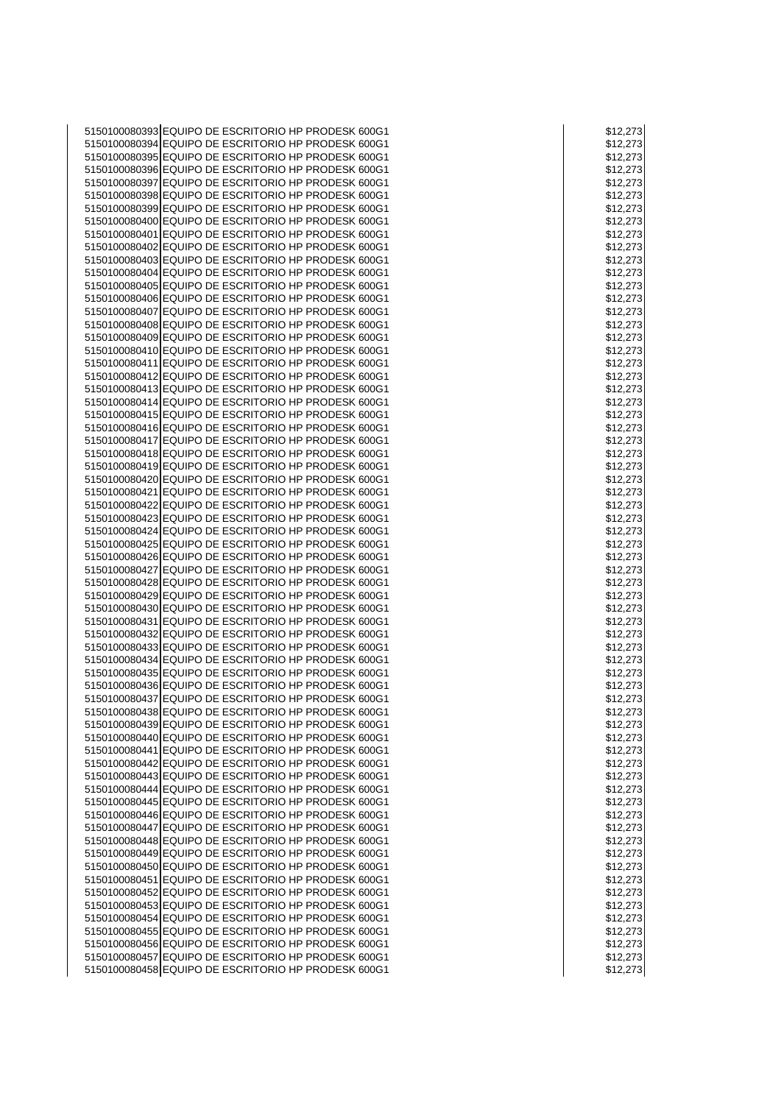| 5150100080393 EQUIPO DE ESCRITORIO HP PRODESK 600G1 | \$12,273 |
|-----------------------------------------------------|----------|
| 5150100080394 EQUIPO DE ESCRITORIO HP PRODESK 600G1 | \$12,273 |
|                                                     |          |
| 5150100080395 EQUIPO DE ESCRITORIO HP PRODESK 600G1 | \$12,273 |
| 5150100080396 EQUIPO DE ESCRITORIO HP PRODESK 600G1 | \$12,273 |
| 5150100080397 EQUIPO DE ESCRITORIO HP PRODESK 600G1 | \$12,273 |
| 5150100080398 EQUIPO DE ESCRITORIO HP PRODESK 600G1 | \$12,273 |
| 5150100080399 EQUIPO DE ESCRITORIO HP PRODESK 600G1 | \$12,273 |
| 5150100080400 EQUIPO DE ESCRITORIO HP PRODESK 600G1 | \$12,273 |
| 5150100080401 EQUIPO DE ESCRITORIO HP PRODESK 600G1 | \$12,273 |
|                                                     |          |
| 5150100080402 EQUIPO DE ESCRITORIO HP PRODESK 600G1 | \$12,273 |
| 5150100080403 EQUIPO DE ESCRITORIO HP PRODESK 600G1 | \$12,273 |
| 5150100080404 EQUIPO DE ESCRITORIO HP PRODESK 600G1 | \$12,273 |
| 5150100080405 EQUIPO DE ESCRITORIO HP PRODESK 600G1 | \$12,273 |
| 5150100080406 EQUIPO DE ESCRITORIO HP PRODESK 600G1 | \$12,273 |
| 5150100080407 EQUIPO DE ESCRITORIO HP PRODESK 600G1 | \$12,273 |
| 5150100080408 EQUIPO DE ESCRITORIO HP PRODESK 600G1 |          |
|                                                     | \$12,273 |
| 5150100080409 EQUIPO DE ESCRITORIO HP PRODESK 600G1 | \$12,273 |
| 5150100080410 EQUIPO DE ESCRITORIO HP PRODESK 600G1 | \$12,273 |
| 5150100080411 EQUIPO DE ESCRITORIO HP PRODESK 600G1 | \$12,273 |
| 5150100080412 EQUIPO DE ESCRITORIO HP PRODESK 600G1 | \$12,273 |
| 5150100080413 EQUIPO DE ESCRITORIO HP PRODESK 600G1 | \$12,273 |
| 5150100080414 EQUIPO DE ESCRITORIO HP PRODESK 600G1 | \$12,273 |
|                                                     |          |
| 5150100080415 EQUIPO DE ESCRITORIO HP PRODESK 600G1 | \$12,273 |
| 5150100080416 EQUIPO DE ESCRITORIO HP PRODESK 600G1 | \$12,273 |
| 5150100080417 EQUIPO DE ESCRITORIO HP PRODESK 600G1 | \$12,273 |
| 5150100080418 EQUIPO DE ESCRITORIO HP PRODESK 600G1 | \$12,273 |
| 5150100080419 EQUIPO DE ESCRITORIO HP PRODESK 600G1 | \$12,273 |
| 5150100080420 EQUIPO DE ESCRITORIO HP PRODESK 600G1 | \$12,273 |
| 5150100080421 EQUIPO DE ESCRITORIO HP PRODESK 600G1 | \$12,273 |
| 5150100080422 EQUIPO DE ESCRITORIO HP PRODESK 600G1 |          |
|                                                     | \$12,273 |
| 5150100080423 EQUIPO DE ESCRITORIO HP PRODESK 600G1 | \$12,273 |
| 5150100080424 EQUIPO DE ESCRITORIO HP PRODESK 600G1 | \$12,273 |
| 5150100080425 EQUIPO DE ESCRITORIO HP PRODESK 600G1 | \$12,273 |
| 5150100080426 EQUIPO DE ESCRITORIO HP PRODESK 600G1 | \$12,273 |
| 5150100080427 EQUIPO DE ESCRITORIO HP PRODESK 600G1 | \$12,273 |
| 5150100080428 EQUIPO DE ESCRITORIO HP PRODESK 600G1 | \$12,273 |
| 5150100080429 EQUIPO DE ESCRITORIO HP PRODESK 600G1 | \$12,273 |
|                                                     |          |
| 5150100080430 EQUIPO DE ESCRITORIO HP PRODESK 600G1 | \$12,273 |
| 5150100080431 EQUIPO DE ESCRITORIO HP PRODESK 600G1 | \$12,273 |
| 5150100080432 EQUIPO DE ESCRITORIO HP PRODESK 600G1 | \$12,273 |
| 5150100080433 EQUIPO DE ESCRITORIO HP PRODESK 600G1 | \$12,273 |
| 5150100080434 EQUIPO DE ESCRITORIO HP PRODESK 600G1 | \$12,273 |
| 5150100080435 EQUIPO DE ESCRITORIO HP PRODESK 600G1 | \$12,273 |
| 5150100080436 EQUIPO DE ESCRITORIO HP PRODESK 600G1 | \$12,273 |
|                                                     |          |
| 5150100080437 EQUIPO DE ESCRITORIO HP PRODESK 600G1 | \$12,273 |
| 5150100080438 EQUIPO DE ESCRITORIO HP PRODESK 600G1 | \$12,273 |
| 5150100080439 EQUIPO DE ESCRITORIO HP PRODESK 600G1 | \$12,273 |
| 5150100080440 EQUIPO DE ESCRITORIO HP PRODESK 600G1 | \$12,273 |
| 5150100080441 EQUIPO DE ESCRITORIO HP PRODESK 600G1 | \$12,273 |
| 5150100080442 EQUIPO DE ESCRITORIO HP PRODESK 600G1 | \$12,273 |
| 5150100080443 EQUIPO DE ESCRITORIO HP PRODESK 600G1 | \$12,273 |
|                                                     |          |
| 5150100080444 EQUIPO DE ESCRITORIO HP PRODESK 600G1 | \$12,273 |
| 5150100080445 EQUIPO DE ESCRITORIO HP PRODESK 600G1 | \$12,273 |
| 5150100080446 EQUIPO DE ESCRITORIO HP PRODESK 600G1 | \$12,273 |
| 5150100080447 EQUIPO DE ESCRITORIO HP PRODESK 600G1 | \$12,273 |
| 5150100080448 EQUIPO DE ESCRITORIO HP PRODESK 600G1 | \$12,273 |
| 5150100080449 EQUIPO DE ESCRITORIO HP PRODESK 600G1 | \$12,273 |
| 5150100080450 EQUIPO DE ESCRITORIO HP PRODESK 600G1 | \$12,273 |
|                                                     |          |
| 5150100080451 EQUIPO DE ESCRITORIO HP PRODESK 600G1 | \$12,273 |
| 5150100080452 EQUIPO DE ESCRITORIO HP PRODESK 600G1 | \$12,273 |
| 5150100080453 EQUIPO DE ESCRITORIO HP PRODESK 600G1 | \$12,273 |
| 5150100080454 EQUIPO DE ESCRITORIO HP PRODESK 600G1 | \$12,273 |
| 5150100080455 EQUIPO DE ESCRITORIO HP PRODESK 600G1 | \$12,273 |
| 5150100080456 EQUIPO DE ESCRITORIO HP PRODESK 600G1 | \$12,273 |
| 5150100080457 EQUIPO DE ESCRITORIO HP PRODESK 600G1 | \$12,273 |
|                                                     |          |
| 5150100080458 EQUIPO DE ESCRITORIO HP PRODESK 600G1 | \$12,273 |

| \$٦                | 2,273<br>2,27 <mark>3</mark>           |
|--------------------|----------------------------------------|
| \$1                |                                        |
|                    |                                        |
| \$1                | 2,2<br>273                             |
| \$1                | 273<br>2,2                             |
|                    | \$12,<br>273                           |
|                    |                                        |
|                    | \$12,273                               |
|                    | \$12,27<br>3                           |
|                    |                                        |
|                    | \$12,273                               |
| \$1                | 273<br>2,2                             |
|                    | 2,2                                    |
| \$1                | 273                                    |
| \$12               | 2,2<br>273                             |
|                    |                                        |
|                    |                                        |
|                    | \$12,273<br>\$12,273                   |
|                    | \$12,273                               |
|                    |                                        |
|                    | -<br>\$12,27<br>\$12,27<br>273         |
|                    | 3                                      |
| \$1                | 273<br>2,2<br>$\overline{\phantom{a}}$ |
|                    |                                        |
|                    | \$12,273                               |
|                    | \$12,273                               |
|                    |                                        |
| \$1                | 2,2<br>273                             |
| \$1.               | 2,27<br>3                              |
|                    |                                        |
|                    | \$12,273                               |
|                    | \$12,273                               |
|                    | \$12,273                               |
|                    |                                        |
|                    | \$12,273                               |
|                    | \$12,273<br>\$12,273                   |
|                    |                                        |
|                    |                                        |
| \$1                | 2,273                                  |
|                    | \$12,273                               |
|                    |                                        |
|                    | \$12,<br>273                           |
| \$1                | 2,273                                  |
|                    | \$12,27<br>3                           |
|                    |                                        |
|                    |                                        |
|                    | \$12,273                               |
|                    |                                        |
|                    | \$12,273                               |
| \$1                | 273<br>2,                              |
|                    | \$12,273                               |
|                    |                                        |
|                    |                                        |
|                    | \$12,273<br>\$12,273<br>27             |
|                    | \$12,273                               |
|                    |                                        |
|                    |                                        |
|                    | 。<br>\$12,273<br>\$12,273              |
| \$1                | 273<br>2,2<br>$\overline{\phantom{a}}$ |
| \$1                | 273<br>2,:                             |
|                    |                                        |
|                    | \$12,<br>273                           |
| \$1:               | 2,2<br>273                             |
| \$<br>$\mathbf{1}$ | 3<br>$\overline{c}$<br>2<br>7          |
|                    |                                        |
|                    | \$12,273                               |
|                    |                                        |
|                    |                                        |
|                    | \$12,273<br>\$12,273                   |
|                    | \$12,273                               |
|                    |                                        |
|                    |                                        |
|                    | \$12,273<br>\$12,273<br>3              |
|                    | \$12,273                               |
|                    |                                        |
|                    | \$12,273                               |
|                    | \$12,273                               |
|                    | \$12,273                               |
|                    | \$12,27<br>3                           |
|                    |                                        |
|                    | \$12,273                               |
|                    | \$12,273                               |
|                    |                                        |
|                    |                                        |
|                    | \$12,273<br>\$12,273                   |
|                    | \$12,273                               |
|                    |                                        |
|                    | \$12,273                               |
|                    | \$12,273                               |
|                    | \$12,273                               |
|                    | \$12,273                               |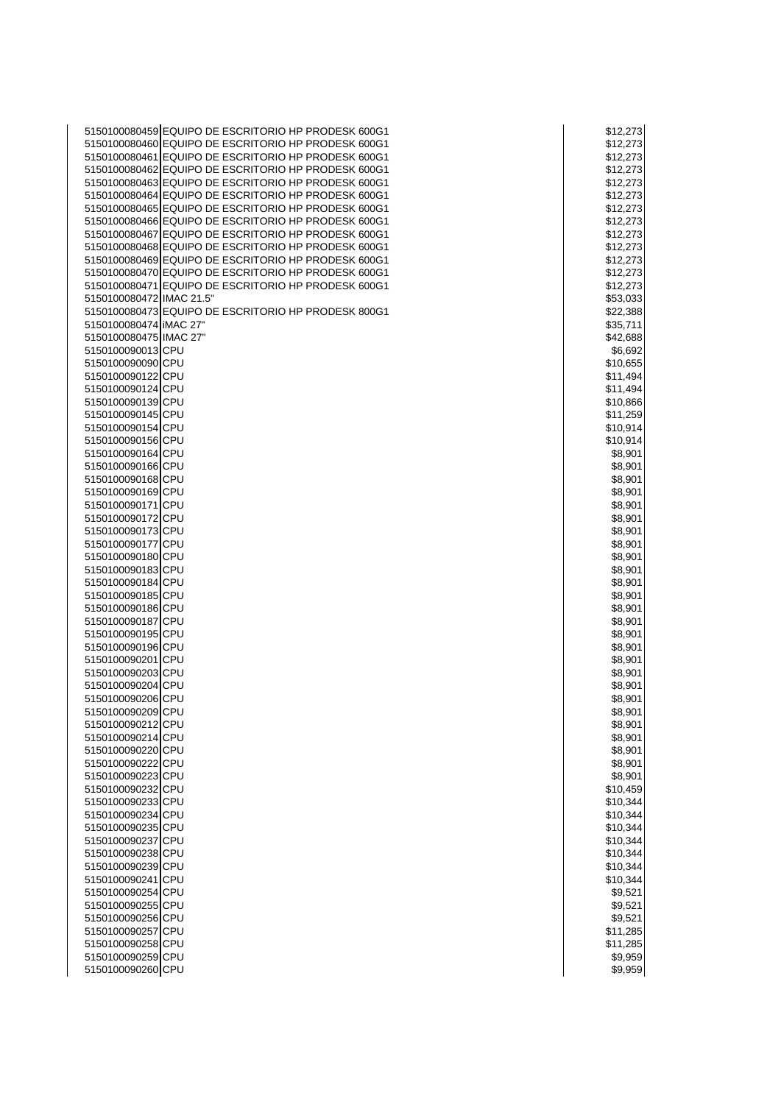|                          | 5150100080459 EQUIPO DE ESCRITORIO HP PRODESK 600G1 | \$12,273 |
|--------------------------|-----------------------------------------------------|----------|
|                          | 5150100080460 EQUIPO DE ESCRITORIO HP PRODESK 600G1 | \$12,273 |
|                          | 5150100080461 EQUIPO DE ESCRITORIO HP PRODESK 600G1 | \$12,273 |
|                          | 5150100080462 EQUIPO DE ESCRITORIO HP PRODESK 600G1 |          |
|                          |                                                     | \$12,273 |
|                          | 5150100080463 EQUIPO DE ESCRITORIO HP PRODESK 600G1 | \$12,273 |
|                          | 5150100080464 EQUIPO DE ESCRITORIO HP PRODESK 600G1 | \$12,273 |
|                          | 5150100080465 EQUIPO DE ESCRITORIO HP PRODESK 600G1 | \$12,273 |
|                          | 5150100080466 EQUIPO DE ESCRITORIO HP PRODESK 600G1 | \$12,273 |
|                          | 5150100080467 EQUIPO DE ESCRITORIO HP PRODESK 600G1 | \$12,273 |
|                          | 5150100080468 EQUIPO DE ESCRITORIO HP PRODESK 600G1 | \$12,273 |
|                          | 5150100080469 EQUIPO DE ESCRITORIO HP PRODESK 600G1 | \$12,273 |
|                          | 5150100080470 EQUIPO DE ESCRITORIO HP PRODESK 600G1 |          |
|                          |                                                     | \$12,273 |
|                          | 5150100080471 EQUIPO DE ESCRITORIO HP PRODESK 600G1 | \$12,273 |
| 5150100080472 IMAC 21.5" |                                                     | \$53,033 |
|                          | 5150100080473 EQUIPO DE ESCRITORIO HP PRODESK 800G1 | \$22,388 |
| 5150100080474 IMAC 27"   |                                                     | \$35,711 |
| 5150100080475 IMAC 27"   |                                                     | \$42,688 |
| 5150100090013 CPU        |                                                     | \$6,692  |
| 5150100090090 CPU        |                                                     | \$10,655 |
| 5150100090122 CPU        |                                                     | \$11,494 |
|                          |                                                     |          |
| 5150100090124 CPU        |                                                     | \$11,494 |
| 5150100090139 CPU        |                                                     | \$10,866 |
| 5150100090145 CPU        |                                                     | \$11,259 |
| 5150100090154 CPU        |                                                     | \$10,914 |
| 5150100090156 CPU        |                                                     | \$10,914 |
| 5150100090164 CPU        |                                                     | \$8,901  |
| 5150100090166 CPU        |                                                     | \$8,901  |
| 5150100090168 CPU        |                                                     | \$8,901  |
| 5150100090169 CPU        |                                                     | \$8,901  |
| 5150100090171 CPU        |                                                     |          |
|                          |                                                     | \$8,901  |
| 5150100090172 CPU        |                                                     | \$8,901  |
| 5150100090173 CPU        |                                                     | \$8,901  |
| 5150100090177 CPU        |                                                     | \$8,901  |
| 5150100090180 CPU        |                                                     | \$8,901  |
| 5150100090183 CPU        |                                                     | \$8,901  |
| 5150100090184 CPU        |                                                     | \$8,901  |
| 5150100090185 CPU        |                                                     | \$8,901  |
| 5150100090186 CPU        |                                                     | \$8,901  |
| 5150100090187 CPU        |                                                     | \$8,901  |
| 5150100090195 CPU        |                                                     |          |
|                          |                                                     | \$8,901  |
| 5150100090196 CPU        |                                                     | \$8,901  |
| 5150100090201 CPU        |                                                     | \$8,901  |
| 5150100090203 CPU        |                                                     | \$8,901  |
| 5150100090204 CPU        |                                                     | \$8,901  |
| 5150100090206 CPU        |                                                     | \$8,901  |
| 5150100090209 CPU        |                                                     | \$8,901  |
| 5150100090212 CPU        |                                                     | \$8,901  |
| 5150100090214 CPU        |                                                     | \$8,901  |
| 5150100090220 CPU        |                                                     |          |
|                          |                                                     | \$8,901  |
| 5150100090222 CPU        |                                                     | \$8,901  |
| 5150100090223 CPU        |                                                     | \$8,901  |
| 5150100090232 CPU        |                                                     | \$10,459 |
| 5150100090233 CPU        |                                                     | \$10,344 |
| 5150100090234 CPU        |                                                     | \$10,344 |
| 5150100090235 CPU        |                                                     | \$10,344 |
| 5150100090237 CPU        |                                                     | \$10,344 |
| 5150100090238 CPU        |                                                     | \$10,344 |
| 5150100090239 CPU        |                                                     | \$10,344 |
|                          |                                                     |          |
| 5150100090241 CPU        |                                                     | \$10,344 |
| 5150100090254 CPU        |                                                     | \$9,521  |
| 5150100090255 CPU        |                                                     | \$9,521  |
| 5150100090256 CPU        |                                                     | \$9,521  |
| 5150100090257 CPU        |                                                     | \$11,285 |
| 5150100090258 CPU        |                                                     | \$11,285 |
| 5150100090259 CPU        |                                                     | \$9,959  |
| 5150100090260 CPU        |                                                     | \$9,959  |
|                          |                                                     |          |

| \$12<br>2,273           |    |
|-------------------------|----|
| \$12,27                 | 3  |
| \$12,273                |    |
| 2,273<br>\$1            |    |
| 2,<br>27<br>\$1         | 3  |
| \$12,27                 | 3  |
| \$12,<br>$\frac{1}{27}$ | 3  |
| \$12,27                 | 3  |
| \$12,27                 | ΄3 |
| \$12,2<br>273           |    |
| 2,3<br>\$1<br>27        | 3  |
|                         |    |
| 2,273<br>j<br>\$1       | 3  |
| \$12,273                |    |
| \$53,03                 | 33 |
| \$22,388                |    |
| \$35,711                |    |
| \$42,688                |    |
| \$6,692                 |    |
| \$10,655                |    |
| \$11,494                |    |
| \$11,494                |    |
|                         |    |
| \$10,866                |    |
| \$11,259                |    |
| \$10,914                |    |
| \$10,914                |    |
| \$8,901                 |    |
| \$8,901                 |    |
| \$8,901                 |    |
| \$8,901                 |    |
| \$8,901                 |    |
| \$8,901                 |    |
|                         |    |
| \$8,901                 |    |
| \$8,90                  | )1 |
| \$8,901                 |    |
| \$8,901                 |    |
| \$8,90                  | )1 |
| \$8,901                 |    |
| \$8,901                 |    |
| \$8,901                 |    |
| \$8,901                 |    |
| \$8,901                 |    |
|                         |    |
| \$8,901                 |    |
| \$8,901                 |    |
| \$8,901                 |    |
| \$8,901                 |    |
| \$8,<br>901             |    |
| \$8,901                 |    |
| \$8,901                 |    |
| \$8,901                 |    |
| \$8,901                 |    |
| \$8,901                 |    |
| \$10,459                |    |
| \$10,344                |    |
|                         |    |
| \$10,344                |    |
| \$10,344                |    |
| \$10,344                |    |
| \$10,344                |    |
| \$10,344                |    |
| \$10,344                |    |
| \$9,521                 |    |
| \$9,52<br>21            |    |
| \$9,521                 |    |
|                         |    |
| \$11,285                |    |
| \$11,2<br>285           |    |
| \$9,959                 |    |
| \$9,959                 |    |
|                         |    |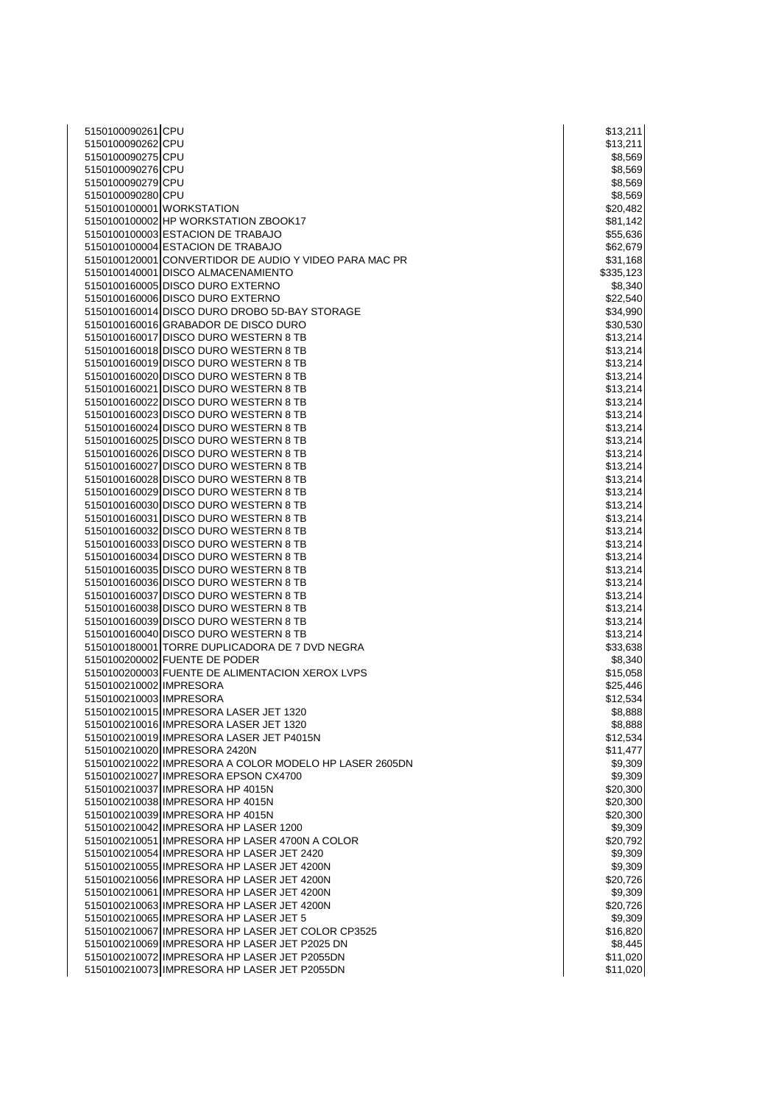| 5150100090261 CPU       |                                                                                         | \$13,211             |
|-------------------------|-----------------------------------------------------------------------------------------|----------------------|
| 5150100090262 CPU       |                                                                                         | \$13,211             |
| 5150100090275 CPU       |                                                                                         | \$8,569              |
| 5150100090276 CPU       |                                                                                         | \$8,569              |
| 5150100090279 CPU       |                                                                                         | \$8,569              |
| 5150100090280 CPU       |                                                                                         | \$8,569              |
|                         | 5150100100001 WORKSTATION                                                               | \$20,482             |
|                         | 5150100100002 HP WORKSTATION ZBOOK17                                                    | \$81,142             |
|                         | 5150100100003 ESTACION DE TRABAJO                                                       | \$55,636             |
|                         | 5150100100004 ESTACION DE TRABAJO                                                       | \$62,679             |
|                         | 5150100120001 CONVERTIDOR DE AUDIO Y VIDEO PARA MAC PR                                  | \$31,168             |
|                         | 5150100140001 DISCO ALMACENAMIENTO                                                      | \$335,123            |
|                         | 5150100160005 DISCO DURO EXTERNO                                                        | \$8,340              |
|                         | 5150100160006 DISCO DURO EXTERNO                                                        | \$22,540             |
|                         | 5150100160014 DISCO DURO DROBO 5D-BAY STORAGE                                           | \$34,990             |
|                         | 5150100160016 GRABADOR DE DISCO DURO                                                    | \$30,530             |
|                         | 5150100160017 DISCO DURO WESTERN 8 TB                                                   | \$13,214             |
|                         | 5150100160018 DISCO DURO WESTERN 8 TB                                                   | \$13,214             |
|                         | 5150100160019 DISCO DURO WESTERN 8 TB                                                   | \$13,214             |
|                         | 5150100160020 DISCO DURO WESTERN 8 TB                                                   | \$13,214             |
|                         | 5150100160021 DISCO DURO WESTERN 8 TB                                                   | \$13,214             |
|                         | 5150100160022 DISCO DURO WESTERN 8 TB                                                   | \$13,214             |
|                         | 5150100160023 DISCO DURO WESTERN 8 TB                                                   | \$13,214             |
|                         | 5150100160024 DISCO DURO WESTERN 8 TB                                                   | \$13,214             |
|                         | 5150100160025 DISCO DURO WESTERN 8 TB                                                   | \$13,214             |
|                         | 5150100160026 DISCO DURO WESTERN 8 TB                                                   | \$13,214             |
|                         | 5150100160027 DISCO DURO WESTERN 8 TB                                                   | \$13,214             |
|                         | 5150100160028 DISCO DURO WESTERN 8 TB                                                   | \$13,214             |
|                         | 5150100160029 DISCO DURO WESTERN 8 TB                                                   | \$13,214             |
|                         | 5150100160030 DISCO DURO WESTERN 8 TB                                                   | \$13,214             |
|                         | 5150100160031 DISCO DURO WESTERN 8 TB                                                   | \$13,214             |
|                         | 5150100160032 DISCO DURO WESTERN 8 TB                                                   | \$13,214             |
|                         | 5150100160033 DISCO DURO WESTERN 8 TB                                                   | \$13,214             |
|                         | 5150100160034 DISCO DURO WESTERN 8 TB                                                   | \$13,214             |
|                         | 5150100160035 DISCO DURO WESTERN 8 TB                                                   | \$13,214             |
|                         | 5150100160036 DISCO DURO WESTERN 8 TB                                                   | \$13,214             |
|                         | 5150100160037 DISCO DURO WESTERN 8 TB                                                   | \$13,214             |
|                         | 5150100160038 DISCO DURO WESTERN 8 TB                                                   | \$13,214             |
|                         | 5150100160039 DISCO DURO WESTERN 8 TB                                                   |                      |
|                         | 5150100160040 DISCO DURO WESTERN 8 TB                                                   | \$13,214<br>\$13,214 |
|                         | 5150100180001 TORRE DUPLICADORA DE 7 DVD NEGRA                                          | \$33,638             |
|                         | 5150100200002 FUENTE DE PODER                                                           | \$8,340              |
|                         | 5150100200003 FUENTE DE ALIMENTACION XEROX LVPS                                         |                      |
| 5150100210002 IMPRESORA |                                                                                         | \$15,058<br>\$25,446 |
| 5150100210003 IMPRESORA |                                                                                         |                      |
|                         | 5150100210015 IMPRESORA LASER JET 1320                                                  | \$12,534<br>\$8,888  |
|                         | 5150100210016 IMPRESORA LASER JET 1320                                                  | \$8,888              |
|                         | 5150100210019 IMPRESORA LASER JET P4015N                                                |                      |
|                         |                                                                                         | \$12,534             |
|                         | 5150100210020 IMPRESORA 2420N<br>5150100210022 IMPRESORA A COLOR MODELO HP LASER 2605DN | \$11,477             |
|                         |                                                                                         | \$9,309              |
|                         | 5150100210027 IMPRESORA EPSON CX4700<br>5150100210037 IMPRESORA HP 4015N                | \$9,309              |
|                         | 5150100210038 IMPRESORA HP 4015N                                                        | \$20,300             |
|                         | 5150100210039 IMPRESORA HP 4015N                                                        | \$20,300             |
|                         |                                                                                         | \$20,300             |
|                         | 5150100210042 IMPRESORA HP LASER 1200                                                   | \$9,309              |
|                         | 5150100210051 IMPRESORA HP LASER 4700N A COLOR                                          | \$20,792             |
|                         | 5150100210054 IMPRESORA HP LASER JET 2420                                               | \$9,309              |
|                         | 5150100210055 IMPRESORA HP LASER JET 4200N                                              | \$9,309              |
|                         | 5150100210056 IMPRESORA HP LASER JET 4200N                                              | \$20,726             |
|                         | 5150100210061 IMPRESORA HP LASER JET 4200N                                              | \$9,309              |
|                         | 5150100210063 IMPRESORA HP LASER JET 4200N                                              | \$20,726             |
|                         | 5150100210065 IMPRESORA HP LASER JET 5                                                  | \$9,309              |
|                         | 5150100210067 IMPRESORA HP LASER JET COLOR CP3525                                       | \$16,820             |
|                         | 5150100210069 IMPRESORA HP LASER JET P2025 DN                                           | \$8,445              |
|                         | 5150100210072 IMPRESORA HP LASER JET P2055DN                                            | \$11,020             |
|                         | 5150100210073 IMPRESORA HP LASER JET P2055DN                                            | \$11,020             |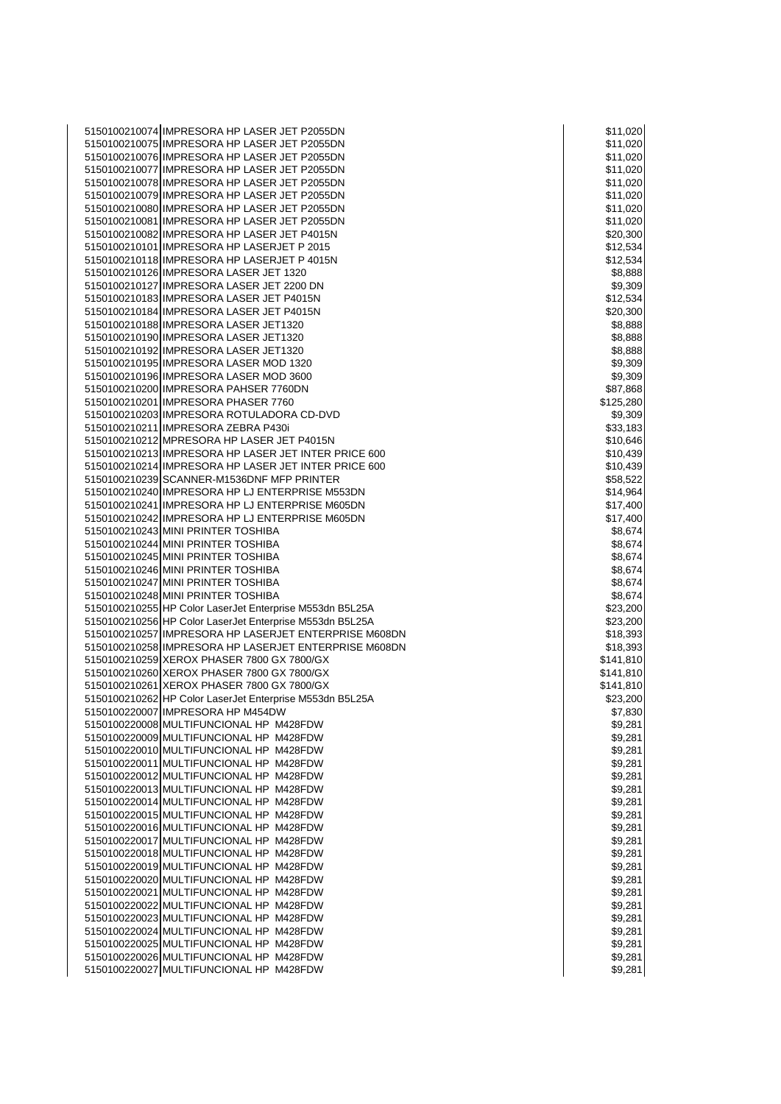5150100210074 IMPRESORA HP LASER JET P2055DN \$11,020 5150100210075 IMPRESORA HP LASER JET P2055DN \$150100210075 IMPRESORA HP LASER JET P2055DN 5150100210076 IMPRESORA HP LASER JET P2055DN \$11,020 5150100210077 IMPRESORA HP LASER JET P2055DN \$11,020 5150100210078 IMPRESORA HP LASER JET P2055DN \$150100210078 IMPRESORA HP LASER JET P2055DN 5150100210079 IMPRESORA HP LASER JET P2055DN \$150100210079 IMPRESORA HP LASER JET P2055DN 5150100210080 IMPRESORA HP LASER JET P2055DN \$150100210080 IMPRESORA HP LASER JET P2055DN 5150100210081 IMPRESORA HP LASER JET P2055DN \$150100210081 S11,020 5150100210082 IMPRESORA HP LASER JET P4015N \$20,300 **\$20,300** \$20,300 5150100210101 IMPRESORA HP LASERJET P 2015 \$12,534 5150100210118 IMPRESORA HP LASERJET P 4015N \$12,534 5150100210126 IMPRESORA LASER JET 1320 \$8,888 5150100210127 IMPRESORA LASER JET 2200 DN \$9,309 5150100210183 IMPRESORA LASER JET P4015N \$12,534 5150100210184 IMPRESORA LASER JET P4015N \$20,300 5150100210188 IMPRESORA LASER JET1320 \$8,888 5150100210190 IMPRESORA LASER JET1320 \$8,888 5150100210192 IMPRESORA LASER JET1320 \$8,888 5150100210195 IMPRESORA LASER MOD 1320 \$9,309 \$9,309 5150100210196 IMPRESORA LASER MOD 3600 \$9,309 5150100210200 IMPRESORA PAHSER 7760DN \$87,868 5150100210201 IMPRESORA PHASER 7760 \$125,280 \$125,280 5150100210203 IMPRESORA ROTULADORA CD-DVD \$9,309 5150100210211 IMPRESORA ZEBRA P430i \$33,183 and \$33,183 and \$33,183 5150100210212 MPRESORA HP LASER JET P4015N<br>5150100210213 IMPRESORA HP LASER JET INTER PRICE 600 \$150100210213 IMPRESORA HP LASER JET INTER PRICE 600 5150100210213 IMPRESORA HP LASER JET INTER PRICE 600 5150100210214 IMPRESORA HP LASER JET INTER PRICE 600<br>5150100210239 SCANNER-M1536DNF MFP PRINTER<br>\$58.522 5150100210239 SCANNER-M1536DNF MFP PRINTER \$58,522 5150100210240 IMPRESORA HP LJ ENTERPRISE M553DN \$14,964 5150100210241 IMPRESORA HP LJ ENTERPRISE M605DN \$17,400 5150100210242 IMPRESORA HP LJ ENTERPRISE M605DN \$17,400 5150100210243 MINI PRINTER TOSHIBA \$8,674 5150100210244 MINI PRINTER TOSHIBA \$8,674 MINI PRINTER TOSHIBA \$8,674 MINI PRINTER TOSHIBA \$8,674<br>\$150100210245 MINI PRINTER TOSHIBA 5150100210245 MINI PRINTER TOSHIBA \$8,674 5150100210246 MINI PRINTER TOSHIBA \$8,674 MINI PRINTER TOSHIBA \$8,674 MINI PRINTER TOSHIBA \$8,674<br>\$150100210247 MINI PRINTER TOSHIBA 5150100210247 MINI PRINTER TOSHIBA \$8,674 5150100210248 MINI PRINTER TOSHIBA \$8,674 5150100210255 HP Color LaserJet Enterprise M553dn B5L25A \$23,200 5150100210256 HP Color LaserJet Enterprise M553dn B5L25A \$23,200 5150100210257 IMPRESORA HP LASERJET ENTERPRISE M608DN \$18,393 5150100210258 IMPRESORA HP LASERJET ENTERPRISE M608DN \$18,393 5150100210259 XEROX PHASER 7800 GX 7800/GX  $\overline{a}$  6150100210259 x 141,810 5150100210260 XEROX PHASER 7800 GX 7800/GX \$141,810 \$141,810 5150100210261 XEROX PHASER 7800 GX 7800/GX \$141,810 \$141,810 5150100210262 HP Color LaserJet Enterprise M553dn B5L25A \$23,200 5150100220007 IMPRESORA HP M454DW \$7,830 **120 AM SENSION AND \$7,830** 5150100220008 MULTIFUNCIONAL HP M428FDW \$9,281 5150100220009 MULTIFUNCIONAL HP M428FDW \$9,281 5150100220010 MULTIFUNCIONAL HP M428FDW \$9,281 5150100220011 MULTIFUNCIONAL HP M428FDW \$9,281 5150100220012 MULTIFUNCIONAL HP M428FDW \$9,281 5150100220013 MULTIFUNCIONAL HP M428FDW \$9,281 \$150100220013 MULTIFUNCIONAL HP M428FDW 5150100220014 MULTIFUNCIONAL HP M428FDW \$9,281 AM AND \$9,281 AM AND \$9,281 AM AND \$9,281 AM AND \$9,281 AM AND \$9,281 AM AND \$9,281 AM AND \$9,281 AM AND \$9,281 AM AND \$9,281 AM AND \$9,281 AM AND \$9,281 AM AND \$9,281 AM AND 5150100220015 MULTIFUNCIONAL HP M428FDW **\$9,281 million and the matter of the set of the set of the set of the s** 5150100220016 MULTIFUNCIONAL HP M428FDW \$9,281 5150100220017 MULTIFUNCIONAL HP M428FDW \$9,281 5150100220018 MULTIFUNCIONAL HP M428FDW \$9,281 5150100220019 MULTIFUNCIONAL HP M428FDW \$9,281 5150100220020 MULTIFUNCIONAL HP M428FDW \$9,281 5150100220021 MULTIFUNCIONAL HP M428FDW \$9,281 (\$9,281) 5150100220022 MULTIFUNCIONAL HP M428FDW \$9,281 5150100220023 MULTIFUNCIONAL HP M428FDW \$9,281 \$150100220023 MULTIFUNCIONAL HP M428FDW 5150100220024 MULTIFUNCIONAL HP M428FDW \$9,281 5150100220025 MULTIFUNCIONAL HP M428FDW \$9,281 5150100220026 MULTIFUNCIONAL HP M428FDW \$9,281 5150100220027 MULTIFUNCIONAL HP M428FDW \$9,281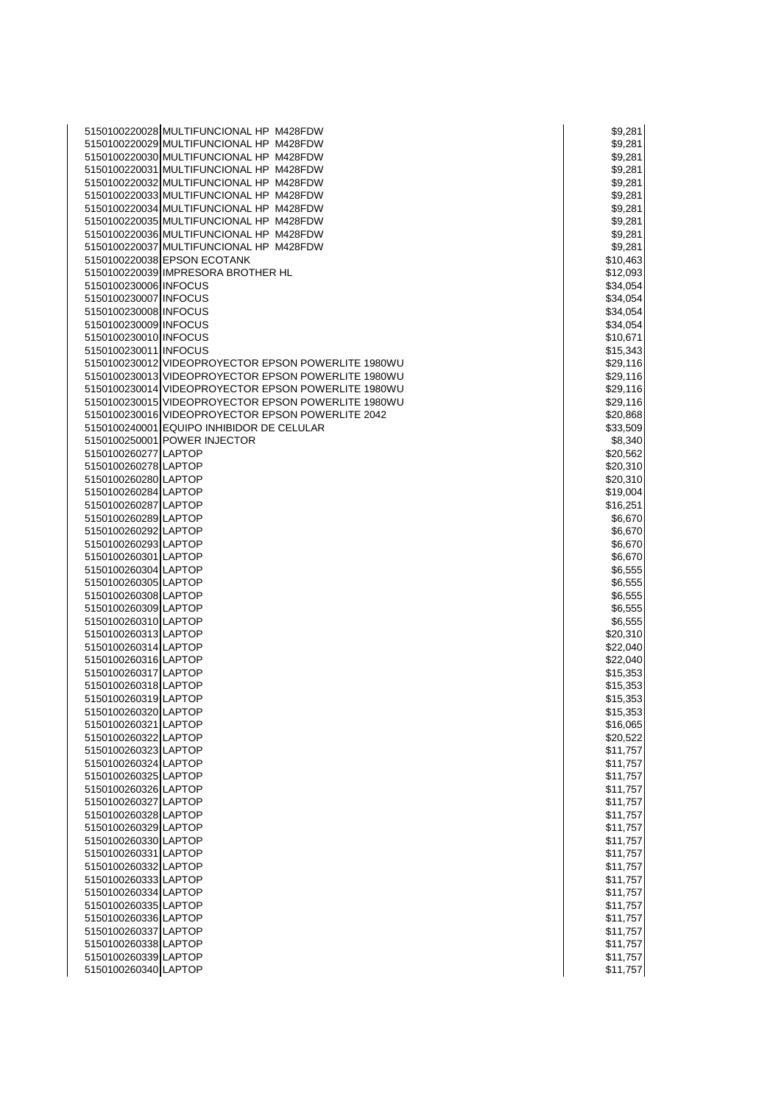|                       | 5150100220028 MULTIFUNCIONAL HP M428FDW             | \$9,281  |
|-----------------------|-----------------------------------------------------|----------|
|                       | 5150100220029 MULTIFUNCIONAL HP M428FDW             | \$9,281  |
|                       | 5150100220030 MULTIFUNCIONAL HP M428FDW             | \$9,281  |
|                       |                                                     |          |
|                       | 5150100220031 MULTIFUNCIONAL HP M428FDW             | \$9,281  |
|                       | 5150100220032 MULTIFUNCIONAL HP M428FDW             | \$9,281  |
|                       | 5150100220033 MULTIFUNCIONAL HP M428FDW             | \$9,281  |
|                       | 5150100220034 MULTIFUNCIONAL HP M428FDW             | \$9,281  |
|                       | 5150100220035 MULTIFUNCIONAL HP M428FDW             | \$9,281  |
|                       | 5150100220036 MULTIFUNCIONAL HP M428FDW             | \$9,281  |
|                       | 5150100220037 MULTIFUNCIONAL HP M428FDW             | \$9,281  |
|                       | 5150100220038 EPSON ECOTANK                         | \$10,463 |
|                       | 5150100220039 IMPRESORA BROTHER HL                  | \$12,093 |
|                       |                                                     |          |
| 5150100230006 INFOCUS |                                                     | \$34,054 |
| 5150100230007 INFOCUS |                                                     | \$34,054 |
| 5150100230008 INFOCUS |                                                     | \$34,054 |
| 5150100230009 INFOCUS |                                                     | \$34,054 |
| 5150100230010 INFOCUS |                                                     | \$10,671 |
| 5150100230011 INFOCUS |                                                     | \$15,343 |
|                       | 5150100230012 VIDEOPROYECTOR EPSON POWERLITE 1980WU | \$29,116 |
|                       | 5150100230013 VIDEOPROYECTOR EPSON POWERLITE 1980WU | \$29,116 |
|                       | 5150100230014 VIDEOPROYECTOR EPSON POWERLITE 1980WU | \$29,116 |
|                       | 5150100230015 VIDEOPROYECTOR EPSON POWERLITE 1980WU | \$29,116 |
|                       |                                                     |          |
|                       | 5150100230016 VIDEOPROYECTOR EPSON POWERLITE 2042   | \$20,868 |
|                       | 5150100240001 EQUIPO INHIBIDOR DE CELULAR           | \$33,509 |
|                       | 5150100250001 POWER INJECTOR                        | \$8,340  |
| 5150100260277 LAPTOP  |                                                     | \$20,562 |
| 5150100260278 LAPTOP  |                                                     | \$20,310 |
| 5150100260280 LAPTOP  |                                                     | \$20,310 |
| 5150100260284 LAPTOP  |                                                     | \$19,004 |
| 5150100260287 LAPTOP  |                                                     | \$16,251 |
| 5150100260289 LAPTOP  |                                                     | \$6,670  |
| 5150100260292 LAPTOP  |                                                     | \$6,670  |
| 5150100260293 LAPTOP  |                                                     | \$6,670  |
| 5150100260301 LAPTOP  |                                                     | \$6,670  |
|                       |                                                     |          |
| 5150100260304 LAPTOP  |                                                     | \$6,555  |
| 5150100260305 LAPTOP  |                                                     | \$6,555  |
| 5150100260308 LAPTOP  |                                                     | \$6,555  |
| 5150100260309 LAPTOP  |                                                     | \$6,555  |
| 5150100260310 LAPTOP  |                                                     | \$6,555  |
| 5150100260313 LAPTOP  |                                                     | \$20,310 |
| 5150100260314 LAPTOP  |                                                     | \$22,040 |
| 5150100260316 LAPTOP  |                                                     | \$22,040 |
| 5150100260317 LAPTOP  |                                                     | \$15,353 |
| 5150100260318 LAPTOP  |                                                     | \$15,353 |
| 5150100260319 LAPTOP  |                                                     | \$15,353 |
| 5150100260320 LAPTOP  |                                                     | \$15,353 |
|                       |                                                     |          |
| 5150100260321 LAPTOP  |                                                     | \$16,065 |
| 5150100260322 LAPTOP  |                                                     | \$20,522 |
| 5150100260323 LAPTOP  |                                                     | \$11,757 |
| 5150100260324 LAPTOP  |                                                     | \$11,757 |
| 5150100260325 LAPTOP  |                                                     | \$11,757 |
| 5150100260326 LAPTOP  |                                                     | \$11,757 |
| 5150100260327 LAPTOP  |                                                     | \$11,757 |
| 5150100260328 LAPTOP  |                                                     | \$11,757 |
| 5150100260329 LAPTOP  |                                                     | \$11,757 |
| 5150100260330 LAPTOP  |                                                     | \$11,757 |
| 5150100260331 LAPTOP  |                                                     | \$11,757 |
| 5150100260332 LAPTOP  |                                                     | \$11,757 |
|                       |                                                     |          |
| 5150100260333 LAPTOP  |                                                     | \$11,757 |
| 5150100260334 LAPTOP  |                                                     | \$11,757 |
| 5150100260335 LAPTOP  |                                                     | \$11,757 |
| 5150100260336 LAPTOP  |                                                     | \$11,757 |
| 5150100260337 LAPTOP  |                                                     | \$11,757 |
| 5150100260338 LAPTOP  |                                                     | \$11,757 |
| 5150100260339 LAPTOP  |                                                     | \$11,757 |
| 5150100260340 LAPTOP  |                                                     | \$11,757 |

|            | \$9,281            |
|------------|--------------------|
|            | \$9,281            |
|            | \$9,281            |
|            | \$9,281            |
|            | \$9,281            |
|            | \$9,281            |
|            | \$9,281            |
|            | \$9,281            |
|            | \$9,281            |
|            | \$9,281            |
|            | \$10,463           |
|            | \$12,093           |
|            | \$34,054           |
|            | \$34,054           |
|            | \$34,054           |
|            | \$34,054           |
| \$10,671   |                    |
|            | \$15,343           |
|            | \$29,116           |
|            | \$29,116           |
|            | \$29,116           |
|            | \$29,116           |
|            | \$20,868           |
|            | \$33,509           |
|            | \$8,340            |
|            | \$20,562           |
|            | \$20,310           |
| \$.        | 20,310             |
|            | \$19,004           |
| \$16,251   |                    |
|            | \$6,670            |
|            | \$6,670            |
|            | \$6,670            |
|            |                    |
|            | \$6,670            |
|            | \$6,555            |
|            | \$6,555            |
|            | \$6,555            |
|            |                    |
|            | \$6,555<br>\$6,555 |
|            |                    |
|            | \$20,310           |
|            | \$22,040<br>22,040 |
| \$:        | \$15,353           |
|            |                    |
|            | \$15,353           |
|            | \$15,353<br>3      |
| \$15,35    |                    |
| \$16,065   |                    |
| \$20,522   |                    |
| \$11,757   |                    |
| \$11,757   |                    |
| \$1        | 1,757              |
| \$1        | 1,757              |
| \$1<br>1,  | 757                |
| \$1        | 1,757              |
| \$11,757   |                    |
| \$11,      | 757                |
| \$1        | 1,757              |
| \$11,757   |                    |
| \$11,      | 757                |
| \$11,757   |                    |
| \$11,757   |                    |
| \$1        | 1,757              |
| \$1        | 1,757              |
| \$1        | 1,757              |
| \$1<br>\$1 | 1,757<br>1,75      |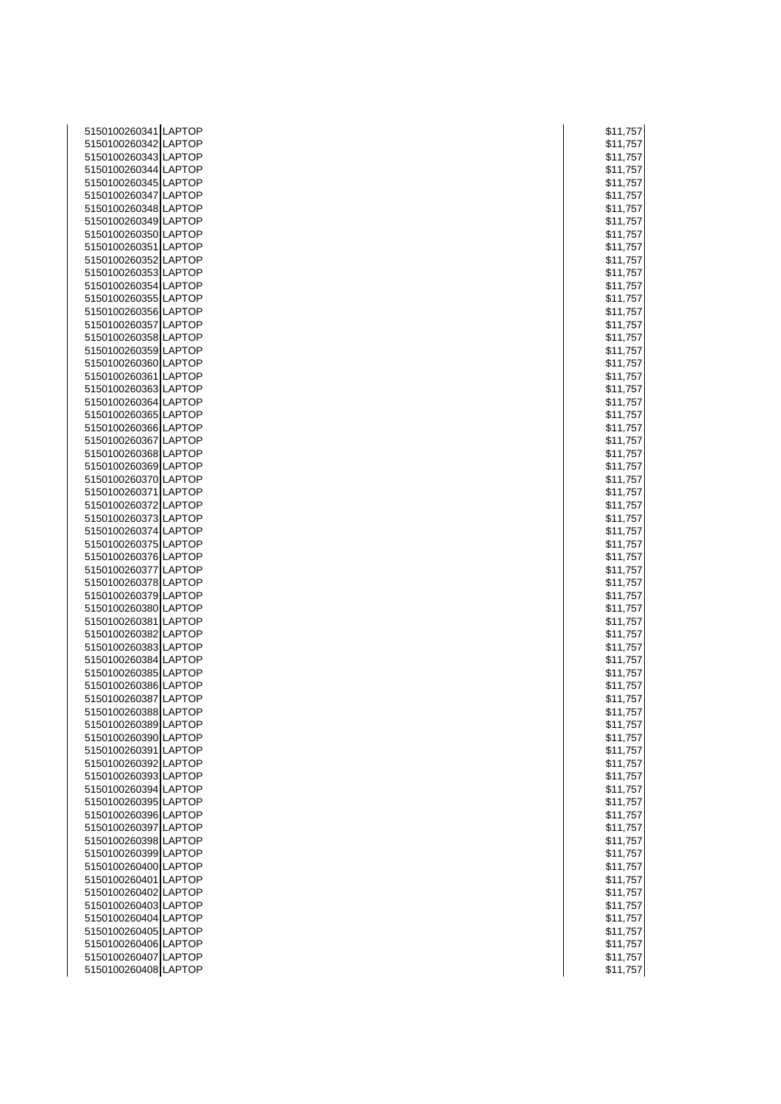| 5150100260341 LAPTOP                         | \$11,757             |
|----------------------------------------------|----------------------|
| 5150100260342 LAPTOP                         | \$11,757             |
| 5150100260343 LAPTOP                         | \$11,757             |
| 5150100260344 LAPTOP                         | \$11,757             |
| 5150100260345 LAPTOP                         | \$11,757             |
| 5150100260347 LAPTOP                         | \$11,757             |
| 5150100260348 LAPTOP                         | \$11,757             |
| 5150100260349 LAPTOP                         | \$11,757             |
| 5150100260350 LAPTOP                         | \$11,757             |
| 5150100260351 LAPTOP                         | \$11,757             |
| 5150100260352 LAPTOP                         | \$11,757             |
| 5150100260353 LAPTOP                         | \$11,757             |
| 5150100260354 LAPTOP                         | \$11,757             |
| 5150100260355 LAPTOP                         | \$11,757             |
| 5150100260356 LAPTOP                         | \$11,757             |
| 5150100260357 LAPTOP                         | \$11,757             |
| 5150100260358 LAPTOP                         | \$11,757             |
| 5150100260359 LAPTOP                         | \$11,757             |
| 5150100260360 LAPTOP                         | \$11,757             |
| 5150100260361 LAPTOP                         | \$11,757             |
| 5150100260363 LAPTOP                         | \$11,757             |
| 5150100260364 LAPTOP                         | \$11,757             |
| 5150100260365 LAPTOP                         | \$11,757             |
| 5150100260366 LAPTOP                         | \$11,757             |
| 5150100260367 LAPTOP                         | \$11,757             |
| 5150100260368 LAPTOP                         | \$11,757             |
| 5150100260369 LAPTOP                         | \$11,757             |
| 5150100260370 LAPTOP                         | \$11,757             |
| 5150100260371 LAPTOP                         | \$11,757             |
| 5150100260372 LAPTOP                         | \$11,757             |
| 5150100260373 LAPTOP                         | \$11,757             |
| 5150100260374 LAPTOP                         | \$11,757             |
| 5150100260375 LAPTOP                         | \$11,757             |
| 5150100260376 LAPTOP                         | \$11,757             |
| 5150100260377 LAPTOP                         | \$11,757             |
| 5150100260378 LAPTOP                         | \$11,757             |
| 5150100260379 LAPTOP                         | \$11,757             |
| 5150100260380 LAPTOP                         | \$11,757             |
| 5150100260381 LAPTOP                         |                      |
| 5150100260382 LAPTOP                         | \$11,757             |
| 5150100260383 LAPTOP                         | \$11,757<br>\$11,757 |
| 5150100260384 LAPTOP                         |                      |
|                                              | \$11,757             |
| 5150100260385 LAPTOP<br>5150100260386 LAPTOP | \$11,757             |
|                                              | \$11,757             |
| 5150100260387 LAPTOP                         | \$11,757             |
| 5150100260388 LAPTOP                         | \$11,757             |
| 5150100260389 LAPTOP                         | \$11,757             |
| 5150100260390 LAPTOP                         | \$11,757             |
| 5150100260391 LAPTOP                         | \$11,757             |
| 5150100260392 LAPTOP                         | \$11,757             |
| 5150100260393 LAPTOP                         | \$11,757             |
| 5150100260394 LAPTOP                         | \$11,757             |
| 5150100260395 LAPTOP                         | \$11,757             |
| 5150100260396 LAPTOP                         | \$11,757             |
| 5150100260397 LAPTOP                         | \$11,757             |
| 5150100260398 LAPTOP                         | \$11,757             |
| 5150100260399 LAPTOP                         | \$11,757             |
| 5150100260400 LAPTOP                         | \$11,757             |
| 5150100260401 LAPTOP                         | \$11,757             |
| 5150100260402 LAPTOP                         | \$11,757             |
| 5150100260403 LAPTOP                         | \$11,757             |
| 5150100260404 LAPTOP                         | \$11,757             |
| 5150100260405 LAPTOP                         | \$11,757             |
| 5150100260406 LAPTOP                         | \$11,757             |
| 5150100260407 LAPTOP                         | \$11,757             |
| 5150100260408 LAPTOP                         | \$11,757             |

| \$1          | 1,757          |
|--------------|----------------|
| \$1          | 1,7<br>5<br>7  |
| \$1          | 1,757          |
| \$1          | 1,757          |
| \$1          | 1,757          |
| \$1          | 1,757          |
| \$1          | 1,757          |
| \$1          | 1,757          |
| \$1          | 1,757          |
| \$1          | 1,757          |
| \$1          | 1,757          |
| \$1          | 1,757          |
| \$1          | 1,757          |
| \$1<br>\$1   | 1,757          |
| \$1          | 1,757<br>1,757 |
| \$1          | 1,757          |
| \$1          | 1,757          |
| \$1          | 1,757          |
| \$1          | 1,757          |
| \$1          | 1,757          |
| \$1          | 1,757          |
| \$1          | 1,757          |
| \$1          | 1,757          |
| \$1          | 1,757          |
| \$1          | 1,757          |
| \$1          | 1,757          |
| \$1          | 1,757          |
| \$1          | 1,757          |
| \$1          | 1,757          |
| \$1          | 1,757          |
| \$1          | 1,757          |
| \$1          | 1,757          |
| \$1          | 1,757          |
| \$1          | 1,757          |
| \$1          | 1,757          |
| \$1<br>\$1   | 1,757<br>1,757 |
| \$1          | 1,757          |
| \$1          | 1,757          |
| \$1          | 1,75           |
| \$1          | 1,757          |
| \$1          | 1,75           |
| \$1          | 1,75           |
| \$1          | 1,75           |
| \$<br>1<br>1 | ,7<br>) (      |
|              | \$11,757       |
|              | \$11,757       |
|              | \$11,757       |
| \$1          | 1,757          |
| \$1          | 1,757          |
|              | \$11,757       |
| \$1          | 1,757          |
| \$1          | 1,757          |
| \$1          | 1,757          |
| \$1          | 1,757          |
| \$1          | 1,757          |
| \$1          | 1,757          |
| \$1          | 1,757          |
| \$1          | 1,757<br>1,757 |
| \$1          | 1,757          |
| \$1          | \$11,757       |
| \$1          | 1,757          |
|              | \$11,757       |
| \$11,75      |                |
|              |                |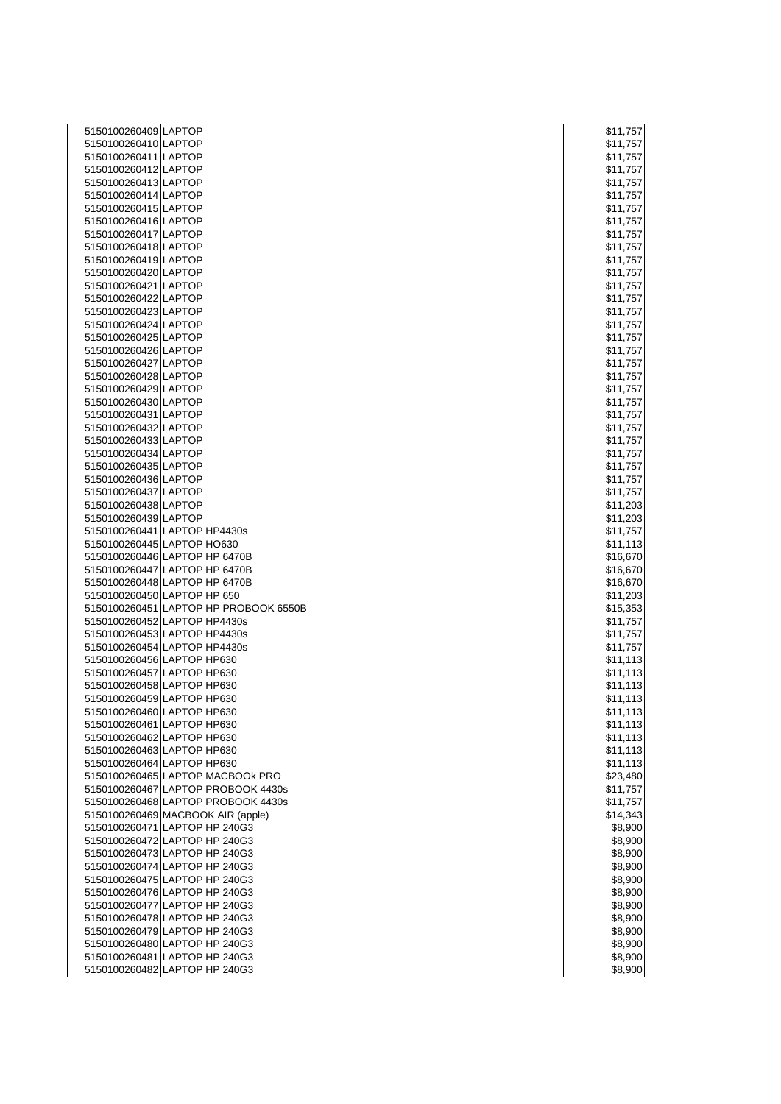| 5150100260409 LAPTOP       |                                                                | \$11,757           |
|----------------------------|----------------------------------------------------------------|--------------------|
| 5150100260410 LAPTOP       |                                                                | \$11,757           |
| 5150100260411 LAPTOP       |                                                                | \$11,757           |
| 5150100260412 LAPTOP       |                                                                | \$11,757           |
| 5150100260413 LAPTOP       |                                                                | \$11,757           |
| 5150100260414 LAPTOP       |                                                                | \$11,757           |
| 5150100260415 LAPTOP       |                                                                | \$11,757           |
| 5150100260416 LAPTOP       |                                                                | \$11,757           |
| 5150100260417 LAPTOP       |                                                                | \$11,757           |
| 5150100260418 LAPTOP       |                                                                | \$11,757           |
| 5150100260419 LAPTOP       |                                                                | \$11,757           |
| 5150100260420 LAPTOP       |                                                                | \$11,757           |
| 5150100260421 LAPTOP       |                                                                | \$11,757           |
| 5150100260422 LAPTOP       |                                                                | \$11,757           |
| 5150100260423 LAPTOP       |                                                                | \$11,757           |
| 5150100260424 LAPTOP       |                                                                | \$11,757           |
| 5150100260425 LAPTOP       |                                                                | \$11,757           |
| 5150100260426 LAPTOP       |                                                                | \$11,757           |
| 5150100260427 LAPTOP       |                                                                | \$11,757           |
| 5150100260428 LAPTOP       |                                                                | \$11,757           |
| 5150100260429 LAPTOP       |                                                                | \$11,757           |
| 5150100260430 LAPTOP       |                                                                | \$11,757           |
| 5150100260431 LAPTOP       |                                                                | \$11,757           |
| 5150100260432 LAPTOP       |                                                                | \$11,757           |
| 5150100260433 LAPTOP       |                                                                | \$11,757           |
| 5150100260434 LAPTOP       |                                                                | \$11,757           |
| 5150100260435 LAPTOP       |                                                                | \$11,757           |
| 5150100260436 LAPTOP       |                                                                | \$11,757           |
| 5150100260437 LAPTOP       |                                                                | \$11,757           |
| 5150100260438 LAPTOP       |                                                                | \$11,203           |
| 5150100260439 LAPTOP       |                                                                | \$11,203           |
|                            | 5150100260441 LAPTOP HP4430s                                   | \$11,757           |
|                            | 5150100260445 LAPTOP HO630                                     | \$11,113           |
|                            | 5150100260446 LAPTOP HP 6470B                                  | \$16,670           |
|                            | 5150100260447 LAPTOP HP 6470B                                  | \$16,670           |
|                            | 5150100260448 LAPTOP HP 6470B                                  | \$16,670           |
|                            | 5150100260450 LAPTOP HP 650                                    | \$11,203           |
|                            | 5150100260451 LAPTOP HP PROBOOK 6550B                          | \$15,353           |
|                            | 5150100260452 LAPTOP HP4430s                                   | \$11,757           |
|                            | 5150100260453 LAPTOP HP4430s                                   | \$11,757           |
|                            | 5150100260454 LAPTOP HP4430s                                   | \$11,757           |
| 5150100260456 LAPTOP HP630 |                                                                | \$11,113           |
| 5150100260457 LAPTOP HP630 |                                                                | \$11,113           |
| 5150100260458 LAPTOP HP630 |                                                                | \$11,113           |
| 5150100260459 LAPTOP HP630 |                                                                | \$11,113           |
| 5150100260460 LAPTOP HP630 |                                                                | \$11,113           |
| 5150100260461 LAPTOP HP630 |                                                                | \$11,113           |
| 5150100260462 LAPTOP HP630 |                                                                | \$11,113           |
| 5150100260463 LAPTOP HP630 |                                                                | \$11,113           |
| 5150100260464 LAPTOP HP630 |                                                                | \$11,113           |
|                            | 5150100260465 LAPTOP MACBOOk PRO                               | \$23,480           |
|                            | 5150100260467 LAPTOP PROBOOK 4430s                             | \$11,757           |
|                            | 5150100260468 LAPTOP PROBOOK 4430s                             | \$11,757           |
|                            | 5150100260469 MACBOOK AIR (apple)                              | \$14,343           |
|                            | 5150100260471 LAPTOP HP 240G3<br>5150100260472 LAPTOP HP 240G3 | \$8,900<br>\$8,900 |
|                            | 5150100260473 LAPTOP HP 240G3                                  | \$8,900            |
|                            | 5150100260474 LAPTOP HP 240G3                                  | \$8,900            |
|                            | 5150100260475 LAPTOP HP 240G3                                  | \$8,900            |
|                            | 5150100260476 LAPTOP HP 240G3                                  | \$8,900            |
|                            | 5150100260477 LAPTOP HP 240G3                                  | \$8,900            |
|                            | 5150100260478 LAPTOP HP 240G3                                  | \$8,900            |
|                            | 5150100260479 LAPTOP HP 240G3                                  | \$8,900            |
|                            | 5150100260480 LAPTOP HP 240G3                                  | \$8,900            |
|                            | 5150100260481 LAPTOP HP 240G3                                  | \$8,900            |
|                            | 5150100260482 LAPTOP HP 240G3                                  | \$8,900            |
|                            |                                                                |                    |

| \$11,757                         |         |                    |
|----------------------------------|---------|--------------------|
| \$11,757                         |         |                    |
| \$11,757                         |         |                    |
| \$1                              |         | 1,757              |
|                                  |         |                    |
| \$1                              |         | 1,757              |
| \$1                              |         | 1,757              |
| \$1                              |         | 1,757              |
| \$1                              |         | 1,757<br>1,757     |
| \$1                              |         |                    |
| \$11,757                         |         |                    |
|                                  |         |                    |
| \$1                              |         | 1,757              |
| \$1                              |         | 1,757              |
| \$11,757                         |         |                    |
| \$11,757                         |         |                    |
| \$1                              |         | 1,757              |
|                                  |         |                    |
| \$1                              |         | 1,757              |
| \$11,757                         |         |                    |
| \$11,757                         |         |                    |
| \$11,757                         |         |                    |
| \$11,757                         |         |                    |
|                                  |         |                    |
| \$11,757                         |         |                    |
|                                  |         |                    |
| \$11,757<br>\$11,757             |         |                    |
| \$11,757                         |         |                    |
| \$11,757                         |         |                    |
|                                  |         |                    |
| \$11,757                         |         |                    |
| \$11,757                         |         |                    |
| \$11,757                         |         |                    |
| \$11,757                         |         |                    |
| \$11,203                         |         |                    |
|                                  |         |                    |
| \$11,203                         |         |                    |
| \$11,757                         |         |                    |
|                                  |         |                    |
|                                  |         |                    |
| \$11,113                         |         |                    |
| \$16,670                         |         |                    |
| \$16,670                         |         |                    |
| \$16,670                         |         |                    |
|                                  |         |                    |
| \$11,203                         |         |                    |
| \$15,353                         |         |                    |
|                                  |         |                    |
| \$11,757<br>\$11,757             |         |                    |
| \$11,757                         |         |                    |
|                                  |         |                    |
| \$11,113                         |         |                    |
| \$11,113                         |         |                    |
|                                  |         |                    |
|                                  |         |                    |
|                                  |         |                    |
| \$11,113<br>\$11,113<br>\$11,113 |         |                    |
| \$11,113                         |         |                    |
| \$11,113                         |         |                    |
| \$11,113                         |         |                    |
| \$11,113                         |         |                    |
|                                  |         |                    |
| \$23,480                         |         |                    |
| \$11,757                         |         |                    |
| \$11,757                         |         |                    |
| \$14,343                         |         |                    |
|                                  |         | \$8,900            |
|                                  |         | )                  |
|                                  | \$8,900 |                    |
|                                  |         | \$8,900            |
|                                  |         | \$8,900            |
|                                  |         | \$8,900            |
|                                  |         | \$8,900            |
|                                  |         |                    |
|                                  |         | \$8,900            |
|                                  |         | \$8,900            |
|                                  |         | \$8,900            |
|                                  |         | \$8,900            |
|                                  |         |                    |
|                                  |         | \$8,900<br>\$8,900 |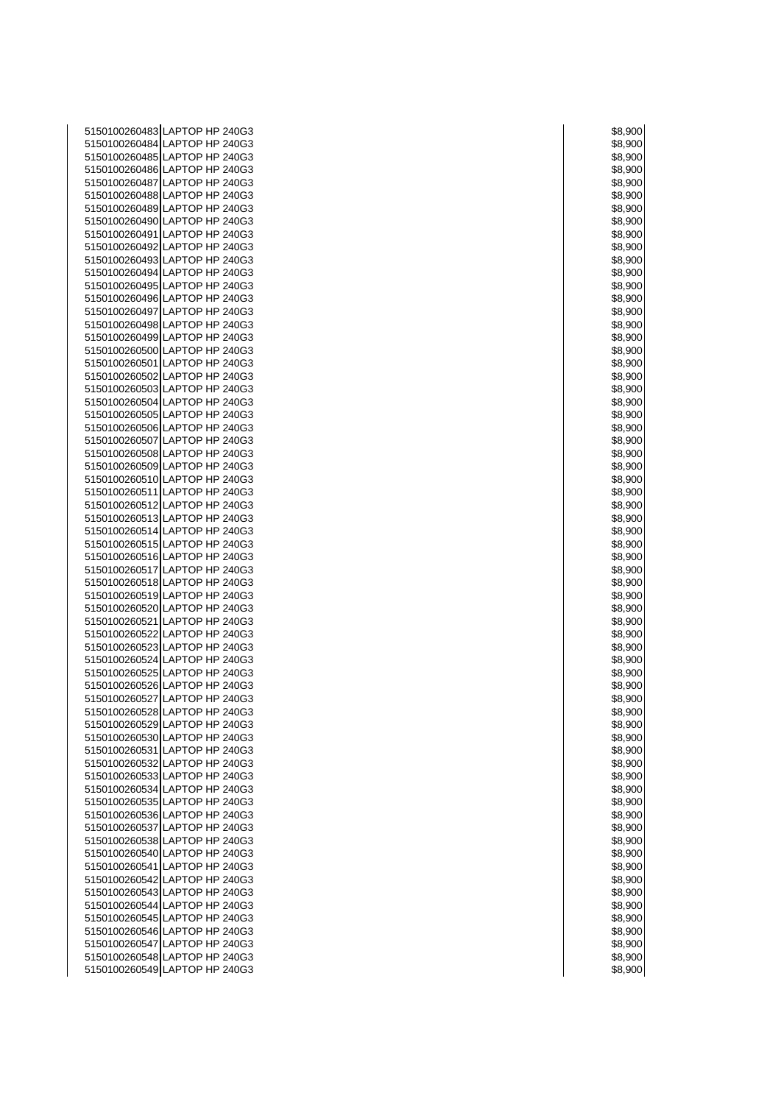| 5150100260483 LAPTOP HP 240G3                                  | \$8,900            |
|----------------------------------------------------------------|--------------------|
| 5150100260484 LAPTOP HP 240G3                                  | \$8,900            |
| 5150100260485 LAPTOP HP 240G3                                  | \$8,900            |
| 5150100260486 LAPTOP HP 240G3                                  | \$8,900            |
| 5150100260487 LAPTOP HP 240G3                                  | \$8,900            |
| 5150100260488 LAPTOP HP 240G3                                  | \$8,900            |
| 5150100260489 LAPTOP HP 240G3                                  | \$8,900            |
| 5150100260490 LAPTOP HP 240G3                                  | \$8,900            |
| 5150100260491 LAPTOP HP 240G3                                  | \$8,900            |
| 5150100260492 LAPTOP HP 240G3                                  | \$8,900            |
| 5150100260493 LAPTOP HP 240G3                                  | \$8,900            |
| 5150100260494 LAPTOP HP 240G3                                  | \$8,900            |
| 5150100260495 LAPTOP HP 240G3                                  | \$8,900            |
| 5150100260496 LAPTOP HP 240G3<br>5150100260497 LAPTOP HP 240G3 | \$8,900<br>\$8,900 |
| 5150100260498 LAPTOP HP 240G3                                  | \$8,900            |
| 5150100260499 LAPTOP HP 240G3                                  | \$8,900            |
| 5150100260500 LAPTOP HP 240G3                                  | \$8,900            |
| 5150100260501 LAPTOP HP 240G3                                  | \$8,900            |
| 5150100260502 LAPTOP HP 240G3                                  | \$8,900            |
| 5150100260503 LAPTOP HP 240G3                                  | \$8,900            |
| 5150100260504 LAPTOP HP 240G3                                  | \$8,900            |
| 5150100260505 LAPTOP HP 240G3                                  | \$8,900            |
| 5150100260506 LAPTOP HP 240G3                                  | \$8,900            |
| 5150100260507 LAPTOP HP 240G3                                  | \$8,900            |
| 5150100260508 LAPTOP HP 240G3                                  | \$8,900            |
| 5150100260509 LAPTOP HP 240G3                                  | \$8,900            |
| 5150100260510 LAPTOP HP 240G3                                  | \$8,900            |
| 5150100260511 LAPTOP HP 240G3                                  | \$8,900            |
| 5150100260512 LAPTOP HP 240G3                                  | \$8,900            |
| 5150100260513 LAPTOP HP 240G3                                  | \$8,900            |
| 5150100260514 LAPTOP HP 240G3                                  | \$8,900            |
| 5150100260515 LAPTOP HP 240G3                                  | \$8,900            |
| 5150100260516 LAPTOP HP 240G3                                  | \$8,900            |
| 5150100260517 LAPTOP HP 240G3                                  | \$8,900            |
| 5150100260518 LAPTOP HP 240G3                                  | \$8,900            |
| 5150100260519 LAPTOP HP 240G3                                  | \$8,900            |
| 5150100260520 LAPTOP HP 240G3                                  | \$8,900            |
| 5150100260521 LAPTOP HP 240G3                                  | \$8,900            |
| 5150100260522 LAPTOP HP 240G3                                  | \$8,900            |
| 5150100260523 LAPTOP HP 240G3<br>5150100260524 LAPTOP HP 240G3 | \$8,900            |
| 5150100260525 LAPTOP HP 240G3                                  | \$8,900            |
| 5150100260526 LAPTOP HP 240G3                                  | \$8,900<br>\$8,900 |
| 5150100260527 LAPTOP HP 240G3                                  | \$8,900            |
| 5150100260528 LAPTOP HP 240G3                                  | \$8,900            |
| 5150100260529 LAPTOP HP 240G3                                  | \$8,900            |
| 5150100260530 LAPTOP HP 240G3                                  | \$8,900            |
| 5150100260531 LAPTOP HP 240G3                                  | \$8,900            |
| 5150100260532 LAPTOP HP 240G3                                  | \$8,900            |
| 5150100260533 LAPTOP HP 240G3                                  | \$8,900            |
| 5150100260534 LAPTOP HP 240G3                                  | \$8,900            |
| 5150100260535 LAPTOP HP 240G3                                  | \$8,900            |
| 5150100260536 LAPTOP HP 240G3                                  | \$8,900            |
| 5150100260537 LAPTOP HP 240G3                                  | \$8,900            |
| 5150100260538 LAPTOP HP 240G3                                  | \$8,900            |
| 5150100260540 LAPTOP HP 240G3                                  | \$8,900            |
| 5150100260541 LAPTOP HP 240G3                                  | \$8,900            |
| 5150100260542 LAPTOP HP 240G3                                  | \$8,900            |
| 5150100260543 LAPTOP HP 240G3                                  | \$8,900            |
| 5150100260544 LAPTOP HP 240G3                                  | \$8,900            |
| 5150100260545 LAPTOP HP 240G3                                  | \$8,900            |
| 5150100260546 LAPTOP HP 240G3                                  | \$8,900            |
| 5150100260547 LAPTOP HP 240G3                                  | \$8,900            |
| 5150100260548 LAPTOP HP 240G3                                  | \$8,900            |
| 5150100260549 LAPTOP HP 240G3                                  | \$8,900            |

| \$8,9    | 900                    |
|----------|------------------------|
|          | 3,90<br>)(<br>)        |
|          | 3,900<br>)             |
|          | 8,900<br>)             |
|          |                        |
|          | 3,90<br>$\mathfrak{z}$ |
| 3,90     | )(<br>)                |
| 8,       | 900<br>)               |
|          | 3,900                  |
|          |                        |
| ă        | 3,900<br>)             |
| \$8,90   | )(<br>)                |
|          | 8,900                  |
|          |                        |
| ä        | 3.90<br>)(<br>)        |
| ξ        | 3,90<br>X<br>)         |
|          | 3,900<br>)             |
|          |                        |
| 8,9      | 900                    |
| ٤        | 3,90<br>X<br>)         |
|          | 8,90<br>)<br>)(        |
|          |                        |
| 3.9      | 900                    |
|          | 3,900<br>)             |
|          | 8,900<br>)             |
|          |                        |
| š        | 3,90<br>)(<br>)        |
|          | 8,900;                 |
| ì8       | 3,900<br>)             |
| 3.8      | J(<br>)(<br>)          |
|          |                        |
|          | 3,900                  |
|          | 8,900;                 |
| š        | 3,90<br>x<br>)         |
|          |                        |
|          | 3,90<br>X<br>)         |
|          | 3.900                  |
|          | 3,90<br>)(<br>)        |
|          |                        |
| \$8,90   | )(<br>)                |
| 3,9<br>δ | 900                    |
|          | 8,900;                 |
|          |                        |
| š        | 3,900<br>)             |
| 3.9      | K<br>J                 |
|          | 3,90<br>70<br>١        |
|          |                        |
|          | 3,90<br>)(             |
|          | 3,90<br>K<br>)         |
|          | 3,900<br>)             |
|          | ξ.                     |
|          |                        |
|          | 3,9<br>30<br>X<br>)    |
|          | ,900                   |
|          | 3.9<br>00              |
|          | 3,900<br>١             |
|          |                        |
|          | \$8,900<br>)           |
| ٥<br>۶,۱ | J<br>ונ                |
|          | \$8,900                |
|          |                        |
|          | \$8,900                |
|          | \$8,900<br>)           |
|          |                        |
|          |                        |
|          | \$8,900                |
|          | \$8,900                |
|          | ==,===<br>\$8,900<br>) |
|          |                        |
|          | \$8,900                |
|          | \$8,900                |
|          | \$8,900                |
|          | \$8,900                |
|          | \$8,900                |
|          |                        |
|          | \$8,900                |
|          | \$8,900                |
|          | \$8,900                |
|          |                        |
|          | \$8,900                |
|          | \$8,900                |
|          | \$8,900<br>)           |
|          |                        |
|          | \$8,900                |
|          | \$8,900                |
|          | \$8,900<br>)           |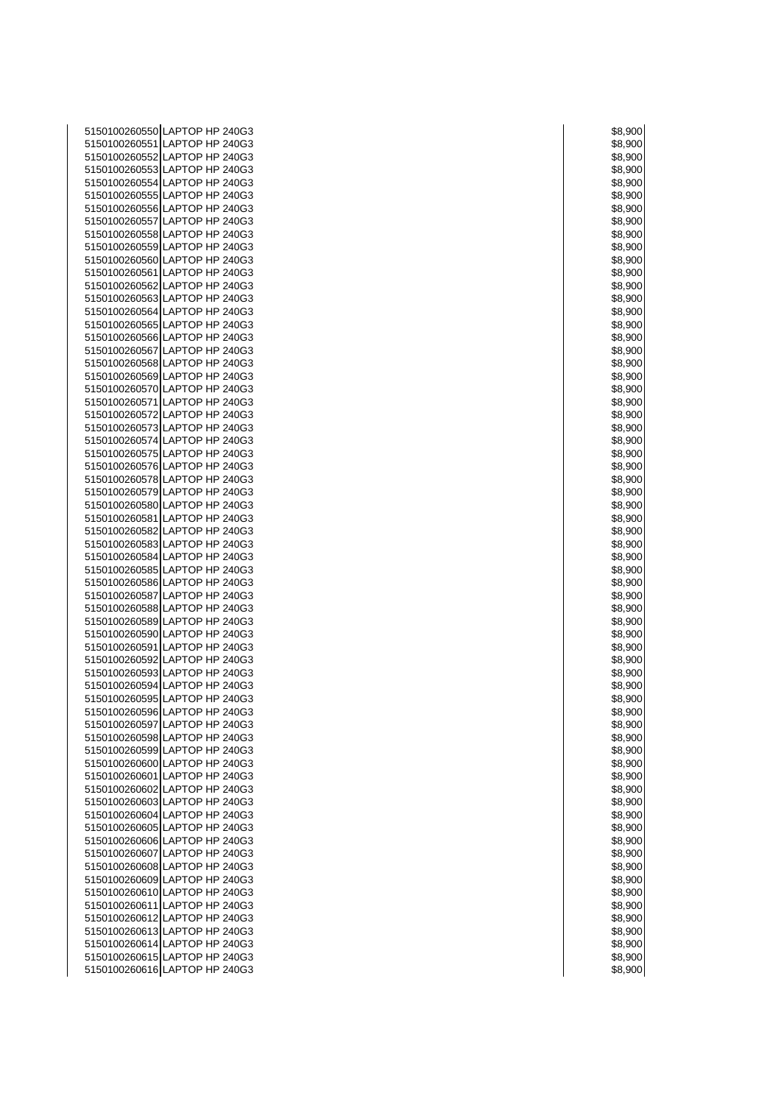| 5150100260550 LAPTOP HP 240G3 | \$8,900 |
|-------------------------------|---------|
| 5150100260551 LAPTOP HP 240G3 | \$8,900 |
| 5150100260552 LAPTOP HP 240G3 | \$8,900 |
| 5150100260553 LAPTOP HP 240G3 | \$8,900 |
| 5150100260554 LAPTOP HP 240G3 | \$8,900 |
| 5150100260555 LAPTOP HP 240G3 | \$8,900 |
| 5150100260556 LAPTOP HP 240G3 | \$8,900 |
| 5150100260557 LAPTOP HP 240G3 | \$8,900 |
| 5150100260558 LAPTOP HP 240G3 |         |
|                               | \$8,900 |
| 5150100260559 LAPTOP HP 240G3 | \$8,900 |
| 5150100260560 LAPTOP HP 240G3 | \$8,900 |
| 5150100260561 LAPTOP HP 240G3 | \$8,900 |
| 5150100260562 LAPTOP HP 240G3 | \$8,900 |
| 5150100260563 LAPTOP HP 240G3 | \$8,900 |
| 5150100260564 LAPTOP HP 240G3 | \$8,900 |
| 5150100260565 LAPTOP HP 240G3 | \$8,900 |
| 5150100260566 LAPTOP HP 240G3 | \$8,900 |
| 5150100260567 LAPTOP HP 240G3 | \$8,900 |
| 5150100260568 LAPTOP HP 240G3 | \$8,900 |
| 5150100260569 LAPTOP HP 240G3 | \$8,900 |
| 5150100260570 LAPTOP HP 240G3 | \$8,900 |
| 5150100260571 LAPTOP HP 240G3 | \$8,900 |
| 5150100260572 LAPTOP HP 240G3 | \$8,900 |
| 5150100260573 LAPTOP HP 240G3 | \$8,900 |
| 5150100260574 LAPTOP HP 240G3 | \$8,900 |
| 5150100260575 LAPTOP HP 240G3 | \$8,900 |
| 5150100260576 LAPTOP HP 240G3 | \$8,900 |
| 5150100260578 LAPTOP HP 240G3 | \$8,900 |
| 5150100260579 LAPTOP HP 240G3 | \$8,900 |
| 5150100260580 LAPTOP HP 240G3 | \$8,900 |
| 5150100260581 LAPTOP HP 240G3 | \$8,900 |
| 5150100260582 LAPTOP HP 240G3 | \$8,900 |
| 5150100260583 LAPTOP HP 240G3 | \$8,900 |
| 5150100260584 LAPTOP HP 240G3 | \$8,900 |
| 5150100260585 LAPTOP HP 240G3 | \$8,900 |
| 5150100260586 LAPTOP HP 240G3 | \$8,900 |
| 5150100260587 LAPTOP HP 240G3 | \$8,900 |
| 5150100260588 LAPTOP HP 240G3 | \$8,900 |
| 5150100260589 LAPTOP HP 240G3 | \$8,900 |
| 5150100260590 LAPTOP HP 240G3 | \$8,900 |
| 5150100260591 LAPTOP HP 240G3 | \$8,900 |
| 5150100260592 LAPTOP HP 240G3 | \$8,900 |
| 5150100260593 LAPTOP HP 240G3 | \$8,900 |
| 5150100260594 LAPTOP HP 240G3 | \$8,900 |
| 5150100260595 LAPTOP HP 240G3 | \$8,900 |
| 5150100260596 LAPTOP HP 240G3 | \$8,900 |
| 5150100260597 LAPTOP HP 240G3 | \$8,900 |
| 5150100260598 LAPTOP HP 240G3 | \$8,900 |
| 5150100260599 LAPTOP HP 240G3 | \$8,900 |
| 5150100260600 LAPTOP HP 240G3 | \$8,900 |
| 5150100260601 LAPTOP HP 240G3 | \$8,900 |
| 5150100260602 LAPTOP HP 240G3 | \$8,900 |
| 5150100260603 LAPTOP HP 240G3 | \$8,900 |
| 5150100260604 LAPTOP HP 240G3 | \$8,900 |
| 5150100260605 LAPTOP HP 240G3 | \$8,900 |
| 5150100260606 LAPTOP HP 240G3 | \$8,900 |
| 5150100260607 LAPTOP HP 240G3 | \$8,900 |
| 5150100260608 LAPTOP HP 240G3 | \$8,900 |
| 5150100260609 LAPTOP HP 240G3 | \$8,900 |
| 5150100260610 LAPTOP HP 240G3 | \$8,900 |
| 5150100260611 LAPTOP HP 240G3 | \$8,900 |
| 5150100260612 LAPTOP HP 240G3 | \$8,900 |
| 5150100260613 LAPTOP HP 240G3 | \$8,900 |
| 5150100260614 LAPTOP HP 240G3 | \$8,900 |
| 5150100260615 LAPTOP HP 240G3 | \$8,900 |
| 5150100260616 LAPTOP HP 240G3 | \$8,900 |

| 58     |                             |
|--------|-----------------------------|
|        | 3,900                       |
| Б٤     | 3,90<br>)<br>X              |
|        |                             |
|        | 3,900                       |
|        |                             |
|        | \$8,900                     |
| š      | 3,900<br>)                  |
| \$8,90 | )(<br>)                     |
|        |                             |
|        | 3,900<br>)                  |
|        |                             |
|        | 3,900<br>)                  |
|        | \$8,900                     |
|        |                             |
|        | \$8,900                     |
|        |                             |
|        | \$8,900                     |
|        | \$8,900<br>)                |
|        |                             |
| \$8,90 | )<br>)(                     |
| \$8    | 3,900                       |
|        |                             |
| \$8    | 3,900<br>)                  |
|        |                             |
| \$8,90 | )<br>X                      |
| \$8    | 3,90<br>)0                  |
|        |                             |
|        | \$8,900                     |
| š      | 3,900                       |
|        | )                           |
| \$8,90 | )(<br>)                     |
|        |                             |
| \$8.9  | 900                         |
|        | \$8,900                     |
|        |                             |
|        | \$8,900<br>)                |
|        |                             |
| \$8    | 3.90<br>$\mathfrak{c}$<br>) |
| \$8,90 | $\overline{0}$              |
|        |                             |
|        | \$8,900                     |
| \$8,90 | )<br>)(                     |
|        |                             |
|        | \$8,900                     |
|        |                             |
|        | \$8,900                     |
| \$8    | 3,90<br>)(<br>)             |
|        |                             |
| S8     | 3,900                       |
|        | \$8,900                     |
|        |                             |
| \$8    | 3,90<br>)<br>Х              |
|        |                             |
|        | \$8,900<br>)                |
|        | 900                         |
|        | 3.9<br>)                    |
|        |                             |
|        |                             |
|        | 8,900                       |
| š      | 3,900                       |
|        |                             |
|        | 3,90                        |
|        | 8,900                       |
|        |                             |
|        | 3,90                        |
|        | )                           |
|        | 3,90                        |
|        | 3,900                       |
|        |                             |
|        | 8,9                         |
|        | 3,90<br>)                   |
|        | $\overline{\mathbf{c}}$     |
|        | \$8,900                     |
|        | K<br>л<br>J                 |
| χ      | 3,                          |
|        | \$8,900                     |
|        |                             |
|        | \$8,900                     |
|        | \$8,900                     |
|        |                             |
|        | \$8,900                     |
|        |                             |
|        | \$8,900                     |
|        | \$8,900<br>)                |
|        |                             |
|        | \$8,900                     |
|        | \$8,900                     |
|        |                             |
| \$8,90 | -<br>)(<br>)                |
|        |                             |
|        | \$8,900                     |
|        | \$8,900                     |
|        |                             |
|        | \$8,900                     |
|        |                             |
|        | \$8,900                     |
|        | \$8,900                     |
|        |                             |
|        | \$8,900                     |
|        |                             |
|        | \$8,900                     |
|        | \$8,900                     |
|        |                             |
|        | \$8,900                     |
|        | \$8,900                     |
|        | \$8,900                     |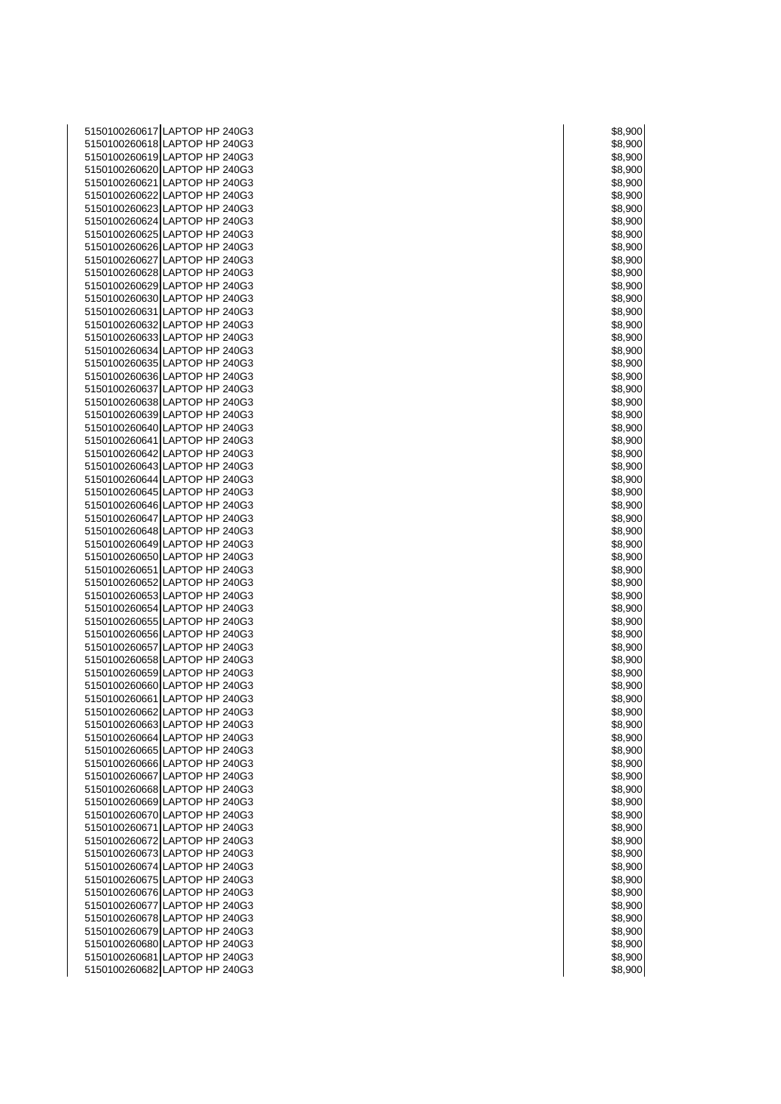| 5150100260617 LAPTOP HP 240G3 | \$8,900 |
|-------------------------------|---------|
| 5150100260618 LAPTOP HP 240G3 | \$8,900 |
| 5150100260619 LAPTOP HP 240G3 |         |
|                               | \$8,900 |
| 5150100260620 LAPTOP HP 240G3 | \$8,900 |
| 5150100260621 LAPTOP HP 240G3 | \$8,900 |
| 5150100260622 LAPTOP HP 240G3 | \$8,900 |
| 5150100260623 LAPTOP HP 240G3 | \$8,900 |
| 5150100260624 LAPTOP HP 240G3 | \$8,900 |
| 5150100260625 LAPTOP HP 240G3 |         |
|                               | \$8,900 |
| 5150100260626 LAPTOP HP 240G3 | \$8,900 |
| 5150100260627 LAPTOP HP 240G3 | \$8,900 |
| 5150100260628 LAPTOP HP 240G3 | \$8,900 |
| 5150100260629 LAPTOP HP 240G3 | \$8,900 |
| 5150100260630 LAPTOP HP 240G3 | \$8,900 |
| 5150100260631 LAPTOP HP 240G3 | \$8,900 |
|                               |         |
| 5150100260632 LAPTOP HP 240G3 | \$8,900 |
| 5150100260633 LAPTOP HP 240G3 | \$8,900 |
| 5150100260634 LAPTOP HP 240G3 | \$8,900 |
| 5150100260635 LAPTOP HP 240G3 | \$8,900 |
| 5150100260636 LAPTOP HP 240G3 | \$8,900 |
| 5150100260637 LAPTOP HP 240G3 | \$8,900 |
|                               |         |
| 5150100260638 LAPTOP HP 240G3 | \$8,900 |
| 5150100260639 LAPTOP HP 240G3 | \$8,900 |
| 5150100260640 LAPTOP HP 240G3 | \$8,900 |
| 5150100260641 LAPTOP HP 240G3 | \$8,900 |
| 5150100260642 LAPTOP HP 240G3 | \$8,900 |
| 5150100260643 LAPTOP HP 240G3 | \$8,900 |
| 5150100260644 LAPTOP HP 240G3 |         |
|                               | \$8,900 |
| 5150100260645 LAPTOP HP 240G3 | \$8,900 |
| 5150100260646 LAPTOP HP 240G3 | \$8,900 |
| 5150100260647 LAPTOP HP 240G3 | \$8,900 |
| 5150100260648 LAPTOP HP 240G3 | \$8,900 |
| 5150100260649 LAPTOP HP 240G3 | \$8,900 |
| 5150100260650 LAPTOP HP 240G3 | \$8,900 |
| 5150100260651 LAPTOP HP 240G3 |         |
|                               | \$8,900 |
| 5150100260652 LAPTOP HP 240G3 | \$8,900 |
| 5150100260653 LAPTOP HP 240G3 | \$8,900 |
| 5150100260654 LAPTOP HP 240G3 | \$8,900 |
| 5150100260655 LAPTOP HP 240G3 | \$8,900 |
| 5150100260656 LAPTOP HP 240G3 | \$8,900 |
| 5150100260657 LAPTOP HP 240G3 | \$8,900 |
|                               |         |
| 5150100260658 LAPTOP HP 240G3 | \$8,900 |
| 5150100260659 LAPTOP HP 240G3 | \$8,900 |
| 5150100260660 LAPTOP HP 240G3 | \$8,900 |
| 5150100260661 LAPTOP HP 240G3 | \$8,900 |
| 5150100260662 LAPTOP HP 240G3 | \$8,900 |
| 5150100260663 LAPTOP HP 240G3 | \$8,900 |
|                               |         |
| 5150100260664 LAPTOP HP 240G3 | \$8,900 |
| 5150100260665 LAPTOP HP 240G3 | \$8,900 |
| 5150100260666 LAPTOP HP 240G3 | \$8,900 |
| 5150100260667 LAPTOP HP 240G3 | \$8,900 |
| 5150100260668 LAPTOP HP 240G3 | \$8,900 |
| 5150100260669 LAPTOP HP 240G3 | \$8,900 |
| 5150100260670 LAPTOP HP 240G3 | \$8,900 |
|                               |         |
| 5150100260671 LAPTOP HP 240G3 | \$8,900 |
| 5150100260672 LAPTOP HP 240G3 | \$8,900 |
| 5150100260673 LAPTOP HP 240G3 | \$8,900 |
| 5150100260674 LAPTOP HP 240G3 | \$8,900 |
| 5150100260675 LAPTOP HP 240G3 | \$8,900 |
| 5150100260676 LAPTOP HP 240G3 | \$8,900 |
| 5150100260677 LAPTOP HP 240G3 |         |
|                               | \$8,900 |
| 5150100260678 LAPTOP HP 240G3 | \$8,900 |
| 5150100260679 LAPTOP HP 240G3 | \$8,900 |
| 5150100260680 LAPTOP HP 240G3 | \$8,900 |
| 5150100260681 LAPTOP HP 240G3 | \$8,900 |
| 5150100260682 LAPTOP HP 240G3 | \$8,900 |
|                               |         |

|        | \$8,900            |
|--------|--------------------|
| \$8,90 | J<br>x             |
|        |                    |
|        | \$8,900            |
|        | \$8,900            |
|        |                    |
| \$8    | ,900               |
|        | \$8,900            |
|        |                    |
|        | \$8,900            |
|        | \$8,900            |
|        |                    |
|        | \$8,900            |
|        | \$8,900            |
|        |                    |
|        | \$8,900            |
|        | \$8,900<br>)       |
|        |                    |
| \$8,90 | X<br>)             |
|        |                    |
|        | \$8,900            |
|        | \$8,900            |
|        | .<br>)(            |
| \$8,90 | )                  |
|        | \$8,900            |
|        |                    |
|        | \$8,900            |
|        | \$8,900            |
|        |                    |
|        | \$8,900            |
|        |                    |
|        | \$8,900            |
|        | \$8,900            |
|        |                    |
|        | \$8,900            |
|        | \$8,900<br>)       |
|        |                    |
|        | \$8,900            |
|        | \$8,900            |
|        |                    |
|        | \$8,900<br>J       |
|        | \$8,900            |
|        |                    |
|        | \$8,900            |
| \$8    | ,900               |
|        |                    |
|        | \$8,900            |
|        | \$8,900            |
|        |                    |
|        |                    |
|        |                    |
|        | \$8,900            |
|        | \$8,900            |
|        |                    |
|        | \$8,900            |
|        | \$8,900            |
|        |                    |
|        | \$8,900            |
|        | \$8,900<br>)       |
|        |                    |
|        | \$8,900            |
|        | )                  |
|        | \$8,900            |
| \$8.90 | x<br>)             |
|        | \$8,900            |
|        |                    |
|        | \$8,900            |
|        | )                  |
|        | \$8,900            |
|        | \$8,900            |
| Σč     | л<br>J             |
| ۶,     | 八                  |
|        | \$8,900            |
|        |                    |
|        | \$8,900            |
|        | \$8,900            |
|        |                    |
|        | \$8,900            |
|        | \$8,900            |
|        |                    |
|        | \$8,900            |
|        | \$8,900            |
|        |                    |
|        | \$8,900            |
|        |                    |
|        | \$8,900            |
|        | \$8,900            |
|        |                    |
|        |                    |
|        | \$8,900<br>\$8,900 |
|        |                    |
|        | \$8,900            |
|        | \$8,900            |
|        |                    |
|        | \$8,900            |
|        | \$8,900            |
|        |                    |
|        | \$8,900            |
|        | \$8,900            |
|        |                    |
|        | \$8,900            |
|        | \$8,900            |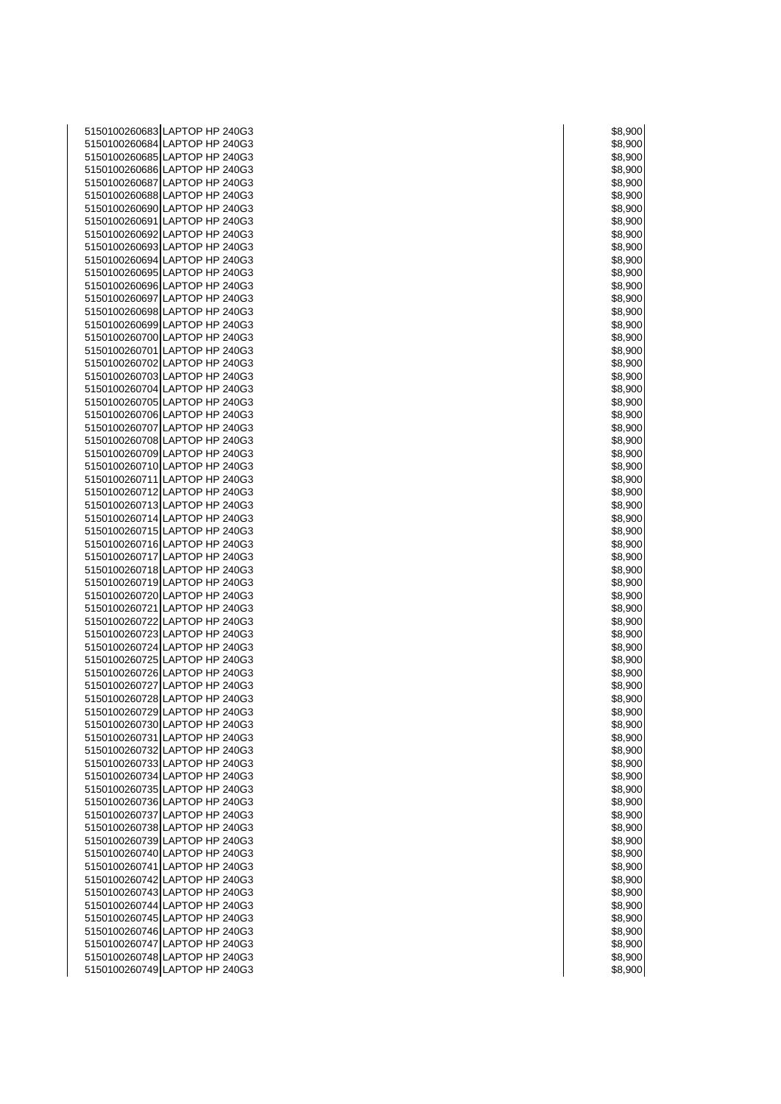| 5150100260683 LAPTOP HP 240G3                                  | \$8,900            |
|----------------------------------------------------------------|--------------------|
| 5150100260684 LAPTOP HP 240G3                                  | \$8,900            |
| 5150100260685 LAPTOP HP 240G3                                  | \$8,900            |
| 5150100260686 LAPTOP HP 240G3                                  | \$8,900            |
| 5150100260687 LAPTOP HP 240G3<br>5150100260688 LAPTOP HP 240G3 | \$8,900            |
| 5150100260690 LAPTOP HP 240G3                                  | \$8,900<br>\$8,900 |
| 5150100260691 LAPTOP HP 240G3                                  | \$8,900            |
| 5150100260692 LAPTOP HP 240G3                                  | \$8,900            |
| 5150100260693 LAPTOP HP 240G3                                  | \$8,900            |
| 5150100260694 LAPTOP HP 240G3                                  | \$8,900            |
| 5150100260695 LAPTOP HP 240G3                                  | \$8,900            |
| 5150100260696 LAPTOP HP 240G3                                  | \$8,900            |
| 5150100260697 LAPTOP HP 240G3                                  | \$8,900            |
| 5150100260698 LAPTOP HP 240G3                                  | \$8,900            |
| 5150100260699 LAPTOP HP 240G3                                  | \$8,900            |
| 5150100260700 LAPTOP HP 240G3                                  | \$8,900            |
| 5150100260701 LAPTOP HP 240G3                                  | \$8,900            |
| 5150100260702 LAPTOP HP 240G3<br>5150100260703 LAPTOP HP 240G3 | \$8,900            |
| 5150100260704 LAPTOP HP 240G3                                  | \$8,900<br>\$8,900 |
| 5150100260705 LAPTOP HP 240G3                                  | \$8,900            |
| 5150100260706 LAPTOP HP 240G3                                  | \$8,900            |
| 5150100260707 LAPTOP HP 240G3                                  | \$8,900            |
| 5150100260708 LAPTOP HP 240G3                                  | \$8,900            |
| 5150100260709 LAPTOP HP 240G3                                  | \$8,900            |
| 5150100260710 LAPTOP HP 240G3                                  | \$8,900            |
| 5150100260711 LAPTOP HP 240G3                                  | \$8,900            |
| 5150100260712 LAPTOP HP 240G3                                  | \$8,900            |
| 5150100260713 LAPTOP HP 240G3                                  | \$8,900            |
| 5150100260714 LAPTOP HP 240G3                                  | \$8,900            |
| 5150100260715 LAPTOP HP 240G3<br>5150100260716 LAPTOP HP 240G3 | \$8,900<br>\$8,900 |
| 5150100260717 LAPTOP HP 240G3                                  | \$8,900            |
| 5150100260718 LAPTOP HP 240G3                                  | \$8,900            |
| 5150100260719 LAPTOP HP 240G3                                  | \$8,900            |
| 5150100260720 LAPTOP HP 240G3                                  | \$8,900            |
| 5150100260721 LAPTOP HP 240G3                                  | \$8,900            |
| 5150100260722 LAPTOP HP 240G3                                  | \$8,900            |
| 5150100260723 LAPTOP HP 240G3                                  | \$8,900            |
| 5150100260724 LAPTOP HP 240G3                                  | \$8,900            |
| 5150100260725 LAPTOP HP 240G3                                  | \$8,900            |
| 5150100260726 LAPTOP HP 240G3<br>5150100260727 LAPTOP HP 240G3 | \$8,900<br>\$8,900 |
| 5150100260728 LAPTOP HP 240G3                                  | \$8,900            |
| 5150100260729 LAPTOP HP 240G3                                  | \$8,900            |
| 5150100260730 LAPTOP HP 240G3                                  | \$8,900            |
| 5150100260731 LAPTOP HP 240G3                                  | \$8,900            |
| 5150100260732 LAPTOP HP 240G3                                  | \$8,900            |
| 5150100260733 LAPTOP HP 240G3                                  | \$8,900            |
| 5150100260734 LAPTOP HP 240G3                                  | \$8,900            |
| 5150100260735 LAPTOP HP 240G3                                  | \$8,900            |
| 5150100260736 LAPTOP HP 240G3                                  | \$8,900            |
| 5150100260737 LAPTOP HP 240G3<br>5150100260738 LAPTOP HP 240G3 | \$8,900<br>\$8,900 |
| 5150100260739 LAPTOP HP 240G3                                  | \$8,900            |
| 5150100260740 LAPTOP HP 240G3                                  | \$8,900            |
| 5150100260741 LAPTOP HP 240G3                                  | \$8,900            |
| 5150100260742 LAPTOP HP 240G3                                  | \$8,900            |
| 5150100260743 LAPTOP HP 240G3                                  | \$8,900            |
| 5150100260744 LAPTOP HP 240G3                                  | \$8,900            |
| 5150100260745 LAPTOP HP 240G3                                  | \$8,900            |
| 5150100260746 LAPTOP HP 240G3                                  | \$8,900            |
| 5150100260747 LAPTOP HP 240G3                                  | \$8,900            |
| 5150100260748 LAPTOP HP 240G3                                  | \$8,900            |
| 5150100260749 LAPTOP HP 240G3                                  | \$8,900            |

|        | \$8,900                      |
|--------|------------------------------|
|        | 3,90<br>X<br>)               |
| 58     | 3,900                        |
|        | 8,900                        |
|        |                              |
|        | 3,900                        |
|        | \$8,900<br>)                 |
|        | s,s<br>900<br>)              |
|        | 8,900                        |
|        |                              |
| šξ     | 3,900                        |
| \$8,90 | X<br>)                       |
|        | \$8,900                      |
| S8     | 3,900                        |
|        | )                            |
| 58     | 3,90<br>x<br>)               |
|        | 3,900                        |
|        | 8,900                        |
|        | ,900                         |
| š      | )                            |
| \$8,90 | )(<br>)                      |
|        | 3,900                        |
|        | 3,900                        |
|        |                              |
|        | \$8,900<br>)                 |
| \$8    | 3,90<br>)(<br>)              |
|        | \$8,900                      |
|        |                              |
|        | 8,900;                       |
| \$8,90 | X<br>)                       |
|        | \$8,900                      |
|        | \$8,900                      |
|        |                              |
| \$8    | 3,90<br>X<br>)               |
|        | 3,900                        |
|        | \$8,900                      |
|        | 3,900                        |
|        |                              |
|        | \$8,900                      |
|        | \$8,900                      |
|        | \$8,900                      |
|        |                              |
| Sε     | 3,900                        |
|        |                              |
|        | 8,9<br>)(                    |
|        |                              |
|        | 3,900                        |
|        | 3,900                        |
|        | 3,90<br>X                    |
|        | 3,900                        |
|        |                              |
| 8,9    |                              |
|        | 3,90<br>X<br>)               |
|        | 3,900                        |
|        | 00                           |
|        | 9,                           |
|        | 3,900<br>)                   |
|        | \$8,900<br>)                 |
|        | J<br>ינ                      |
| 3,     |                              |
|        | \$8,900                      |
|        | \$8,900                      |
|        | \$8,900<br>)                 |
|        | \$8,900                      |
|        |                              |
|        |                              |
|        | \$8,900<br>\$8,900<br>.<br>) |
|        | \$8,900                      |
|        | \$8,900                      |
|        |                              |
|        | \$8,900                      |
|        | \$8,900                      |
|        | \$8,900                      |
|        |                              |
|        | \$8,900                      |
|        | \$8,900                      |
|        | \$8,900                      |
|        | \$8,900                      |
|        |                              |
|        | \$8,900                      |
|        | \$8,900<br>)                 |
|        | \$8,900                      |
|        |                              |
|        | \$8,900<br>\$8,900           |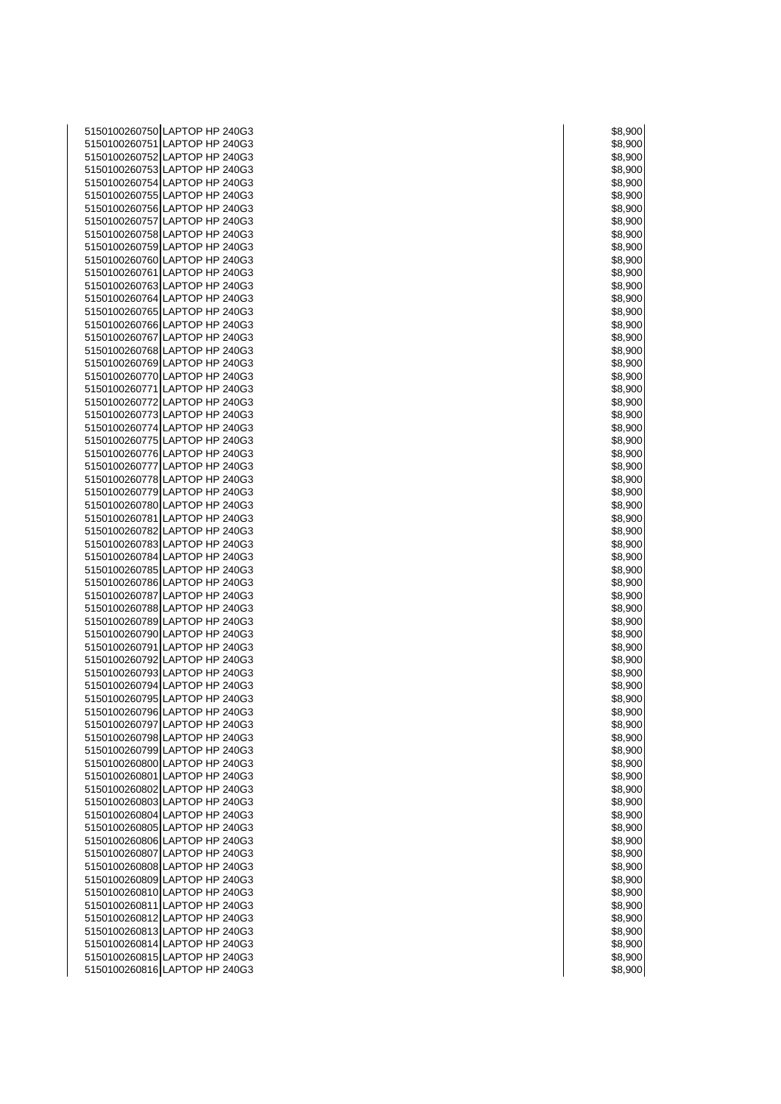| 5150100260750 LAPTOP HP 240G3                                  | \$8,900            |
|----------------------------------------------------------------|--------------------|
| 5150100260751 LAPTOP HP 240G3                                  | \$8,900            |
| 5150100260752 LAPTOP HP 240G3                                  | \$8,900            |
| 5150100260753 LAPTOP HP 240G3                                  | \$8,900            |
| 5150100260754 LAPTOP HP 240G3<br>5150100260755 LAPTOP HP 240G3 | \$8,900<br>\$8,900 |
| 5150100260756 LAPTOP HP 240G3                                  | \$8,900            |
| 5150100260757 LAPTOP HP 240G3                                  | \$8,900            |
| 5150100260758 LAPTOP HP 240G3                                  | \$8,900            |
| 5150100260759 LAPTOP HP 240G3                                  | \$8,900            |
| 5150100260760 LAPTOP HP 240G3                                  | \$8,900            |
| 5150100260761 LAPTOP HP 240G3                                  | \$8,900            |
| 5150100260763 LAPTOP HP 240G3                                  | \$8,900            |
| 5150100260764 LAPTOP HP 240G3                                  | \$8,900            |
| 5150100260765 LAPTOP HP 240G3                                  | \$8,900            |
| 5150100260766 LAPTOP HP 240G3                                  | \$8,900            |
| 5150100260767 LAPTOP HP 240G3                                  | \$8,900            |
| 5150100260768 LAPTOP HP 240G3                                  | \$8,900            |
| 5150100260769 LAPTOP HP 240G3                                  | \$8,900            |
| 5150100260770 LAPTOP HP 240G3<br>5150100260771 LAPTOP HP 240G3 | \$8,900            |
| 5150100260772 LAPTOP HP 240G3                                  | \$8,900<br>\$8,900 |
| 5150100260773 LAPTOP HP 240G3                                  | \$8,900            |
| 5150100260774 LAPTOP HP 240G3                                  | \$8,900            |
| 5150100260775 LAPTOP HP 240G3                                  | \$8,900            |
| 5150100260776 LAPTOP HP 240G3                                  | \$8,900            |
| 5150100260777 LAPTOP HP 240G3                                  | \$8,900            |
| 5150100260778 LAPTOP HP 240G3                                  | \$8,900            |
| 5150100260779 LAPTOP HP 240G3                                  | \$8,900            |
| 5150100260780 LAPTOP HP 240G3                                  | \$8,900            |
| 5150100260781 LAPTOP HP 240G3                                  | \$8,900            |
| 5150100260782 LAPTOP HP 240G3                                  | \$8,900            |
| 5150100260783 LAPTOP HP 240G3                                  | \$8,900            |
| 5150100260784 LAPTOP HP 240G3<br>5150100260785 LAPTOP HP 240G3 | \$8,900            |
| 5150100260786 LAPTOP HP 240G3                                  | \$8,900<br>\$8,900 |
| 5150100260787 LAPTOP HP 240G3                                  | \$8,900            |
| 5150100260788 LAPTOP HP 240G3                                  | \$8,900            |
| 5150100260789 LAPTOP HP 240G3                                  | \$8,900            |
| 5150100260790 LAPTOP HP 240G3                                  | \$8,900            |
| 5150100260791 LAPTOP HP 240G3                                  | \$8,900            |
| 5150100260792 LAPTOP HP 240G3                                  | \$8,900            |
| 5150100260793 LAPTOP HP 240G3                                  | \$8,900            |
| 5150100260794 LAPTOP HP 240G3                                  | \$8,900            |
| 5150100260795 LAPTOP HP 240G3                                  | \$8,900            |
| 5150100260796 LAPTOP HP 240G3                                  | \$8,900            |
| 5150100260797 LAPTOP HP 240G3<br>5150100260798 LAPTOP HP 240G3 | \$8,900            |
| 5150100260799 LAPTOP HP 240G3                                  | \$8,900<br>\$8,900 |
| 5150100260800 LAPTOP HP 240G3                                  | \$8,900            |
| 5150100260801 LAPTOP HP 240G3                                  | \$8,900            |
| 5150100260802 LAPTOP HP 240G3                                  | \$8,900            |
| 5150100260803 LAPTOP HP 240G3                                  | \$8,900            |
| 5150100260804 LAPTOP HP 240G3                                  | \$8,900            |
| 5150100260805 LAPTOP HP 240G3                                  | \$8,900            |
| 5150100260806 LAPTOP HP 240G3                                  | \$8,900            |
| 5150100260807 LAPTOP HP 240G3                                  | \$8,900            |
| 5150100260808 LAPTOP HP 240G3                                  | \$8,900            |
| 5150100260809 LAPTOP HP 240G3                                  | \$8,900            |
| 5150100260810 LAPTOP HP 240G3                                  | \$8,900            |
| 5150100260811 LAPTOP HP 240G3                                  | \$8,900            |
| 5150100260812 LAPTOP HP 240G3<br>5150100260813 LAPTOP HP 240G3 | \$8,900            |
| 5150100260814 LAPTOP HP 240G3                                  | \$8,900<br>\$8,900 |
| 5150100260815 LAPTOP HP 240G3                                  | \$8,900            |
| 5150100260816 LAPTOP HP 240G3                                  | \$8,900            |
|                                                                |                    |

|          | 900                     |
|----------|-------------------------|
| \$8,9    |                         |
|          | 3,90<br>K<br>)          |
|          | 3,900<br>)              |
|          | 8,900<br>)              |
|          |                         |
|          | 3,90<br>$\mathfrak{z}$  |
|          | 3,90<br>)(<br>)         |
| 8,       | 900<br>)                |
|          |                         |
|          | 3,900                   |
| ă        | 3,900<br>)              |
| \$8,90   | )(<br>)                 |
|          | 8,900                   |
|          |                         |
| ä        | 3.90<br>)(<br>)         |
| ξ        | 3,90<br>X<br>)          |
|          | 3,900<br>)              |
|          |                         |
| 8,9      | 900                     |
| ٤        | 3,90<br>X<br>)          |
|          | 8,90<br>)<br>)(         |
| 3.9      | 900                     |
|          |                         |
|          | 3,900<br>)              |
|          | 8,900<br>)              |
| š        | 3,90<br>)(<br>)         |
|          | 8,900;                  |
|          |                         |
| ì8       | 3,900<br>)              |
| 3.8      | J)<br>)(<br>)           |
|          | 3,900                   |
|          |                         |
|          | 8,900;                  |
| š        | 3,90<br>x<br>)          |
|          | 3,90<br>X<br>)          |
|          | 3.900                   |
|          |                         |
|          | 3,90<br>)(<br>)         |
| \$8,90   | )(<br>)                 |
| 3,9<br>δ | 900                     |
|          |                         |
|          | 8,900;                  |
| š        | 3,900<br>)              |
| 3.9      | K<br>J                  |
|          | 3,90<br>70<br>١         |
|          |                         |
|          | 3,90<br>)(              |
|          | 3,90<br>K<br>)          |
|          | 3,900<br>)              |
|          |                         |
|          | ξ.                      |
|          |                         |
|          | 3,9<br>30<br>X<br>)     |
|          |                         |
|          | ,900                    |
|          | 3.9<br>00               |
|          | 3,900<br>)              |
|          | \$8,900<br>)            |
| ٥        | J<br>ונ                 |
| ۶,۱      |                         |
|          | \$8,900                 |
|          | \$8,900                 |
|          | \$8,900<br>)            |
|          |                         |
|          | \$8,900                 |
|          | \$8,900                 |
|          | ==,===<br>\$8,900<br>)  |
|          | \$8,900                 |
|          |                         |
|          | \$8,900                 |
|          | \$8,900                 |
|          | \$8,900                 |
|          | \$8,900                 |
|          |                         |
|          | \$8,900                 |
|          | \$8,900                 |
|          | \$8,900                 |
|          |                         |
|          | \$8,900                 |
|          | \$8,900                 |
|          | \$8,900<br>)            |
|          | \$8,900                 |
|          |                         |
|          | \$8,900<br>\$8,900<br>) |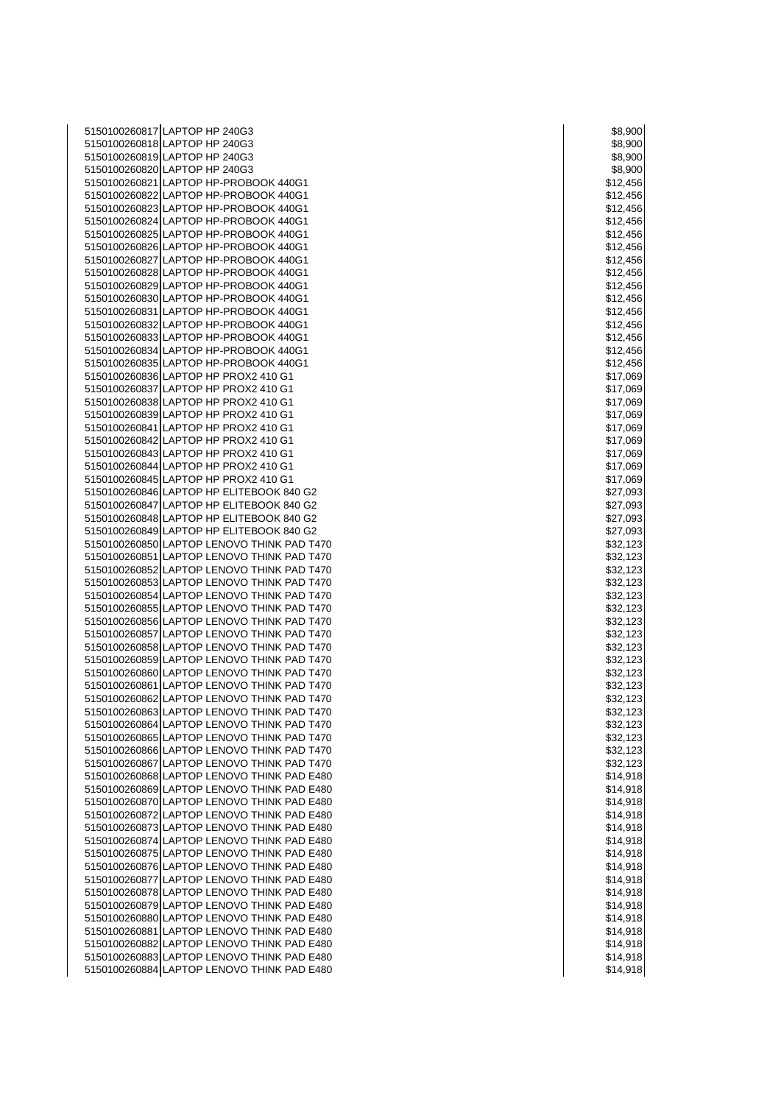5150100260817 LAPTOP HP 240G3 \$8,900 \$8,900 \$8,900 5150100260818 LAPTOP HP 240G3 \$8,900 5150100260819 LAPTOP HP 240G3 \$8,900 \$8,900 \$8,900 \$8,900 \$8,900 \$8,900 \$8,900 \$8,900 \$8,900 \$8,900 \$8,900 \$8, 5150100260820 LAPTOP HP 240G3 \$8,900 5150100260821 LAPTOP HP-PROBOOK 440G1 **120000 12000 12000 12000 12000 12000 12000** 12456 5150100260822 LAPTOP HP-PROBOOK 440G1 \$12,456 5150100260823 LAPTOP HP-PROBOOK 440G1 \$12,456  $\sim$  \$12,456 5150100260824 LAPTOP HP-PROBOOK 440G1 \$12,456 5150100260825 LAPTOP HP-PROBOOK 440G1 \$12,456  $\sim$  \$12,456 5150100260826 LAPTOP HP-PROBOOK 440G1 \$12,456 5150100260827 LAPTOP HP-PROBOOK 440G1 **120000 120000 120000 120000 120000 120000 120000 120000 120000 120000 12** 5150100260828 LAPTOP HP-PROBOOK 440G1 \$12,456 5150100260829 LAPTOP HP-PROBOOK 440G1 **\$12,456** \$12,456 5150100260830 LAPTOP HP-PROBOOK 440G1 **120000 12000 12000 12000 12000 12000 12000** 12000 12000 12000 12000 1200 5150100260831 LAPTOP HP-PROBOOK 440G1 **\$12,456** \$12,456 5150100260832 LAPTOP HP-PROBOOK 440G1 \$12,456 5150100260833 LAPTOP HP-PROBOOK 440G1 **\$12,456** \$12,456 5150100260834 LAPTOP HP-PROBOOK 440G1 **\$12,456**  $\frac{1}{2}$  \$12,456 5150100260835 LAPTOP HP-PROBOOK 440G1 **\$12,456** \$12,456 5150100260836 LAPTOP HP PROX2 410 G1 \$17,069  $\,$  \$17,069 5150100260837 LAPTOP HP PROX2 410 G1 \$17,069 NM \$17,069 5150100260838 LAPTOP HP PROX2 410 G1 \$17,069  $\vert$  \$17,069 5150100260839 LAPTOP HP PROX2 410 G1 \$17,069  $\sim$  \$17,069 5150100260841 LAPTOP HP PROX2 410 G1 \$17,069 5150100260842 LAPTOP HP PROX2 410 G1 \$17,069  $\,$  \$17,069 5150100260843 LAPTOP HP PROX2 410 G1 \$17,069 5150100260844 LAPTOP HP PROX2 410 G1 \$17,069  $\sim$  \$17,069 5150100260845 LAPTOP HP PROX2 410 G1 \$17,069  $\sim$  \$17,069 5150100260846 LAPTOP HP ELITEBOOK 840 G2 \$27,093 5150100260847 LAPTOP HP ELITEBOOK 840 G2 \$27,093 5150100260848 LAPTOP HP ELITEBOOK 840 G2 \$27,093 5150100260849 LAPTOP HP ELITEBOOK 840 G2 **120100260849** LAPTOP HP ELITEBOOK 840 G2 5150100260850 LAPTOP LENOVO THINK PAD T470 **\$32,123 123** 5150100260851 LAPTOP LENOVO THINK PAD T470 **\$32,123 \$32,123** 5150100260852 LAPTOP LENOVO THINK PAD T470 **\$32,123** ADDEDINING THINK PAD T470 5150100260853 LAPTOP LENOVO THINK PAD T470 **\$32,123 S32,123** 5150100260854 LAPTOP LENOVO THINK PAD T470 **\$32,123 123** 5150100260855 LAPTOP LENOVO THINK PAD T470 **\$32,1233** ASSAMENT RESEARCH \$32,123 5150100260856 LAPTOP LENOVO THINK PAD T470 **\$32,123 \$32,123** 5150100260857 LAPTOP LENOVO THINK PAD T470 \$32,123 5150100260858 LAPTOP LENOVO THINK PAD T470 **\$32,123** ASSAULT AND THINK PAD T470 5150100260859 LAPTOP LENOVO THINK PAD T470 **\$32,123 \$32,123** 5150100260860 LAPTOP LENOVO THINK PAD T470 **\$32,123 \$32,123** 5150100260861 LAPTOP LENOVO THINK PAD T470 **\$32,123 \$32,123** 5150100260862 LAPTOP LENOVO THINK PAD T470 **\$32,123 \$32,123** 5150100260863 LAPTOP LENOVO THINK PAD T470 **\$32,123 S150100260863** LAPTOP LENOVO THINK PAD T470 5150100260864 LAPTOP LENOVO THINK PAD T470 **\$32,123 \$32,123** 5150100260865 LAPTOP LENOVO THINK PAD T470 \$32,123 5150100260866 LAPTOP LENOVO THINK PAD T470 \$32,123 5150100260867 LAPTOP LENOVO THINK PAD T470 **\$32,123 \$32,123** 5150100260868 LAPTOP LENOVO THINK PAD E480 **S14,918 S14,918** \$14,918 5150100260869 LAPTOP LENOVO THINK PAD E480 **S14,918** NO 260260869 LAPTOP LENOVO THINK PAD E480 5150100260870 LAPTOP LENOVO THINK PAD E480 **\$150100260870** LAPTOP LENOVO THINK PAD E480 5150100260872 LAPTOP LENOVO THINK PAD E480 **\$150100260872** LAPTOP LENOVO THINK PAD E480 5150100260873 LAPTOP LENOVO THINK PAD E480 **\$150100260873** LAPTOP LENOVO THINK PAD E480 5150100260874 LAPTOP LENOVO THINK PAD E480 \$14,918 5150100260875 LAPTOP LENOVO THINK PAD E480 **\$150100260875** NM \$14,918 5150100260876 LAPTOP LENOVO THINK PAD E480 \$14,918 5150100260877 LAPTOP LENOVO THINK PAD E480 **\$150100260877** S14,918 5150100260878 LAPTOP LENOVO THINK PAD E480 **\$150100260878** LAPTOP LENOVO THINK PAD E480 5150100260879 LAPTOP LENOVO THINK PAD E480 \$150100260879 LAPTOP LENOVO THINK PAD E480 5150100260880 LAPTOP LENOVO THINK PAD E480 \$14,918 5150100260881 LAPTOP LENOVO THINK PAD E480 **\$150100260881** S14,918 5150100260882 LAPTOP LENOVO THINK PAD E480 \$14,918 5150100260883 LAPTOP LENOVO THINK PAD E480 **\$150100260883** LAPTOP LENOVO THINK PAD E480 5150100260884 LAPTOP LENOVO THINK PAD E480 **\$150100260884** LAPTOP LENOVO THINK PAD E480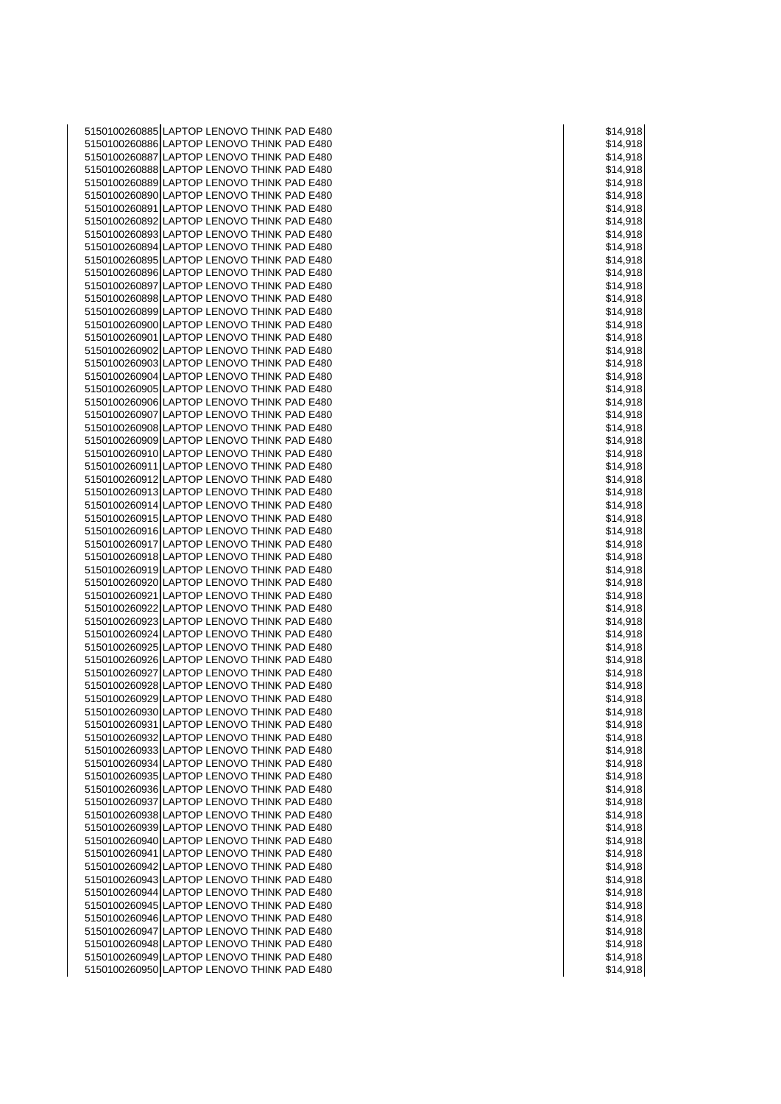5150100260885 LAPTOP LENOVO THINK PAD E480 **1998 12:31 12:318 12:318 12:318 12:318** 14:918 5150100260886 LAPTOP LENOVO THINK PAD E480 **\$150100260886** LAPTOP LENOVO THINK PAD E480 5150100260887 LAPTOP LENOVO THINK PAD E480 **\$14,918** \$14,918 5150100260888 LAPTOP LENOVO THINK PAD E480 **\$150100260888** LAPTOP LENOVO THINK PAD E480 5150100260889 LAPTOP LENOVO THINK PAD E480 **\$150100260889** LAPTOP LENOVO THINK PAD E480 5150100260890 LAPTOP LENOVO THINK PAD E480 **1999 12:00 12:00 12:00 12:00 12:00 12:00 12:00 12:00 13:14**,918 5150100260891 LAPTOP LENOVO THINK PAD E480 **\$14,918** \$14,918 5150100260892 LAPTOP LENOVO THINK PAD E480 \$14,918 5150100260893 LAPTOP LENOVO THINK PAD E480 **1998 12:00 12:00 12:00 12:00 12:00 12:00 12:00 12:00 13:00 14:00 14:00 14:00 14:00 14:00 14:00 14:00 14:00 14:00 14:00 14:00 14:00 14:00 14:00 14:00 14:00 14:00 14:00 14:00 14:00** 5150100260894 LAPTOP LENOVO THINK PAD E480 **\$150100260894** LAPTOP LENOVO THINK PAD E480 5150100260895 LAPTOP LENOVO THINK PAD E480 \$14,918 5150100260896 LAPTOP LENOVO THINK PAD E480 \$150100260896 LAPTOP LENOVO THINK PAD E480 5150100260897 LAPTOP LENOVO THINK PAD E480  $\vert$  \$14,918 5150100260898 LAPTOP LENOVO THINK PAD E480 **S14,918** NO 2009 2014 1918 5150100260899 LAPTOP LENOVO THINK PAD E480 **\$150100260899** LAPTOP LENOVO THINK PAD E480 5150100260900 LAPTOP LENOVO THINK PAD E480 **S14,918** \$14,918 5150100260901 LAPTOP LENOVO THINK PAD E480 \$150100260901 \$14,918 5150100260902 LAPTOP LENOVO THINK PAD E480 **\$150100260902** LAPTOP LENOVO THINK PAD E480 5150100260903 LAPTOP LENOVO THINK PAD E480 \$14,918 5150100260904 LAPTOP LENOVO THINK PAD E480 \$150100260904 LAPTOP LENOVO THINK PAD E480 5150100260905 LAPTOP LENOVO THINK PAD E480  $\vert$  \$14,918 5150100260906 LAPTOP LENOVO THINK PAD E480 **\$150100260906** LAPTOP LENOVO THINK PAD E480 5150100260907 LAPTOP LENOVO THINK PAD E480 **\$150100260907** LAPTOP LENOVO THINK PAD E480 5150100260908 LAPTOP LENOVO THINK PAD E480 **S14,918** 5150100260909 LAPTOP LENOVO THINK PAD E480  $\vert$  \$14,918 5150100260910 LAPTOP LENOVO THINK PAD E480 **\$150100260910** \$14,918 5150100260911 LAPTOP LENOVO THINK PAD E480 **\$150100260911** \$14,918 5150100260912 LAPTOP LENOVO THINK PAD E480 **\$150100260912** LAPTOP LENOVO THINK PAD E480 5150100260913 LAPTOP LENOVO THINK PAD E480 **\$150100260913** S14,918 5150100260914 LAPTOP LENOVO THINK PAD E480 \$150100260914 S14,918 5150100260915 LAPTOP LENOVO THINK PAD E480 **\$150100260915** NM \$14,918 5150100260916 LAPTOP LENOVO THINK PAD E480 **1999 12:00 12:00 12:00 12:00 12:00 12:00 12:00 12:00 12:00 12:00 12:00 12:00 12:00 12:00 12:00 12:00 12:00 12:00 12:00 12:00 12:00 12:00 12:00 12:00 12:00 12:00 12:00 12:00 12:00** 5150100260917 LAPTOP LENOVO THINK PAD E480  $\vert$  \$14,918 5150100260918 LAPTOP LENOVO THINK PAD E480 **\$150100260918** LAPTOP LENOVO THINK PAD E480 5150100260919 LAPTOP LENOVO THINK PAD E480 **\$150100260919** LAPTOP LENOVO THINK PAD E480 5150100260920 LAPTOP LENOVO THINK PAD E480 **\$150100260920** LAPTOP LENOVO THINK PAD E480 5150100260921 LAPTOP LENOVO THINK PAD E480 **\$14,918** \$14,918 5150100260922 LAPTOP LENOVO THINK PAD E480 \$14,918 5150100260923 LAPTOP LENOVO THINK PAD E480 **\$150100260923** LAPTOP LENOVO THINK PAD E480 5150100260924 LAPTOP LENOVO THINK PAD E480 **120 AU 2018 120 AU 2019** \$14,918 5150100260925 LAPTOP LENOVO THINK PAD E480 **\$150100260925** LAPTOP LENOVO THINK PAD E480 5150100260926 LAPTOP LENOVO THINK PAD E480  $\overline{\phantom{1}}$  \$14,918 5150100260927 LAPTOP LENOVO THINK PAD E480  $\vert$  \$14.918 5150100260928 LAPTOP LENOVO THINK PAD E480 \$14,918 5150100260929 LAPTOP LENOVO THINK PAD E480 **\$150100260929** LAPTOP LENOVO THINK PAD E480 5150100260930 LAPTOP LENOVO THINK PAD E480 \$150100260930 LAPTOP LENOVO THINK PAD E480 5150100260931 LAPTOP LENOVO THINK PAD E480 **\$150100260931** \$14,918 5150100260932 LAPTOP LENOVO THINK PAD E480 **120 ASSESSED ASSAULT** \$14,918 5150100260933 LAPTOP LENOVO THINK PAD E480 **\$150100260933** LAPTOP LENOVO THINK PAD E480 5150100260934 LAPTOP LENOVO THINK PAD E480 **\$150100260934** LAPTOP LENOVO THINK PAD E480 5150100260935 LAPTOP LENOVO THINK PAD E480 \$150100260935 LAPTOP LENOVO THINK PAD E480 5150100260936 LAPTOP LENOVO THINK PAD E480 \$14,918 5150100260937 LAPTOP LENOVO THINK PAD E480 **\$150100260937** LAPTOP LENOVO THINK PAD E480 5150100260938 LAPTOP LENOVO THINK PAD E480 \$150100260938 LAPTOP LENOVO THINK PAD E480 5150100260939 LAPTOP LENOVO THINK PAD E480 \$14,918 5150100260940 LAPTOP LENOVO THINK PAD E480 **120 AU 120 AU 120 AU 120 AU 120 AU 120 AU 120 AU 120 AU 120 AU 120** 5150100260941 LAPTOP LENOVO THINK PAD E480<br>5150100260942 LAPTOP LENOVO THINK PAD E480 \$14,918 5150100260942 LAPTOP LENOVO THINK PAD E480 \$14,918 5150100260943 LAPTOP LENOVO THINK PAD E480 **1998 12:00 12:00 12:00 12:00 12:00 12:00 12:00 12:00 13:00 14:00 14:00 14:00 14:00 14:00 14:00 14:00 14:00 14:00 14:00 14:00 14:00 14:00 14:00 14:00 14:00 14:00 14:00 14:00 14:00** 5150100260944 LAPTOP LENOVO THINK PAD E480  $\vert$  \$14,918 5150100260945 LAPTOP LENOVO THINK PAD E480 \$150100260945 LAPTOP LENOVO THINK PAD E480 5150100260946 LAPTOP LENOVO THINK PAD E480 **1999 12:00 12:00 12:00 12:00 12:00 12:00 12:00 12:00 13:00 14:00 14:00 14:00 14:00 14:00 14:00 14:00 14:00 14:00 14:00 14:00 14:00 14:00 14:00 14:00 14:00 14:00 14:00 14:00 14:00** 5150100260947 LAPTOP LENOVO THINK PAD E480 **\$150100260947** S14,918 5150100260948 LAPTOP LENOVO THINK PAD E480 **S14,918** \$14,918 5150100260949 LAPTOP LENOVO THINK PAD E480 **\$150100260949** LAPTOP LENOVO THINK PAD E480 5150100260950 LAPTOP LENOVO THINK PAD E480 **\$150100260950** LAPTOP LENOVO THINK PAD E480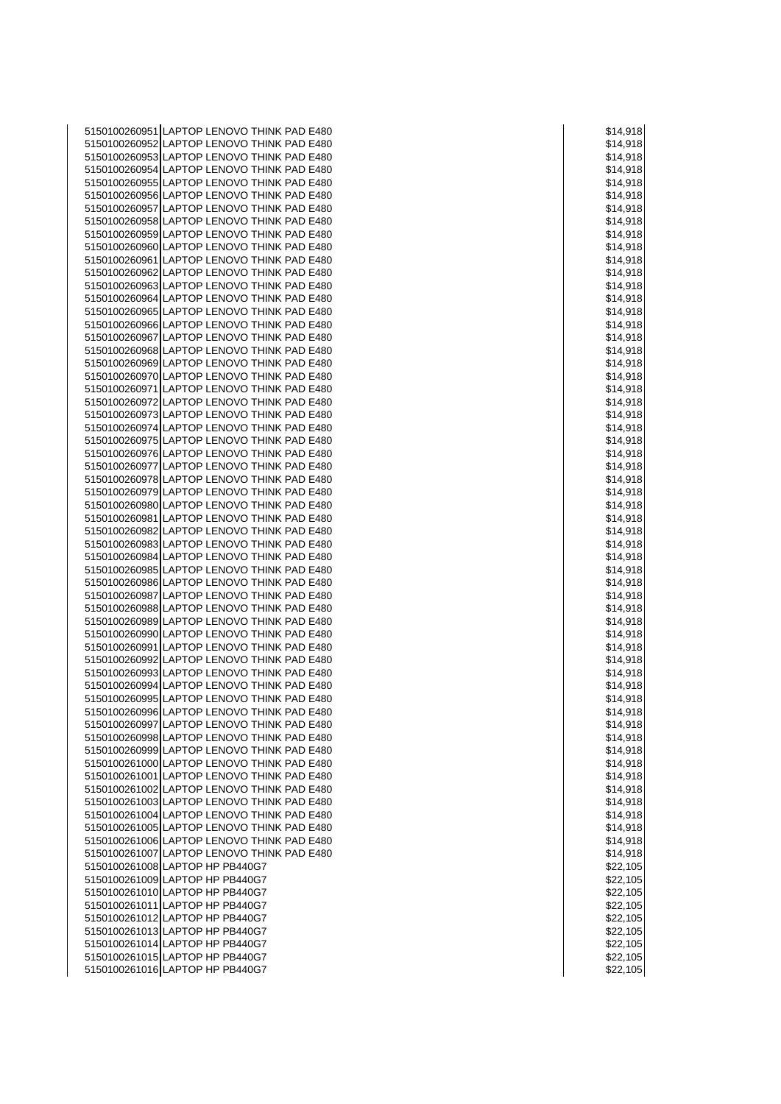5150100260951 LAPTOP LENOVO THINK PAD E480 **\$150100260951 LAPTOP LENOVO THINK PAD E480** 5150100260952 LAPTOP LENOVO THINK PAD E480 **\$150100260952 LAPTOP LENOVO THINK PAD E480** 5150100260953 LAPTOP LENOVO THINK PAD E480 \$14,918 5150100260954 LAPTOP LENOVO THINK PAD E480 **\$150100260954** LAPTOP LENOVO THINK PAD E480 5150100260955 LAPTOP LENOVO THINK PAD E480 **\$150100260955** LAPTOP LENOVO THINK PAD E480 5150100260956 LAPTOP LENOVO THINK PAD E480 **\$150100260956** LAPTOP LENOVO THINK PAD E480 5150100260957 LAPTOP LENOVO THINK PAD E480 **\$14,918** \$14,918 5150100260958 LAPTOP LENOVO THINK PAD E480 **\$150100260958** LAPTOP LENOVO THINK PAD E480 5150100260959 LAPTOP LENOVO THINK PAD E480 **1998 12:00 12:00 12:00 12:00 12:00 12:00 12:00 12:00 13:00 14:00 14:00 14:00 14:00 14:00 14:00 14:00 14:00 14:00 14:00 14:00 14:00 14:00 14:00 14:00 14:00 14:00 14:00 14:00 14:00** 5150100260960 LAPTOP LENOVO THINK PAD E480 **\$150100260960** LAPTOP LENOVO THINK PAD E480 5150100260961 LAPTOP LENOVO THINK PAD E480 **\$150100260961** \$14,918 5150100260962 LAPTOP LENOVO THINK PAD E480 **\$150100260962** LAPTOP LENOVO THINK PAD E480 5150100260963 LAPTOP LENOVO THINK PAD E480  $\vert$  \$14,918 5150100260964 LAPTOP LENOVO THINK PAD E480 \$150100260964 LAPTOP LENOVO THINK PAD E480 5150100260965 LAPTOP LENOVO THINK PAD E480 **\$150100260965** LAPTOP LENOVO THINK PAD E480 5150100260966 LAPTOP LENOVO THINK PAD E480 **S14,918** \$14,918 5150100260967 LAPTOP LENOVO THINK PAD E480 \$150100260967 LAPTOP LENOVO THINK PAD E480 5150100260968 LAPTOP LENOVO THINK PAD E480 **\$150100260968** LAPTOP LENOVO THINK PAD E480 5150100260969 LAPTOP LENOVO THINK PAD E480 **1999 12:00 12:00 12:00 12:00 12:00 12:00 13:00 14:018** 5150100260970 LAPTOP LENOVO THINK PAD E480 \$150100260970 LAPTOP LENOVO THINK PAD E480 5150100260971 LAPTOP LENOVO THINK PAD E480  $\vert$  \$14,918 5150100260972 LAPTOP LENOVO THINK PAD E480 \$150100260972 LAPTOP LENOVO THINK PAD E480 5150100260973 LAPTOP LENOVO THINK PAD E480 **\$150100260973** LAPTOP LENOVO THINK PAD E480 5150100260974 LAPTOP LENOVO THINK PAD E480 **120 AU 2018 12:00 12:00 12:00 12:00 12:00 12:00 12:00 12:00 12:00 12:00 12:00 12:00 12:00 12:00 12:00 12:00 12:00 12:00 12:00 12:00 12:00 12:00 12:00 12:00 12:00 12:00 12:00 12:0** 5150100260975 LAPTOP LENOVO THINK PAD E480 **\$150100260975** LAPTOP LENOVO THINK PAD E480 5150100260976 LAPTOP LENOVO THINK PAD E480 **\$150100260976** S14,918 5150100260977 LAPTOP LENOVO THINK PAD E480 **\$150100260977** S14,918 5150100260978 LAPTOP LENOVO THINK PAD E480 **S14,918** NO 260260978 LAPTOP LENOVO THINK PAD E480 5150100260979 LAPTOP LENOVO THINK PAD E480 **\$150100260979** LAPTOP LENOVO THINK PAD E480 5150100260980 LAPTOP LENOVO THINK PAD E480 **\$150100260980** LAPTOP LENOVO THINK PAD E480 5150100260981 LAPTOP LENOVO THINK PAD E480 **\$150100260981** \$14,918 5150100260982 LAPTOP LENOVO THINK PAD E480 **1999 12:00 12:00 12:00 12:00 12:00 12:00 12:00 12:00 12:00 12:00 12:00 12:00 12:00 12:00 12:00 12:00 12:00 12:00 12:00 12:00 12:00 12:00 12:00 12:00 12:00 12:00 12:00 12:00 12:00** 5150100260983 LAPTOP LENOVO THINK PAD E480  $\vert$  \$14,918 5150100260984 LAPTOP LENOVO THINK PAD E480 **\$150100260984** LAPTOP LENOVO THINK PAD E480 5150100260985 LAPTOP LENOVO THINK PAD E480  $\vert$  \$14,918 5150100260986 LAPTOP LENOVO THINK PAD E480 **\$150100260986** LAPTOP LENOVO THINK PAD E480 5150100260987 LAPTOP LENOVO THINK PAD E480 **\$150100260987** LAPTOP LENOVO THINK PAD E480 5150100260988 LAPTOP LENOVO THINK PAD E480 **1998 12:00 12:00 12:00 12:00 12:00 12:00 12:00 12:00 13:00 14:00 14:00 14:00 14:00 14:00 14:00 14:00 14:00 14:00 14:00 14:00 14:00 14:00 14:00 14:00 14:00 14:00 14:00 14:00 14:00** 5150100260989 LAPTOP LENOVO THINK PAD E480 \$14,918 5150100260990 LAPTOP LENOVO THINK PAD E480 **120 AU 120 AU 120 AU 120 AU 120 AU 120 AU 120 AU 120 AU 120 AU 120** 5150100260991 LAPTOP LENOVO THINK PAD E480 **\$150100260991** S14,918 5150100260992 LAPTOP LENOVO THINK PAD E480 \$150100260992 LAPTOP LENOVO THINK PAD E480 5150100260993 LAPTOP LENOVO THINK PAD E480  $\vert$  \$14,918 5150100260994 LAPTOP LENOVO THINK PAD E480 \$14,918 5150100260995 LAPTOP LENOVO THINK PAD E480 **\$150100260995** LAPTOP LENOVO THINK PAD E480 5150100260996 LAPTOP LENOVO THINK PAD E480 \$150100260996 LAPTOP LENOVO THINK PAD E480 5150100260997 LAPTOP LENOVO THINK PAD E480 **\$150100260997** LAPTOP LENOVO THINK PAD E480 5150100260998 LAPTOP LENOVO THINK PAD E480 **120 AU 120 AU 120 AU 120 AU 120 AU 120 AU 120 AU 120 AU 120 AU 120** 5150100260999 LAPTOP LENOVO THINK PAD E480 **\$150100260999** LAPTOP LENOVO THINK PAD E480 5150100261000 LAPTOP LENOVO THINK PAD E480 \$14,918 5150100261001 LAPTOP LENOVO THINK PAD E480 **\$150100261001** \$14,918 5150100261002 LAPTOP LENOVO THINK PAD E480 **1999 12:00 12:00 12:00 12:00 12:00 12:00 12:00 12:00 12:00 12:00 12:00 12:00 12:00 12:00 12:00 12:00 12:00 12:00 12:00 12:00 12:00 12:00 12:00 12:00 12:00 12:00 12:00 12:00 12:00** 5150100261003 LAPTOP LENOVO THINK PAD E480 \$150100261003 LAPTOP LENOVO THINK PAD E480 5150100261004 LAPTOP LENOVO THINK PAD E480 \$14,918 5150100261005 LAPTOP LENOVO THINK PAD E480 **\$150100261005** N \$14,918 5150100261006 LAPTOP LENOVO THINK PAD E480 **120 ASSESSED ASSAULT** \$14,918 5150100261007 LAPTOP LENOVO THINK PAD E480 **\$150100261007** S14,918 5150100261008 LAPTOP HP PB440G7 **And the State of the State of the State of State of State of State of State o** 5150100261009 LAPTOP HP PB440G7 **\$22,105 \$22,105** 5150100261010 LAPTOP HP PB440G7 **\$22,105**  $\frac{1}{2}$  \$22,105 5150100261011 LAPTOP HP PB440G7 **\$22,105** \$22,105 5150100261012 LAPTOP HP PB440G7 **\$22,105** 5150100261013 LAPTOP HP PB440G7 **\$22,105** and \$22,105 5150100261014 LAPTOP HP PB440G7 \$22,105 5150100261015 LAPTOP HP PB440G7 **\$22,105** and \$22,105 5150100261016 LAPTOP HP PB440G7 \$22,105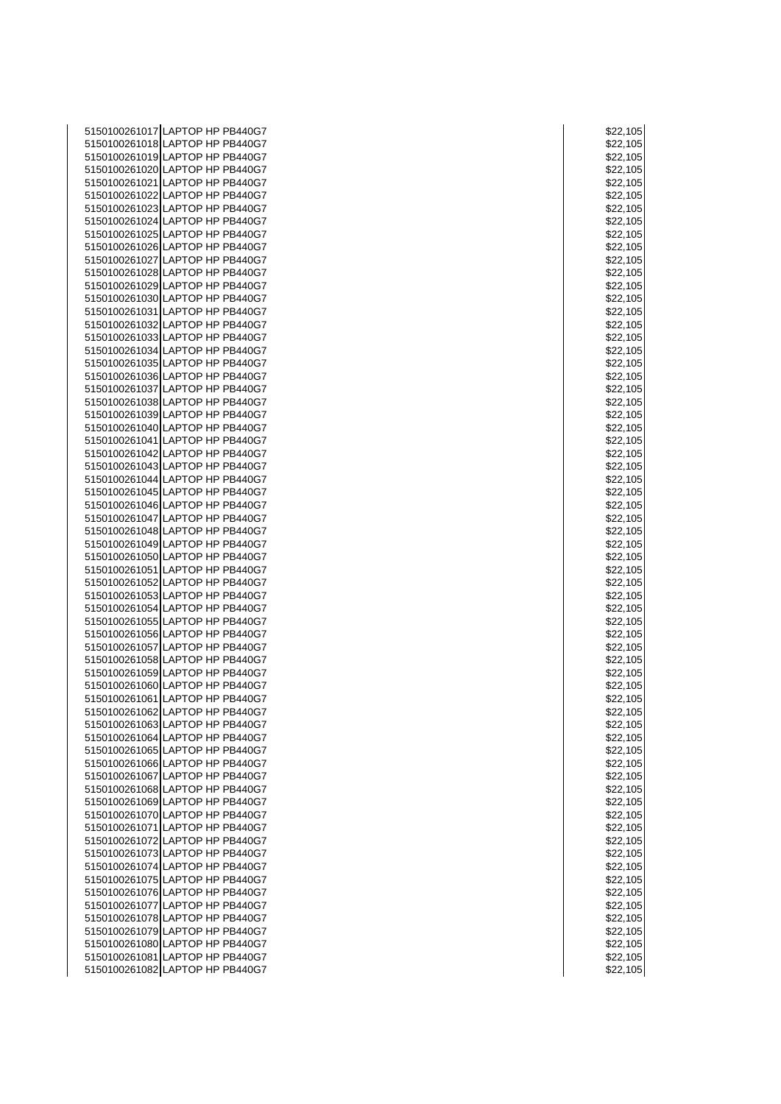| 5150100261017 LAPTOP HP PB440G7                                    | \$22,105             |
|--------------------------------------------------------------------|----------------------|
| 5150100261018 LAPTOP HP PB440G7                                    | \$22,105             |
| 5150100261019 LAPTOP HP PB440G7                                    | \$22,105             |
| 5150100261020 LAPTOP HP PB440G7                                    | \$22,105             |
| 5150100261021 LAPTOP HP PB440G7                                    | \$22,105             |
| 5150100261022 LAPTOP HP PB440G7<br>5150100261023 LAPTOP HP PB440G7 | \$22,105<br>\$22,105 |
| 5150100261024 LAPTOP HP PB440G7                                    | \$22,105             |
| 5150100261025 LAPTOP HP PB440G7                                    | \$22,105             |
| 5150100261026 LAPTOP HP PB440G7                                    | \$22,105             |
| 5150100261027 LAPTOP HP PB440G7                                    | \$22,105             |
| 5150100261028 LAPTOP HP PB440G7                                    | \$22,105             |
| 5150100261029 LAPTOP HP PB440G7                                    | \$22,105             |
| 5150100261030 LAPTOP HP PB440G7                                    | \$22,105             |
| 5150100261031 LAPTOP HP PB440G7                                    | \$22,105             |
| 5150100261032 LAPTOP HP PB440G7                                    | \$22,105             |
| 5150100261033 LAPTOP HP PB440G7                                    | \$22,105             |
| 5150100261034 LAPTOP HP PB440G7                                    | \$22,105             |
| 5150100261035 LAPTOP HP PB440G7                                    | \$22,105             |
| 5150100261036 LAPTOP HP PB440G7<br>5150100261037 LAPTOP HP PB440G7 | \$22,105<br>\$22,105 |
| 5150100261038 LAPTOP HP PB440G7                                    | \$22,105             |
| 5150100261039 LAPTOP HP PB440G7                                    | \$22,105             |
| 5150100261040 LAPTOP HP PB440G7                                    | \$22,105             |
| 5150100261041 LAPTOP HP PB440G7                                    | \$22,105             |
| 5150100261042 LAPTOP HP PB440G7                                    | \$22,105             |
| 5150100261043 LAPTOP HP PB440G7                                    | \$22,105             |
| 5150100261044 LAPTOP HP PB440G7                                    | \$22,105             |
| 5150100261045 LAPTOP HP PB440G7                                    | \$22,105             |
| 5150100261046 LAPTOP HP PB440G7                                    | \$22,105             |
| 5150100261047 LAPTOP HP PB440G7                                    | \$22,105             |
| 5150100261048 LAPTOP HP PB440G7<br>5150100261049 LAPTOP HP PB440G7 | \$22,105<br>\$22,105 |
| 5150100261050 LAPTOP HP PB440G7                                    | \$22,105             |
| 5150100261051 LAPTOP HP PB440G7                                    | \$22,105             |
| 5150100261052 LAPTOP HP PB440G7                                    | \$22,105             |
| 5150100261053 LAPTOP HP PB440G7                                    | \$22,105             |
| 5150100261054 LAPTOP HP PB440G7                                    | \$22,105             |
| 5150100261055 LAPTOP HP PB440G7                                    | \$22,105             |
| 5150100261056 LAPTOP HP PB440G7                                    | \$22,105             |
| 5150100261057 LAPTOP HP PB440G7                                    | \$22,105             |
| 5150100261058 LAPTOP HP PB440G7                                    | \$22,105             |
| 5150100261059 LAPTOP HP PB440G7<br>5150100261060 LAPTOP HP PB440G7 | \$22,105<br>\$22,105 |
| 5150100261061 LAPTOP HP PB440G7                                    | \$22,105             |
| 5150100261062 LAPTOP HP PB440G7                                    | \$22,105             |
| 5150100261063 LAPTOP HP PB440G7                                    | \$22,105             |
| 5150100261064 LAPTOP HP PB440G7                                    | \$22,105             |
| 5150100261065 LAPTOP HP PB440G7                                    | \$22,105             |
| 5150100261066 LAPTOP HP PB440G7                                    | \$22,105             |
| 5150100261067 LAPTOP HP PB440G7                                    | \$22,105             |
| 5150100261068 LAPTOP HP PB440G7                                    | \$22,105             |
| 5150100261069 LAPTOP HP PB440G7                                    | \$22,105             |
| 5150100261070 LAPTOP HP PB440G7<br>5150100261071 LAPTOP HP PB440G7 | \$22,105<br>\$22,105 |
| 5150100261072 LAPTOP HP PB440G7                                    | \$22,105             |
| 5150100261073 LAPTOP HP PB440G7                                    | \$22,105             |
| 5150100261074 LAPTOP HP PB440G7                                    | \$22,105             |
| 5150100261075 LAPTOP HP PB440G7                                    | \$22,105             |
| 5150100261076 LAPTOP HP PB440G7                                    | \$22,105             |
| 5150100261077 LAPTOP HP PB440G7                                    | \$22,105             |
| 5150100261078 LAPTOP HP PB440G7                                    | \$22,105             |
| 5150100261079 LAPTOP HP PB440G7                                    | \$22,105             |
| 5150100261080 LAPTOP HP PB440G7                                    | \$22,105             |
| 5150100261081 LAPTOP HP PB440G7<br>5150100261082 LAPTOP HP PB440G7 | \$22,105<br>\$22,105 |
|                                                                    |                      |

| \$22,105              |       |
|-----------------------|-------|
| \$22,105              |       |
| \$22,105              |       |
| $\overline{a}$<br>\$. | 2,105 |
| \$22,105              |       |
| \$22,105<br>\$22,105  |       |
|                       |       |
| \$22,105              |       |
| \$22,105              |       |
| \$22,105              |       |
| \$22,105              |       |
| \$22,105              |       |
| \$22,105              |       |
| \$22,105              |       |
| \$22,105              |       |
| \$22,105              |       |
| \$22,105              |       |
| \$22,105              |       |
| \$22,105              |       |
|                       |       |
| \$22,105<br>\$22,105  |       |
| \$22,105              |       |
| \$22,105              |       |
| \$22,105              |       |
| \$22,105              |       |
| \$22,105              |       |
| \$22,105              |       |
| \$22,105              |       |
| \$22,105              |       |
| \$22,105              |       |
| \$22,105              |       |
| 。<br>\$22,105         |       |
| \$22,105              |       |
| \$22,105              |       |
| 22,105<br>\$          |       |
| \$22,105              |       |
| \$22,105              |       |
| \$22,105              |       |
|                       |       |
| \$22,105              |       |
| \$22,105<br>\$22,105  |       |
|                       |       |
| \$22,105              |       |
| \$.<br>2              | 2,105 |
| \$22,105              |       |
| \$22,105              |       |
| \$<br>$\ddot{\cdot}$  | 1     |
| \$22,105              |       |
| \$22,105              |       |
| \$2                   | 2,105 |
| \$22,105              |       |
| \$22,105              |       |
| \$22,105              |       |
| \$22,105              |       |
| \$.<br>2              | 2,105 |
| \$22,105              |       |
| \$22,105              |       |
|                       |       |
| \$22,105              |       |
| \$22,105              |       |
|                       |       |
| \$22,105<br>\$.       | 2,105 |
| \$22,105              |       |
| 22,105<br>\$2         |       |
| 2,105<br>\$í          |       |
| 2,105<br>\$2          |       |
| \$22,105              |       |
| \$22,105              |       |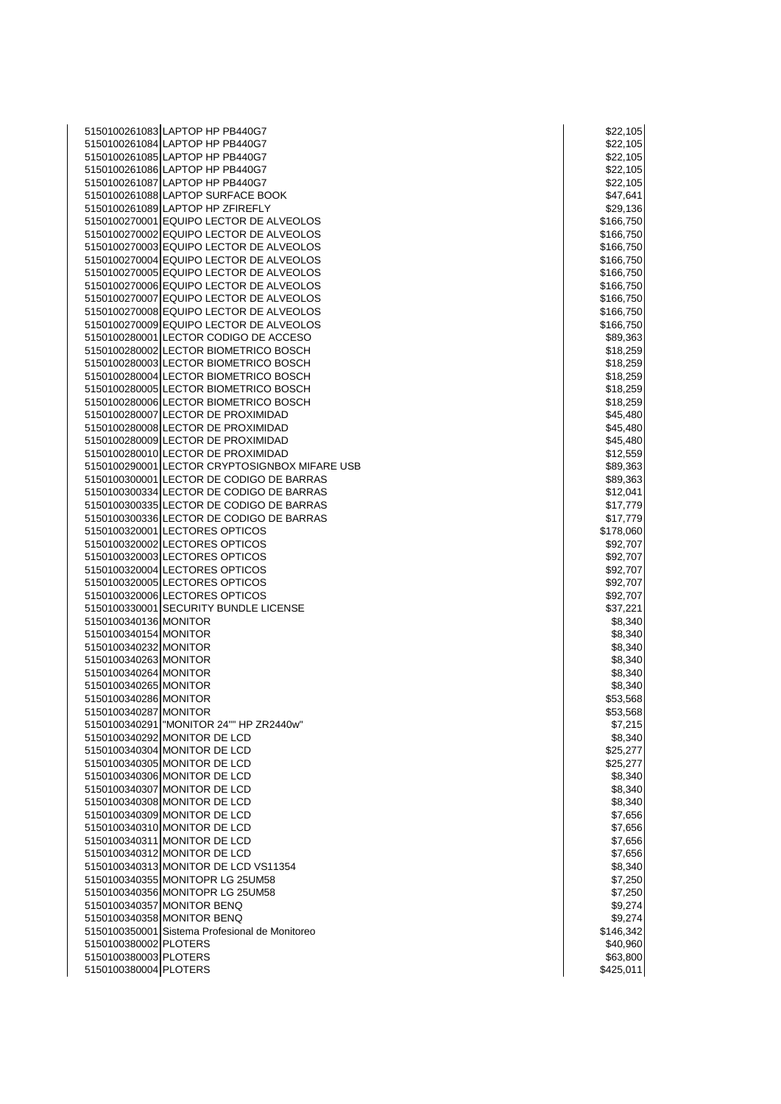|                       | 5150100261083 LAPTOP HP PB440G7                                                    | \$22,105               |
|-----------------------|------------------------------------------------------------------------------------|------------------------|
|                       | 5150100261084 LAPTOP HP PB440G7                                                    | \$22,105               |
|                       | 5150100261085 LAPTOP HP PB440G7                                                    | \$22,105               |
|                       | 5150100261086 LAPTOP HP PB440G7                                                    | \$22,105               |
|                       | 5150100261087 LAPTOP HP PB440G7                                                    | \$22,105               |
|                       | 5150100261088 LAPTOP SURFACE BOOK                                                  | \$47,641               |
|                       | 5150100261089 LAPTOP HP ZFIREFLY                                                   | \$29,136               |
|                       | 5150100270001 EQUIPO LECTOR DE ALVEOLOS                                            | \$166,750              |
|                       | 5150100270002 EQUIPO LECTOR DE ALVEOLOS                                            | \$166,750              |
|                       | 5150100270003 EQUIPO LECTOR DE ALVEOLOS                                            | \$166,750              |
|                       | 5150100270004 EQUIPO LECTOR DE ALVEOLOS                                            | \$166,750              |
|                       | 5150100270005 EQUIPO LECTOR DE ALVEOLOS                                            | \$166,750              |
|                       | 5150100270006 EQUIPO LECTOR DE ALVEOLOS                                            | \$166,750              |
|                       | 5150100270007 EQUIPO LECTOR DE ALVEOLOS<br>5150100270008 EQUIPO LECTOR DE ALVEOLOS | \$166,750              |
|                       | 5150100270009 EQUIPO LECTOR DE ALVEOLOS                                            | \$166,750<br>\$166,750 |
|                       | 5150100280001 LECTOR CODIGO DE ACCESO                                              | \$89,363               |
|                       | 5150100280002 LECTOR BIOMETRICO BOSCH                                              | \$18,259               |
|                       | 5150100280003 LECTOR BIOMETRICO BOSCH                                              | \$18,259               |
|                       | 5150100280004 LECTOR BIOMETRICO BOSCH                                              | \$18,259               |
|                       | 5150100280005 LECTOR BIOMETRICO BOSCH                                              | \$18,259               |
|                       | 5150100280006 LECTOR BIOMETRICO BOSCH                                              | \$18,259               |
|                       | 5150100280007 LECTOR DE PROXIMIDAD                                                 | \$45,480               |
|                       | 5150100280008 LECTOR DE PROXIMIDAD                                                 | \$45,480               |
|                       | 5150100280009 LECTOR DE PROXIMIDAD                                                 | \$45,480               |
|                       | 5150100280010 LECTOR DE PROXIMIDAD                                                 | \$12,559               |
|                       | 5150100290001 LECTOR CRYPTOSIGNBOX MIFARE USB                                      | \$89,363               |
|                       | 5150100300001 LECTOR DE CODIGO DE BARRAS                                           | \$89,363               |
|                       | 5150100300334 LECTOR DE CODIGO DE BARRAS                                           | \$12,041               |
|                       | 5150100300335 LECTOR DE CODIGO DE BARRAS                                           | \$17,779               |
|                       | 5150100300336 LECTOR DE CODIGO DE BARRAS                                           | \$17,779               |
|                       | 5150100320001 LECTORES OPTICOS                                                     | \$178,060              |
|                       | 5150100320002 LECTORES OPTICOS                                                     | \$92,707               |
|                       | 5150100320003 LECTORES OPTICOS                                                     | \$92,707               |
|                       | 5150100320004 LECTORES OPTICOS                                                     | \$92,707               |
|                       | 5150100320005 LECTORES OPTICOS                                                     | \$92,707               |
|                       | 5150100320006 LECTORES OPTICOS<br>5150100330001 SECURITY BUNDLE LICENSE            | \$92,707               |
| 5150100340136 MONITOR |                                                                                    | \$37,221<br>\$8,340    |
| 5150100340154 MONITOR |                                                                                    | \$8,340                |
| 5150100340232 MONITOR |                                                                                    | \$8,340                |
| 5150100340263 MONITOR |                                                                                    | \$8,340                |
| 5150100340264 MONITOR |                                                                                    | \$8,340                |
| 5150100340265 MONITOR |                                                                                    | \$8,340                |
| 5150100340286 MONITOR |                                                                                    | \$53,568               |
| 5150100340287 MONITOR |                                                                                    | \$53,568               |
|                       | 5150100340291 MONITOR 24"" HP ZR2440w"                                             | \$7,215                |
|                       | 5150100340292 MONITOR DE LCD                                                       | \$8,340                |
|                       | 5150100340304 MONITOR DE LCD                                                       | \$25,277               |
|                       | 5150100340305 MONITOR DE LCD                                                       | \$25,277               |
|                       | 5150100340306 MONITOR DE LCD                                                       | \$8,340                |
|                       | 5150100340307 MONITOR DE LCD                                                       | \$8,340                |
|                       | 5150100340308 MONITOR DE LCD                                                       | \$8,340                |
|                       | 5150100340309 MONITOR DE LCD                                                       | \$7,656                |
|                       | 5150100340310 MONITOR DE LCD                                                       | \$7,656                |
|                       | 5150100340311 MONITOR DE LCD                                                       | \$7,656                |
|                       | 5150100340312 MONITOR DE LCD                                                       | \$7,656                |
|                       | 5150100340313 MONITOR DE LCD VS11354                                               | \$8,340                |
|                       | 5150100340355 MONITOPR LG 25UM58                                                   | \$7,250                |
|                       | 5150100340356 MONITOPR LG 25UM58<br>5150100340357 MONITOR BENQ                     | \$7,250<br>\$9,274     |
|                       | 5150100340358 MONITOR BENQ                                                         | \$9,274                |
|                       | 5150100350001 Sistema Profesional de Monitoreo                                     | \$146,342              |
| 5150100380002 PLOTERS |                                                                                    | \$40,960               |
| 5150100380003 PLOTERS |                                                                                    | \$63,800               |
| 5150100380004 PLOTERS |                                                                                    | \$425,011              |
|                       |                                                                                    |                        |

|      | \$22,105               |
|------|------------------------|
|      | \$22,105               |
|      | \$22,105               |
|      | \$22,105               |
|      | \$22,105               |
|      | \$47,641               |
|      |                        |
|      | \$29,136               |
|      | \$166,750              |
|      |                        |
|      | \$166,750<br>\$166,750 |
|      |                        |
|      | \$166,750              |
|      | \$166,750              |
|      | \$166,750              |
|      |                        |
|      | \$166,750              |
|      | \$166,750              |
|      | \$166,750              |
|      | \$89,363               |
|      |                        |
|      | \$18,259               |
|      | \$18,259               |
|      | \$18,259               |
|      | \$18,259               |
|      |                        |
|      | \$18,259               |
|      | \$45,480               |
|      | \$45,480               |
|      | \$45,480               |
|      |                        |
|      | \$12,559               |
|      | \$89,363               |
|      | \$89,363               |
|      |                        |
|      | \$12,041               |
|      | \$17,779               |
|      | \$17,779               |
|      | \$178,060              |
|      |                        |
|      | \$92,707               |
|      | \$92,707               |
|      |                        |
|      |                        |
|      | \$92,707               |
|      | \$92,707               |
|      | \$92,707               |
|      | \$37,221               |
|      |                        |
|      | \$8,340                |
|      | \$8,340                |
| \$8, | 340                    |
|      | \$8,340                |
|      |                        |
|      | \$8,340                |
|      | \$8,340                |
|      | \$53,568               |
| 5    | 53,568                 |
|      |                        |
|      | \$7,215                |
|      | \$8,340                |
|      | \$25,277               |
|      | \$25,277               |
|      |                        |
|      | \$8,340                |
| \$8, | 340                    |
|      | \$8,340                |
|      |                        |
|      |                        |
| \$7  | \$7,656<br>\$7,656     |
|      | \$7,656                |
|      | \$7,656                |
|      | \$8,340                |
|      |                        |
|      | \$7,250                |
|      | \$7,250                |
|      | \$9,274                |
|      | \$9,274                |
|      |                        |
|      | \$146,342              |
|      | \$40,960               |
|      | \$63,800<br>\$425,011  |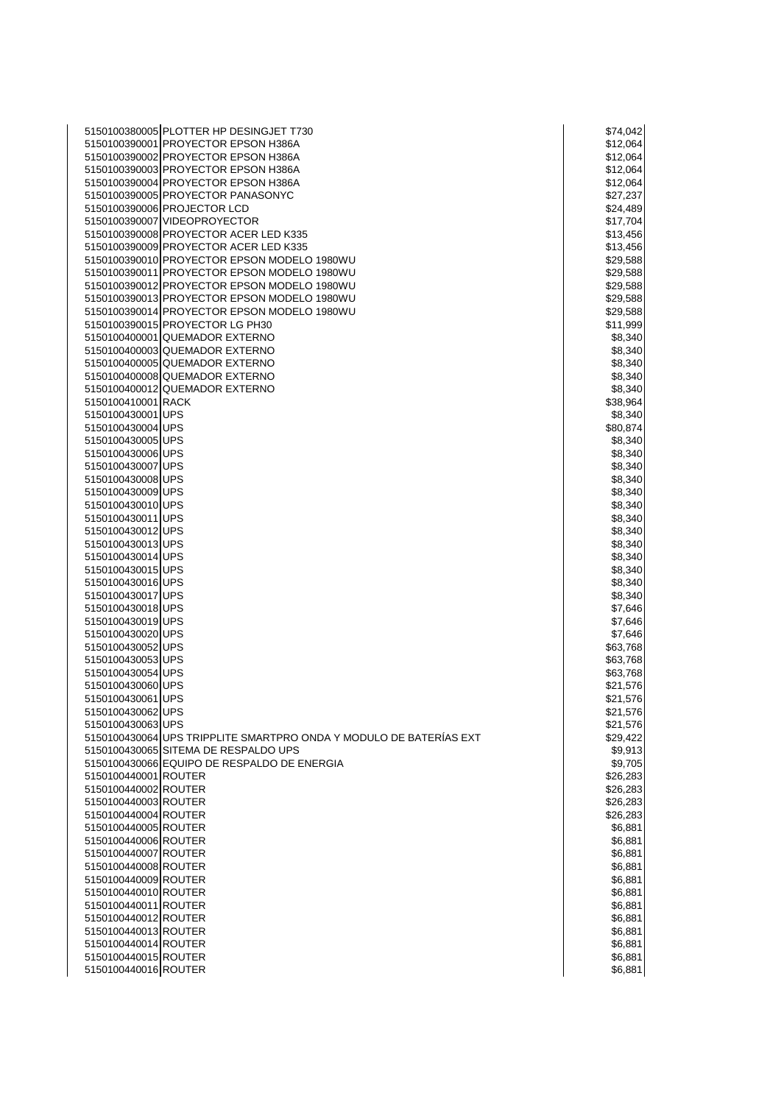| 5150100380005 PLOTTER HP DESINGJET T730                            | \$74,042 |
|--------------------------------------------------------------------|----------|
| 5150100390001 PROYECTOR EPSON H386A                                | \$12,064 |
| 5150100390002 PROYECTOR EPSON H386A                                | \$12,064 |
| 5150100390003 PROYECTOR EPSON H386A                                | \$12,064 |
| 5150100390004 PROYECTOR EPSON H386A                                | \$12,064 |
| 5150100390005 PROYECTOR PANASONYC                                  | \$27,237 |
| 5150100390006 PROJECTOR LCD                                        | \$24,489 |
| 5150100390007 VIDEOPROYECTOR                                       | \$17,704 |
| 5150100390008 PROYECTOR ACER LED K335                              | \$13,456 |
| 5150100390009 PROYECTOR ACER LED K335                              | \$13,456 |
| 5150100390010 PROYECTOR EPSON MODELO 1980WU                        | \$29,588 |
| 5150100390011 PROYECTOR EPSON MODELO 1980WU                        | \$29,588 |
| 5150100390012 PROYECTOR EPSON MODELO 1980WU                        | \$29,588 |
| 5150100390013 PROYECTOR EPSON MODELO 1980WU                        | \$29,588 |
| 5150100390014 PROYECTOR EPSON MODELO 1980WU                        | \$29,588 |
| 5150100390015 PROYECTOR LG PH30                                    | \$11,999 |
| 5150100400001 QUEMADOR EXTERNO                                     | \$8,340  |
| 5150100400003 QUEMADOR EXTERNO                                     | \$8,340  |
| 5150100400005 QUEMADOR EXTERNO                                     | \$8,340  |
| 5150100400008 QUEMADOR EXTERNO                                     | \$8,340  |
| 5150100400012 QUEMADOR EXTERNO                                     | \$8,340  |
| 5150100410001 RACK                                                 | \$38,964 |
| 5150100430001 UPS                                                  | \$8,340  |
| 5150100430004 UPS                                                  | \$80,874 |
| 5150100430005UPS                                                   | \$8,340  |
| 5150100430006 UPS                                                  | \$8,340  |
| 5150100430007 UPS                                                  | \$8,340  |
| 5150100430008 UPS                                                  | \$8,340  |
| 5150100430009 UPS                                                  | \$8,340  |
| 5150100430010 UPS                                                  | \$8,340  |
| 5150100430011 UPS                                                  | \$8,340  |
| 5150100430012UPS                                                   | \$8,340  |
| 5150100430013 UPS                                                  | \$8,340  |
| 5150100430014 UPS                                                  | \$8,340  |
| 5150100430015 UPS                                                  | \$8,340  |
| 5150100430016 UPS                                                  | \$8,340  |
| 5150100430017 UPS                                                  | \$8,340  |
| 5150100430018UPS                                                   | \$7,646  |
| 5150100430019 UPS                                                  | \$7,646  |
| 5150100430020 UPS                                                  | \$7,646  |
| 5150100430052UPS                                                   | \$63,768 |
| 5150100430053 UPS                                                  | \$63,768 |
| 5150100430054 UPS                                                  | \$63,768 |
| 5150100430060 UPS                                                  | \$21,576 |
| 5150100430061 UPS                                                  | \$21,576 |
| 5150100430062 UPS                                                  | \$21,576 |
| 5150100430063 UPS                                                  | \$21,576 |
| 5150100430064 UPS TRIPPLITE SMARTPRO ONDA Y MODULO DE BATERÍAS EXT | \$29,422 |
| 5150100430065 SITEMA DE RESPALDO UPS                               | \$9,913  |
| 5150100430066 EQUIPO DE RESPALDO DE ENERGIA                        | \$9,705  |
| 5150100440001 ROUTER                                               | \$26,283 |
| 5150100440002 ROUTER                                               | \$26,283 |
| 5150100440003 ROUTER                                               | \$26,283 |
| 5150100440004 ROUTER                                               | \$26,283 |
| 5150100440005 ROUTER                                               | \$6,881  |
| 5150100440006 ROUTER                                               | \$6,881  |
| 5150100440007 ROUTER                                               | \$6,881  |
| 5150100440008 ROUTER                                               | \$6,881  |
| 5150100440009 ROUTER                                               | \$6,881  |
| 5150100440010 ROUTER                                               | \$6,881  |
| 5150100440011 ROUTER                                               | \$6,881  |
| 5150100440012 ROUTER                                               | \$6,881  |
| 5150100440013 ROUTER                                               | \$6,881  |
| 5150100440014 ROUTER                                               | \$6,881  |
| 5150100440015 ROUTER                                               | \$6,881  |
| 5150100440016 ROUTER                                               | \$6,881  |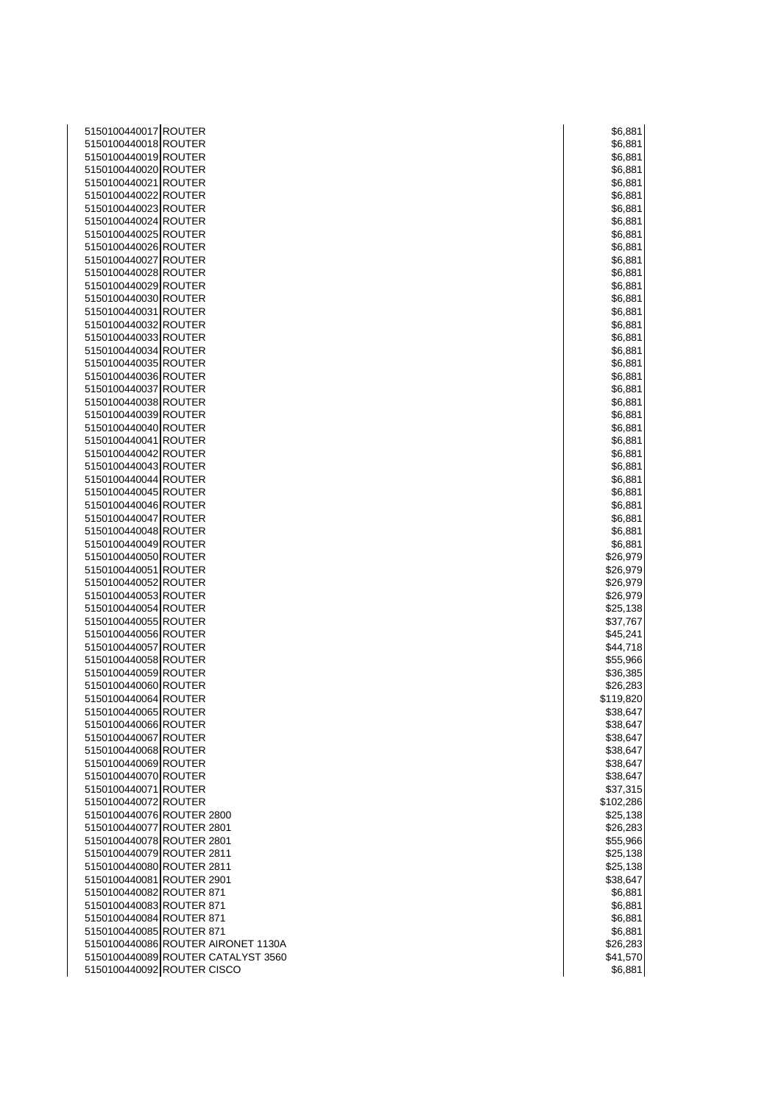| 5150100440017 ROUTER                                             | \$6,881   |
|------------------------------------------------------------------|-----------|
| 5150100440018 ROUTER                                             | \$6,881   |
| 5150100440019 ROUTER                                             | \$6,881   |
| 5150100440020 ROUTER                                             | \$6,881   |
| 5150100440021 ROUTER                                             | \$6,881   |
| 5150100440022 ROUTER                                             | \$6,881   |
| 5150100440023 ROUTER                                             | \$6,881   |
| 5150100440024 ROUTER                                             | \$6,881   |
| 5150100440025 ROUTER                                             | \$6,881   |
| 5150100440026 ROUTER                                             | \$6,881   |
| 5150100440027 ROUTER                                             | \$6,881   |
| 5150100440028 ROUTER                                             | \$6,881   |
| 5150100440029 ROUTER                                             | \$6,881   |
| 5150100440030 ROUTER                                             | \$6,881   |
| 5150100440031 ROUTER                                             |           |
|                                                                  | \$6,881   |
| 5150100440032 ROUTER                                             | \$6,881   |
| 5150100440033 ROUTER                                             | \$6,881   |
| 5150100440034 ROUTER                                             | \$6,881   |
| 5150100440035 ROUTER                                             | \$6,881   |
| 5150100440036 ROUTER                                             | \$6,881   |
| 5150100440037 ROUTER                                             | \$6,881   |
| 5150100440038 ROUTER                                             | \$6,881   |
| 5150100440039 ROUTER                                             | \$6,881   |
| 5150100440040 ROUTER                                             | \$6,881   |
| 5150100440041 ROUTER                                             | \$6,881   |
| 5150100440042 ROUTER                                             | \$6,881   |
| 5150100440043 ROUTER                                             | \$6,881   |
| 5150100440044 ROUTER                                             | \$6,881   |
| 5150100440045 ROUTER                                             | \$6,881   |
| 5150100440046 ROUTER                                             | \$6,881   |
| 5150100440047 ROUTER                                             | \$6,881   |
| 5150100440048 ROUTER                                             | \$6,881   |
| 5150100440049 ROUTER                                             | \$6,881   |
| 5150100440050 ROUTER                                             | \$26,979  |
| 5150100440051 ROUTER                                             | \$26,979  |
| 5150100440052 ROUTER                                             | \$26,979  |
| 5150100440053 ROUTER                                             | \$26,979  |
| 5150100440054 ROUTER                                             | \$25,138  |
| 5150100440055 ROUTER                                             | \$37,767  |
| 5150100440056 ROUTER                                             | \$45,241  |
| 5150100440057 ROUTER                                             | \$44,718  |
| 5150100440058 ROUTER                                             | \$55,966  |
| 5150100440059 ROUTER                                             | \$36,385  |
| 5150100440060 ROUTER                                             | \$26,283  |
| 5150100440064 ROUTER                                             | \$119,820 |
| 5150100440065 ROUTER                                             | \$38,647  |
| 5150100440066 ROUTER                                             | \$38,647  |
| 5150100440067 ROUTER                                             | \$38,647  |
| 5150100440068 ROUTER                                             |           |
|                                                                  | \$38,647  |
| 5150100440069 ROUTER                                             | \$38,647  |
| 5150100440070 ROUTER                                             | \$38,647  |
| 5150100440071 ROUTER                                             | \$37,315  |
| 5150100440072 ROUTER                                             | \$102,286 |
| 5150100440076 ROUTER 2800                                        | \$25,138  |
| 5150100440077 ROUTER 2801                                        | \$26,283  |
| 5150100440078 ROUTER 2801                                        | \$55,966  |
| 5150100440079 ROUTER 2811                                        | \$25,138  |
| 5150100440080 ROUTER 2811                                        | \$25,138  |
| 5150100440081 ROUTER 2901                                        | \$38,647  |
| 5150100440082 ROUTER 871                                         | \$6,881   |
| 5150100440083 ROUTER 871                                         | \$6,881   |
| 5150100440084 ROUTER 871                                         | \$6,881   |
| 5150100440085 ROUTER 871                                         | \$6,881   |
| 5150100440086 ROUTER AIRONET 1130A                               |           |
|                                                                  | \$26,283  |
| 5150100440089 ROUTER CATALYST 3560<br>5150100440092 ROUTER CISCO | \$41,570  |

|     |       | \$6,881              |  |
|-----|-------|----------------------|--|
|     |       | \$6,881              |  |
|     |       | \$6,881              |  |
|     |       | \$6,881<br>\$6,881   |  |
|     |       | \$6,881              |  |
|     |       | \$6,881              |  |
|     |       | \$6,881              |  |
|     |       | \$6,881              |  |
|     |       | \$6,881              |  |
|     |       | \$6,881<br>\$6,881   |  |
|     |       | \$6,881              |  |
|     |       | \$6,881              |  |
|     |       | \$6,881              |  |
|     |       | \$6,881              |  |
|     |       | \$6,881              |  |
|     |       | \$6,881<br>\$6,881   |  |
|     |       | \$6,881              |  |
|     |       | \$6,881              |  |
|     |       | \$6,881              |  |
|     |       | \$6,881              |  |
|     |       | \$6,881              |  |
|     |       | \$6,881              |  |
|     |       | \$6,881<br>\$6,881   |  |
|     |       | \$6,881              |  |
|     |       | \$6,881              |  |
|     |       | \$6,881              |  |
|     |       | \$6,881              |  |
|     |       | \$6,881              |  |
|     |       | \$6,881              |  |
|     |       |                      |  |
|     |       | \$26,979             |  |
| \$. |       | 26,979               |  |
|     |       | 26,979<br>\$26,979   |  |
| \$. |       | 25,138               |  |
|     |       | \$37,767             |  |
|     |       |                      |  |
|     |       | \$45,241<br>\$44,718 |  |
|     |       | \$55,966<br>\$36,385 |  |
|     | \$26, | 283                  |  |
|     |       | \$119,820            |  |
| \$  |       | 38,647               |  |
|     |       | \$38,647             |  |
|     |       | \$38,647             |  |
|     |       | \$38,647<br>\$38,647 |  |
|     |       | \$38,647             |  |
|     |       | \$37,315             |  |
|     |       | \$102,286            |  |
|     |       | \$25,138             |  |
|     |       | \$26,283             |  |
|     |       | \$55,966             |  |
|     |       | \$25,138<br>\$25,138 |  |
|     |       | \$38,647             |  |
|     |       | \$6,881              |  |
|     |       | \$6,881              |  |
|     |       | \$6,881              |  |
|     |       | \$6,881<br>\$26,283  |  |
|     |       | \$41,570             |  |
|     |       | \$6,881              |  |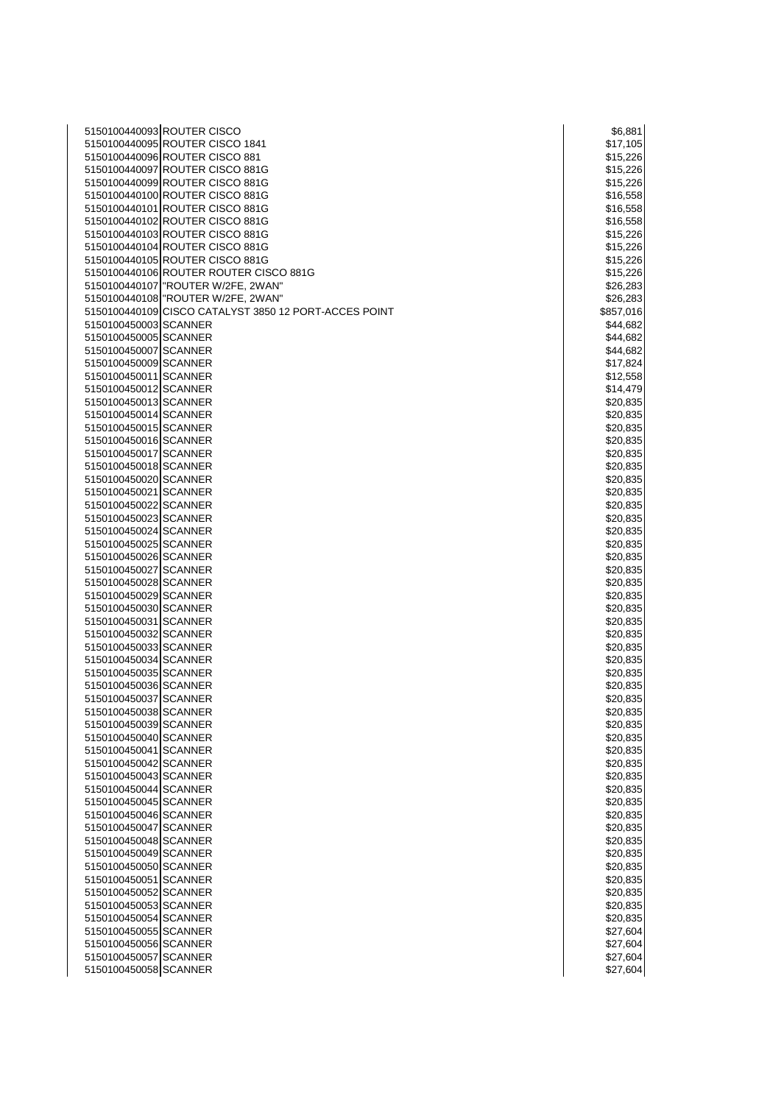| 5150100440095 ROUTER CISCO 1841<br>5150100440096 ROUTER CISCO 881<br>5150100440097 ROUTER CISCO 881G | \$17,105<br>\$15,226 |
|------------------------------------------------------------------------------------------------------|----------------------|
|                                                                                                      |                      |
|                                                                                                      |                      |
|                                                                                                      | \$15,226             |
| 5150100440099 ROUTER CISCO 881G                                                                      | \$15,226             |
| 5150100440100 ROUTER CISCO 881G                                                                      | \$16,558             |
| 5150100440101 ROUTER CISCO 881G                                                                      | \$16,558             |
| 5150100440102 ROUTER CISCO 881G                                                                      | \$16,558             |
| 5150100440103 ROUTER CISCO 881G                                                                      | \$15,226             |
| 5150100440104 ROUTER CISCO 881G                                                                      | \$15,226             |
| 5150100440105 ROUTER CISCO 881G                                                                      | \$15,226             |
| 5150100440106 ROUTER ROUTER CISCO 881G                                                               | \$15,226             |
| 5150100440107   "ROUTER W/2FE, 2WAN"                                                                 | \$26,283             |
| 5150100440108 "ROUTER W/2FE, 2WAN"                                                                   | \$26,283             |
| 5150100440109 CISCO CATALYST 3850 12 PORT-ACCES POINT                                                | \$857,016            |
| 5150100450003 SCANNER                                                                                | \$44,682             |
| 5150100450005 SCANNER                                                                                | \$44,682             |
| 5150100450007 SCANNER                                                                                |                      |
|                                                                                                      | \$44,682             |
| 5150100450009 SCANNER                                                                                | \$17,824             |
| 5150100450011 SCANNER                                                                                | \$12,558             |
| 5150100450012 SCANNER                                                                                | \$14,479             |
| 5150100450013 SCANNER                                                                                | \$20,835             |
| 5150100450014 SCANNER                                                                                | \$20,835             |
| 5150100450015 SCANNER                                                                                | \$20,835             |
| 5150100450016 SCANNER                                                                                | \$20,835             |
| 5150100450017 SCANNER                                                                                | \$20,835             |
| 5150100450018 SCANNER                                                                                | \$20,835             |
| 5150100450020 SCANNER                                                                                | \$20,835             |
| 5150100450021 SCANNER                                                                                | \$20,835             |
| 5150100450022 SCANNER                                                                                | \$20,835             |
| 5150100450023 SCANNER                                                                                | \$20,835             |
| 5150100450024 SCANNER                                                                                | \$20,835             |
| 5150100450025 SCANNER                                                                                | \$20,835             |
| 5150100450026 SCANNER                                                                                | \$20,835             |
| 5150100450027 SCANNER                                                                                | \$20,835             |
| 5150100450028 SCANNER                                                                                | \$20,835             |
| 5150100450029 SCANNER                                                                                | \$20,835             |
| 5150100450030 SCANNER                                                                                | \$20,835             |
| 5150100450031 SCANNER                                                                                | \$20,835             |
| 5150100450032 SCANNER                                                                                | \$20,835             |
| 5150100450033 SCANNER                                                                                | \$20,835             |
| 5150100450034 SCANNER                                                                                | \$20,835             |
| 5150100450035 SCANNER                                                                                | \$20,835             |
| 5150100450036 SCANNER                                                                                | \$20,835             |
| 5150100450037 SCANNER                                                                                | \$20,835             |
| 5150100450038 SCANNER                                                                                | \$20,835             |
| 5150100450039 SCANNER                                                                                | \$20,835             |
| 5150100450040 SCANNER                                                                                | \$20,835             |
|                                                                                                      |                      |
| 5150100450041 SCANNER                                                                                | \$20,835             |
| 5150100450042 SCANNER                                                                                | \$20,835             |
| 5150100450043 SCANNER                                                                                | \$20,835             |
| 5150100450044 SCANNER                                                                                | \$20,835             |
| 5150100450045 SCANNER                                                                                | \$20,835             |
| 5150100450046 SCANNER                                                                                | \$20,835             |
| 5150100450047 SCANNER                                                                                | \$20,835             |
| 5150100450048 SCANNER                                                                                | \$20,835             |
| 5150100450049 SCANNER                                                                                | \$20,835             |
| 5150100450050 SCANNER                                                                                | \$20,835             |
| 5150100450051 SCANNER                                                                                | \$20,835             |
| 5150100450052 SCANNER                                                                                | \$20,835             |
| 5150100450053 SCANNER                                                                                | \$20,835             |
| 5150100450054 SCANNER                                                                                | \$20,835             |
| 5150100450055 SCANNER                                                                                | \$27,604             |
| 5150100450056 SCANNER                                                                                | \$27,604             |
|                                                                                                      |                      |
| 5150100450057 SCANNER                                                                                | \$27,604             |

| \$6,881               |  |
|-----------------------|--|
| \$17,105              |  |
| \$15,226              |  |
| \$15,226              |  |
| \$15,226              |  |
| \$16,558              |  |
| \$16,558              |  |
| \$16,558              |  |
| \$15,226              |  |
|                       |  |
| \$15,226<br>\$15,226  |  |
|                       |  |
| \$15,226              |  |
| \$26,283              |  |
| \$26,283              |  |
| \$857,016             |  |
| \$44,682              |  |
| \$44,682              |  |
| \$44,682              |  |
| \$17,824              |  |
|                       |  |
| \$12,558              |  |
| \$14,479              |  |
| \$20,835              |  |
| \$20,835              |  |
| \$20,835<br>\$20,835  |  |
|                       |  |
| \$20,835              |  |
| \$20,835              |  |
| 20,835<br>\$          |  |
| \$20,835              |  |
| \$20,835              |  |
|                       |  |
| \$20,835              |  |
| \$20,835              |  |
| \$20,835              |  |
| \$20,835              |  |
| \$20,835              |  |
| 0,835<br>\$20         |  |
| \$20,835              |  |
| \$20,835              |  |
| \$.<br>,8<br>35<br>20 |  |
| \$20,835              |  |
|                       |  |
| \$20,835              |  |
| \$:<br>20,835         |  |
| \$20,835              |  |
| \$20,835              |  |
| \$20,835              |  |
| 20,83<br>ξĖ<br>5      |  |
| 20,835<br>\$.         |  |
| \$20,835              |  |
|                       |  |
| \$20,835<br>\$20,835  |  |
|                       |  |
| \$20,835              |  |
| \$20,835              |  |
| 20,835<br>\$:         |  |
| \$20,835              |  |
| \$20,835              |  |
| \$20,835              |  |
| \$20,835              |  |
| \$20,835              |  |
| \$20,835              |  |
| \$20,835              |  |
|                       |  |
| \$20,835              |  |
| \$20,835              |  |
| \$27,604              |  |
| \$.<br>27<br>,604     |  |
| \$27,604              |  |
| \$27,604              |  |
|                       |  |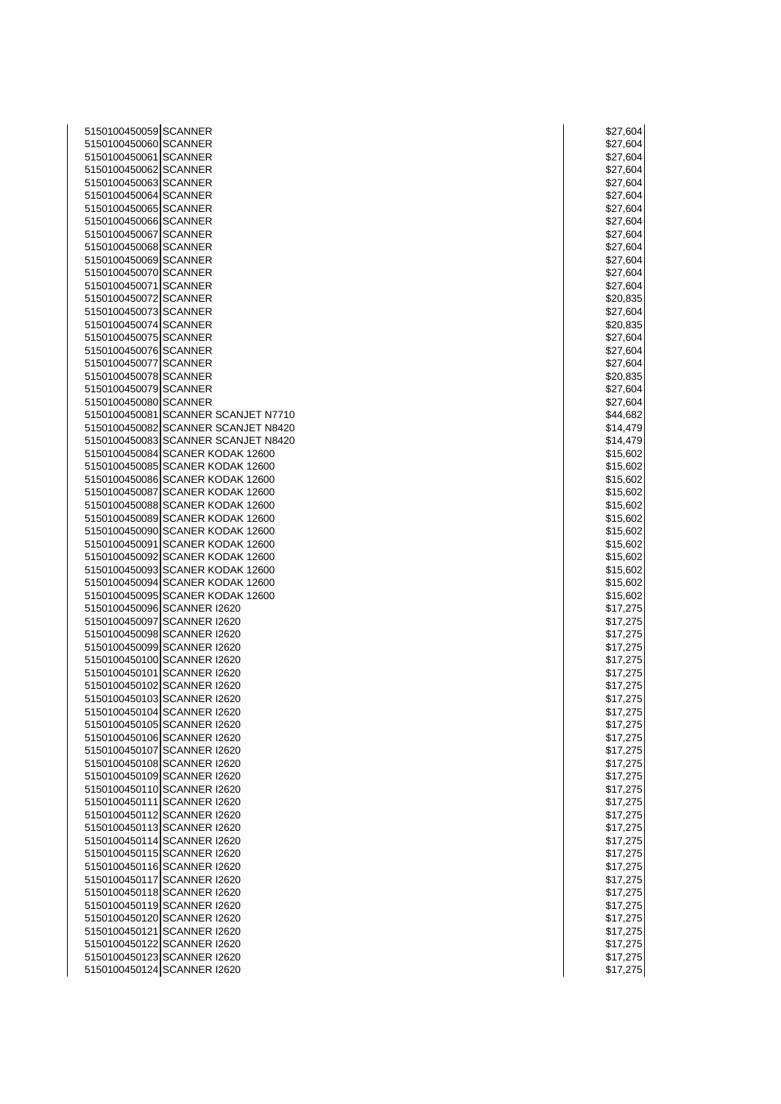| 5150100450059 SCANNER |                                     | \$27,604 |
|-----------------------|-------------------------------------|----------|
| 5150100450060 SCANNER |                                     | \$27,604 |
| 5150100450061 SCANNER |                                     | \$27,604 |
| 5150100450062 SCANNER |                                     | \$27,604 |
| 5150100450063 SCANNER |                                     |          |
|                       |                                     | \$27,604 |
| 5150100450064 SCANNER |                                     | \$27,604 |
| 5150100450065 SCANNER |                                     | \$27,604 |
| 5150100450066 SCANNER |                                     | \$27,604 |
| 5150100450067 SCANNER |                                     | \$27,604 |
| 5150100450068 SCANNER |                                     | \$27,604 |
| 5150100450069 SCANNER |                                     | \$27,604 |
| 5150100450070 SCANNER |                                     | \$27,604 |
| 5150100450071 SCANNER |                                     | \$27,604 |
|                       |                                     |          |
| 5150100450072 SCANNER |                                     | \$20,835 |
| 5150100450073 SCANNER |                                     | \$27,604 |
| 5150100450074 SCANNER |                                     | \$20,835 |
| 5150100450075 SCANNER |                                     | \$27,604 |
| 5150100450076 SCANNER |                                     | \$27,604 |
| 5150100450077 SCANNER |                                     | \$27,604 |
| 5150100450078 SCANNER |                                     | \$20,835 |
| 5150100450079 SCANNER |                                     | \$27,604 |
| 5150100450080 SCANNER |                                     | \$27,604 |
|                       |                                     |          |
|                       | 5150100450081 SCANNER SCANJET N7710 | \$44,682 |
|                       | 5150100450082 SCANNER SCANJET N8420 | \$14,479 |
|                       | 5150100450083 SCANNER SCANJET N8420 | \$14,479 |
|                       | 5150100450084 SCANER KODAK 12600    | \$15,602 |
|                       | 5150100450085 SCANER KODAK 12600    | \$15,602 |
|                       | 5150100450086 SCANER KODAK 12600    | \$15,602 |
|                       | 5150100450087 SCANER KODAK 12600    | \$15,602 |
|                       | 5150100450088 SCANER KODAK 12600    | \$15,602 |
|                       | 5150100450089 SCANER KODAK 12600    | \$15,602 |
|                       | 5150100450090 SCANER KODAK 12600    | \$15,602 |
|                       |                                     |          |
|                       | 5150100450091 SCANER KODAK 12600    | \$15,602 |
|                       | 5150100450092 SCANER KODAK 12600    | \$15,602 |
|                       | 5150100450093 SCANER KODAK 12600    | \$15,602 |
|                       | 5150100450094 SCANER KODAK 12600    | \$15,602 |
|                       | 5150100450095 SCANER KODAK 12600    | \$15,602 |
|                       | 5150100450096 SCANNER I2620         | \$17,275 |
|                       | 5150100450097 SCANNER I2620         | \$17,275 |
|                       | 5150100450098 SCANNER I2620         | \$17,275 |
|                       | 5150100450099 SCANNER I2620         | \$17,275 |
|                       | 5150100450100 SCANNER I2620         | \$17,275 |
|                       | 5150100450101 SCANNER I2620         | \$17,275 |
|                       |                                     |          |
|                       | 5150100450102 SCANNER I2620         | \$17,275 |
|                       | 5150100450103 SCANNER I2620         | \$17,275 |
|                       | 5150100450104 SCANNER I2620         | \$17,275 |
|                       | 5150100450105 SCANNER I2620         | \$17,275 |
|                       | 5150100450106 SCANNER I2620         | \$17,275 |
|                       | 5150100450107 SCANNER I2620         | \$17,275 |
|                       | 5150100450108 SCANNER I2620         | \$17,275 |
|                       | 5150100450109 SCANNER I2620         | \$17,275 |
|                       | 5150100450110 SCANNER I2620         | \$17,275 |
|                       | 5150100450111 SCANNER I2620         | \$17,275 |
|                       |                                     |          |
|                       | 5150100450112 SCANNER I2620         | \$17,275 |
|                       | 5150100450113 SCANNER I2620         | \$17,275 |
|                       | 5150100450114 SCANNER I2620         | \$17,275 |
|                       | 5150100450115 SCANNER I2620         | \$17,275 |
|                       | 5150100450116 SCANNER I2620         | \$17,275 |
|                       | 5150100450117 SCANNER I2620         | \$17,275 |
|                       | 5150100450118 SCANNER I2620         | \$17,275 |
|                       | 5150100450119 SCANNER I2620         | \$17,275 |
|                       | 5150100450120 SCANNER I2620         | \$17,275 |
|                       | 5150100450121 SCANNER I2620         |          |
|                       |                                     | \$17,275 |
|                       | 5150100450122 SCANNER I2620         | \$17,275 |
|                       | 5150100450123 SCANNER I2620         | \$17,275 |
|                       | 5150100450124 SCANNER I2620         | \$17,275 |

| \$27                            | ,604                              |
|---------------------------------|-----------------------------------|
|                                 | \$27,604                          |
|                                 | \$27,604                          |
| \$27                            | ,604                              |
|                                 | \$27,604                          |
|                                 | \$27,604                          |
| \$27                            | ,604                              |
| \$27                            | ,604                              |
| \$27,60                         | )4                                |
|                                 | \$27,604                          |
|                                 |                                   |
| 27                              | -<br>\$27,604<br>\$27,604<br>,604 |
|                                 | \$27,604                          |
|                                 | \$20,835                          |
|                                 | \$27,604                          |
|                                 | \$20,835                          |
|                                 | \$27,604                          |
|                                 | \$27,604                          |
|                                 | \$27,604                          |
|                                 | \$20,835                          |
|                                 | \$27,604                          |
|                                 |                                   |
|                                 | \$27,604                          |
|                                 | \$44,682                          |
|                                 | \$14,479                          |
|                                 | \$14,479                          |
|                                 | \$15,602                          |
|                                 | \$15,602                          |
|                                 | \$15,602                          |
|                                 | \$15,602                          |
|                                 | \$15,602                          |
|                                 | \$15,602                          |
|                                 | \$15,602                          |
|                                 | \$15,602                          |
| \$15,60                         | )2                                |
|                                 | \$15,602                          |
|                                 | \$15,602                          |
| \$15,60                         |                                   |
|                                 | \$17,275                          |
| \$17,2                          | 275                               |
| \$17                            | í,<br>$\overline{2}$<br>75        |
| \$17,2                          | 275                               |
|                                 | \$17,275                          |
| \$17                            | ,<br>275                          |
| \$17,                           | $^{27}$<br>5                      |
| .<br>\$17,                      | 275                               |
| \$<br>1                         | 5                                 |
| \$1<br>$\overline{\phantom{a}}$ | $\overline{\mathbf{c}}$<br>5      |
| \$1                             | 5                                 |
| l<br>\$1                        | İ<br>5<br>Ï                       |
| I<br>\$1                        | 5<br>I                            |
| $\overline{\phantom{a}}$        |                                   |
| \$1<br>\$1                      | 5<br>5                            |
| I                               | 1<br>5                            |
| \$1                             |                                   |
| \$1                             | 5                                 |
| \$1<br>I                        | 5<br>I                            |
| \$1<br>$\prime$                 | 5<br>5                            |
| \$1<br>$\prime$                 |                                   |
| \$1<br>7                        | 5                                 |
| \$1<br>$\overline{\prime}$      | 5<br>$\overline{\mathcal{C}}$     |
| \$1                             | 5                                 |
| \$1<br>j                        | 5                                 |
| \$1<br>l                        | 2<br>5                            |
| \$1<br>I                        | 5                                 |
| \$1<br>j                        | 5<br>Í                            |
| \$<br>1                         |                                   |
| \$1                             | J                                 |
|                                 |                                   |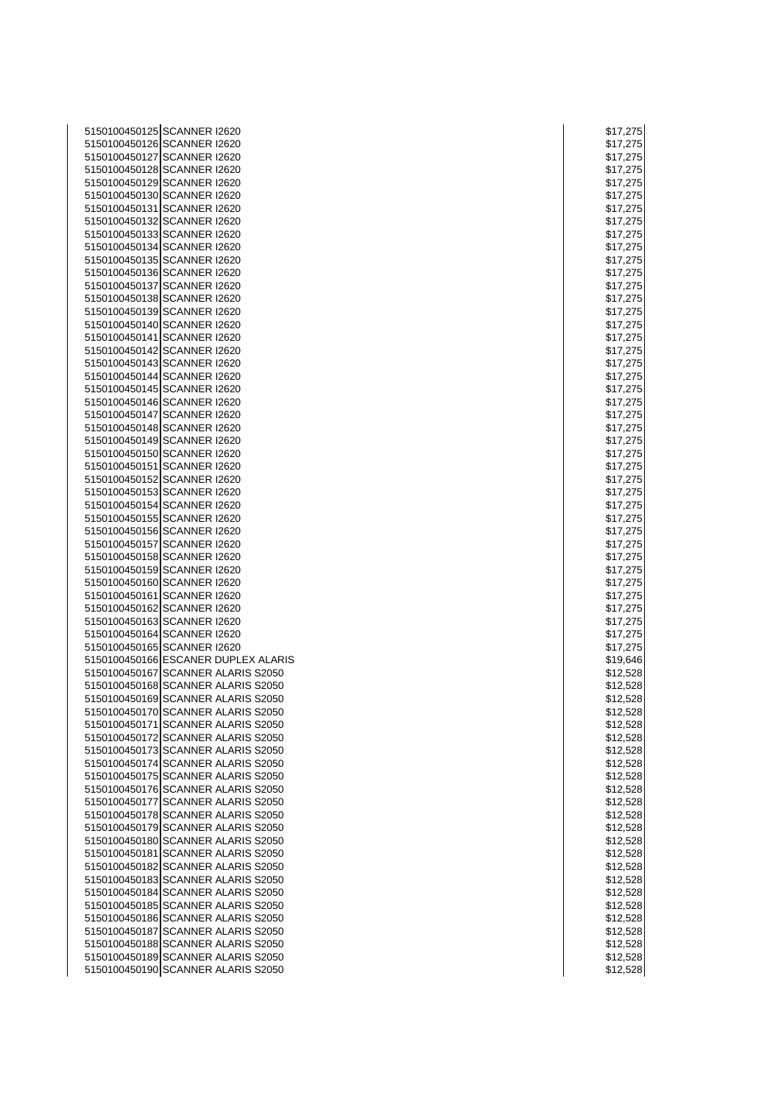| 5150100450125 SCANNER I2620         | \$17,275 |
|-------------------------------------|----------|
| 5150100450126 SCANNER I2620         | \$17,275 |
| 5150100450127 SCANNER I2620         | \$17,275 |
| 5150100450128 SCANNER I2620         | \$17,275 |
|                                     |          |
| 5150100450129 SCANNER I2620         | \$17,275 |
| 5150100450130 SCANNER I2620         | \$17,275 |
| 5150100450131 SCANNER I2620         | \$17,275 |
| 5150100450132 SCANNER I2620         | \$17,275 |
| 5150100450133 SCANNER I2620         | \$17,275 |
| 5150100450134 SCANNER I2620         | \$17,275 |
|                                     |          |
| 5150100450135 SCANNER I2620         | \$17,275 |
| 5150100450136 SCANNER I2620         | \$17,275 |
| 5150100450137 SCANNER I2620         | \$17,275 |
| 5150100450138 SCANNER I2620         | \$17,275 |
| 5150100450139 SCANNER I2620         | \$17,275 |
| 5150100450140 SCANNER I2620         | \$17,275 |
| 5150100450141 SCANNER I2620         | \$17,275 |
|                                     |          |
| 5150100450142 SCANNER I2620         | \$17,275 |
| 5150100450143 SCANNER I2620         | \$17,275 |
| 5150100450144 SCANNER I2620         | \$17,275 |
| 5150100450145 SCANNER I2620         | \$17,275 |
| 5150100450146 SCANNER I2620         | \$17,275 |
| 5150100450147 SCANNER I2620         | \$17,275 |
| 5150100450148 SCANNER I2620         | \$17,275 |
|                                     |          |
| 5150100450149 SCANNER I2620         | \$17,275 |
| 5150100450150 SCANNER I2620         | \$17,275 |
| 5150100450151 SCANNER I2620         | \$17,275 |
| 5150100450152 SCANNER I2620         | \$17,275 |
| 5150100450153 SCANNER I2620         | \$17,275 |
| 5150100450154 SCANNER I2620         | \$17,275 |
| 5150100450155 SCANNER I2620         |          |
|                                     | \$17,275 |
| 5150100450156 SCANNER I2620         | \$17,275 |
| 5150100450157 SCANNER I2620         | \$17,275 |
| 5150100450158 SCANNER I2620         | \$17,275 |
| 5150100450159 SCANNER I2620         | \$17,275 |
| 5150100450160 SCANNER I2620         | \$17,275 |
| 5150100450161 SCANNER I2620         | \$17,275 |
| 5150100450162 SCANNER I2620         |          |
|                                     | \$17,275 |
| 5150100450163 SCANNER I2620         | \$17,275 |
| 5150100450164 SCANNER I2620         | \$17,275 |
| 5150100450165 SCANNER I2620         | \$17,275 |
| 5150100450166 ESCANER DUPLEX ALARIS | \$19,646 |
| 5150100450167 SCANNER ALARIS S2050  | \$12,528 |
| 5150100450168 SCANNER ALARIS S2050  | \$12,528 |
| 5150100450169 SCANNER ALARIS S2050  | \$12,528 |
|                                     |          |
| 5150100450170 SCANNER ALARIS S2050  | \$12,528 |
| 5150100450171 SCANNER ALARIS S2050  | \$12,528 |
| 5150100450172 SCANNER ALARIS S2050  | \$12,528 |
| 5150100450173 SCANNER ALARIS S2050  | \$12,528 |
| 5150100450174 SCANNER ALARIS S2050  | \$12,528 |
| 5150100450175 SCANNER ALARIS S2050  | \$12,528 |
| 5150100450176 SCANNER ALARIS S2050  |          |
|                                     | \$12,528 |
| 5150100450177 SCANNER ALARIS S2050  | \$12,528 |
| 5150100450178 SCANNER ALARIS S2050  | \$12,528 |
| 5150100450179 SCANNER ALARIS S2050  | \$12,528 |
| 5150100450180 SCANNER ALARIS S2050  | \$12,528 |
| 5150100450181 SCANNER ALARIS S2050  | \$12,528 |
| 5150100450182 SCANNER ALARIS S2050  | \$12,528 |
|                                     |          |
| 5150100450183 SCANNER ALARIS S2050  | \$12,528 |
| 5150100450184 SCANNER ALARIS S2050  | \$12,528 |
| 5150100450185 SCANNER ALARIS S2050  | \$12,528 |
| 5150100450186 SCANNER ALARIS S2050  | \$12,528 |
| 5150100450187 SCANNER ALARIS S2050  | \$12,528 |
| 5150100450188 SCANNER ALARIS S2050  | \$12,528 |
| 5150100450189 SCANNER ALARIS S2050  | \$12,528 |
|                                     |          |
| 5150100450190 SCANNER ALARIS S2050  | \$12,528 |

| \$1  | 7.<br>,275                                         |
|------|----------------------------------------------------|
| \$17 | ,275<br>,275                                       |
| \$17 |                                                    |
| \$17 | ,,<br>275                                          |
| \$17 | 275                                                |
| \$1  | 5                                                  |
| \$1  | 5<br>27<br>7                                       |
| \$17 | $\frac{1}{2}$<br>'5                                |
| \$1  | 75<br>2                                            |
| \$1  | í<br>5<br>7                                        |
| \$1  | 75                                                 |
| \$1  | 7<br>75                                            |
|      | $\mathcal{I}$                                      |
| \$17 | ;<br>$^{27}$<br>Έ                                  |
| \$1  | ŗ,<br>275<br>7                                     |
| \$1  | ,275<br>7                                          |
| \$1  | ,275<br>,275<br>7                                  |
| \$1  | 5<br>$\overline{7}$                                |
| \$17 | ,275                                               |
| \$17 | 275                                                |
| \$1  | ,275                                               |
| \$1  | ,<br>27<br>5<br>7                                  |
| \$17 | 275                                                |
| \$1  | 275<br>$\overline{\prime}$                         |
| \$17 | ,27<br>΄5                                          |
| \$1  | 275<br>7                                           |
| \$1  | ,275<br>7                                          |
|      | Έ                                                  |
| \$17 |                                                    |
| \$1  | 275<br>7                                           |
| \$17 | 275<br>;                                           |
| \$17 | 275                                                |
| \$1  | $\ddot{\phantom{0}}$<br>275<br>$\overline{\prime}$ |
| \$1  | ļ.<br>275<br>7                                     |
| \$17 | $\overline{27}$<br>75                              |
| \$1  | 275                                                |
|      |                                                    |
|      |                                                    |
|      | \$17,27<br>5                                       |
|      | \$17,275                                           |
| \$1  | ŗ,<br>275<br>$\overline{\prime}$                   |
| \$1  | Έ<br>7                                             |
| \$1  | 275<br>7                                           |
| \$1  | 5                                                  |
| \$1  | , 27<br>5<br>7                                     |
|      | \$19,646                                           |
| \$1  | 2,52<br>28                                         |
| \$1  | 2,5<br>28                                          |
| \$1: | 2,52<br>28                                         |
| \$1  | 2,52<br>$^{28}$<br>$\overline{\phantom{a}}$        |
|      | \$12,528                                           |
|      | \$12,528                                           |
|      |                                                    |
|      | \$12,528                                           |
|      | \$12,528                                           |
|      | \$12,528                                           |
|      | \$12,528                                           |
|      | \$12,528                                           |
|      | \$12,528                                           |
|      |                                                    |
|      | \$12,528<br>\$12,528                               |
|      | \$12,528                                           |
|      | \$12,528                                           |
|      | \$12,528                                           |
|      | \$12,52<br>28                                      |
|      | \$12,528                                           |
|      | \$12,528                                           |
|      |                                                    |
|      | \$12,528<br>\$12,5<br>28                           |
|      |                                                    |
|      | \$12,528<br>\$12,528                               |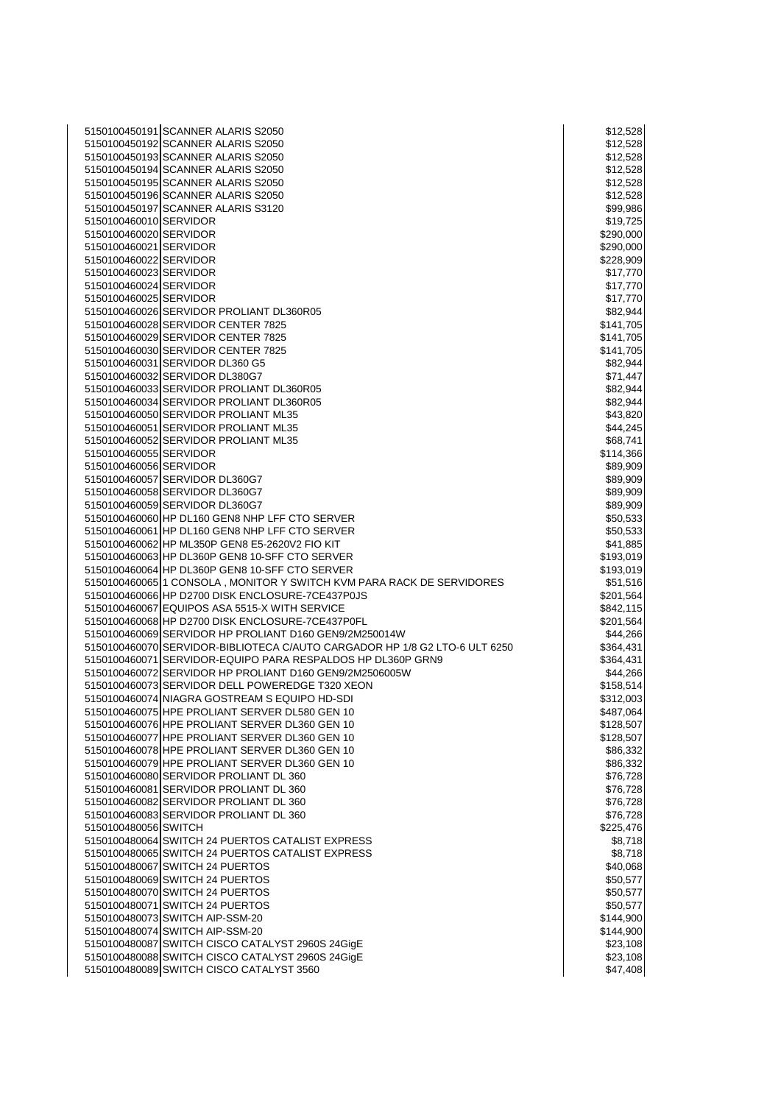| 5150100450191 SCANNER ALARIS S2050                                         | \$12,528  |
|----------------------------------------------------------------------------|-----------|
| 5150100450192 SCANNER ALARIS S2050                                         | \$12,528  |
| 5150100450193 SCANNER ALARIS S2050                                         | \$12,528  |
| 5150100450194 SCANNER ALARIS S2050                                         | \$12,528  |
| 5150100450195 SCANNER ALARIS S2050                                         | \$12,528  |
| 5150100450196 SCANNER ALARIS S2050                                         | \$12,528  |
| 5150100450197 SCANNER ALARIS S3120                                         | \$99,986  |
| 5150100460010 SERVIDOR                                                     | \$19,725  |
| 5150100460020 SERVIDOR                                                     | \$290,000 |
| 5150100460021 SERVIDOR                                                     |           |
|                                                                            | \$290,000 |
| 5150100460022 SERVIDOR                                                     | \$228,909 |
| 5150100460023 SERVIDOR                                                     | \$17,770  |
| 5150100460024 SERVIDOR                                                     | \$17,770  |
| 5150100460025 SERVIDOR                                                     | \$17,770  |
| 5150100460026 SERVIDOR PROLIANT DL360R05                                   | \$82,944  |
| 5150100460028 SERVIDOR CENTER 7825                                         | \$141,705 |
| 5150100460029 SERVIDOR CENTER 7825                                         | \$141,705 |
| 5150100460030 SERVIDOR CENTER 7825                                         | \$141,705 |
| 5150100460031 SERVIDOR DL360 G5                                            | \$82,944  |
| 5150100460032 SERVIDOR DL380G7                                             | \$71,447  |
| 5150100460033 SERVIDOR PROLIANT DL360R05                                   | \$82,944  |
| 5150100460034 SERVIDOR PROLIANT DL360R05                                   | \$82,944  |
| 5150100460050 SERVIDOR PROLIANT ML35                                       | \$43,820  |
| 5150100460051 SERVIDOR PROLIANT ML35                                       | \$44,245  |
| 5150100460052 SERVIDOR PROLIANT ML35                                       | \$68,741  |
| 5150100460055 SERVIDOR                                                     | \$114,366 |
| 5150100460056 SERVIDOR                                                     | \$89,909  |
| 5150100460057 SERVIDOR DL360G7                                             |           |
|                                                                            | \$89,909  |
| 5150100460058 SERVIDOR DL360G7                                             | \$89,909  |
| 5150100460059 SERVIDOR DL360G7                                             | \$89,909  |
| 5150100460060 HP DL160 GEN8 NHP LFF CTO SERVER                             | \$50,533  |
| 5150100460061 HP DL160 GEN8 NHP LFF CTO SERVER                             | \$50,533  |
| 5150100460062 HP ML350P GEN8 E5-2620V2 FIO KIT                             | \$41,885  |
| 5150100460063 HP DL360P GEN8 10-SFF CTO SERVER                             | \$193,019 |
| 5150100460064 HP DL360P GEN8 10-SFF CTO SERVER                             | \$193,019 |
| 5150100460065 1 CONSOLA, MONITOR Y SWITCH KVM PARA RACK DE SERVIDORES      | \$51,516  |
| 5150100460066 HP D2700 DISK ENCLOSURE-7CE437P0JS                           | \$201,564 |
| 5150100460067 EQUIPOS ASA 5515-X WITH SERVICE                              | \$842,115 |
| 5150100460068 HP D2700 DISK ENCLOSURE-7CE437P0FL                           | \$201,564 |
| 5150100460069 SERVIDOR HP PROLIANT D160 GEN9/2M250014W                     | \$44,266  |
| 5150100460070 SERVIDOR-BIBLIOTECA C/AUTO CARGADOR HP 1/8 G2 LTO-6 ULT 6250 | \$364,431 |
| 5150100460071 SERVIDOR-EQUIPO PARA RESPALDOS HP DL360P GRN9                | \$364,431 |
| 5150100460072 SERVIDOR HP PROLIANT D160 GEN9/2M2506005W                    | \$44,266  |
| 5150100460073 SERVIDOR DELL POWEREDGE T320 XEON                            | \$158,514 |
| 5150100460074 NIAGRA GOSTREAM S EQUIPO HD-SDI                              | \$312,003 |
| 5150100460075 HPE PROLIANT SERVER DL580 GEN 10                             | \$487,064 |
| 5150100460076 HPE PROLIANT SERVER DL360 GEN 10                             | \$128,507 |
| 5150100460077 HPE PROLIANT SERVER DL360 GEN 10                             | \$128,507 |
| 5150100460078 HPE PROLIANT SERVER DL360 GEN 10                             | \$86,332  |
| 5150100460079 HPE PROLIANT SERVER DL360 GEN 10                             | \$86,332  |
|                                                                            |           |
| 5150100460080 SERVIDOR PROLIANT DL 360                                     | \$76,728  |
| 5150100460081 SERVIDOR PROLIANT DL 360                                     | \$76,728  |
| 5150100460082 SERVIDOR PROLIANT DL 360                                     | \$76,728  |
| 5150100460083 SERVIDOR PROLIANT DL 360                                     | \$76,728  |
| 5150100480056 SWITCH                                                       | \$225,476 |
| 5150100480064 SWITCH 24 PUERTOS CATALIST EXPRESS                           | \$8,718   |
| 5150100480065 SWITCH 24 PUERTOS CATALIST EXPRESS                           | \$8,718   |
| 5150100480067 SWITCH 24 PUERTOS                                            | \$40,068  |
| 5150100480069 SWITCH 24 PUERTOS                                            | \$50,577  |
| 5150100480070 SWITCH 24 PUERTOS                                            | \$50,577  |
| 5150100480071 SWITCH 24 PUERTOS                                            | \$50,577  |
| 5150100480073 SWITCH AIP-SSM-20                                            | \$144,900 |
| 5150100480074 SWITCH AIP-SSM-20                                            | \$144,900 |
| 5150100480087 SWITCH CISCO CATALYST 2960S 24GigE                           | \$23,108  |
| 5150100480088 SWITCH CISCO CATALYST 2960S 24GigE                           | \$23,108  |
| 5150100480089 SWITCH CISCO CATALYST 3560                                   | \$47,408  |
|                                                                            |           |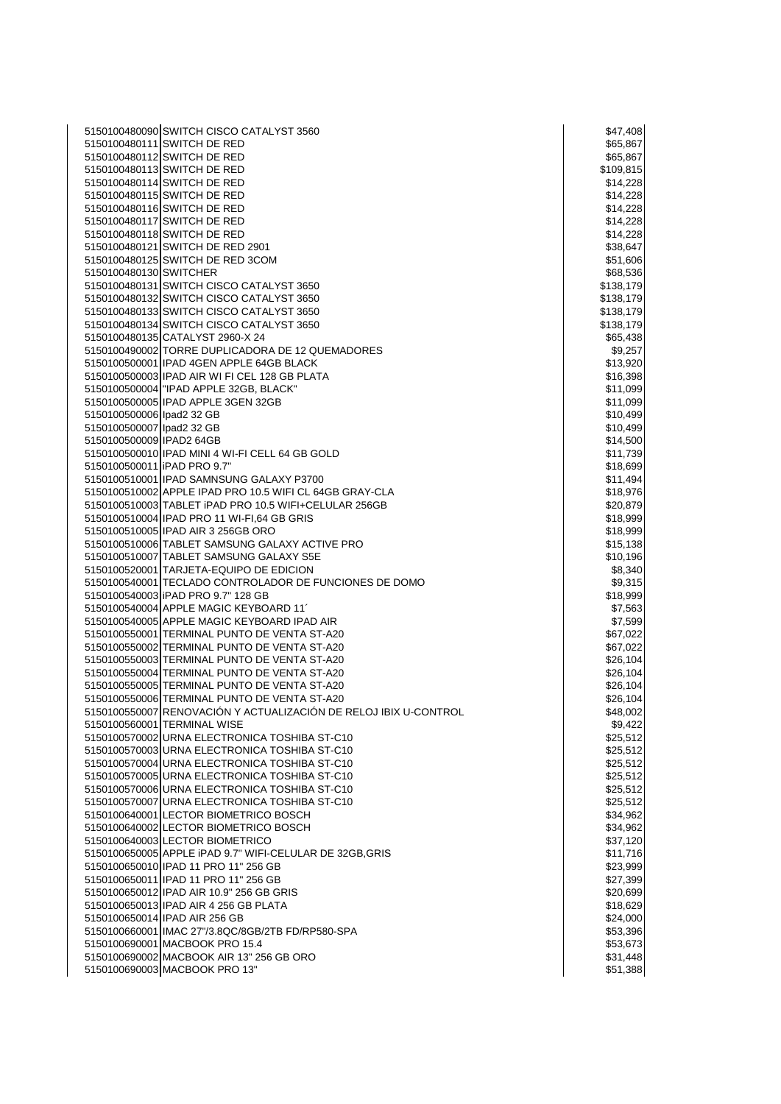|                             | 5150100480090 SWITCH CISCO CATALYST 3560                         | \$47,408  |
|-----------------------------|------------------------------------------------------------------|-----------|
|                             | 5150100480111 SWITCH DE RED                                      | \$65,867  |
|                             | 5150100480112 SWITCH DE RED                                      | \$65,867  |
|                             | 5150100480113 SWITCH DE RED                                      | \$109,815 |
|                             | 5150100480114 SWITCH DE RED                                      | \$14,228  |
|                             | 5150100480115 SWITCH DE RED                                      | \$14,228  |
|                             | 5150100480116 SWITCH DE RED                                      | \$14,228  |
|                             | 5150100480117 SWITCH DE RED                                      | \$14,228  |
|                             |                                                                  |           |
|                             | 5150100480118 SWITCH DE RED                                      | \$14,228  |
|                             | 5150100480121 SWITCH DE RED 2901                                 | \$38,647  |
|                             | 5150100480125 SWITCH DE RED 3COM                                 | \$51,606  |
| 5150100480130 SWITCHER      |                                                                  | \$68,536  |
|                             | 5150100480131 SWITCH CISCO CATALYST 3650                         | \$138,179 |
|                             | 5150100480132 SWITCH CISCO CATALYST 3650                         | \$138,179 |
|                             | 5150100480133 SWITCH CISCO CATALYST 3650                         | \$138,179 |
|                             |                                                                  |           |
|                             | 5150100480134 SWITCH CISCO CATALYST 3650                         | \$138,179 |
|                             | 5150100480135 CATALYST 2960-X 24                                 | \$65,438  |
|                             | 5150100490002 TORRE DUPLICADORA DE 12 QUEMADORES                 | \$9,257   |
|                             | 5150100500001 IPAD 4GEN APPLE 64GB BLACK                         | \$13,920  |
|                             | 5150100500003 IPAD AIR WI FI CEL 128 GB PLATA                    | \$16,398  |
|                             | 5150100500004 TIPAD APPLE 32GB, BLACK"                           | \$11,099  |
|                             | 5150100500005 IPAD APPLE 3GEN 32GB                               | \$11,099  |
|                             |                                                                  |           |
| 5150100500006 lpad2 32 GB   |                                                                  | \$10,499  |
| 5150100500007 lpad2 32 GB   |                                                                  | \$10,499  |
| 5150100500009 IPAD2 64GB    |                                                                  | \$14,500  |
|                             | 5150100500010 IPAD MINI 4 WI-FI CELL 64 GB GOLD                  | \$11,739  |
| 5150100500011 IPAD PRO 9.7" |                                                                  | \$18,699  |
|                             | 5150100510001 IPAD SAMNSUNG GALAXY P3700                         | \$11,494  |
|                             | 5150100510002 APPLE IPAD PRO 10.5 WIFI CL 64GB GRAY-CLA          | \$18,976  |
|                             | 5150100510003 TABLET iPAD PRO 10.5 WIFI+CELULAR 256GB            | \$20,879  |
|                             |                                                                  |           |
|                             | 5150100510004 IPAD PRO 11 WI-FI,64 GB GRIS                       | \$18,999  |
|                             | 5150100510005 IPAD AIR 3 256GB ORO                               | \$18,999  |
|                             | 5150100510006 TABLET SAMSUNG GALAXY ACTIVE PRO                   | \$15,138  |
|                             | 5150100510007 TABLET SAMSUNG GALAXY S5E                          | \$10,196  |
|                             | 5150100520001 TARJETA-EQUIPO DE EDICION                          | \$8,340   |
|                             | 5150100540001 TECLADO CONTROLADOR DE FUNCIONES DE DOMO           | \$9,315   |
|                             | 5150100540003 IPAD PRO 9.7" 128 GB                               | \$18,999  |
|                             | 5150100540004 APPLE MAGIC KEYBOARD 11                            |           |
|                             |                                                                  | \$7,563   |
|                             | 5150100540005 APPLE MAGIC KEYBOARD IPAD AIR                      | \$7,599   |
|                             | 5150100550001 TERMINAL PUNTO DE VENTA ST-A20                     | \$67,022  |
|                             | 5150100550002 TERMINAL PUNTO DE VENTA ST-A20                     | \$67,022  |
|                             | 5150100550003 TERMINAL PUNTO DE VENTA ST-A20                     | \$26,104  |
|                             | 5150100550004 TERMINAL PUNTO DE VENTA ST-A20                     | \$26,104  |
|                             | 5150100550005 TERMINAL PUNTO DE VENTA ST-A20                     | \$26,104  |
|                             | 5150100550006 TERMINAL PUNTO DE VENTA ST-A20                     | \$26,104  |
|                             |                                                                  |           |
|                             | 5150100550007 RENOVACIÓN Y ACTUALIZACIÓN DE RELOJ IBIX U-CONTROL | \$48,002  |
|                             | 5150100560001 TERMINAL WISE                                      | \$9,422   |
|                             | 5150100570002 URNA ELECTRONICA TOSHIBA ST-C10                    | \$25,512  |
|                             | 5150100570003 URNA ELECTRONICA TOSHIBA ST-C10                    | \$25,512  |
|                             | 5150100570004 URNA ELECTRONICA TOSHIBA ST-C10                    | \$25,512  |
|                             | 5150100570005 URNA ELECTRONICA TOSHIBA ST-C10                    | \$25,512  |
|                             | 5150100570006 URNA ELECTRONICA TOSHIBA ST-C10                    | \$25,512  |
|                             | 5150100570007 URNA ELECTRONICA TOSHIBA ST-C10                    | \$25,512  |
|                             |                                                                  |           |
|                             | 5150100640001 LECTOR BIOMETRICO BOSCH                            | \$34,962  |
|                             | 5150100640002 LECTOR BIOMETRICO BOSCH                            | \$34,962  |
|                             | 5150100640003 LECTOR BIOMETRICO                                  | \$37,120  |
|                             | 5150100650005 APPLE iPAD 9.7" WIFI-CELULAR DE 32GB, GRIS         | \$11,716  |
|                             | 5150100650010 IPAD 11 PRO 11" 256 GB                             | \$23,999  |
|                             | 5150100650011 IPAD 11 PRO 11" 256 GB                             | \$27,399  |
|                             | 5150100650012 IPAD AIR 10.9" 256 GB GRIS                         | \$20,699  |
|                             | 5150100650013 IPAD AIR 4 256 GB PLATA                            | \$18,629  |
|                             |                                                                  |           |
|                             | 5150100650014 IPAD AIR 256 GB                                    | \$24,000  |
|                             | 5150100660001 IMAC 27"/3.8QC/8GB/2TB FD/RP580-SPA                | \$53,396  |
|                             | 5150100690001 MACBOOK PRO 15.4                                   | \$53,673  |
|                             | 5150100690002 MACBOOK AIR 13" 256 GB ORO                         | \$31,448  |
|                             | 5150100690003 MACBOOK PRO 13"                                    | \$51,388  |
|                             |                                                                  |           |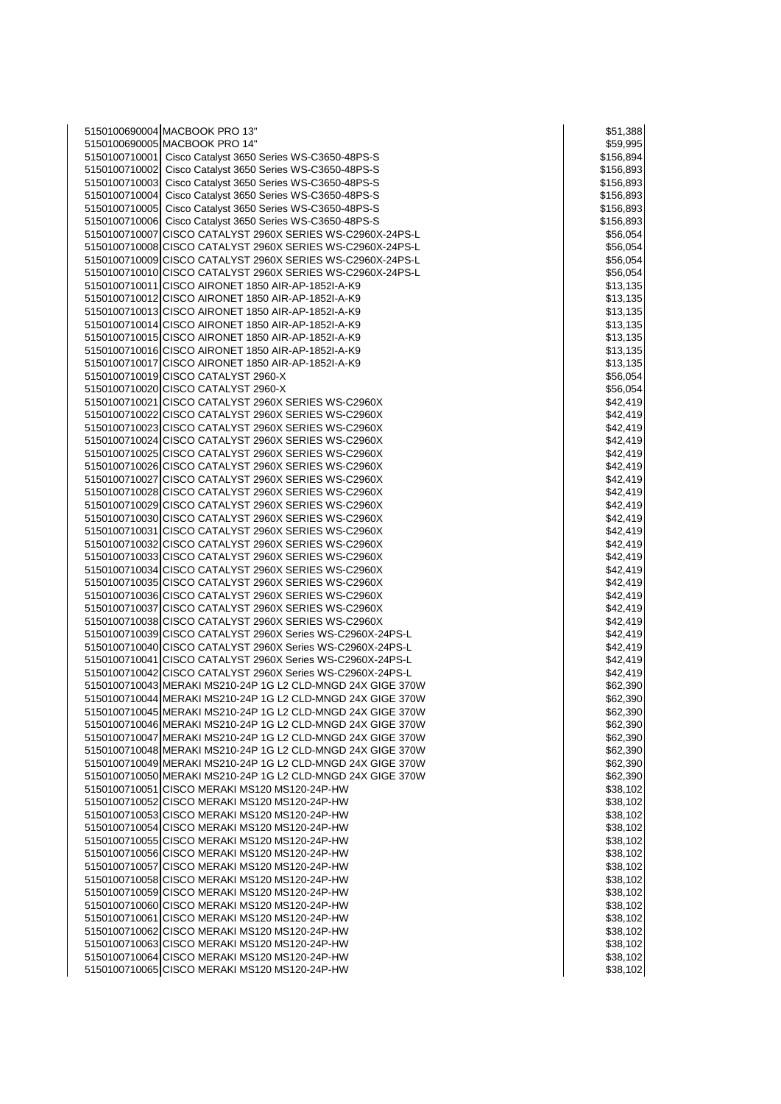| 5150100690004 MACBOOK PRO 13"                                                                                          | \$51,388              |
|------------------------------------------------------------------------------------------------------------------------|-----------------------|
| 5150100690005 MACBOOK PRO 14"                                                                                          | \$59,995              |
| 5150100710001 Cisco Catalyst 3650 Series WS-C3650-48PS-S                                                               | \$156,894             |
| 5150100710002 Cisco Catalyst 3650 Series WS-C3650-48PS-S                                                               | \$156,893             |
| 5150100710003 Cisco Catalyst 3650 Series WS-C3650-48PS-S                                                               | \$156,893             |
| 5150100710004 Cisco Catalyst 3650 Series WS-C3650-48PS-S                                                               | \$156,893             |
| 5150100710005 Cisco Catalyst 3650 Series WS-C3650-48PS-S                                                               | \$156,893             |
| 5150100710006 Cisco Catalyst 3650 Series WS-C3650-48PS-S<br>5150100710007 CISCO CATALYST 2960X SERIES WS-C2960X-24PS-L | \$156,893<br>\$56,054 |
| 5150100710008 CISCO CATALYST 2960X SERIES WS-C2960X-24PS-L                                                             | \$56,054              |
| 5150100710009 CISCO CATALYST 2960X SERIES WS-C2960X-24PS-L                                                             | \$56,054              |
| 5150100710010 CISCO CATALYST 2960X SERIES WS-C2960X-24PS-L                                                             | \$56,054              |
| 5150100710011 CISCO AIRONET 1850 AIR-AP-1852I-A-K9                                                                     | \$13,135              |
| 5150100710012 CISCO AIRONET 1850 AIR-AP-1852I-A-K9                                                                     | \$13,135              |
| 5150100710013 CISCO AIRONET 1850 AIR-AP-1852I-A-K9                                                                     | \$13,135              |
| 5150100710014 CISCO AIRONET 1850 AIR-AP-1852I-A-K9                                                                     | \$13,135              |
| 5150100710015 CISCO AIRONET 1850 AIR-AP-1852I-A-K9                                                                     | \$13,135              |
| 5150100710016 CISCO AIRONET 1850 AIR-AP-1852I-A-K9                                                                     | \$13,135              |
| 5150100710017 CISCO AIRONET 1850 AIR-AP-1852I-A-K9                                                                     | \$13,135              |
| 5150100710019 CISCO CATALYST 2960-X                                                                                    | \$56,054              |
| 5150100710020 CISCO CATALYST 2960-X                                                                                    | \$56,054              |
| 5150100710021 CISCO CATALYST 2960X SERIES WS-C2960X                                                                    | \$42,419              |
| 5150100710022 CISCO CATALYST 2960X SERIES WS-C2960X<br>5150100710023 CISCO CATALYST 2960X SERIES WS-C2960X             | \$42,419              |
| 5150100710024 CISCO CATALYST 2960X SERIES WS-C2960X                                                                    | \$42,419<br>\$42,419  |
| 5150100710025 CISCO CATALYST 2960X SERIES WS-C2960X                                                                    | \$42,419              |
| 5150100710026 CISCO CATALYST 2960X SERIES WS-C2960X                                                                    | \$42,419              |
| 5150100710027 CISCO CATALYST 2960X SERIES WS-C2960X                                                                    | \$42,419              |
| 5150100710028 CISCO CATALYST 2960X SERIES WS-C2960X                                                                    | \$42,419              |
| 5150100710029 CISCO CATALYST 2960X SERIES WS-C2960X                                                                    | \$42,419              |
| 5150100710030 CISCO CATALYST 2960X SERIES WS-C2960X                                                                    | \$42,419              |
| 5150100710031 CISCO CATALYST 2960X SERIES WS-C2960X                                                                    | \$42,419              |
| 5150100710032 CISCO CATALYST 2960X SERIES WS-C2960X                                                                    | \$42,419              |
| 5150100710033 CISCO CATALYST 2960X SERIES WS-C2960X                                                                    | \$42,419              |
| 5150100710034 CISCO CATALYST 2960X SERIES WS-C2960X                                                                    | \$42,419              |
| 5150100710035 CISCO CATALYST 2960X SERIES WS-C2960X                                                                    | \$42,419              |
| 5150100710036 CISCO CATALYST 2960X SERIES WS-C2960X                                                                    | \$42,419              |
| 5150100710037 CISCO CATALYST 2960X SERIES WS-C2960X<br>5150100710038 CISCO CATALYST 2960X SERIES WS-C2960X             | \$42,419              |
| 5150100710039 CISCO CATALYST 2960X Series WS-C2960X-24PS-L                                                             | \$42,419<br>\$42,419  |
| 5150100710040 CISCO CATALYST 2960X Series WS-C2960X-24PS-L                                                             | \$42,419              |
| 5150100710041 CISCO CATALYST 2960X Series WS-C2960X-24PS-L                                                             | \$42,419              |
| 5150100710042 CISCO CATALYST 2960X Series WS-C2960X-24PS-L                                                             | \$42,419              |
| 5150100710043 MERAKI MS210-24P 1G L2 CLD-MNGD 24X GIGE 370W                                                            | \$62,390              |
| 5150100710044 MERAKI MS210-24P 1G L2 CLD-MNGD 24X GIGE 370W                                                            | \$62,390              |
| 5150100710045 MERAKI MS210-24P 1G L2 CLD-MNGD 24X GIGE 370W                                                            | \$62,390              |
| 5150100710046 MERAKI MS210-24P 1G L2 CLD-MNGD 24X GIGE 370W                                                            | \$62,390              |
| 5150100710047 MERAKI MS210-24P 1G L2 CLD-MNGD 24X GIGE 370W                                                            | \$62,390              |
| 5150100710048 MERAKI MS210-24P 1G L2 CLD-MNGD 24X GIGE 370W                                                            | \$62,390              |
| 5150100710049 MERAKI MS210-24P 1G L2 CLD-MNGD 24X GIGE 370W                                                            | \$62,390              |
| 5150100710050 MERAKI MS210-24P 1G L2 CLD-MNGD 24X GIGE 370W                                                            | \$62,390              |
| 5150100710051 CISCO MERAKI MS120 MS120-24P-HW                                                                          | \$38,102              |
| 5150100710052 CISCO MERAKI MS120 MS120-24P-HW<br>5150100710053 CISCO MERAKI MS120 MS120-24P-HW                         | \$38,102<br>\$38,102  |
| 5150100710054 CISCO MERAKI MS120 MS120-24P-HW                                                                          | \$38,102              |
| 5150100710055 CISCO MERAKI MS120 MS120-24P-HW                                                                          | \$38,102              |
| 5150100710056 CISCO MERAKI MS120 MS120-24P-HW                                                                          | \$38,102              |
| 5150100710057 CISCO MERAKI MS120 MS120-24P-HW                                                                          | \$38,102              |
| 5150100710058 CISCO MERAKI MS120 MS120-24P-HW                                                                          | \$38,102              |
| 5150100710059 CISCO MERAKI MS120 MS120-24P-HW                                                                          | \$38,102              |
| 5150100710060 CISCO MERAKI MS120 MS120-24P-HW                                                                          | \$38,102              |
| 5150100710061 CISCO MERAKI MS120 MS120-24P-HW                                                                          | \$38,102              |
| 5150100710062 CISCO MERAKI MS120 MS120-24P-HW                                                                          | \$38,102              |
| 5150100710063 CISCO MERAKI MS120 MS120-24P-HW                                                                          | \$38,102              |
| 5150100710064 CISCO MERAKI MS120 MS120-24P-HW                                                                          | \$38,102              |
| 5150100710065 CISCO MERAKI MS120 MS120-24P-HW                                                                          | \$38,102              |

| \$51,388                              |
|---------------------------------------|
| \$59,995<br>\$156,894                 |
| \$156,893                             |
| \$156,89<br>3                         |
| \$156,893                             |
| \$156,893<br>\$156,893                |
| \$56,054                              |
| \$56,054                              |
| \$56,054<br>\$56,054                  |
| \$13,135                              |
| \$13,135                              |
| \$13,135<br>3,1<br>\$1<br>35          |
| \$13,135                              |
| \$13,135                              |
| 3,135<br>\$1<br>\$56,054              |
| \$56,054                              |
| \$42,419                              |
| \$42,419                              |
| \$4.<br>2,419<br>\$42,419             |
| \$42,419                              |
| \$42,419                              |
| \$42,419<br>\$42,419                  |
| \$42,419                              |
| \$42,419                              |
| \$42,419<br>\$42,419                  |
| \$42,419                              |
| \$42,419                              |
| \$42,419<br>\$42,419                  |
| \$42,419                              |
| \$42,419                              |
| \$42,419<br>\$4:<br>2,419             |
| \$42,419                              |
| \$42,419                              |
| \$62,390                              |
| \$62,390<br>ъt<br>J.<br>2,<br>3,<br>J |
| \$62,390                              |
| \$62,390                              |
| \$62,390<br>\$62,390                  |
| \$62,390                              |
| \$38,102                              |
| \$38,102<br>\$38,102                  |
| $\overline{2}$<br>\$<br>38,10         |
| \$38,102                              |
| \$38,102<br>\$38,102                  |
| \$38,102                              |
| \$38,102                              |
| \$38,102                              |
| \$38,102<br>\$38,10<br>2              |
| \$38,102                              |
| \$38,102                              |
| \$38,102                              |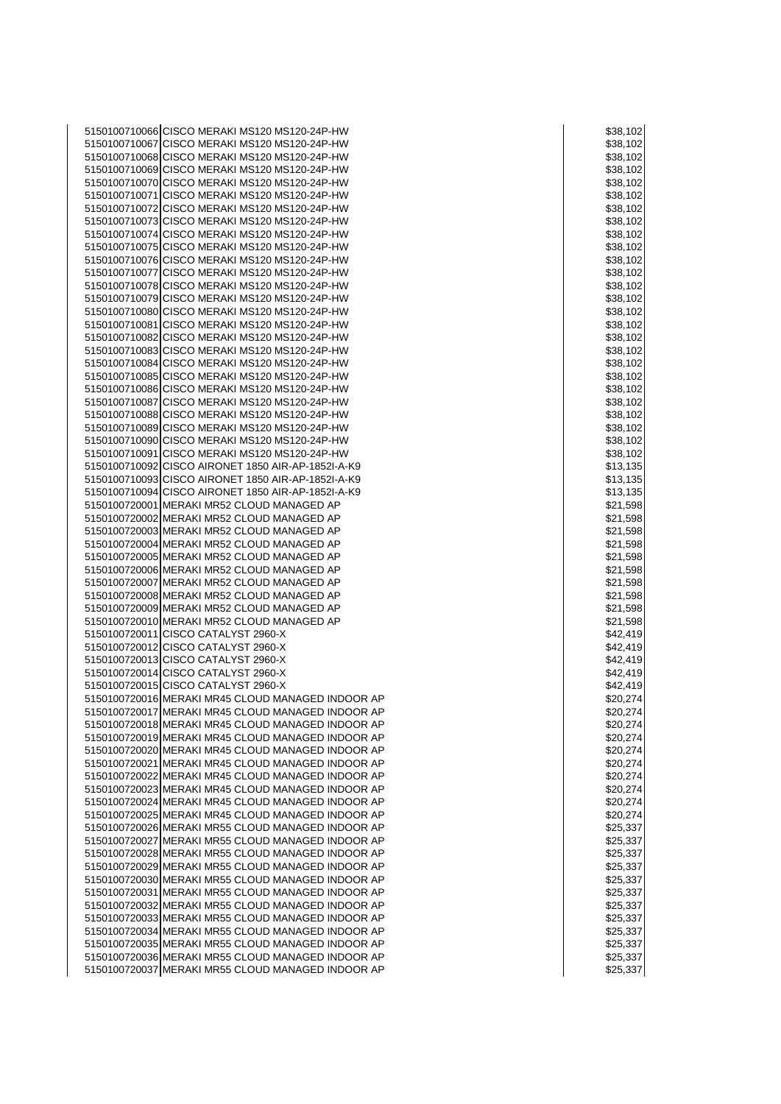CISCO MERAKI MS120 MS120-24P-HW \$38,102 CISCO MERAKI MS120 MS120-24P-HW \$38,102 CISCO MERAKI MS120 MS120-24P-HW \$38,102 CISCO MERAKI MS120 MS120-24P-HW \$38,102 CISCO MERAKI MS120 MS120-24P-HW \$38,102 5150100710071 CISCO MERAKI MS120 MS120-24P-HW \$38,102 5150100710072 CISCO MERAKI MS120 MS120-24P-HW \$38,102 NO S38,102 CISCO MERAKI MS120 MS120-24P-HW \$38,102 CISCO MERAKI MS120 MS120-24P-HW \$38,102 CISCO MERAKI MS120 MS120-24P-HW \$38,102 CISCO MERAKI MS120 MS120-24P-HW \$38,102 CISCO MERAKI MS120 MS120-24P-HW \$38,102 CISCO MERAKI MS120 MS120-24P-HW \$38,102 CISCO MERAKI MS120 MS120-24P-HW \$38,102 CISCO MERAKI MS120 MS120-24P-HW \$38,102 CISCO MERAKI MS120 MS120-24P-HW \$38,102 5150100710082 CISCO MERAKI MS120 MS120-24P-HW<br>5150100710083 CISCO MERAKI MS120 MS120-24P-HW \$38,102 5150100710083 CISCO MERAKI MS120 MS120-24P-HW CISCO MERAKI MS120 MS120-24P-HW \$38,102 CISCO MERAKI MS120 MS120-24P-HW \$38,102 CISCO MERAKI MS120 MS120-24P-HW \$38,102 CISCO MERAKI MS120 MS120-24P-HW \$38,102 CISCO MERAKI MS120 MS120-24P-HW \$38,102 CISCO MERAKI MS120 MS120-24P-HW \$38,102 5150100710090 CISCO MERAKI MS120 MS120-24P-HW<br>5150100710091 CISCO MERAKI MS120 MS120-24P-HW \$38,102 5150100710091 CISCO MERAKI MS120 MS120-24P-HW 5150100710092 CISCO AIRONET 1850 AIR-AP-1852I-A-K9<br>5150100710093 CISCO AIRONET 1850 AIR-AP-1852I-A-K9 \$13.135 \$13.135 CISCO AIRONET 1850 AIR-AP-1852I-A-K9 \$13,135 5150100710094 CISCO AIRONET 1850 AIR-AP-1852I-A-K9 \$13,135 MERAKI MR52 CLOUD MANAGED AP \$21,598 5150100720002 MERAKI MR52 CLOUD MANAGED AP \$21,598 (\$21,598) MERAKI MR52 CLOUD MANAGED AP \$21,598 MERAKI MR52 CLOUD MANAGED AP \$21,598 5150100720005 MERAKI MR52 CLOUD MANAGED AP MERAKI MR52 CLOUD MANAGED AP \$21,598 MERAKI MR52 CLOUD MANAGED AP \$21,598 MERAKI MR52 CLOUD MANAGED AP \$21,598 MERAKI MR52 CLOUD MANAGED AP \$21,598 5150100720010 MERAKI MR52 CLOUD MANAGED AP \$21,598 MBHz = \$21,598 5150100720011 CISCO CATALYST 2960-X **\$42,419** \$42,419 CISCO CATALYST 2960-X \$42,419 CISCO CATALYST 2960-X \$42,419 CISCO CATALYST 2960-X \$42,419 5150100720015 CISCO CATALYST 2960-X MERAKI MR45 CLOUD MANAGED INDOOR AP \$20,274 MERAKI MR45 CLOUD MANAGED INDOOR AP \$20,274 MERAKI MR45 CLOUD MANAGED INDOOR AP \$20,274 5150100720019 MERAKI MR45 CLOUD MANAGED INDOOR AP \$20.274 MERAKI MR45 CLOUD MANAGED INDOOR AP \$20,274 MERAKI MR45 CLOUD MANAGED INDOOR AP \$20,274 MERAKI MR45 CLOUD MANAGED INDOOR AP \$20,274 MERAKI MR45 CLOUD MANAGED INDOOR AP \$20,274 MERAKI MR45 CLOUD MANAGED INDOOR AP \$20,274 MERAKI MR45 CLOUD MANAGED INDOOR AP \$20,274 5150100720026 MERAKI MR55 CLOUD MANAGED INDOOR AP \$25,337 MERAKI MR55 CLOUD MANAGED INDOOR AP \$25,337 5150100720028 MERAKI MR55 CLOUD MANAGED INDOOR AP \$25,337 5150100720029 MERAKI MR55 CLOUD MANAGED INDOOR AP \$25.337 5150100720030 MERAKI MR55 CLOUD MANAGED INDOOR AP \$25,337 \$25,337 5150100720031 MERAKI MR55 CLOUD MANAGED INDOOR AP \$25,337 \$25,337 5150100720032 MERAKI MR55 CLOUD MANAGED INDOOR AP \$25,337 5150100720033 MERAKI MR55 CLOUD MANAGED INDOOR AP \$25,337 5150100720034 MERAKI MR55 CLOUD MANAGED INDOOR AP \$25,337 5150100720035 MERAKI MR55 CLOUD MANAGED INDOOR AP \$25,337 5150100720036 MERAKI MR55 CLOUD MANAGED INDOOR AP \$25,337 MERAKI MR55 CLOUD MANAGED INDOOR AP \$25,337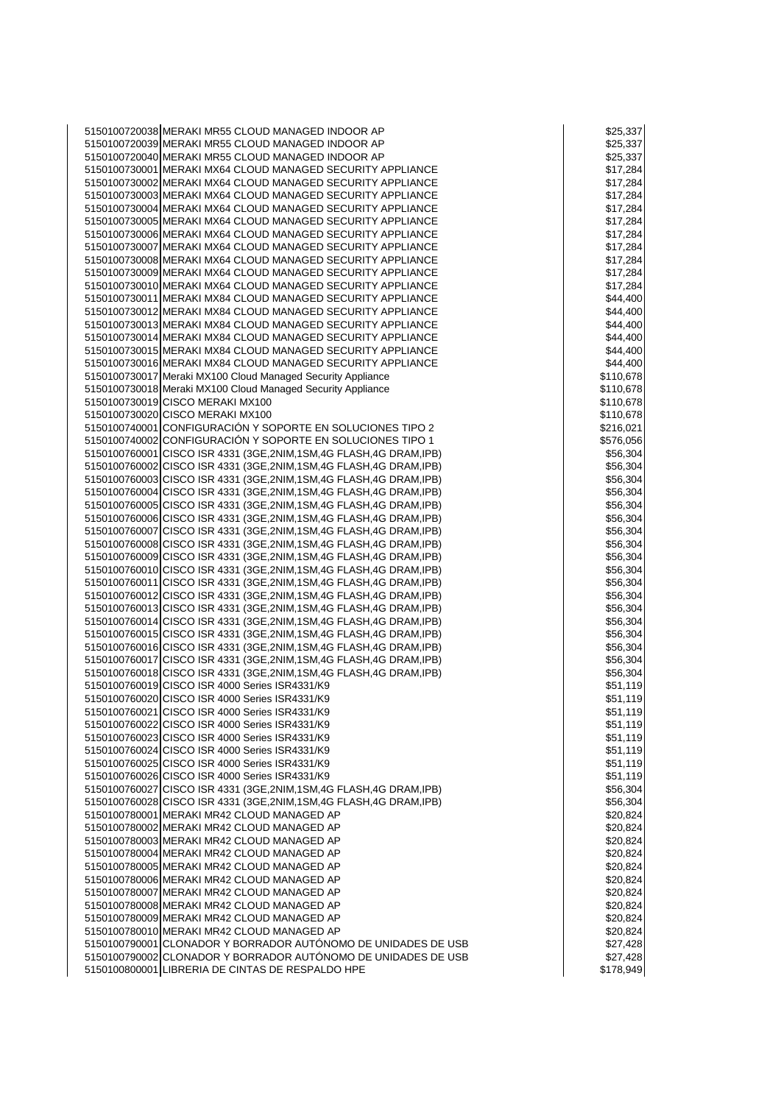| 5150100720038 MERAKI MR55 CLOUD MANAGED INDOOR AP                     | \$25,337  |
|-----------------------------------------------------------------------|-----------|
| 5150100720039 MERAKI MR55 CLOUD MANAGED INDOOR AP                     | \$25,337  |
|                                                                       |           |
| 5150100720040 MERAKI MR55 CLOUD MANAGED INDOOR AP                     | \$25,337  |
| 5150100730001 MERAKI MX64 CLOUD MANAGED SECURITY APPLIANCE            | \$17,284  |
| 5150100730002 MERAKI MX64 CLOUD MANAGED SECURITY APPLIANCE            | \$17,284  |
| 5150100730003 MERAKI MX64 CLOUD MANAGED SECURITY APPLIANCE            | \$17,284  |
| 5150100730004 MERAKI MX64 CLOUD MANAGED SECURITY APPLIANCE            | \$17,284  |
| 5150100730005 MERAKI MX64 CLOUD MANAGED SECURITY APPLIANCE            | \$17,284  |
|                                                                       |           |
| 5150100730006 MERAKI MX64 CLOUD MANAGED SECURITY APPLIANCE            | \$17,284  |
| 5150100730007 MERAKI MX64 CLOUD MANAGED SECURITY APPLIANCE            | \$17,284  |
| 5150100730008 MERAKI MX64 CLOUD MANAGED SECURITY APPLIANCE            | \$17,284  |
| 5150100730009 MERAKI MX64 CLOUD MANAGED SECURITY APPLIANCE            | \$17,284  |
| 5150100730010 MERAKI MX64 CLOUD MANAGED SECURITY APPLIANCE            | \$17,284  |
|                                                                       |           |
| 5150100730011 MERAKI MX84 CLOUD MANAGED SECURITY APPLIANCE            | \$44,400  |
| 5150100730012 MERAKI MX84 CLOUD MANAGED SECURITY APPLIANCE            | \$44,400  |
| 5150100730013 MERAKI MX84 CLOUD MANAGED SECURITY APPLIANCE            | \$44,400  |
| 5150100730014 MERAKI MX84 CLOUD MANAGED SECURITY APPLIANCE            | \$44,400  |
| 5150100730015 MERAKI MX84 CLOUD MANAGED SECURITY APPLIANCE            | \$44,400  |
| 5150100730016 MERAKI MX84 CLOUD MANAGED SECURITY APPLIANCE            | \$44,400  |
|                                                                       |           |
| 5150100730017 Meraki MX100 Cloud Managed Security Appliance           | \$110,678 |
| 5150100730018 Meraki MX100 Cloud Managed Security Appliance           | \$110,678 |
| 5150100730019 CISCO MERAKI MX100                                      | \$110,678 |
| 5150100730020 CISCO MERAKI MX100                                      | \$110,678 |
| 5150100740001 CONFIGURACIÓN Y SOPORTE EN SOLUCIONES TIPO 2            | \$216,021 |
| 5150100740002 CONFIGURACIÓN Y SOPORTE EN SOLUCIONES TIPO 1            |           |
|                                                                       | \$576,056 |
| 5150100760001 CISCO ISR 4331 (3GE, 2NIM, 1SM, 4G FLASH, 4G DRAM, IPB) | \$56,304  |
| 5150100760002 CISCO ISR 4331 (3GE, 2NIM, 1SM, 4G FLASH, 4G DRAM, IPB) | \$56,304  |
| 5150100760003 CISCO ISR 4331 (3GE, 2NIM, 1SM, 4G FLASH, 4G DRAM, IPB) | \$56,304  |
| 5150100760004 CISCO ISR 4331 (3GE, 2NIM, 1SM, 4G FLASH, 4G DRAM, IPB) | \$56,304  |
| 5150100760005 CISCO ISR 4331 (3GE, 2NIM, 1SM, 4G FLASH, 4G DRAM, IPB) | \$56,304  |
|                                                                       |           |
| 5150100760006 CISCO ISR 4331 (3GE, 2NIM, 1SM, 4G FLASH, 4G DRAM, IPB) | \$56,304  |
| 5150100760007 CISCO ISR 4331 (3GE, 2NIM, 1SM, 4G FLASH, 4G DRAM, IPB) | \$56,304  |
| 5150100760008 CISCO ISR 4331 (3GE, 2NIM, 1SM, 4G FLASH, 4G DRAM, IPB) | \$56,304  |
| 5150100760009 CISCO ISR 4331 (3GE, 2NIM, 1SM, 4G FLASH, 4G DRAM, IPB) | \$56,304  |
| 5150100760010 CISCO ISR 4331 (3GE, 2NIM, 1SM, 4G FLASH, 4G DRAM, IPB) | \$56,304  |
|                                                                       |           |
| 5150100760011 CISCO ISR 4331 (3GE, 2NIM, 1SM, 4G FLASH, 4G DRAM, IPB) | \$56,304  |
| 5150100760012 CISCO ISR 4331 (3GE, 2NIM, 1SM, 4G FLASH, 4G DRAM, IPB) | \$56,304  |
| 5150100760013 CISCO ISR 4331 (3GE, 2NIM, 1SM, 4G FLASH, 4G DRAM, IPB) | \$56,304  |
| 5150100760014 CISCO ISR 4331 (3GE, 2NIM, 1SM, 4G FLASH, 4G DRAM, IPB) | \$56,304  |
| 5150100760015 CISCO ISR 4331 (3GE, 2NIM, 1SM, 4G FLASH, 4G DRAM, IPB) | \$56,304  |
| 5150100760016 CISCO ISR 4331 (3GE, 2NIM, 1SM, 4G FLASH, 4G DRAM, IPB) | \$56,304  |
|                                                                       |           |
| 5150100760017 CISCO ISR 4331 (3GE, 2NIM, 1SM, 4G FLASH, 4G DRAM, IPB) | \$56,304  |
| 5150100760018 CISCO ISR 4331 (3GE, 2NIM, 1SM, 4G FLASH, 4G DRAM, IPB) | \$56,304  |
| 5150100760019 CISCO ISR 4000 Series ISR4331/K9                        | \$51,119  |
| 5150100760020 CISCO ISR 4000 Series ISR4331/K9                        | \$51,119  |
| 5150100760021 CISCO ISR 4000 Series ISR4331/K9                        | \$51,119  |
| 5150100760022 CISCO ISR 4000 Series ISR4331/K9                        | \$51,119  |
|                                                                       |           |
| 5150100760023 CISCO ISR 4000 Series ISR4331/K9                        | \$51,119  |
| 5150100760024 CISCO ISR 4000 Series ISR4331/K9                        | \$51,119  |
| 5150100760025 CISCO ISR 4000 Series ISR4331/K9                        | \$51,119  |
| 5150100760026 CISCO ISR 4000 Series ISR4331/K9                        | \$51,119  |
| 5150100760027 CISCO ISR 4331 (3GE, 2NIM, 1SM, 4G FLASH, 4G DRAM, IPB) | \$56,304  |
| 5150100760028 CISCO ISR 4331 (3GE, 2NIM, 1SM, 4G FLASH, 4G DRAM, IPB) |           |
|                                                                       | \$56,304  |
| 5150100780001 MERAKI MR42 CLOUD MANAGED AP                            | \$20,824  |
| 5150100780002 MERAKI MR42 CLOUD MANAGED AP                            | \$20,824  |
| 5150100780003 MERAKI MR42 CLOUD MANAGED AP                            | \$20,824  |
| 5150100780004 MERAKI MR42 CLOUD MANAGED AP                            | \$20,824  |
| 5150100780005 MERAKI MR42 CLOUD MANAGED AP                            | \$20,824  |
|                                                                       |           |
| 5150100780006 MERAKI MR42 CLOUD MANAGED AP                            | \$20,824  |
| 5150100780007 MERAKI MR42 CLOUD MANAGED AP                            | \$20,824  |
| 5150100780008 MERAKI MR42 CLOUD MANAGED AP                            | \$20,824  |
| 5150100780009 MERAKI MR42 CLOUD MANAGED AP                            | \$20,824  |
| 5150100780010 MERAKI MR42 CLOUD MANAGED AP                            | \$20,824  |
| 5150100790001 CLONADOR Y BORRADOR AUTÓNOMO DE UNIDADES DE USB         | \$27,428  |
|                                                                       |           |
| 5150100790002 CLONADOR Y BORRADOR AUTÓNOMO DE UNIDADES DE USB         | \$27,428  |
| 5150100800001 LIBRERIA DE CINTAS DE RESPALDO HPE                      | \$178,949 |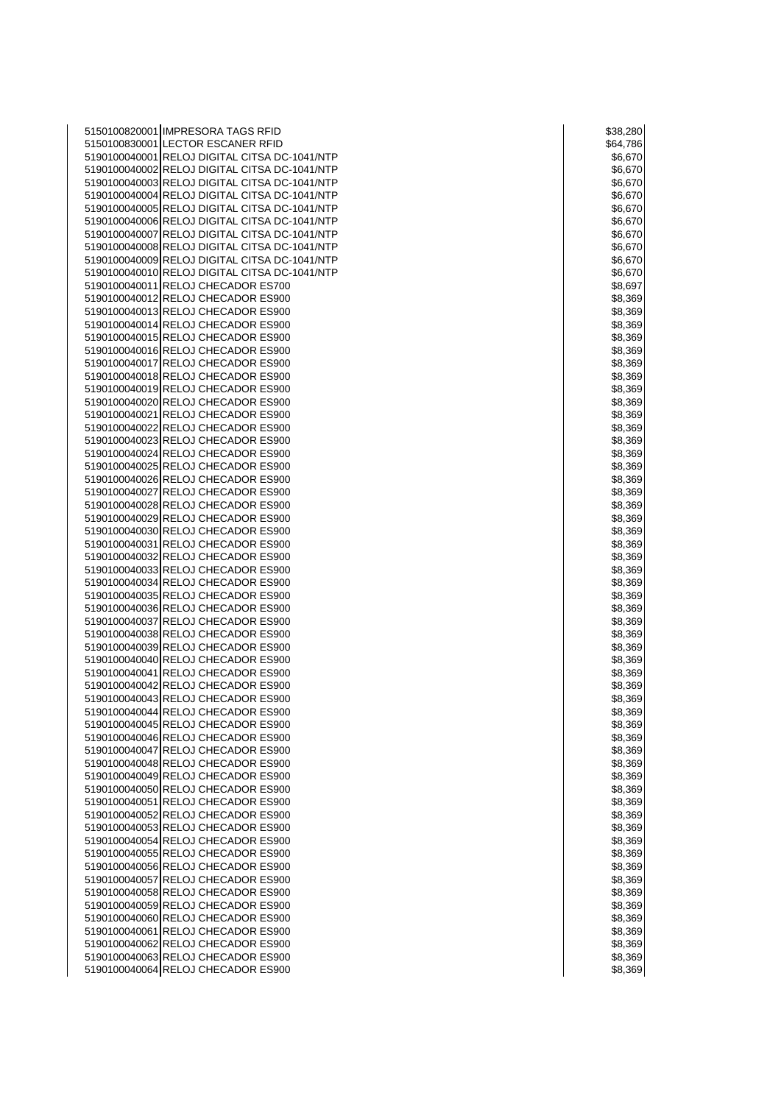| 5150100820001 IMPRESORA TAGS RFID                                                   | \$38,280           |
|-------------------------------------------------------------------------------------|--------------------|
| 5150100830001 LECTOR ESCANER RFID                                                   | \$64,786           |
| 5190100040001 RELOJ DIGITAL CITSA DC-1041/NTP                                       | \$6,670            |
| 5190100040002 RELOJ DIGITAL CITSA DC-1041/NTP                                       | \$6,670            |
| 5190100040003 RELOJ DIGITAL CITSA DC-1041/NTP                                       | \$6,670            |
| 5190100040004 RELOJ DIGITAL CITSA DC-1041/NTP                                       | \$6,670            |
| 5190100040005 RELOJ DIGITAL CITSA DC-1041/NTP                                       | \$6,670            |
| 5190100040006 RELOJ DIGITAL CITSA DC-1041/NTP                                       | \$6,670            |
| 5190100040007 RELOJ DIGITAL CITSA DC-1041/NTP                                       | \$6,670            |
| 5190100040008 RELOJ DIGITAL CITSA DC-1041/NTP                                       | \$6,670            |
| 5190100040009 RELOJ DIGITAL CITSA DC-1041/NTP                                       | \$6,670            |
| 5190100040010 RELOJ DIGITAL CITSA DC-1041/NTP<br>5190100040011 RELOJ CHECADOR ES700 | \$6,670            |
| 5190100040012 RELOJ CHECADOR ES900                                                  | \$8,697<br>\$8,369 |
| 5190100040013 RELOJ CHECADOR ES900                                                  | \$8,369            |
| 5190100040014 RELOJ CHECADOR ES900                                                  | \$8,369            |
| 5190100040015 RELOJ CHECADOR ES900                                                  | \$8,369            |
| 5190100040016 RELOJ CHECADOR ES900                                                  | \$8,369            |
| 5190100040017 RELOJ CHECADOR ES900                                                  | \$8,369            |
| 5190100040018 RELOJ CHECADOR ES900                                                  | \$8,369            |
| 5190100040019 RELOJ CHECADOR ES900                                                  | \$8,369            |
| 5190100040020 RELOJ CHECADOR ES900                                                  | \$8,369            |
| 5190100040021 RELOJ CHECADOR ES900                                                  | \$8,369            |
| 5190100040022 RELOJ CHECADOR ES900                                                  | \$8,369            |
| 5190100040023 RELOJ CHECADOR ES900                                                  | \$8,369            |
| 5190100040024 RELOJ CHECADOR ES900                                                  | \$8,369            |
| 5190100040025 RELOJ CHECADOR ES900                                                  | \$8,369            |
| 5190100040026 RELOJ CHECADOR ES900                                                  | \$8,369            |
| 5190100040027 RELOJ CHECADOR ES900                                                  | \$8,369            |
| 5190100040028 RELOJ CHECADOR ES900                                                  | \$8,369            |
| 5190100040029 RELOJ CHECADOR ES900<br>5190100040030 RELOJ CHECADOR ES900            | \$8,369            |
| 5190100040031 RELOJ CHECADOR ES900                                                  | \$8,369<br>\$8,369 |
| 5190100040032 RELOJ CHECADOR ES900                                                  | \$8,369            |
| 5190100040033 RELOJ CHECADOR ES900                                                  | \$8,369            |
| 5190100040034 RELOJ CHECADOR ES900                                                  | \$8,369            |
| 5190100040035 RELOJ CHECADOR ES900                                                  | \$8,369            |
| 5190100040036 RELOJ CHECADOR ES900                                                  | \$8,369            |
| 5190100040037 RELOJ CHECADOR ES900                                                  | \$8,369            |
| 5190100040038 RELOJ CHECADOR ES900                                                  | \$8,369            |
| 5190100040039 RELOJ CHECADOR ES900                                                  | \$8,369            |
| 5190100040040 RELOJ CHECADOR ES900                                                  | \$8,369            |
| 5190100040041 RELOJ CHECADOR ES900                                                  | \$8,369            |
| 5190100040042 RELOJ CHECADOR ES900                                                  | \$8,369            |
| 5190100040043 RELOJ CHECADOR ES900                                                  | \$8,369            |
| 5190100040044 RELOJ CHECADOR ES900                                                  | \$8,369            |
| 5190100040045 RELOJ CHECADOR ES900                                                  | \$8,369            |
| 5190100040046 RELOJ CHECADOR ES900                                                  | \$8,369            |
| 5190100040047 RELOJ CHECADOR ES900<br>5190100040048 RELOJ CHECADOR ES900            | \$8,369<br>\$8,369 |
| 5190100040049 RELOJ CHECADOR ES900                                                  | \$8,369            |
| 5190100040050 RELOJ CHECADOR ES900                                                  | \$8,369            |
| 5190100040051 RELOJ CHECADOR ES900                                                  | \$8,369            |
| 5190100040052 RELOJ CHECADOR ES900                                                  | \$8,369            |
| 5190100040053 RELOJ CHECADOR ES900                                                  | \$8,369            |
| 5190100040054 RELOJ CHECADOR ES900                                                  | \$8,369            |
| 5190100040055 RELOJ CHECADOR ES900                                                  | \$8,369            |
| 5190100040056 RELOJ CHECADOR ES900                                                  | \$8,369            |
| 5190100040057 RELOJ CHECADOR ES900                                                  | \$8,369            |
| 5190100040058 RELOJ CHECADOR ES900                                                  | \$8,369            |
| 5190100040059 RELOJ CHECADOR ES900                                                  | \$8,369            |
| 5190100040060 RELOJ CHECADOR ES900                                                  | \$8,369            |
| 5190100040061 RELOJ CHECADOR ES900                                                  | \$8,369            |
| 5190100040062 RELOJ CHECADOR ES900                                                  | \$8,369            |
| 5190100040063 RELOJ CHECADOR ES900                                                  | \$8,369            |
| 5190100040064 RELOJ CHECADOR ES900                                                  | \$8,369            |

| \$38,280 |    |         |     |     |
|----------|----|---------|-----|-----|
| \$64,786 |    |         |     |     |
| \$6,670  |    |         |     |     |
| \$6,670  |    |         |     |     |
| \$6,670  |    |         |     |     |
| \$6,670  |    |         |     |     |
| \$6,670  |    |         |     |     |
|          |    | \$6,670 |     |     |
| \$6,670  |    |         |     |     |
| \$6,670  |    |         |     |     |
| \$6,670  |    |         |     | )   |
| \$6,670  |    |         |     |     |
| \$8,697  |    |         |     |     |
| \$8,3    |    |         | 369 | €   |
|          |    |         |     | 369 |
| \$8,     |    |         |     |     |
| \$8,369  |    |         |     |     |
| \$8,     |    |         |     | 369 |
| \$8,369  |    |         |     |     |
| \$8,369  |    |         |     |     |
| \$8,     |    |         | 369 |     |
| \$8,369  |    |         |     |     |
| \$8,369  |    |         |     |     |
| \$8,369  |    |         |     |     |
| \$8,     |    |         |     | 369 |
| \$8,     |    |         |     | 369 |
| \$8,369  |    |         |     |     |
|          |    |         |     |     |
| \$8,369  |    |         |     |     |
| \$8,     |    |         |     | 369 |
| \$8,369  |    |         |     |     |
| \$8,     |    |         |     | 369 |
| \$8,     |    |         |     | 369 |
| \$8,369  |    |         |     |     |
| \$8,     |    |         |     | 369 |
| \$8,     |    |         |     | 369 |
| \$8,369  |    |         |     |     |
| \$8,     |    |         | 369 |     |
|          |    |         |     |     |
| \$8,     |    |         |     | 369 |
| \$8,369  |    |         |     |     |
| \$8,     |    |         | 369 |     |
| \$8,     |    |         |     | 369 |
| \$8,     |    |         |     | 369 |
| \$8      | 3, |         |     | 369 |
| \$8,369  |    |         |     |     |
| \$8,369  |    |         |     |     |
| \$8,     |    |         | 369 |     |
| \$8,369  |    |         |     |     |
| \$8,369  |    |         |     |     |
| \$8,369  |    |         |     |     |
|          |    |         |     |     |
| \$8,369  |    |         |     |     |
| \$8,369  |    |         |     |     |
| \$8,369  |    |         |     |     |
| \$8,369  |    |         |     |     |
| \$8,     |    |         |     | 369 |
| \$8,369  |    |         |     |     |
| \$8,369  |    |         |     |     |
| \$8,     |    |         |     | 369 |
| \$8,369  |    |         |     |     |
| \$8,369  |    |         |     |     |
| \$8,369  |    |         |     |     |
| \$8,369  |    |         |     |     |
|          |    |         |     |     |
| \$8,369  |    |         |     |     |
| \$8,369  |    |         |     |     |
| \$8,369  |    |         |     |     |
| \$8,     |    |         |     | 369 |
| \$8,369  |    |         |     |     |
| \$8,369  |    |         |     |     |
|          |    |         |     |     |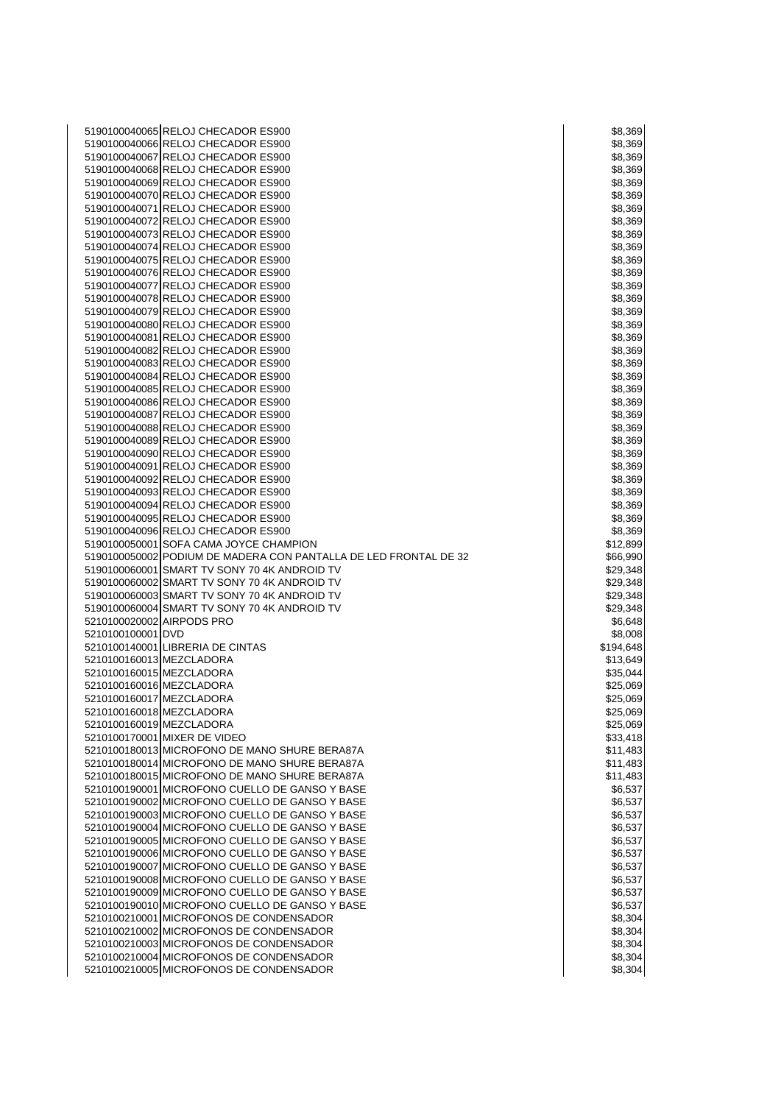| 5190100040065 RELOJ CHECADOR ES900                                                 | \$8,369            |
|------------------------------------------------------------------------------------|--------------------|
| 5190100040066 RELOJ CHECADOR ES900                                                 | \$8,369            |
| 5190100040067 RELOJ CHECADOR ES900                                                 | \$8,369            |
| 5190100040068 RELOJ CHECADOR ES900                                                 | \$8,369            |
| 5190100040069 RELOJ CHECADOR ES900                                                 | \$8,369            |
| 5190100040070 RELOJ CHECADOR ES900                                                 | \$8,369            |
| 5190100040071 RELOJ CHECADOR ES900                                                 | \$8,369            |
| 5190100040072 RELOJ CHECADOR ES900                                                 | \$8,369            |
| 5190100040073 RELOJ CHECADOR ES900                                                 | \$8,369            |
| 5190100040074 RELOJ CHECADOR ES900                                                 | \$8,369            |
| 5190100040075 RELOJ CHECADOR ES900                                                 | \$8,369            |
| 5190100040076 RELOJ CHECADOR ES900                                                 | \$8,369            |
| 5190100040077 RELOJ CHECADOR ES900                                                 | \$8,369            |
| 5190100040078 RELOJ CHECADOR ES900                                                 | \$8,369            |
| 5190100040079 RELOJ CHECADOR ES900                                                 | \$8,369            |
| 5190100040080 RELOJ CHECADOR ES900                                                 | \$8,369            |
| 5190100040081 RELOJ CHECADOR ES900                                                 | \$8,369            |
| 5190100040082 RELOJ CHECADOR ES900                                                 | \$8,369            |
|                                                                                    |                    |
| 5190100040083 RELOJ CHECADOR ES900                                                 | \$8,369            |
| 5190100040084 RELOJ CHECADOR ES900                                                 | \$8,369            |
| 5190100040085 RELOJ CHECADOR ES900                                                 | \$8,369            |
| 5190100040086 RELOJ CHECADOR ES900                                                 | \$8,369            |
| 5190100040087 RELOJ CHECADOR ES900                                                 | \$8,369            |
| 5190100040088 RELOJ CHECADOR ES900                                                 | \$8,369            |
| 5190100040089 RELOJ CHECADOR ES900                                                 | \$8,369            |
| 5190100040090 RELOJ CHECADOR ES900                                                 | \$8,369            |
| 5190100040091 RELOJ CHECADOR ES900                                                 | \$8,369            |
| 5190100040092 RELOJ CHECADOR ES900                                                 | \$8,369            |
| 5190100040093 RELOJ CHECADOR ES900                                                 | \$8,369            |
| 5190100040094 RELOJ CHECADOR ES900                                                 | \$8,369            |
| 5190100040095 RELOJ CHECADOR ES900                                                 | \$8,369            |
| 5190100040096 RELOJ CHECADOR ES900                                                 | \$8,369            |
| 5190100050001 SOFA CAMA JOYCE CHAMPION                                             | \$12,899           |
| 5190100050002 PODIUM DE MADERA CON PANTALLA DE LED FRONTAL DE 32                   | \$66,990           |
| 5190100060001 SMART TV SONY 70 4K ANDROID TV                                       | \$29,348           |
| 5190100060002 SMART TV SONY 70 4K ANDROID TV                                       | \$29,348           |
| 5190100060003 SMART TV SONY 70 4K ANDROID TV                                       | \$29,348           |
| 5190100060004 SMART TV SONY 70 4K ANDROID TV                                       | \$29,348           |
| 5210100020002 AIRPODS PRO                                                          | \$6,648            |
| 5210100100001 DVD                                                                  | \$8,008            |
| 5210100140001 LIBRERIA DE CINTAS                                                   |                    |
| 5210100160013 MEZCLADORA                                                           | \$194,648          |
|                                                                                    | \$13,649           |
| 5210100160015 MEZCLADORA                                                           | \$35,044           |
| 5210100160016 MEZCLADORA                                                           | \$25,069           |
| 5210100160017 MEZCLADORA                                                           | \$25,069           |
| 5210100160018 MEZCLADORA                                                           | \$25,069           |
| 5210100160019 MEZCLADORA                                                           |                    |
|                                                                                    | \$25,069           |
| 5210100170001 MIXER DE VIDEO                                                       | \$33,418           |
| 5210100180013 MICROFONO DE MANO SHURE BERA87A                                      | \$11,483           |
| 5210100180014 MICROFONO DE MANO SHURE BERA87A                                      | \$11,483           |
| 5210100180015 MICROFONO DE MANO SHURE BERA87A                                      | \$11,483           |
| 5210100190001 MICROFONO CUELLO DE GANSO Y BASE                                     | \$6,537            |
| 5210100190002 MICROFONO CUELLO DE GANSO Y BASE                                     | \$6,537            |
|                                                                                    | \$6,537            |
| 5210100190003 MICROFONO CUELLO DE GANSO Y BASE                                     |                    |
| 5210100190004 MICROFONO CUELLO DE GANSO Y BASE                                     | \$6,537            |
| 5210100190005 MICROFONO CUELLO DE GANSO Y BASE                                     | \$6,537            |
| 5210100190006 MICROFONO CUELLO DE GANSO Y BASE                                     | \$6,537            |
| 5210100190007 MICROFONO CUELLO DE GANSO Y BASE                                     | \$6,537            |
| 5210100190008 MICROFONO CUELLO DE GANSO Y BASE                                     | \$6,537            |
| 5210100190009 MICROFONO CUELLO DE GANSO Y BASE                                     | \$6,537            |
| 5210100190010 MICROFONO CUELLO DE GANSO Y BASE                                     | \$6,537            |
| 5210100210001 MICROFONOS DE CONDENSADOR                                            | \$8,304            |
| 5210100210002 MICROFONOS DE CONDENSADOR                                            | \$8,304            |
| 5210100210003 MICROFONOS DE CONDENSADOR                                            | \$8,304            |
| 5210100210004 MICROFONOS DE CONDENSADOR<br>5210100210005 MICROFONOS DE CONDENSADOR | \$8,304<br>\$8,304 |

|     |      | \$8,369            |
|-----|------|--------------------|
|     |      |                    |
|     | \$8, | 369                |
|     |      | \$8,369            |
|     |      | \$8,369            |
|     | \$8, | 369                |
|     |      | \$8,369            |
|     |      |                    |
|     |      | \$8,369            |
|     |      | \$8,369            |
|     |      | \$8,369            |
|     |      | \$8,369            |
|     |      | \$8,369            |
|     |      | \$8,369            |
|     |      |                    |
|     | \$8, | 369                |
|     |      | \$8,369            |
|     |      | \$8,369            |
|     | \$8, | 369                |
|     |      | \$8,369            |
|     |      |                    |
|     |      | \$8,369            |
|     |      | \$8,369            |
|     |      | \$8,369            |
|     | \$8, | 369                |
|     |      | \$8,369            |
|     |      | \$8,369            |
|     |      |                    |
|     |      | \$8,369            |
|     |      | \$8,369            |
|     |      | \$8,369            |
|     | \$8, | 369                |
|     |      | \$8,369            |
|     |      |                    |
|     |      | \$8,369            |
|     | \$8, | 369                |
|     |      | \$8,369            |
|     |      | \$8,369            |
|     |      | \$12,899           |
|     |      |                    |
|     |      | \$66,990           |
|     |      |                    |
|     | 29,  | 348                |
|     |      | \$29,348           |
|     |      |                    |
|     |      | \$29,348           |
| \$. |      | 29,348             |
|     |      | \$6,648            |
|     |      | \$8,008            |
|     |      | \$194,648          |
|     |      | \$13,649           |
|     |      |                    |
|     |      | \$35,044           |
|     |      | \$25,069           |
|     |      | \$25,069           |
| \$  | 25,0 | Jţ<br>х,           |
|     |      | \$25,069           |
|     |      | \$33,418           |
|     |      | \$11,483           |
|     |      |                    |
|     |      | \$11,483           |
|     |      | \$11,483           |
|     |      | \$6,537            |
|     |      | \$6,537            |
|     |      | \$6,537            |
|     |      |                    |
|     |      | \$6,537            |
|     |      | \$6,537            |
|     |      | \$6,537            |
|     |      | \$6,537            |
|     |      | \$6,537            |
|     |      | \$6,537            |
|     |      |                    |
|     |      | \$6,537            |
|     |      | \$8,304            |
|     |      | \$8,304            |
|     |      | \$8,304            |
|     |      | \$8,304<br>\$8.304 |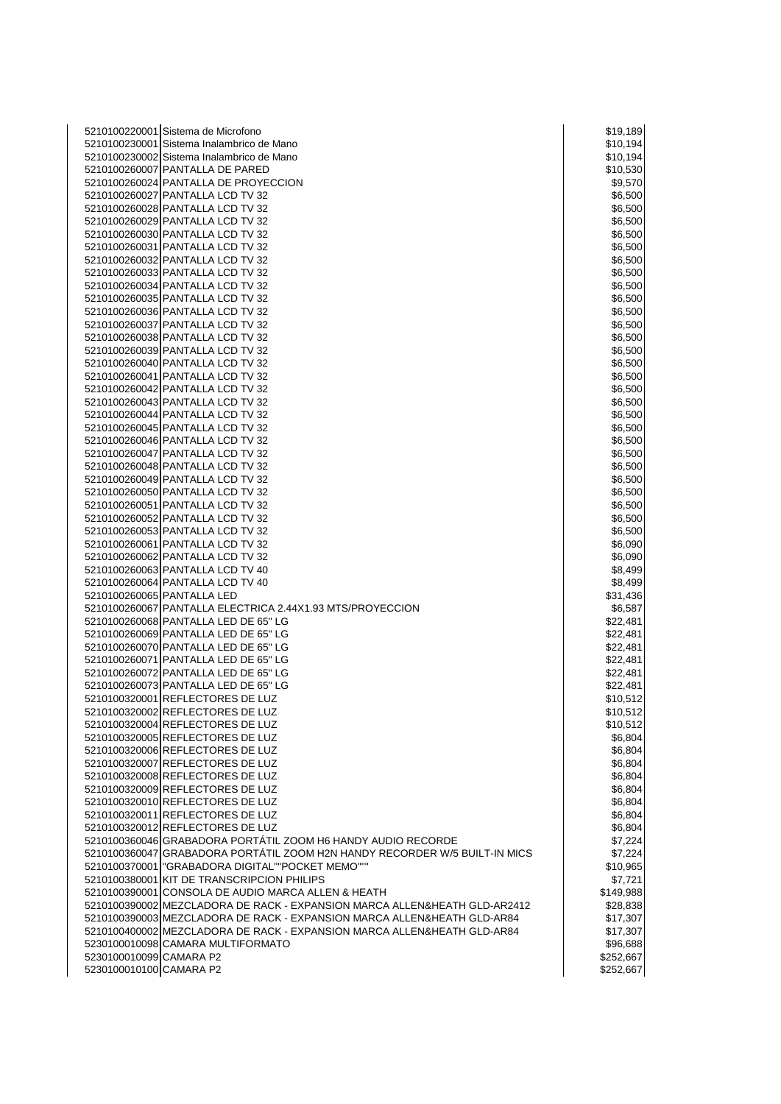|                         | 5210100220001 Sistema de Microfono                                         | \$19,189  |
|-------------------------|----------------------------------------------------------------------------|-----------|
|                         | 5210100230001 Sistema Inalambrico de Mano                                  | \$10,194  |
|                         | 5210100230002 Sistema Inalambrico de Mano                                  | \$10,194  |
|                         | 5210100260007 PANTALLA DE PARED                                            | \$10,530  |
|                         | 5210100260024 PANTALLA DE PROYECCION                                       | \$9,570   |
|                         |                                                                            |           |
|                         | 5210100260027 PANTALLA LCD TV 32                                           | \$6,500   |
|                         | 5210100260028 PANTALLA LCD TV 32                                           | \$6,500   |
|                         | 5210100260029 PANTALLA LCD TV 32                                           | \$6,500   |
|                         | 5210100260030 PANTALLA LCD TV 32                                           | \$6,500   |
|                         | 5210100260031 PANTALLA LCD TV 32                                           | \$6,500   |
|                         | 5210100260032 PANTALLA LCD TV 32                                           | \$6,500   |
|                         | 5210100260033 PANTALLA LCD TV 32                                           | \$6,500   |
|                         | 5210100260034 PANTALLA LCD TV 32                                           | \$6,500   |
|                         | 5210100260035 PANTALLA LCD TV 32                                           | \$6,500   |
|                         | 5210100260036 PANTALLA LCD TV 32                                           | \$6,500   |
|                         | 5210100260037 PANTALLA LCD TV 32                                           | \$6,500   |
|                         | 5210100260038 PANTALLA LCD TV 32                                           | \$6,500   |
|                         | 5210100260039 PANTALLA LCD TV 32                                           | \$6,500   |
|                         | 5210100260040 PANTALLA LCD TV 32                                           | \$6,500   |
|                         | 5210100260041 PANTALLA LCD TV 32                                           | \$6,500   |
|                         | 5210100260042 PANTALLA LCD TV 32                                           | \$6,500   |
|                         | 5210100260043 PANTALLA LCD TV 32                                           | \$6,500   |
|                         | 5210100260044 PANTALLA LCD TV 32                                           | \$6,500   |
|                         | 5210100260045 PANTALLA LCD TV 32                                           | \$6,500   |
|                         | 5210100260046 PANTALLA LCD TV 32                                           | \$6,500   |
|                         | 5210100260047 PANTALLA LCD TV 32                                           | \$6,500   |
|                         |                                                                            |           |
|                         | 5210100260048 PANTALLA LCD TV 32                                           | \$6,500   |
|                         | 5210100260049 PANTALLA LCD TV 32                                           | \$6,500   |
|                         | 5210100260050 PANTALLA LCD TV 32                                           | \$6,500   |
|                         | 5210100260051 PANTALLA LCD TV 32                                           | \$6,500   |
|                         | 5210100260052 PANTALLA LCD TV 32                                           | \$6,500   |
|                         | 5210100260053 PANTALLA LCD TV 32                                           | \$6,500   |
|                         | 5210100260061 PANTALLA LCD TV 32                                           | \$6,090   |
|                         | 5210100260062 PANTALLA LCD TV 32                                           | \$6,090   |
|                         | 5210100260063 PANTALLA LCD TV 40                                           | \$8,499   |
|                         | 5210100260064 PANTALLA LCD TV 40                                           | \$8,499   |
|                         | 5210100260065 PANTALLA LED                                                 | \$31,436  |
|                         | 5210100260067 PANTALLA ELECTRICA 2.44X1.93 MTS/PROYECCION                  | \$6,587   |
|                         | 5210100260068 PANTALLA LED DE 65" LG                                       | \$22,481  |
|                         | 5210100260069 PANTALLA LED DE 65" LG                                       | \$22,481  |
|                         | 5210100260070 PANTALLA LED DE 65" LG                                       | \$22,481  |
|                         | 5210100260071 PANTALLA LED DE 65" LG                                       | \$22,481  |
|                         | 5210100260072 PANTALLA LED DE 65" LG                                       | \$22,481  |
|                         | 5210100260073 PANTALLA LED DE 65" LG                                       | \$22,481  |
|                         | 5210100320001 REFLECTORES DE LUZ                                           | \$10,512  |
|                         | 5210100320002 REFLECTORES DE LUZ                                           | \$10,512  |
|                         | 5210100320004 REFLECTORES DE LUZ                                           | \$10,512  |
|                         | 5210100320005 REFLECTORES DE LUZ                                           | \$6,804   |
|                         | 5210100320006 REFLECTORES DE LUZ                                           | \$6,804   |
|                         | 5210100320007 REFLECTORES DE LUZ                                           | \$6,804   |
|                         | 5210100320008 REFLECTORES DE LUZ                                           | \$6,804   |
|                         |                                                                            |           |
|                         | 5210100320009 REFLECTORES DE LUZ                                           | \$6,804   |
|                         | 5210100320010 REFLECTORES DE LUZ                                           | \$6,804   |
|                         | 5210100320011 REFLECTORES DE LUZ                                           | \$6,804   |
|                         | 5210100320012 REFLECTORES DE LUZ                                           | \$6,804   |
|                         | 5210100360046 GRABADORA PORTÁTIL ZOOM H6 HANDY AUDIO RECORDE               | \$7,224   |
|                         | 5210100360047 GRABADORA PORTÁTIL ZOOM H2N HANDY RECORDER W/5 BUILT-IN MICS | \$7,224   |
|                         | 5210100370001   "GRABADORA DIGITAL" "POCKET MEMO"""                        | \$10,965  |
|                         | 5210100380001 KIT DE TRANSCRIPCION PHILIPS                                 | \$7,721   |
|                         | 5210100390001 CONSOLA DE AUDIO MARCA ALLEN & HEATH                         | \$149,988 |
|                         | 5210100390002 MEZCLADORA DE RACK - EXPANSION MARCA ALLEN&HEATH GLD-AR2412  | \$28,838  |
|                         | 5210100390003 MEZCLADORA DE RACK - EXPANSION MARCA ALLEN& HEATH GLD-AR84   | \$17,307  |
|                         | 5210100400002 MEZCLADORA DE RACK - EXPANSION MARCA ALLEN& HEATH GLD-AR84   | \$17,307  |
|                         | 5230100010098 CAMARA MULTIFORMATO                                          | \$96,688  |
| 5230100010099 CAMARA P2 |                                                                            | \$252,667 |
| 5230100010100 CAMARA P2 |                                                                            | \$252,667 |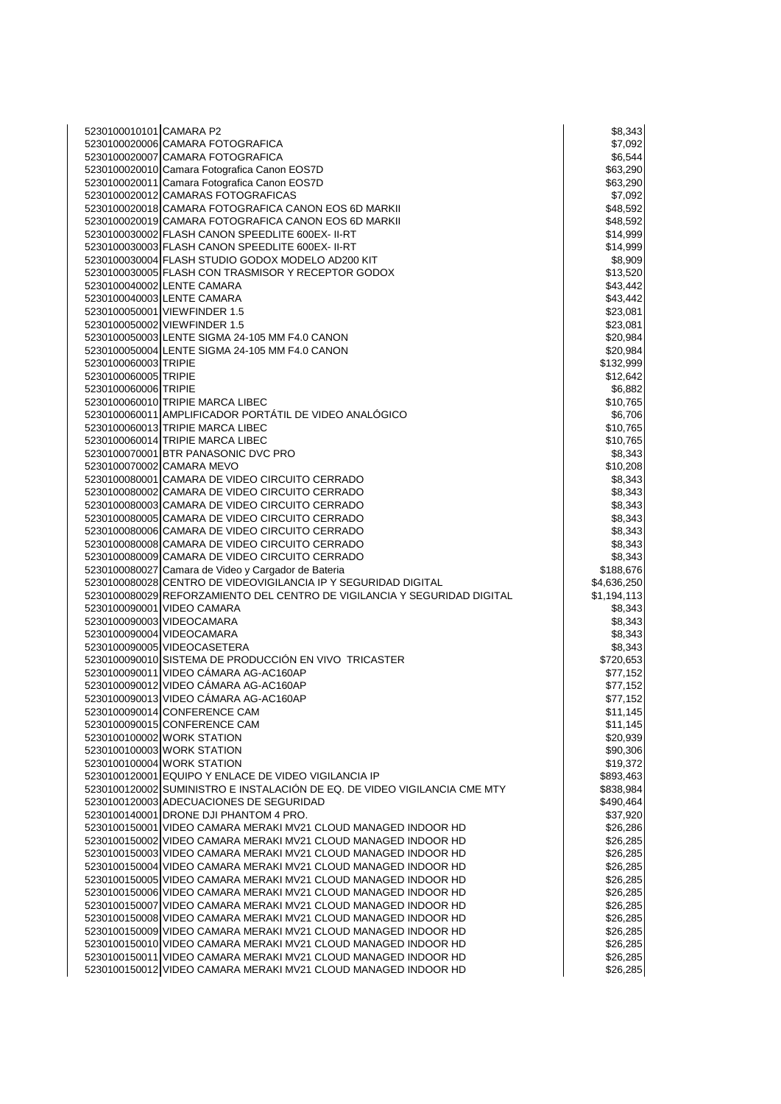| 5230100010101 CAMARA P2    |                                                                           | \$8,343     |
|----------------------------|---------------------------------------------------------------------------|-------------|
|                            | 5230100020006 CAMARA FOTOGRAFICA                                          | \$7,092     |
|                            |                                                                           |             |
|                            | 5230100020007 CAMARA FOTOGRAFICA                                          | \$6,544     |
|                            | 5230100020010 Camara Fotografica Canon EOS7D                              | \$63,290    |
|                            | 5230100020011 Camara Fotografica Canon EOS7D                              | \$63,290    |
|                            | 5230100020012 CAMARAS FOTOGRAFICAS                                        | \$7,092     |
|                            |                                                                           |             |
|                            | 5230100020018 CAMARA FOTOGRAFICA CANON EOS 6D MARKII                      | \$48,592    |
|                            | 5230100020019 CAMARA FOTOGRAFICA CANON EOS 6D MARKII                      | \$48,592    |
|                            | 5230100030002 FLASH CANON SPEEDLITE 600EX- II-RT                          | \$14,999    |
|                            |                                                                           |             |
|                            | 5230100030003 FLASH CANON SPEEDLITE 600EX- II-RT                          | \$14,999    |
|                            | 5230100030004 FLASH STUDIO GODOX MODELO AD200 KIT                         | \$8,909     |
|                            | 5230100030005 FLASH CON TRASMISOR Y RECEPTOR GODOX                        | \$13,520    |
| 5230100040002 LENTE CAMARA |                                                                           | \$43,442    |
|                            |                                                                           |             |
| 5230100040003 LENTE CAMARA |                                                                           | \$43,442    |
|                            | 5230100050001 VIEWFINDER 1.5                                              | \$23,081    |
|                            | 5230100050002 VIEWFINDER 1.5                                              | \$23,081    |
|                            |                                                                           |             |
|                            | 5230100050003 LENTE SIGMA 24-105 MM F4.0 CANON                            | \$20,984    |
|                            | 5230100050004 LENTE SIGMA 24-105 MM F4.0 CANON                            | \$20,984    |
| 5230100060003 TRIPIE       |                                                                           | \$132,999   |
| 5230100060005 TRIPIE       |                                                                           | \$12,642    |
|                            |                                                                           |             |
| 5230100060006 TRIPIE       |                                                                           | \$6,882     |
|                            | 5230100060010 TRIPIE MARCA LIBEC                                          | \$10,765    |
|                            | 5230100060011 AMPLIFICADOR PORTÁTIL DE VIDEO ANALÓGICO                    | \$6,706     |
|                            |                                                                           |             |
|                            | 5230100060013 TRIPIE MARCA LIBEC                                          | \$10,765    |
|                            | 5230100060014 TRIPIE MARCA LIBEC                                          | \$10,765    |
|                            | 5230100070001 BTR PANASONIC DVC PRO                                       | \$8,343     |
| 5230100070002 CAMARA MEVO  |                                                                           | \$10,208    |
|                            |                                                                           |             |
|                            | 5230100080001 CAMARA DE VIDEO CIRCUITO CERRADO                            | \$8,343     |
|                            | 5230100080002 CAMARA DE VIDEO CIRCUITO CERRADO                            | \$8,343     |
|                            | 5230100080003 CAMARA DE VIDEO CIRCUITO CERRADO                            | \$8,343     |
|                            |                                                                           |             |
|                            | 5230100080005 CAMARA DE VIDEO CIRCUITO CERRADO                            | \$8,343     |
|                            | 5230100080006 CAMARA DE VIDEO CIRCUITO CERRADO                            | \$8,343     |
|                            | 5230100080008 CAMARA DE VIDEO CIRCUITO CERRADO                            | \$8,343     |
|                            | 5230100080009 CAMARA DE VIDEO CIRCUITO CERRADO                            | \$8,343     |
|                            |                                                                           |             |
|                            | 5230100080027 Camara de Video y Cargador de Bateria                       | \$188,676   |
|                            | 5230100080028 CENTRO DE VIDEOVIGILANCIA IP Y SEGURIDAD DIGITAL            | \$4,636,250 |
|                            | 5230100080029 REFORZAMIENTO DEL CENTRO DE VIGILANCIA Y SEGURIDAD DIGITAL  | \$1,194,113 |
| 5230100090001 VIDEO CAMARA |                                                                           | \$8,343     |
|                            |                                                                           |             |
| 5230100090003 VIDEOCAMARA  |                                                                           | \$8,343     |
| 5230100090004 VIDEOCAMARA  |                                                                           | \$8,343     |
|                            | 5230100090005 VIDEOCASETERA                                               | \$8,343     |
|                            |                                                                           |             |
|                            | 5230100090010 SISTEMA DE PRODUCCIÓN EN VIVO TRICASTER                     | \$720,653   |
|                            | 5230100090011 VIDEO CÁMARA AG-AC160AP                                     | \$77,152    |
|                            | 5230100090012 VIDEO CÁMARA AG-AC160AP                                     | \$77,152    |
|                            | 5230100090013 VIDEO CÁMARA AG-AC160AP                                     | \$77,152    |
|                            |                                                                           |             |
|                            | 5230100090014 CONFERENCE CAM                                              | \$11,145    |
|                            | 5230100090015 CONFERENCE CAM                                              | \$11,145    |
|                            | 5230100100002 WORK STATION                                                | \$20,939    |
|                            | 5230100100003 WORK STATION                                                | \$90,306    |
|                            |                                                                           |             |
| 5230100100004 WORK STATION |                                                                           | \$19,372    |
|                            | 5230100120001 EQUIPO Y ENLACE DE VIDEO VIGILANCIA IP                      | \$893,463   |
|                            | 5230100120002 SUMINISTRO E INSTALACIÓN DE EQ. DE VIDEO VIGILANCIA CME MTY | \$838,984   |
|                            |                                                                           |             |
|                            | 5230100120003 ADECUACIONES DE SEGURIDAD                                   | \$490,464   |
|                            | 5230100140001 DRONE DJI PHANTOM 4 PRO.                                    | \$37,920    |
|                            | 5230100150001 VIDEO CAMARA MERAKI MV21 CLOUD MANAGED INDOOR HD            | \$26,286    |
|                            | 5230100150002 VIDEO CAMARA MERAKI MV21 CLOUD MANAGED INDOOR HD            | \$26,285    |
|                            |                                                                           |             |
|                            | 5230100150003 VIDEO CAMARA MERAKI MV21 CLOUD MANAGED INDOOR HD            | \$26,285    |
|                            | 5230100150004 VIDEO CAMARA MERAKI MV21 CLOUD MANAGED INDOOR HD            | \$26,285    |
|                            | 5230100150005 VIDEO CAMARA MERAKI MV21 CLOUD MANAGED INDOOR HD            | \$26,285    |
|                            | 5230100150006 VIDEO CAMARA MERAKI MV21 CLOUD MANAGED INDOOR HD            |             |
|                            |                                                                           | \$26,285    |
|                            | 5230100150007 VIDEO CAMARA MERAKI MV21 CLOUD MANAGED INDOOR HD            | \$26,285    |
|                            | 5230100150008 VIDEO CAMARA MERAKI MV21 CLOUD MANAGED INDOOR HD            | \$26,285    |
|                            | 5230100150009 VIDEO CAMARA MERAKI MV21 CLOUD MANAGED INDOOR HD            | \$26,285    |
|                            |                                                                           |             |
|                            | 5230100150010 VIDEO CAMARA MERAKI MV21 CLOUD MANAGED INDOOR HD            | \$26,285    |
|                            | 5230100150011 VIDEO CAMARA MERAKI MV21 CLOUD MANAGED INDOOR HD            | \$26,285    |
|                            | 5230100150012 VIDEO CAMARA MERAKI MV21 CLOUD MANAGED INDOOR HD            | \$26,285    |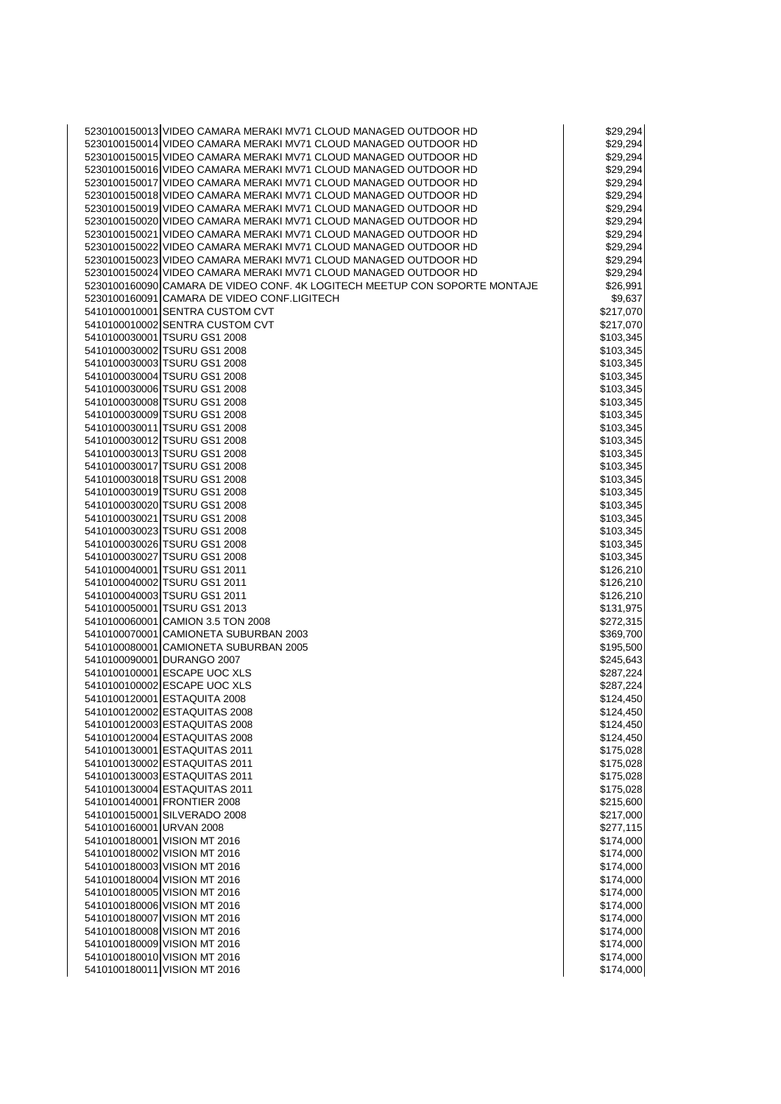|  | 5230100150013 VIDEO CAMARA MERAKI MV71 CLOUD MANAGED OUTDOOR HD            | \$29,294  |
|--|----------------------------------------------------------------------------|-----------|
|  | 5230100150014 VIDEO CAMARA MERAKI MV71 CLOUD MANAGED OUTDOOR HD            | \$29,294  |
|  | 5230100150015 VIDEO CAMARA MERAKI MV71 CLOUD MANAGED OUTDOOR HD            |           |
|  |                                                                            | \$29,294  |
|  | 5230100150016 VIDEO CAMARA MERAKI MV71 CLOUD MANAGED OUTDOOR HD            | \$29,294  |
|  | 5230100150017 VIDEO CAMARA MERAKI MV71 CLOUD MANAGED OUTDOOR HD            | \$29,294  |
|  | 5230100150018 VIDEO CAMARA MERAKI MV71 CLOUD MANAGED OUTDOOR HD            | \$29,294  |
|  | 5230100150019 VIDEO CAMARA MERAKI MV71 CLOUD MANAGED OUTDOOR HD            | \$29,294  |
|  |                                                                            |           |
|  | 5230100150020 VIDEO CAMARA MERAKI MV71 CLOUD MANAGED OUTDOOR HD            | \$29,294  |
|  | 5230100150021 VIDEO CAMARA MERAKI MV71 CLOUD MANAGED OUTDOOR HD            | \$29,294  |
|  | 5230100150022 VIDEO CAMARA MERAKI MV71 CLOUD MANAGED OUTDOOR HD            | \$29,294  |
|  | 5230100150023 VIDEO CAMARA MERAKI MV71 CLOUD MANAGED OUTDOOR HD            | \$29,294  |
|  |                                                                            |           |
|  | 5230100150024 VIDEO CAMARA MERAKI MV71 CLOUD MANAGED OUTDOOR HD            | \$29,294  |
|  | 5230100160090 CAMARA DE VIDEO CONF. 4K LOGITECH MEETUP CON SOPORTE MONTAJE | \$26,991  |
|  | 5230100160091 CAMARA DE VIDEO CONF.LIGITECH                                | \$9,637   |
|  | 5410100010001 SENTRA CUSTOM CVT                                            | \$217,070 |
|  | 5410100010002 SENTRA CUSTOM CVT                                            |           |
|  |                                                                            | \$217,070 |
|  | 5410100030001 TSURU GS1 2008                                               | \$103,345 |
|  | 5410100030002 TSURU GS1 2008                                               | \$103,345 |
|  | 5410100030003 TSURU GS1 2008                                               | \$103,345 |
|  | 5410100030004 TSURU GS1 2008                                               |           |
|  |                                                                            | \$103,345 |
|  | 5410100030006 TSURU GS1 2008                                               | \$103,345 |
|  | 5410100030008 TSURU GS1 2008                                               | \$103,345 |
|  | 5410100030009 TSURU GS1 2008                                               | \$103,345 |
|  | 5410100030011 TSURU GS1 2008                                               | \$103,345 |
|  |                                                                            |           |
|  | 5410100030012 TSURU GS1 2008                                               | \$103,345 |
|  | 5410100030013 TSURU GS1 2008                                               | \$103,345 |
|  | 5410100030017 TSURU GS1 2008                                               | \$103,345 |
|  | 5410100030018 TSURU GS1 2008                                               | \$103,345 |
|  |                                                                            |           |
|  | 5410100030019 TSURU GS1 2008                                               | \$103,345 |
|  | 5410100030020 TSURU GS1 2008                                               | \$103,345 |
|  | 5410100030021 TSURU GS1 2008                                               | \$103,345 |
|  | 5410100030023 TSURU GS1 2008                                               | \$103,345 |
|  | 5410100030026 TSURU GS1 2008                                               |           |
|  |                                                                            | \$103,345 |
|  | 5410100030027 TSURU GS1 2008                                               | \$103,345 |
|  | 5410100040001 TSURU GS1 2011                                               | \$126,210 |
|  | 5410100040002 TSURU GS1 2011                                               | \$126,210 |
|  | 5410100040003 TSURU GS1 2011                                               | \$126,210 |
|  |                                                                            |           |
|  | 5410100050001 TSURU GS1 2013                                               | \$131,975 |
|  | 5410100060001 CAMION 3.5 TON 2008                                          | \$272,315 |
|  | 5410100070001 CAMIONETA SUBURBAN 2003                                      | \$369,700 |
|  | 5410100080001 CAMIONETA SUBURBAN 2005                                      | \$195,500 |
|  |                                                                            |           |
|  | 5410100090001 DURANGO 2007                                                 | \$245,643 |
|  | 5410100100001 ESCAPE UOC XLS                                               | \$287,224 |
|  | 5410100100002 ESCAPE UOC XLS                                               | \$287,224 |
|  | 5410100120001 ESTAQUITA 2008                                               | \$124,450 |
|  | 5410100120002 ESTAQUITAS 2008                                              | \$124,450 |
|  |                                                                            |           |
|  | 5410100120003 ESTAQUITAS 2008                                              | \$124,450 |
|  | 5410100120004 ESTAQUITAS 2008                                              | \$124,450 |
|  | 5410100130001 ESTAQUITAS 2011                                              | \$175,028 |
|  | 5410100130002 ESTAQUITAS 2011                                              | \$175,028 |
|  |                                                                            |           |
|  | 5410100130003 ESTAQUITAS 2011                                              | \$175,028 |
|  | 5410100130004 ESTAQUITAS 2011                                              | \$175,028 |
|  | 5410100140001 FRONTIER 2008                                                | \$215,600 |
|  | 5410100150001 SILVERADO 2008                                               | \$217,000 |
|  | 5410100160001 URVAN 2008                                                   | \$277,115 |
|  |                                                                            |           |
|  | 5410100180001 VISION MT 2016                                               | \$174,000 |
|  | 5410100180002 VISION MT 2016                                               | \$174,000 |
|  | 5410100180003 VISION MT 2016                                               | \$174,000 |
|  | 5410100180004 VISION MT 2016                                               | \$174,000 |
|  |                                                                            |           |
|  | 5410100180005 VISION MT 2016                                               | \$174,000 |
|  | 5410100180006 VISION MT 2016                                               | \$174,000 |
|  | 5410100180007 VISION MT 2016                                               | \$174,000 |
|  | 5410100180008 VISION MT 2016                                               | \$174,000 |
|  |                                                                            |           |
|  | 5410100180009 VISION MT 2016                                               | \$174,000 |
|  | 5410100180010 VISION MT 2016                                               | \$174,000 |
|  | 5410100180011 VISION MT 2016                                               | \$174,000 |
|  |                                                                            |           |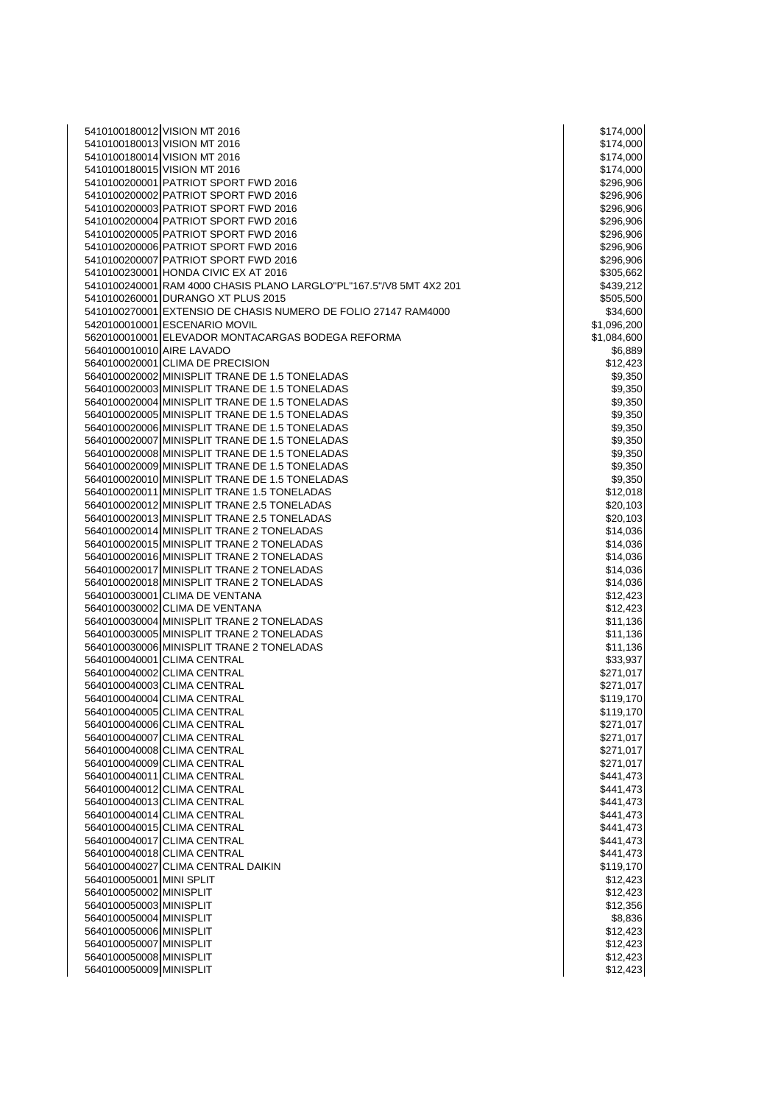|                           | 5410100180012 VISION MT 2016                                        | \$174,000   |
|---------------------------|---------------------------------------------------------------------|-------------|
|                           | 5410100180013 VISION MT 2016                                        | \$174,000   |
|                           |                                                                     |             |
|                           | 5410100180014 VISION MT 2016                                        | \$174,000   |
|                           | 5410100180015 VISION MT 2016                                        | \$174,000   |
|                           | 5410100200001 PATRIOT SPORT FWD 2016                                | \$296,906   |
|                           | 5410100200002 PATRIOT SPORT FWD 2016                                | \$296,906   |
|                           |                                                                     |             |
|                           | 5410100200003 PATRIOT SPORT FWD 2016                                | \$296,906   |
|                           | 5410100200004 PATRIOT SPORT FWD 2016                                | \$296,906   |
|                           | 5410100200005 PATRIOT SPORT FWD 2016                                | \$296,906   |
|                           | 5410100200006 PATRIOT SPORT FWD 2016                                | \$296,906   |
|                           |                                                                     |             |
|                           | 5410100200007 PATRIOT SPORT FWD 2016                                | \$296,906   |
|                           | 5410100230001 HONDA CIVIC EX AT 2016                                | \$305,662   |
|                           | 5410100240001 RAM 4000 CHASIS PLANO LARGLO"PL"167.5"/V8 5MT 4X2 201 | \$439,212   |
|                           |                                                                     |             |
|                           | 5410100260001 DURANGO XT PLUS 2015                                  | \$505,500   |
|                           | 5410100270001 EXTENSIO DE CHASIS NUMERO DE FOLIO 27147 RAM4000      | \$34,600    |
|                           | 5420100010001 ESCENARIO MOVIL                                       | \$1,096,200 |
|                           | 5620100010001 ELEVADOR MONTACARGAS BODEGA REFORMA                   | \$1,084,600 |
|                           |                                                                     |             |
| 5640100010010 AIRE LAVADO |                                                                     | \$6,889     |
|                           | 5640100020001 CLIMA DE PRECISION                                    | \$12,423    |
|                           | 5640100020002 MINISPLIT TRANE DE 1.5 TONELADAS                      | \$9,350     |
|                           | 5640100020003 MINISPLIT TRANE DE 1.5 TONELADAS                      | \$9,350     |
|                           |                                                                     |             |
|                           | 5640100020004 MINISPLIT TRANE DE 1.5 TONELADAS                      | \$9,350     |
|                           | 5640100020005 MINISPLIT TRANE DE 1.5 TONELADAS                      | \$9,350     |
|                           | 5640100020006 MINISPLIT TRANE DE 1.5 TONELADAS                      | \$9,350     |
|                           | 5640100020007 MINISPLIT TRANE DE 1.5 TONELADAS                      |             |
|                           |                                                                     | \$9,350     |
|                           | 5640100020008 MINISPLIT TRANE DE 1.5 TONELADAS                      | \$9,350     |
|                           | 5640100020009 MINISPLIT TRANE DE 1.5 TONELADAS                      | \$9,350     |
|                           | 5640100020010 MINISPLIT TRANE DE 1.5 TONELADAS                      | \$9,350     |
|                           |                                                                     |             |
|                           | 5640100020011 MINISPLIT TRANE 1.5 TONELADAS                         | \$12,018    |
|                           | 5640100020012 MINISPLIT TRANE 2.5 TONELADAS                         | \$20,103    |
|                           | 5640100020013 MINISPLIT TRANE 2.5 TONELADAS                         | \$20,103    |
|                           | 5640100020014 MINISPLIT TRANE 2 TONELADAS                           | \$14,036    |
|                           |                                                                     |             |
|                           | 5640100020015 MINISPLIT TRANE 2 TONELADAS                           | \$14,036    |
|                           | 5640100020016 MINISPLIT TRANE 2 TONELADAS                           | \$14,036    |
|                           | 5640100020017 MINISPLIT TRANE 2 TONELADAS                           | \$14,036    |
|                           |                                                                     |             |
|                           | 5640100020018 MINISPLIT TRANE 2 TONELADAS                           | \$14,036    |
|                           | 5640100030001 CLIMA DE VENTANA                                      | \$12,423    |
|                           | 5640100030002 CLIMA DE VENTANA                                      | \$12,423    |
|                           | 5640100030004 MINISPLIT TRANE 2 TONELADAS                           | \$11,136    |
|                           |                                                                     |             |
|                           | 5640100030005 MINISPLIT TRANE 2 TONELADAS                           | \$11,136    |
|                           | 5640100030006 MINISPLIT TRANE 2 TONELADAS                           | \$11,136    |
|                           | 5640100040001 CLIMA CENTRAL                                         | \$33,937    |
|                           |                                                                     |             |
|                           | 5640100040002 CLIMA CENTRAL                                         | \$271,017   |
|                           | 5640100040003 CLIMA CENTRAL                                         | \$271,017   |
|                           | 5640100040004 CLIMA CENTRAL                                         | \$119,170   |
|                           | 5640100040005 CLIMA CENTRAL                                         |             |
|                           |                                                                     | \$119,170   |
|                           | 5640100040006 CLIMA CENTRAL                                         | \$271,017   |
|                           | 5640100040007 CLIMA CENTRAL                                         | \$271,017   |
|                           | 5640100040008 CLIMA CENTRAL                                         | \$271,017   |
|                           |                                                                     |             |
|                           | 5640100040009 CLIMA CENTRAL                                         | \$271,017   |
|                           | 5640100040011 CLIMA CENTRAL                                         | \$441,473   |
|                           | 5640100040012 CLIMA CENTRAL                                         | \$441,473   |
|                           | 5640100040013 CLIMA CENTRAL                                         | \$441,473   |
|                           |                                                                     |             |
|                           | 5640100040014 CLIMA CENTRAL                                         | \$441,473   |
|                           | 5640100040015 CLIMA CENTRAL                                         | \$441,473   |
|                           | 5640100040017 CLIMA CENTRAL                                         | \$441,473   |
|                           | 5640100040018 CLIMA CENTRAL                                         |             |
|                           |                                                                     | \$441,473   |
|                           | 5640100040027 CLIMA CENTRAL DAIKIN                                  | \$119,170   |
| 5640100050001 MINI SPLIT  |                                                                     | \$12,423    |
| 5640100050002 MINISPLIT   |                                                                     | \$12,423    |
|                           |                                                                     |             |
| 5640100050003 MINISPLIT   |                                                                     | \$12,356    |
| 5640100050004 MINISPLIT   |                                                                     | \$8,836     |
| 5640100050006 MINISPLIT   |                                                                     | \$12,423    |
| 5640100050007 MINISPLIT   |                                                                     | \$12,423    |
|                           |                                                                     |             |
| 5640100050008 MINISPLIT   |                                                                     | \$12,423    |
| 5640100050009 MINISPLIT   |                                                                     | \$12,423    |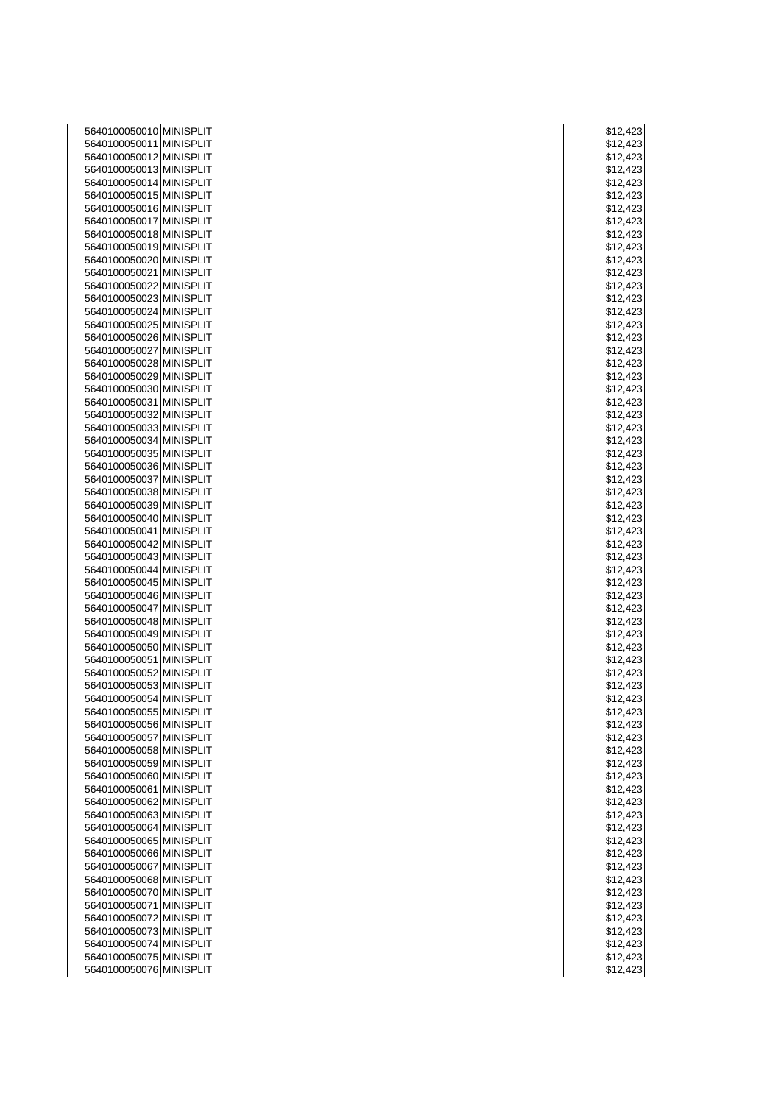| 5640100050010 MINISPLIT | \$12,423 |
|-------------------------|----------|
| 5640100050011 MINISPLIT | \$12,423 |
| 5640100050012 MINISPLIT | \$12,423 |
| 5640100050013 MINISPLIT | \$12,423 |
| 5640100050014 MINISPLIT | \$12,423 |
| 5640100050015 MINISPLIT | \$12,423 |
|                         |          |
| 5640100050016 MINISPLIT | \$12,423 |
| 5640100050017 MINISPLIT | \$12,423 |
| 5640100050018 MINISPLIT | \$12,423 |
| 5640100050019 MINISPLIT | \$12,423 |
| 5640100050020 MINISPLIT | \$12,423 |
| 5640100050021 MINISPLIT | \$12,423 |
| 5640100050022 MINISPLIT | \$12,423 |
| 5640100050023 MINISPLIT | \$12,423 |
| 5640100050024 MINISPLIT | \$12,423 |
| 5640100050025 MINISPLIT | \$12,423 |
| 5640100050026 MINISPLIT | \$12,423 |
| 5640100050027 MINISPLIT | \$12,423 |
| 5640100050028 MINISPLIT | \$12,423 |
| 5640100050029 MINISPLIT | \$12,423 |
| 5640100050030 MINISPLIT | \$12,423 |
| 5640100050031 MINISPLIT | \$12,423 |
| 5640100050032 MINISPLIT |          |
|                         | \$12,423 |
| 5640100050033 MINISPLIT | \$12,423 |
| 5640100050034 MINISPLIT | \$12,423 |
| 5640100050035 MINISPLIT | \$12,423 |
| 5640100050036 MINISPLIT | \$12,423 |
| 5640100050037 MINISPLIT | \$12,423 |
| 5640100050038 MINISPLIT | \$12,423 |
| 5640100050039 MINISPLIT | \$12,423 |
| 5640100050040 MINISPLIT | \$12,423 |
| 5640100050041 MINISPLIT | \$12,423 |
| 5640100050042 MINISPLIT | \$12,423 |
| 5640100050043 MINISPLIT | \$12,423 |
| 5640100050044 MINISPLIT | \$12,423 |
| 5640100050045 MINISPLIT | \$12,423 |
| 5640100050046 MINISPLIT | \$12,423 |
| 5640100050047 MINISPLIT | \$12,423 |
| 5640100050048 MINISPLIT | \$12,423 |
| 5640100050049 MINISPLIT | \$12,423 |
| 5640100050050 MINISPLIT | \$12,423 |
|                         |          |
| 5640100050051 MINISPLIT | \$12,423 |
| 5640100050052 MINISPLIT | \$12,423 |
| 5640100050053 MINISPLIT | \$12,423 |
| 5640100050054 MINISPLIT | \$12,423 |
| 5640100050055 MINISPLIT | \$12,423 |
| 5640100050056 MINISPLIT | \$12,423 |
| 5640100050057 MINISPLIT | \$12,423 |
| 5640100050058 MINISPLIT | \$12,423 |
| 5640100050059 MINISPLIT | \$12,423 |
| 5640100050060 MINISPLIT | \$12,423 |
| 5640100050061 MINISPLIT | \$12,423 |
| 5640100050062 MINISPLIT | \$12,423 |
| 5640100050063 MINISPLIT | \$12,423 |
| 5640100050064 MINISPLIT | \$12,423 |
| 5640100050065 MINISPLIT | \$12,423 |
| 5640100050066 MINISPLIT | \$12,423 |
| 5640100050067 MINISPLIT | \$12,423 |
| 5640100050068 MINISPLIT |          |
|                         | \$12,423 |
| 5640100050070 MINISPLIT | \$12,423 |
| 5640100050071 MINISPLIT | \$12,423 |
| 5640100050072 MINISPLIT | \$12,423 |
| 5640100050073 MINISPLIT | \$12,423 |
| 5640100050074 MINISPLIT | \$12,423 |
| 5640100050075 MINISPLIT | \$12,423 |
| 5640100050076 MINISPLIT | \$12,423 |

|      |         | \$12,423                           |
|------|---------|------------------------------------|
|      |         | \$12,42<br>3                       |
|      |         |                                    |
|      |         | \$12,42<br>3                       |
| \$1  |         | 2,423                              |
|      |         |                                    |
|      |         | \$12,42<br>3                       |
|      |         | \$12,423                           |
|      |         |                                    |
|      |         | \$12,42<br>3                       |
| \$1: | 2,4     | 2<br>3                             |
|      |         |                                    |
|      |         | \$12,423                           |
|      |         |                                    |
|      |         | \$12,423                           |
|      |         | \$12,42<br>3                       |
|      |         | \$12,423                           |
|      |         |                                    |
|      |         | \$12,42<br>3                       |
|      |         | \$12,42                            |
|      |         | 3                                  |
|      |         | \$12,423                           |
|      |         | \$12,423                           |
|      |         |                                    |
| \$1: |         | 2,423                              |
|      |         | \$12,423                           |
|      |         |                                    |
|      |         | \$12,42<br>3                       |
|      |         |                                    |
|      |         | \$12,42<br>3                       |
|      |         | \$12,423                           |
|      |         |                                    |
|      |         | \$12,423                           |
|      |         | \$12,423                           |
|      |         |                                    |
|      | \$12,4  | 23                                 |
| \$1  |         | 2,42<br>3                          |
|      |         |                                    |
| \$1  |         | 2,423                              |
|      |         | \$12,423                           |
|      |         |                                    |
|      |         | \$12,42<br>3                       |
|      |         | \$12,423                           |
|      |         |                                    |
|      |         | \$12,42<br>3                       |
|      |         | \$12,42<br>3                       |
|      |         |                                    |
| \$1  |         | 2,423                              |
|      | \$12,4  | 2<br>3                             |
|      |         |                                    |
|      |         |                                    |
|      |         |                                    |
|      |         | \$12,423                           |
|      |         | \$12,42<br>3                       |
|      |         |                                    |
| \$1  |         | 2,42<br>3                          |
|      | \$12,42 | 3                                  |
|      |         |                                    |
|      | \$12,42 | 3                                  |
|      |         | \$12,42<br>3                       |
|      |         |                                    |
| \$1  | 2,4     | 3<br>2                             |
|      |         | \$12.42<br>š                       |
|      |         |                                    |
| \$1  |         | 2,42<br>3                          |
| \$1  |         | 2,42<br>3                          |
|      |         |                                    |
|      | \$12.42 | Ŝ                                  |
|      |         | \$12,42<br>3                       |
|      |         |                                    |
|      |         | \$12,423                           |
|      |         | \$12,423                           |
|      |         |                                    |
|      |         | \$12,423                           |
|      |         |                                    |
|      |         |                                    |
|      |         | \$12,42 <mark>3</mark><br>\$12,423 |
|      |         | \$12,423                           |
|      |         |                                    |
|      |         | \$12,423                           |
|      |         | \$12,423                           |
|      |         |                                    |
|      |         | \$12,423                           |
|      |         | \$12,423                           |
|      |         |                                    |
|      |         | \$12,423                           |
|      |         | \$12,423                           |
|      |         | 3                                  |
|      |         | \$12,42                            |
|      |         | \$12,423                           |
|      |         |                                    |
|      |         | \$12,423                           |
|      |         | \$12,423                           |
|      |         |                                    |
|      |         | \$12,423                           |
|      |         |                                    |
|      |         |                                    |
|      |         | \$12,423<br>\$12,423               |
|      |         | \$12,423                           |
|      |         | \$12,423                           |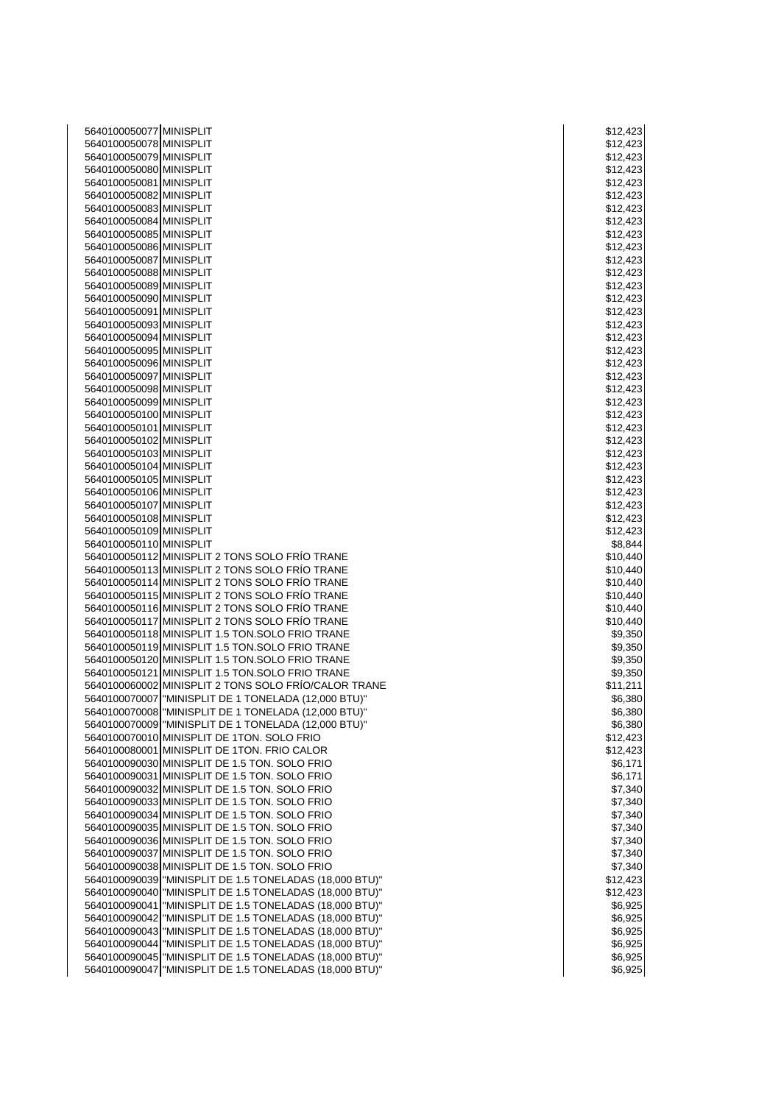| 5640100050077 MINISPLIT                            |                                                                                                                        | \$12,423             |
|----------------------------------------------------|------------------------------------------------------------------------------------------------------------------------|----------------------|
| 5640100050078 MINISPLIT                            |                                                                                                                        | \$12,423             |
| 5640100050079 MINISPLIT                            |                                                                                                                        | \$12,423             |
| 5640100050080 MINISPLIT                            |                                                                                                                        | \$12,423             |
| 5640100050081 MINISPLIT                            |                                                                                                                        | \$12,423             |
| 5640100050082 MINISPLIT                            |                                                                                                                        | \$12,423             |
| 5640100050083 MINISPLIT                            |                                                                                                                        | \$12,423             |
| 5640100050084 MINISPLIT                            |                                                                                                                        | \$12,423             |
| 5640100050085 MINISPLIT                            |                                                                                                                        | \$12,423             |
| 5640100050086 MINISPLIT                            |                                                                                                                        | \$12,423             |
| 5640100050087 MINISPLIT                            |                                                                                                                        | \$12,423             |
| 5640100050088 MINISPLIT                            |                                                                                                                        | \$12,423             |
| 5640100050089 MINISPLIT                            |                                                                                                                        | \$12,423             |
| 5640100050090 MINISPLIT                            |                                                                                                                        | \$12,423             |
| 5640100050091 MINISPLIT                            |                                                                                                                        | \$12,423             |
| 5640100050093 MINISPLIT                            |                                                                                                                        | \$12,423             |
| 5640100050094 MINISPLIT<br>5640100050095 MINISPLIT |                                                                                                                        | \$12,423             |
| 5640100050096 MINISPLIT                            |                                                                                                                        | \$12,423<br>\$12,423 |
| 5640100050097 MINISPLIT                            |                                                                                                                        | \$12,423             |
| 5640100050098 MINISPLIT                            |                                                                                                                        | \$12,423             |
| 5640100050099 MINISPLIT                            |                                                                                                                        | \$12,423             |
| 5640100050100 MINISPLIT                            |                                                                                                                        | \$12,423             |
| 5640100050101 MINISPLIT                            |                                                                                                                        | \$12,423             |
| 5640100050102 MINISPLIT                            |                                                                                                                        | \$12,423             |
| 5640100050103 MINISPLIT                            |                                                                                                                        | \$12,423             |
| 5640100050104 MINISPLIT                            |                                                                                                                        | \$12,423             |
| 5640100050105 MINISPLIT                            |                                                                                                                        | \$12,423             |
| 5640100050106 MINISPLIT                            |                                                                                                                        | \$12,423             |
| 5640100050107 MINISPLIT                            |                                                                                                                        | \$12,423             |
| 5640100050108 MINISPLIT                            |                                                                                                                        | \$12,423             |
| 5640100050109 MINISPLIT                            |                                                                                                                        | \$12,423             |
| 5640100050110 MINISPLIT                            |                                                                                                                        | \$8,844              |
|                                                    | 5640100050112 MINISPLIT 2 TONS SOLO FRÍO TRANE                                                                         | \$10,440             |
|                                                    | 5640100050113 MINISPLIT 2 TONS SOLO FRÍO TRANE                                                                         | \$10,440             |
|                                                    | 5640100050114 MINISPLIT 2 TONS SOLO FRÍO TRANE                                                                         | \$10,440             |
|                                                    | 5640100050115 MINISPLIT 2 TONS SOLO FRÍO TRANE                                                                         | \$10,440             |
|                                                    | 5640100050116 MINISPLIT 2 TONS SOLO FRÍO TRANE<br>5640100050117 MINISPLIT 2 TONS SOLO FRÍO TRANE                       | \$10,440             |
|                                                    | 5640100050118 MINISPLIT 1.5 TON.SOLO FRIO TRANE                                                                        | \$10,440<br>\$9,350  |
|                                                    | 5640100050119 MINISPLIT 1.5 TON.SOLO FRIO TRANE                                                                        | \$9,350              |
|                                                    | 5640100050120 MINISPLIT 1.5 TON.SOLO FRIO TRANE                                                                        | \$9,350              |
|                                                    | 5640100050121 MINISPLIT 1.5 TON.SOLO FRIO TRANE                                                                        | \$9,350              |
|                                                    | 5640100060002 MINISPLIT 2 TONS SOLO FRÍO/CALOR TRANE                                                                   | \$11,211             |
|                                                    | 5640100070007 MINISPLIT DE 1 TONELADA (12,000 BTU)"                                                                    | \$6,380              |
|                                                    | 5640100070008   "MINISPLIT DE 1 TONELADA (12,000 BTU)"                                                                 | \$6,380              |
|                                                    | 5640100070009 MINISPLIT DE 1 TONELADA (12,000 BTU)"                                                                    | \$6,380              |
|                                                    | 5640100070010 MINISPLIT DE 1TON. SOLO FRIO                                                                             | \$12,423             |
|                                                    | 5640100080001 MINISPLIT DE 1TON. FRIO CALOR                                                                            | \$12,423             |
|                                                    | 5640100090030 MINISPLIT DE 1.5 TON. SOLO FRIO                                                                          | \$6,171              |
|                                                    | 5640100090031 MINISPLIT DE 1.5 TON. SOLO FRIO                                                                          | \$6,171              |
|                                                    | 5640100090032 MINISPLIT DE 1.5 TON. SOLO FRIO                                                                          | \$7,340              |
|                                                    | 5640100090033 MINISPLIT DE 1.5 TON. SOLO FRIO                                                                          | \$7,340              |
|                                                    | 5640100090034 MINISPLIT DE 1.5 TON. SOLO FRIO                                                                          | \$7,340              |
|                                                    | 5640100090035 MINISPLIT DE 1.5 TON. SOLO FRIO                                                                          | \$7,340              |
|                                                    | 5640100090036 MINISPLIT DE 1.5 TON. SOLO FRIO                                                                          | \$7,340              |
|                                                    | 5640100090037 MINISPLIT DE 1.5 TON. SOLO FRIO                                                                          | \$7,340              |
|                                                    | 5640100090038 MINISPLIT DE 1.5 TON. SOLO FRIO                                                                          | \$7,340              |
|                                                    | 5640100090039   "MINISPLIT DE 1.5 TONELADAS (18,000 BTU)"                                                              | \$12,423             |
|                                                    | 5640100090040   "MINISPLIT DE 1.5 TONELADAS (18,000 BTU)"<br>5640100090041   "MINISPLIT DE 1.5 TONELADAS (18,000 BTU)" | \$12,423<br>\$6,925  |
|                                                    | 5640100090042   "MINISPLIT DE 1.5 TONELADAS (18,000 BTU)"                                                              | \$6,925              |
|                                                    | 5640100090043   "MINISPLIT DE 1.5 TONELADAS (18,000 BTU)"                                                              | \$6,925              |
|                                                    | 5640100090044   "MINISPLIT DE 1.5 TONELADAS (18,000 BTU)"                                                              | \$6,925              |
|                                                    | 5640100090045   "MINISPLIT DE 1.5 TONELADAS (18,000 BTU)"                                                              | \$6,925              |
|                                                    | 5640100090047   "MINISPLIT DE 1.5 TONELADAS (18,000 BTU)"                                                              | \$6,925              |
|                                                    |                                                                                                                        |                      |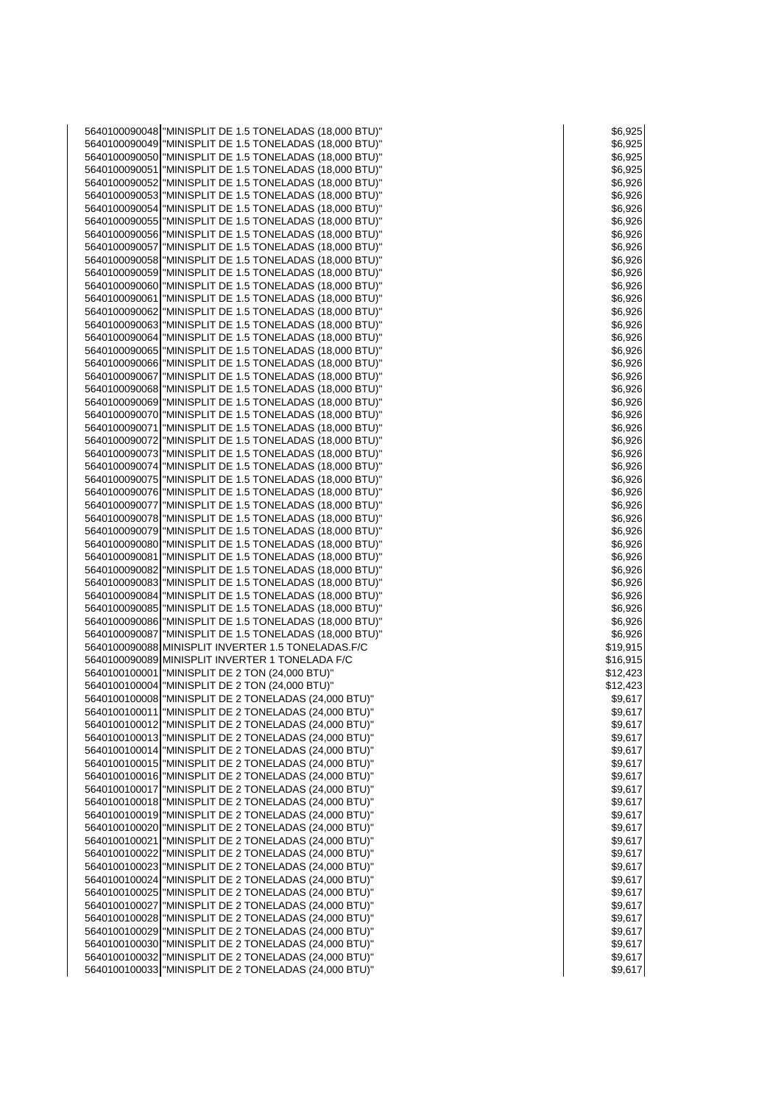| 5640100090048   "MINISPLIT DE 1.5 TONELADAS (18,000 BTU)" | \$6,925  |
|-----------------------------------------------------------|----------|
|                                                           |          |
| 5640100090049   "MINISPLIT DE 1.5 TONELADAS (18,000 BTU)" | \$6,925  |
| 5640100090050   "MINISPLIT DE 1.5 TONELADAS (18,000 BTU)" | \$6,925  |
| 5640100090051   "MINISPLIT DE 1.5 TONELADAS (18,000 BTU)" | \$6,925  |
| 5640100090052   "MINISPLIT DE 1.5 TONELADAS (18,000 BTU)" | \$6,926  |
|                                                           |          |
| 5640100090053   "MINISPLIT DE 1.5 TONELADAS (18,000 BTU)" | \$6,926  |
| 5640100090054   "MINISPLIT DE 1.5 TONELADAS (18,000 BTU)" | \$6,926  |
| 5640100090055   "MINISPLIT DE 1.5 TONELADAS (18,000 BTU)" | \$6,926  |
| 5640100090056   "MINISPLIT DE 1.5 TONELADAS (18,000 BTU)" | \$6,926  |
| 5640100090057   "MINISPLIT DE 1.5 TONELADAS (18,000 BTU)" | \$6,926  |
| 5640100090058   "MINISPLIT DE 1.5 TONELADAS (18,000 BTU)" |          |
|                                                           | \$6,926  |
| 5640100090059   "MINISPLIT DE 1.5 TONELADAS (18,000 BTU)" | \$6,926  |
| 5640100090060   "MINISPLIT DE 1.5 TONELADAS (18,000 BTU)" | \$6,926  |
| 5640100090061   "MINISPLIT DE 1.5 TONELADAS (18,000 BTU)" | \$6,926  |
| 5640100090062   "MINISPLIT DE 1.5 TONELADAS (18,000 BTU)" | \$6,926  |
| 5640100090063   "MINISPLIT DE 1.5 TONELADAS (18,000 BTU)" | \$6,926  |
| 5640100090064   "MINISPLIT DE 1.5 TONELADAS (18,000 BTU)" | \$6,926  |
|                                                           |          |
| 5640100090065   "MINISPLIT DE 1.5 TONELADAS (18,000 BTU)" | \$6,926  |
| 5640100090066   "MINISPLIT DE 1.5 TONELADAS (18,000 BTU)" | \$6,926  |
| 5640100090067   "MINISPLIT DE 1.5 TONELADAS (18,000 BTU)" | \$6,926  |
| 5640100090068   "MINISPLIT DE 1.5 TONELADAS (18,000 BTU)" | \$6,926  |
| 5640100090069   "MINISPLIT DE 1.5 TONELADAS (18,000 BTU)" | \$6,926  |
| 5640100090070   "MINISPLIT DE 1.5 TONELADAS (18,000 BTU)" | \$6,926  |
| 5640100090071   "MINISPLIT DE 1.5 TONELADAS (18,000 BTU)" |          |
|                                                           | \$6,926  |
| 5640100090072   "MINISPLIT DE 1.5 TONELADAS (18,000 BTU)" | \$6,926  |
| 5640100090073   "MINISPLIT DE 1.5 TONELADAS (18,000 BTU)" | \$6,926  |
| 5640100090074   "MINISPLIT DE 1.5 TONELADAS (18,000 BTU)" | \$6,926  |
| 5640100090075   "MINISPLIT DE 1.5 TONELADAS (18,000 BTU)" | \$6,926  |
| 5640100090076   "MINISPLIT DE 1.5 TONELADAS (18,000 BTU)" | \$6,926  |
| 5640100090077   "MINISPLIT DE 1.5 TONELADAS (18,000 BTU)" | \$6,926  |
|                                                           |          |
| 5640100090078   "MINISPLIT DE 1.5 TONELADAS (18,000 BTU)" | \$6,926  |
| 5640100090079   "MINISPLIT DE 1.5 TONELADAS (18,000 BTU)" | \$6,926  |
| 5640100090080   "MINISPLIT DE 1.5 TONELADAS (18,000 BTU)" | \$6,926  |
| 5640100090081   "MINISPLIT DE 1.5 TONELADAS (18,000 BTU)" | \$6,926  |
| 5640100090082   "MINISPLIT DE 1.5 TONELADAS (18,000 BTU)" | \$6,926  |
| 5640100090083   "MINISPLIT DE 1.5 TONELADAS (18,000 BTU)" | \$6,926  |
| 5640100090084   "MINISPLIT DE 1.5 TONELADAS (18,000 BTU)" | \$6,926  |
|                                                           |          |
| 5640100090085   "MINISPLIT DE 1.5 TONELADAS (18,000 BTU)" | \$6,926  |
| 5640100090086   "MINISPLIT DE 1.5 TONELADAS (18,000 BTU)" | \$6,926  |
| 5640100090087   "MINISPLIT DE 1.5 TONELADAS (18,000 BTU)" | \$6,926  |
| 5640100090088 MINISPLIT INVERTER 1.5 TONELADAS.F/C        | \$19,915 |
| 5640100090089 MINISPLIT INVERTER 1 TONELADA F/C           | \$16,915 |
| 5640100100001 MINISPLIT DE 2 TON (24,000 BTU)"            | \$12,423 |
|                                                           |          |
| 5640100100004 MINISPLIT DE 2 TON (24,000 BTU)"            | \$12,423 |
| 5640100100008   "MINISPLIT DE 2 TONELADAS (24,000 BTU)"   | \$9,617  |
| 5640100100011   "MINISPLIT DE 2 TONELADAS (24,000 BTU)"   | \$9,617  |
| 5640100100012 MINISPLIT DE 2 TONELADAS (24,000 BTU)"      | \$9,617  |
| 5640100100013 MINISPLIT DE 2 TONELADAS (24,000 BTU)"      | \$9,617  |
| 5640100100014   "MINISPLIT DE 2 TONELADAS (24,000 BTU)"   | \$9,617  |
| 5640100100015   "MINISPLIT DE 2 TONELADAS (24,000 BTU)"   | \$9,617  |
|                                                           |          |
| 5640100100016 MINISPLIT DE 2 TONELADAS (24,000 BTU)"      | \$9,617  |
| 5640100100017   "MINISPLIT DE 2 TONELADAS (24,000 BTU)"   | \$9,617  |
| 5640100100018   "MINISPLIT DE 2 TONELADAS (24,000 BTU)"   | \$9,617  |
| 5640100100019   "MINISPLIT DE 2 TONELADAS (24,000 BTU)"   | \$9,617  |
| 5640100100020 MINISPLIT DE 2 TONELADAS (24,000 BTU)"      | \$9,617  |
| 5640100100021   "MINISPLIT DE 2 TONELADAS (24,000 BTU)"   | \$9,617  |
| 5640100100022   "MINISPLIT DE 2 TONELADAS (24,000 BTU)"   | \$9,617  |
| 5640100100023   "MINISPLIT DE 2 TONELADAS (24,000 BTU)"   |          |
|                                                           | \$9,617  |
| 5640100100024   "MINISPLIT DE 2 TONELADAS (24,000 BTU)"   | \$9,617  |
| 5640100100025   "MINISPLIT DE 2 TONELADAS (24,000 BTU)"   | \$9,617  |
| 5640100100027   "MINISPLIT DE 2 TONELADAS (24,000 BTU)"   | \$9,617  |
| 5640100100028   "MINISPLIT DE 2 TONELADAS (24,000 BTU)"   | \$9,617  |
| 5640100100029   "MINISPLIT DE 2 TONELADAS (24,000 BTU)"   | \$9,617  |
| 5640100100030   "MINISPLIT DE 2 TONELADAS (24,000 BTU)"   | \$9,617  |
|                                                           |          |
| 5640100100032   "MINISPLIT DE 2 TONELADAS (24,000 BTU)"   | \$9,617  |
| 5640100100033 MINISPLIT DE 2 TONELADAS (24,000 BTU)"      | \$9,617  |

|          | \$6,925           |        |   |                          |
|----------|-------------------|--------|---|--------------------------|
|          | °°,∘29<br>\$6,925 |        |   |                          |
|          |                   |        |   |                          |
|          | \$6,925           |        |   |                          |
|          | \$6,925           |        |   |                          |
|          | \$6,92            |        |   | 26                       |
|          | \$6,926           |        |   |                          |
|          | \$6,926           |        |   |                          |
|          | \$6,9             |        |   | 26                       |
|          |                   |        |   |                          |
|          | \$6,926           |        |   |                          |
|          | \$6,9             |        |   | 26                       |
|          | \$6,926           |        |   |                          |
|          | \$6,92            |        |   | 26                       |
|          | \$6,92            |        |   | 26                       |
|          |                   |        |   |                          |
|          | \$6,926           |        |   |                          |
|          | \$6,926           |        |   |                          |
|          | \$6,9:            |        |   | 26                       |
|          | \$6,9             |        |   | 26                       |
|          | \$6,926           |        |   |                          |
|          | \$6,92            |        |   | 26                       |
|          |                   |        |   |                          |
|          | \$6,926           |        |   |                          |
|          | \$6,926           |        |   |                          |
|          | \$6,926           |        |   |                          |
|          | \$6,926           |        |   |                          |
|          | \$6,9             |        |   | 26                       |
|          |                   |        |   |                          |
|          | \$6,926           |        |   |                          |
|          | \$6,926           |        |   |                          |
|          | \$6,926           |        |   |                          |
|          | \$6,926           |        |   |                          |
|          | \$6,92            |        |   | 26                       |
|          | \$6,9             |        |   | 26                       |
|          |                   |        |   |                          |
|          | \$6,926           |        |   |                          |
|          | \$6,926           |        |   |                          |
|          | \$6,9:            |        |   | 26                       |
|          | \$6,926           |        |   |                          |
|          | \$6,92            |        |   | 26                       |
|          |                   |        |   |                          |
|          | \$6,926           |        |   |                          |
|          | \$6,926           |        |   |                          |
|          | \$6,92            |        |   | 26                       |
|          | \$6,92            |        |   | 26                       |
|          | \$6,926           |        |   |                          |
| \$19,915 |                   |        |   |                          |
|          |                   |        |   |                          |
| \$16,915 |                   |        |   |                          |
| \$12     |                   | 2,4:   |   | 23                       |
| \$1      |                   | 2,42   |   | 3                        |
|          | \$9,617           |        |   |                          |
|          |                   |        |   | I                        |
|          | 59,61             |        | I |                          |
|          | \$9,61            |        |   | Ĩ                        |
|          | \$9,61            |        |   |                          |
|          | \$9,61            |        |   |                          |
|          |                   | \$9,61 |   |                          |
|          |                   |        |   |                          |
|          |                   |        |   |                          |
|          | \$9,61            |        |   |                          |
|          | \$9,61            |        |   | l                        |
|          | \$9,61            |        |   |                          |
|          | \$9,61            |        |   | $\overline{\phantom{a}}$ |
|          | \$9,61            |        |   | l                        |
|          |                   |        |   |                          |
|          | \$9,61            |        |   | l                        |
|          | \$9,61            |        |   |                          |
|          | \$9,61            |        |   |                          |
|          | \$9,61            |        |   | ı                        |
|          | \$9,61            |        |   | Î                        |
|          |                   |        |   |                          |
|          | \$9,61            |        |   |                          |
|          | \$9,61            |        |   |                          |
|          | \$9,61            |        |   | Í                        |
|          | \$9,61            |        |   |                          |
|          | \$9,61            |        |   |                          |
|          | \$9,61            |        |   |                          |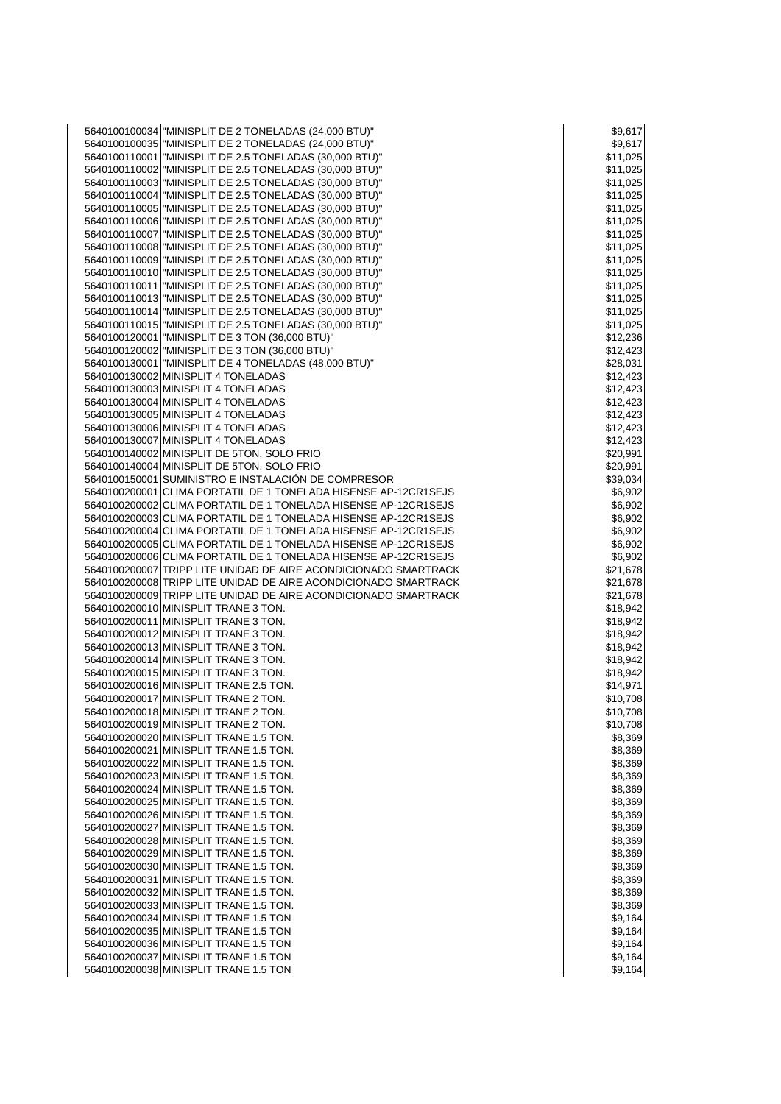"MINISPLIT DE 2 TONELADAS (24,000 BTU)" \$9,617 "MINISPLIT DE 2 TONELADAS (24,000 BTU)" \$9,617 "MINISPLIT DE 2.5 TONELADAS (30,000 BTU)" \$11,025 "MINISPLIT DE 2.5 TONELADAS (30,000 BTU)" \$11,025 "MINISPLIT DE 2.5 TONELADAS (30,000 BTU)" \$11,025 "MINISPLIT DE 2.5 TONELADAS (30,000 BTU)" \$11,025 "MINISPLIT DE 2.5 TONELADAS (30,000 BTU)" \$11,025 "MINISPLIT DE 2.5 TONELADAS (30,000 BTU)" \$11,025 "MINISPLIT DE 2.5 TONELADAS (30,000 BTU)" \$11,025 "MINISPLIT DE 2.5 TONELADAS (30,000 BTU)" \$11,025 "MINISPLIT DE 2.5 TONELADAS (30,000 BTU)" \$11,025 "MINISPLIT DE 2.5 TONELADAS (30,000 BTU)" \$11,025 "MINISPLIT DE 2.5 TONELADAS (30,000 BTU)" \$11,025 "MINISPLIT DE 2.5 TONELADAS (30,000 BTU)" \$11,025 "MINISPLIT DE 2.5 TONELADAS (30,000 BTU)" \$11,025 "MINISPLIT DE 2.5 TONELADAS (30,000 BTU)" \$11,025 5640100120001 "MINISPLIT DE 3 TON (36,000 BTU)"<br>5640100120002 "MINISPLIT DE 3 TON (36,000 BTU)" \$12,423 5640100120002 "MINISPLIT DE 3 TON (36,000 BTU)" "MINISPLIT DE 4 TONELADAS (48,000 BTU)" \$28,031 MINISPLIT 4 TONELADAS \$12,423 MINISPLIT 4 TONELADAS \$12,423 MINISPLIT 4 TONELADAS \$12,423 MINISPLIT 4 TONELADAS \$12,423 MINISPLIT 4 TONELADAS \$12,423 5640100130007 MINISPLIT 4 TONELADAS<br>5640100140002 MINISPLIT DE 5TON. SOLO FRIO MINISPLIT DE 5TON. SOLO FRIO \$20,991 MINISPLIT DE 5TON. SOLO FRIO \$20,991 SUMINISTRO E INSTALACIÓN DE COMPRESOR \$39,034 5640100200001 CLIMA PORTATIL DE 1 TONELADA HISENSE AP-12CR1SEJS \$6,902 CLIMA PORTATIL DE 1 TONELADA HISENSE AP-12CR1SEJS \$6,902 CLIMA PORTATIL DE 1 TONELADA HISENSE AP-12CR1SEJS \$6,902 5640100200004 CLIMA PORTATIL DE 1 TONELADA HISENSE AP-12CR1SEJS **\$6,902** \$6,902 CLIMA PORTATIL DE 1 TONELADA HISENSE AP-12CR1SEJS \$6,902 CLIMA PORTATIL DE 1 TONELADA HISENSE AP-12CR1SEJS \$6,902 5640100200007 TRIPP LITE UNIDAD DE AIRE ACONDICIONADO SMARTRACK \$21,678<br>5640100200008 TRIPP LITE UNIDAD DE AIRE ACONDICIONADO SMARTRACK \$21,678 TRIPP LITE UNIDAD DE AIRE ACONDICIONADO SMARTRACK \$21,678 TRIPP LITE UNIDAD DE AIRE ACONDICIONADO SMARTRACK \$21,678 MINISPLIT TRANE 3 TON. \$18,942 MINISPLIT TRANE 3 TON. \$18,942 MINISPLIT TRANE 3 TON. \$18,942 MINISPLIT TRANE 3 TON. \$18,942 MINISPLIT TRANE 3 TON. \$18,942 MINISPLIT TRANE 3 TON. \$18,942 MINISPLIT TRANE 2.5 TON. \$14,971 MINISPLIT TRANE 2 TON. \$10,708 MINISPLIT TRANE 2 TON. \$10,708 5640100200019 MINISPLIT TRANE 2 TON. \$10,708 MINISPLIT TRANE 1.5 TON. \$8,369 MINISPLIT TRANE 1.5 TON. \$8,369 MINISPLIT TRANE 1.5 TON. \$8,369 MINISPLIT TRANE 1.5 TON. \$8,369 MINISPLIT TRANE 1.5 TON. \$8,369 MINISPLIT TRANE 1.5 TON. \$8,369 MINISPLIT TRANE 1.5 TON. \$8,369 MINISPLIT TRANE 1.5 TON. \$8,369 5640100200028 MINISPLIT TRANE 1.5 TON.<br>5640100200029 MINISPLIT TRANE 1.5 TON. \$8,369 NOTE: \$8,369 NOTE: \$8,369 S 5640100200029 MINISPLIT TRANE 1.5 TON.<br>5640100200030 MINISPLIT TRANE 1.5 TON. \$8.369 MINISPLIT TRANE 1.5 TON. \$8,369 MINISPLIT TRANE 1.5 TON. \$8,369 MINISPLIT TRANE 1.5 TON. \$8,369 MINISPLIT TRANE 1.5 TON. \$8,369 5640100200034 MINISPLIT TRANE 1.5 TON \$9,164 MINISPLIT TRANE 1.5 TON 5640100200035 MINISPLIT TRANE 1.5 TON \$9,164 AM SERVER TRANE 1.5 TON MINISPLIT TRANE 1.5 TON \$9,164 5640100200037 MINISPLIT TRANE 1.5 TON \$9,164 MINISPLIT TRANE 1.5 TON \$9,164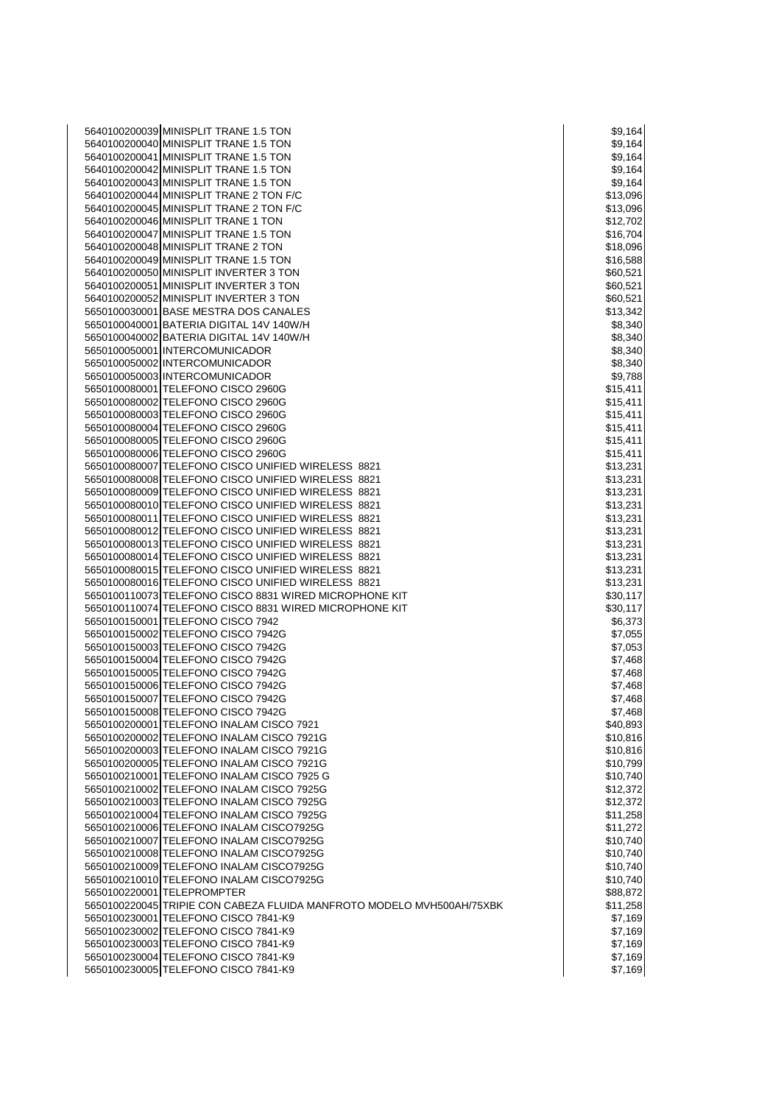| 5640100200039 MINISPLIT TRANE 1.5 TON                                                                    | \$9,164              |
|----------------------------------------------------------------------------------------------------------|----------------------|
| 5640100200040 MINISPLIT TRANE 1.5 TON                                                                    | \$9,164              |
| 5640100200041 MINISPLIT TRANE 1.5 TON                                                                    | \$9,164              |
| 5640100200042 MINISPLIT TRANE 1.5 TON                                                                    | \$9,164              |
| 5640100200043 MINISPLIT TRANE 1.5 TON                                                                    | \$9,164              |
| 5640100200044 MINISPLIT TRANE 2 TON F/C                                                                  | \$13,096             |
| 5640100200045 MINISPLIT TRANE 2 TON F/C                                                                  | \$13,096             |
| 5640100200046 MINISPLIT TRANE 1 TON                                                                      | \$12,702             |
| 5640100200047 MINISPLIT TRANE 1.5 TON                                                                    | \$16,704             |
| 5640100200048 MINISPLIT TRANE 2 TON<br>5640100200049 MINISPLIT TRANE 1.5 TON                             | \$18,096             |
| 5640100200050 MINISPLIT INVERTER 3 TON                                                                   | \$16,588<br>\$60,521 |
| 5640100200051 MINISPLIT INVERTER 3 TON                                                                   | \$60,521             |
| 5640100200052 MINISPLIT INVERTER 3 TON                                                                   | \$60,521             |
| 5650100030001 BASE MESTRA DOS CANALES                                                                    | \$13,342             |
| 5650100040001 BATERIA DIGITAL 14V 140W/H                                                                 | \$8,340              |
| 5650100040002 BATERIA DIGITAL 14V 140W/H                                                                 | \$8,340              |
| 5650100050001 INTERCOMUNICADOR                                                                           | \$8,340              |
| 5650100050002 INTERCOMUNICADOR                                                                           | \$8,340              |
| 5650100050003 INTERCOMUNICADOR                                                                           | \$9,788              |
| 5650100080001 TELEFONO CISCO 2960G                                                                       | \$15,411             |
| 5650100080002 TELEFONO CISCO 2960G                                                                       | \$15,411             |
| 5650100080003 TELEFONO CISCO 2960G                                                                       | \$15,411             |
| 5650100080004 TELEFONO CISCO 2960G                                                                       | \$15,411             |
| 5650100080005 TELEFONO CISCO 2960G                                                                       | \$15,411             |
| 5650100080006 TELEFONO CISCO 2960G                                                                       | \$15,411             |
| 5650100080007 TELEFONO CISCO UNIFIED WIRELESS 8821                                                       | \$13,231             |
| 5650100080008 TELEFONO CISCO UNIFIED WIRELESS 8821                                                       | \$13,231             |
| 5650100080009 TELEFONO CISCO UNIFIED WIRELESS 8821<br>5650100080010 TELEFONO CISCO UNIFIED WIRELESS 8821 | \$13,231<br>\$13,231 |
| 5650100080011 TELEFONO CISCO UNIFIED WIRELESS 8821                                                       |                      |
| 5650100080012 TELEFONO CISCO UNIFIED WIRELESS 8821                                                       | \$13,231<br>\$13,231 |
| 5650100080013 TELEFONO CISCO UNIFIED WIRELESS 8821                                                       | \$13,231             |
| 5650100080014 TELEFONO CISCO UNIFIED WIRELESS 8821                                                       | \$13,231             |
| 5650100080015 TELEFONO CISCO UNIFIED WIRELESS 8821                                                       | \$13,231             |
| 5650100080016 TELEFONO CISCO UNIFIED WIRELESS 8821                                                       | \$13,231             |
| 5650100110073 TELEFONO CISCO 8831 WIRED MICROPHONE KIT                                                   | \$30,117             |
| 5650100110074 TELEFONO CISCO 8831 WIRED MICROPHONE KIT                                                   | \$30,117             |
| 5650100150001 TELEFONO CISCO 7942                                                                        | \$6,373              |
| 5650100150002 TELEFONO CISCO 7942G                                                                       | \$7,055              |
| 5650100150003 TELEFONO CISCO 7942G                                                                       | \$7,053              |
| 5650100150004 TELEFONO CISCO 7942G                                                                       | \$7,468              |
| 5650100150005 TELEFONO CISCO 7942G                                                                       | \$7,468              |
| 5650100150006 TELEFONO CISCO 7942G                                                                       | \$7,468              |
| 5650100150007 TELEFONO CISCO 7942G                                                                       | \$7,468              |
| 5650100150008 TELEFONO CISCO 7942G                                                                       | \$7,468              |
| 5650100200001 TELEFONO INALAM CISCO 7921                                                                 | \$40,893             |
| 5650100200002 TELEFONO INALAM CISCO 7921G<br>5650100200003 TELEFONO INALAM CISCO 7921G                   | \$10,816<br>\$10,816 |
| 5650100200005 TELEFONO INALAM CISCO 7921G                                                                | \$10,799             |
| 5650100210001 TELEFONO INALAM CISCO 7925 G                                                               | \$10,740             |
| 5650100210002 TELEFONO INALAM CISCO 7925G                                                                | \$12,372             |
| 5650100210003 TELEFONO INALAM CISCO 7925G                                                                | \$12,372             |
| 5650100210004 TELEFONO INALAM CISCO 7925G                                                                | \$11,258             |
| 5650100210006 TELEFONO INALAM CISCO7925G                                                                 | \$11,272             |
| 5650100210007 TELEFONO INALAM CISCO7925G                                                                 | \$10,740             |
| 5650100210008 TELEFONO INALAM CISCO7925G                                                                 | \$10,740             |
| 5650100210009 TELEFONO INALAM CISCO7925G                                                                 | \$10,740             |
| 5650100210010 TELEFONO INALAM CISCO7925G                                                                 | \$10,740             |
| 5650100220001 TELEPROMPTER                                                                               | \$88,872             |
| 5650100220045 TRIPIE CON CABEZA FLUIDA MANFROTO MODELO MVH500AH/75XBK                                    | \$11,258             |
| 5650100230001 TELEFONO CISCO 7841-K9                                                                     | \$7,169              |
| 5650100230002 TELEFONO CISCO 7841-K9                                                                     | \$7,169              |
| 5650100230003 TELEFONO CISCO 7841-K9                                                                     | \$7,169              |
| 5650100230004 TELEFONO CISCO 7841-K9                                                                     | \$7,169              |
| 5650100230005 TELEFONO CISCO 7841-K9                                                                     | \$7,169              |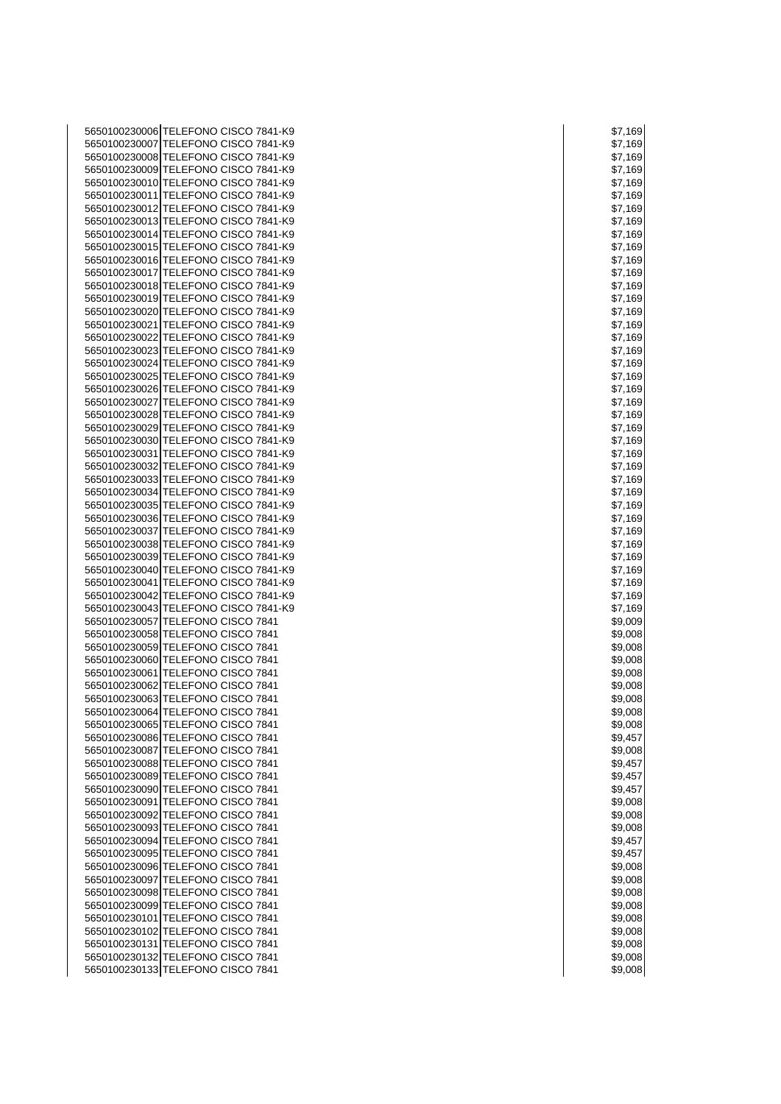| 5650100230006 TELEFONO CISCO 7841-K9                                         | \$7,169            |
|------------------------------------------------------------------------------|--------------------|
| 5650100230007 TELEFONO CISCO 7841-K9                                         | \$7,169            |
| 5650100230008 TELEFONO CISCO 7841-K9                                         | \$7,169            |
| 5650100230009 TELEFONO CISCO 7841-K9                                         | \$7,169            |
| 5650100230010 TELEFONO CISCO 7841-K9<br>5650100230011 TELEFONO CISCO 7841-K9 | \$7,169<br>\$7,169 |
| 5650100230012 TELEFONO CISCO 7841-K9                                         | \$7,169            |
| 5650100230013 TELEFONO CISCO 7841-K9                                         | \$7,169            |
| 5650100230014 TELEFONO CISCO 7841-K9                                         | \$7,169            |
| 5650100230015 TELEFONO CISCO 7841-K9                                         | \$7,169            |
| 5650100230016 TELEFONO CISCO 7841-K9                                         | \$7,169            |
| 5650100230017 TELEFONO CISCO 7841-K9                                         | \$7,169            |
| 5650100230018 TELEFONO CISCO 7841-K9                                         | \$7,169            |
| 5650100230019 TELEFONO CISCO 7841-K9                                         | \$7,169            |
| 5650100230020 TELEFONO CISCO 7841-K9                                         | \$7,169            |
| 5650100230021 TELEFONO CISCO 7841-K9                                         | \$7,169            |
| 5650100230022 TELEFONO CISCO 7841-K9                                         | \$7,169            |
| 5650100230023 TELEFONO CISCO 7841-K9                                         | \$7,169            |
| 5650100230024 TELEFONO CISCO 7841-K9                                         | \$7,169            |
| 5650100230025 TELEFONO CISCO 7841-K9                                         | \$7,169            |
| 5650100230026 TELEFONO CISCO 7841-K9<br>5650100230027 TELEFONO CISCO 7841-K9 | \$7,169<br>\$7,169 |
| 5650100230028 TELEFONO CISCO 7841-K9                                         | \$7,169            |
| 5650100230029 TELEFONO CISCO 7841-K9                                         | \$7,169            |
| 5650100230030 TELEFONO CISCO 7841-K9                                         | \$7,169            |
| 5650100230031 TELEFONO CISCO 7841-K9                                         | \$7,169            |
| 5650100230032 TELEFONO CISCO 7841-K9                                         | \$7,169            |
| 5650100230033 TELEFONO CISCO 7841-K9                                         | \$7,169            |
| 5650100230034 TELEFONO CISCO 7841-K9                                         | \$7,169            |
| 5650100230035 TELEFONO CISCO 7841-K9                                         | \$7,169            |
| 5650100230036 TELEFONO CISCO 7841-K9                                         | \$7,169            |
| 5650100230037 TELEFONO CISCO 7841-K9                                         | \$7,169            |
| 5650100230038 TELEFONO CISCO 7841-K9                                         | \$7,169            |
| 5650100230039 TELEFONO CISCO 7841-K9                                         | \$7,169            |
| 5650100230040 TELEFONO CISCO 7841-K9                                         | \$7,169            |
| 5650100230041 TELEFONO CISCO 7841-K9                                         | \$7,169            |
| 5650100230042 TELEFONO CISCO 7841-K9<br>5650100230043 TELEFONO CISCO 7841-K9 | \$7,169<br>\$7,169 |
| 5650100230057 TELEFONO CISCO 7841                                            | \$9,009            |
| 5650100230058 TELEFONO CISCO 7841                                            | \$9,008            |
| 5650100230059 TELEFONO CISCO 7841                                            | \$9,008            |
| 5650100230060 TELEFONO CISCO 7841                                            | \$9,008            |
| 5650100230061 TELEFONO CISCO 7841                                            | \$9,008            |
| 5650100230062 TELEFONO CISCO 7841                                            | \$9,008            |
| 5650100230063 TELEFONO CISCO 7841                                            | \$9,008            |
| 5650100230064 TELEFONO CISCO 7841                                            | \$9,008            |
| 5650100230065 TELEFONO CISCO 7841                                            | \$9,008            |
| 5650100230086 TELEFONO CISCO 7841                                            | \$9,457            |
| 5650100230087 TELEFONO CISCO 7841                                            | \$9,008            |
| 5650100230088 TELEFONO CISCO 7841                                            | \$9,457            |
| 5650100230089 TELEFONO CISCO 7841<br>5650100230090 TELEFONO CISCO 7841       | \$9,457<br>\$9,457 |
| 5650100230091 TELEFONO CISCO 7841                                            | \$9,008            |
| 5650100230092 TELEFONO CISCO 7841                                            | \$9,008            |
| 5650100230093 TELEFONO CISCO 7841                                            | \$9,008            |
| 5650100230094 TELEFONO CISCO 7841                                            | \$9,457            |
| 5650100230095 TELEFONO CISCO 7841                                            | \$9,457            |
| 5650100230096 TELEFONO CISCO 7841                                            | \$9,008            |
| 5650100230097 TELEFONO CISCO 7841                                            | \$9,008            |
| 5650100230098 TELEFONO CISCO 7841                                            | \$9,008            |
| 5650100230099 TELEFONO CISCO 7841                                            | \$9,008            |
| 5650100230101 TELEFONO CISCO 7841                                            | \$9,008            |
| 5650100230102 TELEFONO CISCO 7841                                            | \$9,008            |
| 5650100230131 TELEFONO CISCO 7841                                            | \$9,008            |
| 5650100230132 TELEFONO CISCO 7841<br>5650100230133 TELEFONO CISCO 7841       | \$9,008<br>\$9,008 |
|                                                                              |                    |

| \$<br>$\overline{\mathcal{U}}$ | ,169 |
|--------------------------------|------|
| \$7                            | ,169 |
| \$7                            | ,169 |
| \$7                            | 169  |
| \$7<br>,                       | 169  |
| \$7<br>,                       | 169  |
| ,<br>\$                        | 169  |
| \$7<br>,                       | 169  |
| \$7<br>,                       | 169  |
| \$7<br>,                       | 169  |
| \$7<br>,                       | 169  |
| \$7<br>,                       | 169  |
| \$7<br>,                       | 169  |
| ,<br>\$7                       | 169  |
| \$<br>,                        | 169  |
| \$7<br>,                       | 169  |
| \$7<br>,                       | 169  |
| \$7<br>,                       | 169  |
| \$7<br>,                       | 169  |
| \$7<br>,                       | 169  |
| ,<br>\$7                       | 169  |
| \$7                            | 169  |
| \$7<br>,                       | 169  |
| \$7<br>,                       | 169  |
| \$7<br>,                       | 169  |
| \$7<br>,                       | 169  |
| ,<br>\$7                       | 169  |
| ,<br>\$7                       | 169  |
| \$                             | 169  |
| \$7                            | ,169 |
| \$7                            | ,169 |
| ,<br>\$7                       | 169  |
| \$7<br>,                       | 169  |
| \$7<br>,                       | 169  |
| \$7<br>,                       | 169  |
| \$7                            | ,169 |
| \$7<br>,                       | 169  |
| \$7                            | ,169 |
| \$9,009                        | €    |
| \$9,008                        |      |
| \$9,008                        |      |
| \$9,008                        |      |
| \$9,008                        |      |
| \$9,008                        |      |
| \$9,008                        |      |
| \$9,0<br>)(                    | 18   |
| \$9,008                        |      |
| \$9,457                        |      |
| \$9,008                        |      |
| \$9,457                        |      |
| \$9,45                         | 7    |
| \$9,457                        |      |
| \$9,008                        |      |
| \$9,008                        |      |
| \$9,008                        |      |
| \$9,457                        |      |
| \$9,45                         | 7    |
| \$9,008                        |      |
| \$9,008                        |      |
| \$9,008                        |      |
| \$9,008                        |      |
|                                |      |
| \$9,0                          | )08  |
| \$9,008                        |      |
| \$9,008                        |      |
| \$9,008                        |      |
| \$9,008                        |      |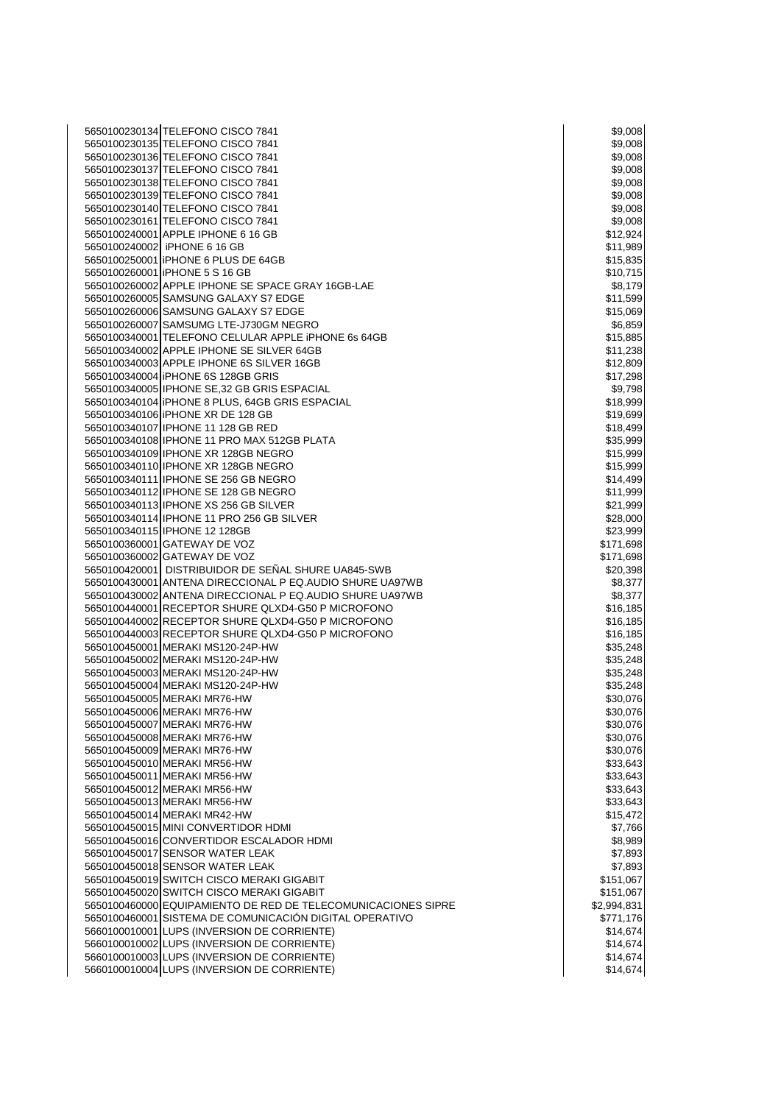| 5650100230134 TELEFONO CISCO 7841                             | \$9,008     |
|---------------------------------------------------------------|-------------|
| 5650100230135 TELEFONO CISCO 7841                             | \$9,008     |
| 5650100230136 TELEFONO CISCO 7841                             | \$9,008     |
| 5650100230137 TELEFONO CISCO 7841                             | \$9,008     |
| 5650100230138 TELEFONO CISCO 7841                             | \$9,008     |
| 5650100230139 TELEFONO CISCO 7841                             | \$9,008     |
| 5650100230140 TELEFONO CISCO 7841                             | \$9,008     |
| 5650100230161 TELEFONO CISCO 7841                             | \$9,008     |
| 5650100240001 APPLE IPHONE 6 16 GB                            | \$12,924    |
| 5650100240002 iPHONE 6 16 GB                                  | \$11,989    |
| 5650100250001 IPHONE 6 PLUS DE 64GB                           | \$15,835    |
| 5650100260001 IPHONE 5 S 16 GB                                | \$10,715    |
| 5650100260002 APPLE IPHONE SE SPACE GRAY 16GB-LAE             | \$8,179     |
| 5650100260005 SAMSUNG GALAXY S7 EDGE                          | \$11,599    |
| 5650100260006 SAMSUNG GALAXY S7 EDGE                          | \$15,069    |
| 5650100260007 SAMSUMG LTE-J730GM NEGRO                        | \$6,859     |
| 5650100340001 TELEFONO CELULAR APPLE IPHONE 6s 64GB           | \$15,885    |
| 5650100340002 APPLE IPHONE SE SILVER 64GB                     | \$11,238    |
| 5650100340003 APPLE IPHONE 6S SILVER 16GB                     |             |
| 5650100340004 IPHONE 6S 128GB GRIS                            | \$12,809    |
|                                                               | \$17,298    |
| 5650100340005 IPHONE SE,32 GB GRIS ESPACIAL                   | \$9,798     |
| 5650100340104   iPHONE 8 PLUS, 64GB GRIS ESPACIAL             | \$18,999    |
| 5650100340106 IPHONE XR DE 128 GB                             | \$19,699    |
| 5650100340107 IPHONE 11 128 GB RED                            | \$18,499    |
| 5650100340108 IPHONE 11 PRO MAX 512GB PLATA                   | \$35,999    |
| 5650100340109 IPHONE XR 128GB NEGRO                           | \$15,999    |
| 5650100340110 IPHONE XR 128GB NEGRO                           | \$15,999    |
| 5650100340111 IPHONE SE 256 GB NEGRO                          | \$14,499    |
| 5650100340112 IPHONE SE 128 GB NEGRO                          | \$11,999    |
| 5650100340113 IPHONE XS 256 GB SILVER                         | \$21,999    |
| 5650100340114 IPHONE 11 PRO 256 GB SILVER                     | \$28,000    |
| 5650100340115 IPHONE 12 128GB                                 | \$23,999    |
| 5650100360001 GATEWAY DE VOZ                                  | \$171,698   |
| 5650100360002 GATEWAY DE VOZ                                  | \$171,698   |
| 5650100420001 DISTRIBUIDOR DE SEÑAL SHURE UA845-SWB           | \$20,398    |
| 5650100430001 ANTENA DIRECCIONAL P EQ.AUDIO SHURE UA97WB      | \$8,377     |
| 5650100430002 ANTENA DIRECCIONAL P EQ.AUDIO SHURE UA97WB      | \$8,377     |
| 5650100440001 RECEPTOR SHURE QLXD4-G50 P MICROFONO            | \$16,185    |
| 5650100440002 RECEPTOR SHURE QLXD4-G50 P MICROFONO            | \$16,185    |
| 5650100440003 RECEPTOR SHURE QLXD4-G50 P MICROFONO            | \$16,185    |
| 5650100450001 MERAKI MS120-24P-HW                             | \$35,248    |
| 5650100450002 MERAKI MS120-24P-HW                             | \$35,248    |
| 5650100450003 MERAKI MS120-24P-HW                             | \$35,248    |
| 5650100450004 MERAKI MS120-24P-HW                             | \$35,248    |
| 5650100450005 MERAKI MR76-HW                                  | \$30,076    |
| 5650100450006 MERAKI MR76-HW                                  | \$30,076    |
| 5650100450007 MERAKI MR76-HW                                  | \$30,076    |
| 5650100450008 MERAKI MR76-HW                                  | \$30,076    |
| 5650100450009 MERAKI MR76-HW                                  | \$30,076    |
| 5650100450010 MERAKI MR56-HW                                  | \$33,643    |
| 5650100450011 MERAKI MR56-HW                                  | \$33,643    |
| 5650100450012 MERAKI MR56-HW                                  | \$33,643    |
| 5650100450013 MERAKI MR56-HW                                  | \$33,643    |
| 5650100450014 MERAKI MR42-HW                                  | \$15,472    |
| 5650100450015 MINI CONVERTIDOR HDMI                           | \$7,766     |
| 5650100450016 CONVERTIDOR ESCALADOR HDMI                      | \$8,989     |
| 5650100450017 SENSOR WATER LEAK                               | \$7,893     |
| 5650100450018 SENSOR WATER LEAK                               | \$7,893     |
| 5650100450019 SWITCH CISCO MERAKI GIGABIT                     | \$151,067   |
| 5650100450020 SWITCH CISCO MERAKI GIGABIT                     | \$151,067   |
| 5650100460000 EQUIPAMIENTO DE RED DE TELECOMUNICACIONES SIPRE | \$2,994,831 |
| 5650100460001 SISTEMA DE COMUNICACIÓN DIGITAL OPERATIVO       | \$771,176   |
| 5660100010001 LUPS (INVERSION DE CORRIENTE)                   | \$14,674    |
| 5660100010002 LUPS (INVERSION DE CORRIENTE)                   | \$14,674    |
| 5660100010003 LUPS (INVERSION DE CORRIENTE)                   | \$14,674    |
| 5660100010004 LUPS (INVERSION DE CORRIENTE)                   | \$14,674    |
|                                                               |             |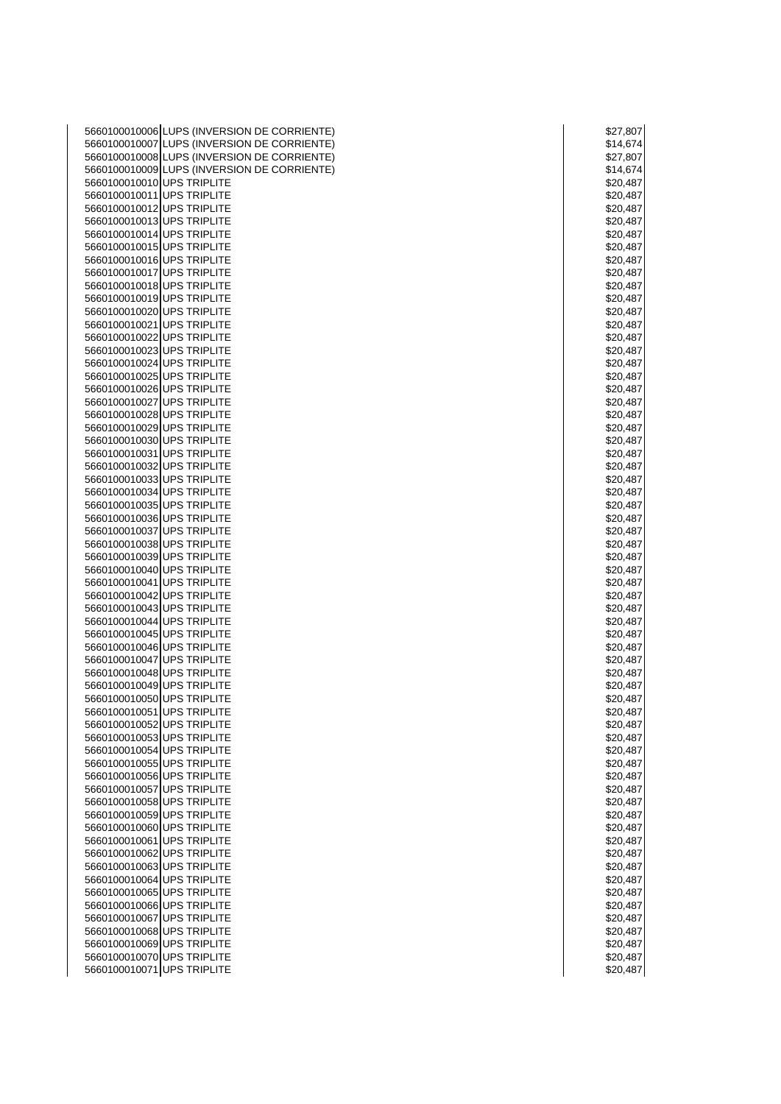| 5660100010006 LUPS (INVERSION DE CORRIENTE) | \$27,807 |
|---------------------------------------------|----------|
| 5660100010007 LUPS (INVERSION DE CORRIENTE) | \$14,674 |
| 5660100010008 LUPS (INVERSION DE CORRIENTE) | \$27,807 |
| 5660100010009 LUPS (INVERSION DE CORRIENTE) | \$14,674 |
| 5660100010010 UPS TRIPLITE                  | \$20,487 |
|                                             |          |
| 5660100010011 UPS TRIPLITE                  | \$20,487 |
| 5660100010012 UPS TRIPLITE                  | \$20,487 |
| 5660100010013 UPS TRIPLITE                  | \$20,487 |
| 5660100010014 UPS TRIPLITE                  | \$20,487 |
| 5660100010015 UPS TRIPLITE                  | \$20,487 |
| 5660100010016 UPS TRIPLITE                  | \$20,487 |
| 5660100010017 UPS TRIPLITE                  | \$20,487 |
| 5660100010018 UPS TRIPLITE                  | \$20,487 |
| 5660100010019 UPS TRIPLITE                  | \$20,487 |
| 5660100010020 UPS TRIPLITE                  | \$20,487 |
| 5660100010021 UPS TRIPLITE                  | \$20,487 |
| 5660100010022 UPS TRIPLITE                  | \$20,487 |
| 5660100010023 UPS TRIPLITE                  |          |
|                                             | \$20,487 |
| 5660100010024 UPS TRIPLITE                  | \$20,487 |
| 5660100010025 UPS TRIPLITE                  | \$20,487 |
| 5660100010026 UPS TRIPLITE                  | \$20,487 |
| 5660100010027 UPS TRIPLITE                  | \$20,487 |
| 5660100010028 UPS TRIPLITE                  | \$20,487 |
| 5660100010029 UPS TRIPLITE                  | \$20,487 |
| 5660100010030 UPS TRIPLITE                  | \$20,487 |
| 5660100010031 UPS TRIPLITE                  | \$20,487 |
| 5660100010032 UPS TRIPLITE                  | \$20,487 |
| 5660100010033 UPS TRIPLITE                  | \$20,487 |
| 5660100010034 UPS TRIPLITE                  | \$20,487 |
| 5660100010035 UPS TRIPLITE                  | \$20,487 |
| 5660100010036 UPS TRIPLITE                  | \$20,487 |
| 5660100010037 UPS TRIPLITE                  |          |
|                                             | \$20,487 |
| 5660100010038 UPS TRIPLITE                  | \$20,487 |
| 5660100010039 UPS TRIPLITE                  | \$20,487 |
| 5660100010040 UPS TRIPLITE                  | \$20,487 |
| 5660100010041 UPS TRIPLITE                  | \$20,487 |
| 5660100010042 UPS TRIPLITE                  | \$20,487 |
| 5660100010043 UPS TRIPLITE                  | \$20,487 |
| 5660100010044 UPS TRIPLITE                  | \$20,487 |
| 5660100010045 UPS TRIPLITE                  | \$20,487 |
| 5660100010046 UPS TRIPLITE                  | \$20,487 |
| 5660100010047 UPS TRIPLITE                  | \$20,487 |
| 5660100010048 UPS TRIPLITE                  | \$20,487 |
| 5660100010049 UPS TRIPLITE                  | \$20,487 |
| 5660100010050 UPS TRIPLITE                  | \$20,487 |
| 5660100010051 UPS TRIPLITE                  | \$20,487 |
|                                             |          |
| 5660100010052 UPS TRIPLITE                  | \$20,487 |
| 5660100010053 UPS TRIPLITE                  | \$20,487 |
| 5660100010054 UPS TRIPLITE                  | \$20,487 |
| 5660100010055 UPS TRIPLITE                  | \$20,487 |
| 5660100010056 UPS TRIPLITE                  | \$20,487 |
| 5660100010057 UPS TRIPLITE                  | \$20,487 |
| 5660100010058 UPS TRIPLITE                  | \$20,487 |
| 5660100010059 UPS TRIPLITE                  | \$20,487 |
| 5660100010060 UPS TRIPLITE                  | \$20,487 |
| 5660100010061 UPS TRIPLITE                  | \$20,487 |
| 5660100010062 UPS TRIPLITE                  | \$20,487 |
| 5660100010063 UPS TRIPLITE                  | \$20,487 |
| 5660100010064 UPS TRIPLITE                  | \$20,487 |
| 5660100010065 UPS TRIPLITE                  | \$20,487 |
|                                             |          |
| 5660100010066 UPS TRIPLITE                  | \$20,487 |
| 5660100010067 UPS TRIPLITE                  | \$20,487 |
| 5660100010068 UPS TRIPLITE                  | \$20,487 |
| 5660100010069 UPS TRIPLITE                  | \$20,487 |
| 5660100010070 UPS TRIPLITE                  | \$20,487 |
| 5660100010071 UPS TRIPLITE                  | \$20,487 |

| \$2  |    |         | 7,80           |    |   |
|------|----|---------|----------------|----|---|
|      |    |         | \$14,67        |    |   |
| \$:  |    |         | 27,80          |    |   |
|      |    |         | \$14,67        |    |   |
| \$   |    |         | 20,48          |    |   |
|      |    |         | 20,48          |    |   |
| \$.  |    |         |                |    |   |
|      |    |         | 20,48          |    |   |
|      |    |         | 20.48          |    |   |
|      |    |         | 20,48          |    |   |
| \$.  |    |         | 20,48          |    |   |
|      |    |         | 20,48          |    |   |
|      |    |         | 20,48          |    |   |
| \$   |    |         | 20,48          |    |   |
|      |    |         | 20,48          |    |   |
|      |    |         | \$20,48        |    |   |
| \$20 |    |         | ,48            |    |   |
|      |    |         | 20,48          |    |   |
| \$.  |    |         | 20,48          |    |   |
| \$   |    | 20      | ,48            |    |   |
| \$.  |    |         | 20,48          |    |   |
|      |    |         | 20,48          |    |   |
| \$.  |    |         | 20,48          |    |   |
|      |    |         | \$20,48        |    |   |
| \$.  |    |         | 20,48          |    |   |
| \$.  |    |         | 20,48          |    |   |
|      |    |         |                |    |   |
|      |    |         | 20.48          |    |   |
| \$   |    |         | 20,48          |    |   |
|      |    |         | 20,48          |    |   |
| \$   |    |         | 20.48          |    |   |
|      | 20 |         | ,48            |    |   |
| \$.  |    |         | 20,48          |    |   |
| \$.  |    |         | 20,48          |    |   |
| \$.  |    |         | 20,48          | 3  |   |
| \$.  |    |         | 20,48          |    |   |
|      |    |         | 20.48          |    |   |
|      |    | 20,     |                | 48 |   |
|      |    |         | 20,48          |    |   |
| \$   |    |         | 20,48          |    |   |
|      |    |         | 20,48          |    |   |
|      |    |         | 20,48          |    |   |
|      |    | ).      |                | 48 |   |
|      |    | 0.      | 48             |    |   |
|      |    | 0.      | 48             |    |   |
|      |    | ).<br>( | 48             |    |   |
|      |    |         | \$20.48        |    |   |
|      |    |         |                |    |   |
| \$.  |    |         | 20,48          | 31 |   |
|      |    |         | \$20,487       |    |   |
|      |    |         | \$20,487       |    |   |
|      |    |         | \$20,487       |    |   |
|      |    |         | \$20,487       |    |   |
|      |    |         | \$20,487       |    |   |
| \$.  |    |         | 20,487         |    |   |
|      |    |         | \$20,487       |    |   |
|      |    |         | \$20,487       |    |   |
|      |    |         | \$20,487       |    |   |
|      |    |         | \$20,487       |    |   |
|      |    |         | \$20,487       |    |   |
| \$.  |    |         | – - ,<br>20,48 |    | 7 |
|      |    |         | \$20,487       |    |   |
|      |    |         | \$20,487       |    |   |
|      |    |         | \$20,48        |    |   |
|      |    |         | \$20,487       |    |   |
|      |    |         | \$20,487       |    |   |
|      |    |         | \$20,487       |    |   |
|      |    |         |                |    |   |
|      |    |         | \$20,487       |    |   |
|      |    |         | \$20,487       |    |   |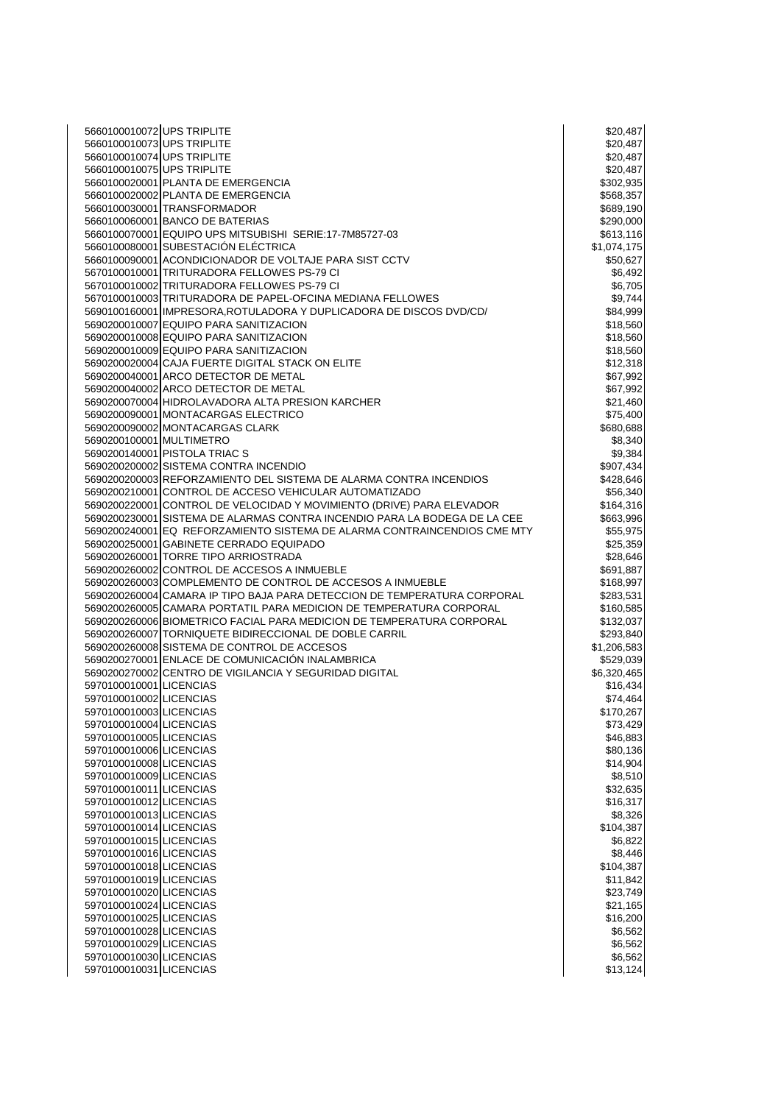| 5660100010072 UPS TRIPLITE                                                                                | \$20,487    |
|-----------------------------------------------------------------------------------------------------------|-------------|
| 5660100010073 UPS TRIPLITE                                                                                | \$20,487    |
| 5660100010074 UPS TRIPLITE                                                                                | \$20,487    |
| 5660100010075 UPS TRIPLITE                                                                                | \$20,487    |
| 5660100020001 PLANTA DE EMERGENCIA                                                                        | \$302,935   |
| 5660100020002 PLANTA DE EMERGENCIA                                                                        | \$568,357   |
| 5660100030001 TRANSFORMADOR                                                                               | \$689,190   |
| 5660100060001 BANCO DE BATERIAS                                                                           | \$290,000   |
| 5660100070001 EQUIPO UPS MITSUBISHI SERIE:17-7M85727-03                                                   | \$613,116   |
| 5660100080001 SUBESTACIÓN ELÉCTRICA                                                                       | \$1,074,175 |
| 5660100090001 ACONDICIONADOR DE VOLTAJE PARA SIST CCTV                                                    | \$50,627    |
| 5670100010001 TRITURADORA FELLOWES PS-79 CI                                                               | \$6,492     |
| 5670100010002 TRITURADORA FELLOWES PS-79 CI                                                               | \$6,705     |
| 5670100010003 TRITURADORA DE PAPEL-OFCINA MEDIANA FELLOWES                                                | \$9,744     |
| 5690100160001   IMPRESORA, ROTULADORA Y DUPLICADORA DE DISCOS DVD/CD/                                     | \$84,999    |
| 5690200010007 EQUIPO PARA SANITIZACION                                                                    | \$18,560    |
| 5690200010008 EQUIPO PARA SANITIZACION                                                                    | \$18,560    |
| 5690200010009 EQUIPO PARA SANITIZACION                                                                    | \$18,560    |
| 5690200020004 CAJA FUERTE DIGITAL STACK ON ELITE                                                          | \$12,318    |
| 5690200040001 ARCO DETECTOR DE METAL                                                                      | \$67,992    |
| 5690200040002 ARCO DETECTOR DE METAL                                                                      | \$67,992    |
| 5690200070004 HIDROLAVADORA ALTA PRESION KARCHER                                                          | \$21,460    |
| 5690200090001 MONTACARGAS ELECTRICO                                                                       | \$75,400    |
| 5690200090002 MONTACARGAS CLARK                                                                           | \$680,688   |
| 5690200100001 MULTIMETRO                                                                                  | \$8,340     |
| 5690200140001 PISTOLA TRIAC S                                                                             | \$9,384     |
| 5690200200002 SISTEMA CONTRA INCENDIO                                                                     | \$907,434   |
| 5690200200003 REFORZAMIENTO DEL SISTEMA DE ALARMA CONTRA INCENDIOS                                        | \$428,646   |
| 5690200210001 CONTROL DE ACCESO VEHICULAR AUTOMATIZADO                                                    | \$56,340    |
| 5690200220001 CONTROL DE VELOCIDAD Y MOVIMIENTO (DRIVE) PARA ELEVADOR                                     | \$164,316   |
| 5690200230001 SISTEMA DE ALARMAS CONTRA INCENDIO PARA LA BODEGA DE LA CEE                                 |             |
| 5690200240001 EQ REFORZAMIENTO SISTEMA DE ALARMA CONTRAINCENDIOS CME MTY                                  | \$663,996   |
|                                                                                                           | \$55,975    |
| 5690200250001 GABINETE CERRADO EQUIPADO<br>5690200260001 TORRE TIPO ARRIOSTRADA                           | \$25,359    |
|                                                                                                           | \$28,646    |
| 5690200260002 CONTROL DE ACCESOS A INMUEBLE<br>5690200260003 COMPLEMENTO DE CONTROL DE ACCESOS A INMUEBLE | \$691,887   |
| 5690200260004 CAMARA IP TIPO BAJA PARA DETECCION DE TEMPERATURA CORPORAL                                  | \$168,997   |
|                                                                                                           | \$283,531   |
| 5690200260005 CAMARA PORTATIL PARA MEDICION DE TEMPERATURA CORPORAL                                       | \$160,585   |
| 5690200260006 BIOMETRICO FACIAL PARA MEDICION DE TEMPERATURA CORPORAL                                     | \$132,037   |
| 5690200260007 TORNIQUETE BIDIRECCIONAL DE DOBLE CARRIL                                                    | \$293,840   |
| 5690200260008 SISTEMA DE CONTROL DE ACCESOS                                                               | \$1,206,583 |
| 5690200270001 ENLACE DE COMUNICACIÓN INALAMBRICA                                                          | \$529,039   |
| 5690200270002 CENTRO DE VIGILANCIA Y SEGURIDAD DIGITAL                                                    | \$6,320,465 |
| 5970100010001 LICENCIAS                                                                                   | \$16,434    |
| 5970100010002 LICENCIAS                                                                                   | \$74,464    |
| 5970100010003 LICENCIAS                                                                                   | \$170,267   |
| 5970100010004 LICENCIAS                                                                                   | \$73,429    |
| 5970100010005 LICENCIAS                                                                                   | \$46,883    |
| 5970100010006 LICENCIAS                                                                                   | \$80,136    |
| 5970100010008 LICENCIAS                                                                                   | \$14,904    |
| 5970100010009 LICENCIAS                                                                                   | \$8,510     |
| 5970100010011 LICENCIAS                                                                                   | \$32,635    |
| 5970100010012 LICENCIAS                                                                                   | \$16,317    |
| 5970100010013 LICENCIAS                                                                                   | \$8,326     |
| 5970100010014 LICENCIAS                                                                                   | \$104,387   |
| 5970100010015 LICENCIAS                                                                                   | \$6,822     |
| 5970100010016 LICENCIAS                                                                                   | \$8,446     |
| 5970100010018 LICENCIAS                                                                                   | \$104,387   |
| 5970100010019 LICENCIAS                                                                                   | \$11,842    |
| 5970100010020 LICENCIAS                                                                                   | \$23,749    |
| 5970100010024 LICENCIAS                                                                                   | \$21,165    |
| 5970100010025 LICENCIAS                                                                                   | \$16,200    |
| 5970100010028 LICENCIAS                                                                                   | \$6,562     |
| 5970100010029 LICENCIAS                                                                                   | \$6,562     |
| 5970100010030 LICENCIAS                                                                                   | \$6,562     |
| 5970100010031 LICENCIAS                                                                                   | \$13,124    |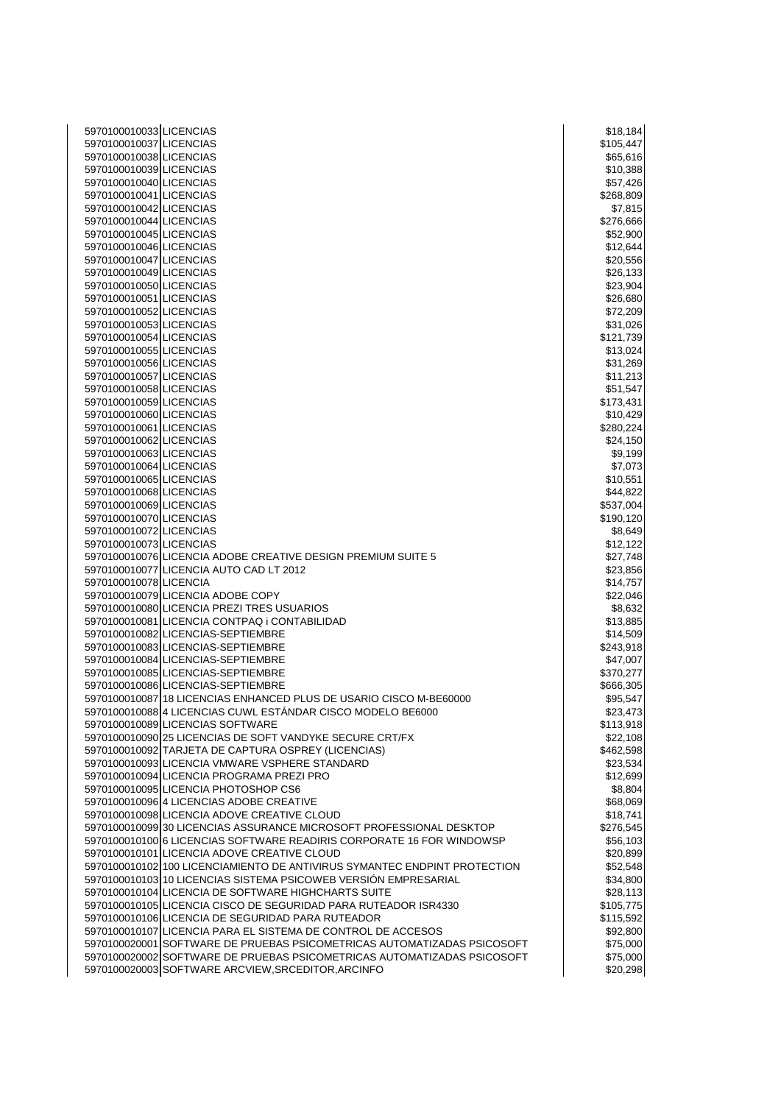| 5970100010033 LICENCIAS                                                                      | \$18,184              |
|----------------------------------------------------------------------------------------------|-----------------------|
| 5970100010037 LICENCIAS                                                                      | \$105,447             |
| 5970100010038 LICENCIAS                                                                      | \$65,616              |
| 5970100010039 LICENCIAS                                                                      | \$10,388              |
| 5970100010040 LICENCIAS                                                                      | \$57,426              |
| 5970100010041 LICENCIAS                                                                      | \$268,809             |
| 5970100010042 LICENCIAS                                                                      | \$7,815               |
| 5970100010044 LICENCIAS                                                                      | \$276,666             |
| 5970100010045 LICENCIAS                                                                      | \$52,900              |
| 5970100010046 LICENCIAS                                                                      | \$12,644              |
| 5970100010047 LICENCIAS                                                                      | \$20,556              |
| 5970100010049 LICENCIAS                                                                      | \$26,133              |
| 5970100010050 LICENCIAS                                                                      | \$23,904              |
| 5970100010051 LICENCIAS                                                                      | \$26,680              |
| 5970100010052 LICENCIAS                                                                      | \$72,209              |
| 5970100010053 LICENCIAS                                                                      | \$31,026              |
| 5970100010054 LICENCIAS                                                                      | \$121,739             |
| 5970100010055 LICENCIAS                                                                      | \$13,024              |
| 5970100010056 LICENCIAS<br>5970100010057 LICENCIAS                                           | \$31,269              |
| 5970100010058 LICENCIAS                                                                      | \$11,213<br>\$51,547  |
| 5970100010059 LICENCIAS                                                                      | \$173,431             |
| 5970100010060 LICENCIAS                                                                      | \$10,429              |
| 5970100010061 LICENCIAS                                                                      | \$280,224             |
| 5970100010062 LICENCIAS                                                                      | \$24,150              |
| 5970100010063 LICENCIAS                                                                      | \$9,199               |
| 5970100010064 LICENCIAS                                                                      | \$7,073               |
| 5970100010065 LICENCIAS                                                                      | \$10,551              |
| 5970100010068 LICENCIAS                                                                      | \$44,822              |
| 5970100010069 LICENCIAS                                                                      | \$537,004             |
| 5970100010070 LICENCIAS                                                                      | \$190,120             |
| 5970100010072 LICENCIAS                                                                      | \$8,649               |
| 5970100010073 LICENCIAS                                                                      | \$12,122              |
| 5970100010076 LICENCIA ADOBE CREATIVE DESIGN PREMIUM SUITE 5                                 | \$27,748              |
| 5970100010077 LICENCIA AUTO CAD LT 2012                                                      | \$23,856              |
| 5970100010078 LICENCIA                                                                       | \$14,757              |
| 5970100010079 LICENCIA ADOBE COPY                                                            | \$22,046              |
| 5970100010080 LICENCIA PREZI TRES USUARIOS                                                   | \$8,632               |
| 5970100010081 LICENCIA CONTPAQ i CONTABILIDAD                                                | \$13,885              |
| 5970100010082 LICENCIAS-SEPTIEMBRE                                                           | \$14,509              |
| 5970100010083 LICENCIAS-SEPTIEMBRE                                                           | \$243,918             |
| 5970100010084 LICENCIAS-SEPTIEMBRE                                                           | \$47,007              |
| 5970100010085 LICENCIAS-SEPTIEMBRE                                                           | \$370,277             |
| 5970100010086 LICENCIAS-SEPTIEMBRE                                                           | \$666,305             |
| 5970100010087 18 LICENCIAS ENHANCED PLUS DE USARIO CISCO M-BE60000                           | \$95,547              |
| 5970100010088 4 LICENCIAS CUWL ESTÁNDAR CISCO MODELO BE6000                                  | \$23,473              |
| 5970100010089 LICENCIAS SOFTWARE<br>5970100010090 25 LICENCIAS DE SOFT VANDYKE SECURE CRT/FX | \$113,918             |
| 5970100010092 TARJETA DE CAPTURA OSPREY (LICENCIAS)                                          | \$22,108<br>\$462,598 |
| 5970100010093 LICENCIA VMWARE VSPHERE STANDARD                                               | \$23,534              |
| 5970100010094 LICENCIA PROGRAMA PREZI PRO                                                    | \$12,699              |
| 5970100010095 LICENCIA PHOTOSHOP CS6                                                         | \$8,804               |
| 5970100010096 4 LICENCIAS ADOBE CREATIVE                                                     | \$68,069              |
| 5970100010098 LICENCIA ADOVE CREATIVE CLOUD                                                  | \$18,741              |
| 5970100010099 30 LICENCIAS ASSURANCE MICROSOFT PROFESSIONAL DESKTOP                          | \$276,545             |
| 5970100010100 6 LICENCIAS SOFTWARE READIRIS CORPORATE 16 FOR WINDOWSP                        | \$56,103              |
| 5970100010101 LICENCIA ADOVE CREATIVE CLOUD                                                  | \$20,899              |
| 5970100010102 100 LICENCIAMIENTO DE ANTIVIRUS SYMANTEC ENDPINT PROTECTION                    | \$52,548              |
| 5970100010103 10 LICENCIAS SISTEMA PSICOWEB VERSIÓN EMPRESARIAL                              | \$34,800              |
| 5970100010104 LICENCIA DE SOFTWARE HIGHCHARTS SUITE                                          | \$28,113              |
| 5970100010105 LICENCIA CISCO DE SEGURIDAD PARA RUTEADOR ISR4330                              | \$105,775             |
| 5970100010106 LICENCIA DE SEGURIDAD PARA RUTEADOR                                            | \$115,592             |
| 5970100010107 LICENCIA PARA EL SISTEMA DE CONTROL DE ACCESOS                                 | \$92,800              |
| 5970100020001 SOFTWARE DE PRUEBAS PSICOMETRICAS AUTOMATIZADAS PSICOSOFT                      | \$75,000              |
| 5970100020002 SOFTWARE DE PRUEBAS PSICOMETRICAS AUTOMATIZADAS PSICOSOFT                      | \$75,000              |
| 5970100020003 SOFTWARE ARCVIEW, SRCEDITOR, ARCINFO                                           | \$20,298              |